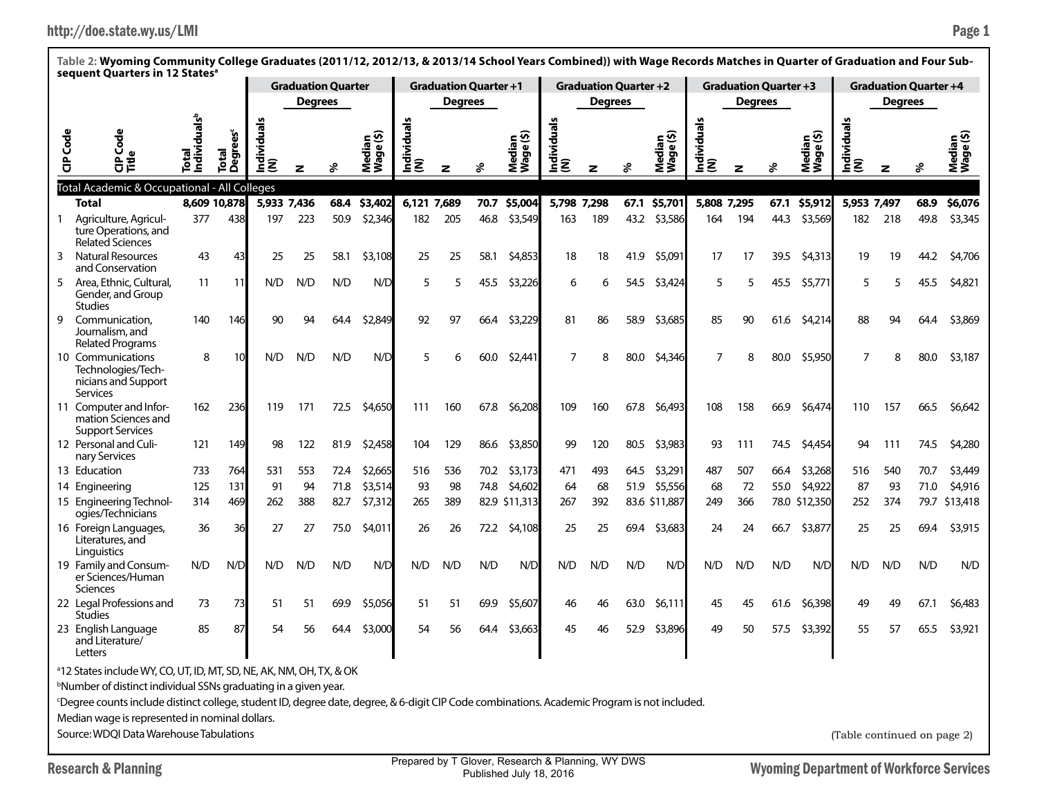|                 | sequent Quarters in 12 Statesª                                                                                                                                 |     |                       |                     |                |                           |                          |                    |                              |      |                                  |                    |                              |      |                     |                    |                              |      |                     |                             |                              |      |                     |
|-----------------|----------------------------------------------------------------------------------------------------------------------------------------------------------------|-----|-----------------------|---------------------|----------------|---------------------------|--------------------------|--------------------|------------------------------|------|----------------------------------|--------------------|------------------------------|------|---------------------|--------------------|------------------------------|------|---------------------|-----------------------------|------------------------------|------|---------------------|
|                 |                                                                                                                                                                |     |                       |                     |                | <b>Graduation Quarter</b> |                          |                    | <b>Graduation Quarter +1</b> |      |                                  |                    | <b>Graduation Quarter +2</b> |      |                     |                    | <b>Graduation Quarter +3</b> |      |                     |                             | <b>Graduation Quarter +4</b> |      |                     |
|                 |                                                                                                                                                                |     |                       |                     | <b>Degrees</b> |                           |                          |                    | <b>Degrees</b>               |      |                                  |                    | Degrees                      |      |                     |                    | <b>Degrees</b>               |      |                     |                             | <b>Degrees</b>               |      |                     |
| <b>CIP</b> Code | रुँ<br>८<br>ω<br>양                                                                                                                                             | 듦   | rees<br>Total<br>Degi | Individual:<br> (N) | z              |                           | Median<br>Wage (\$)<br>٤ | Individuals<br>(N) | z                            | ℅    | ledian<br>/age (\$)<br>Wage<br>Σ | Individuals<br>(N) | z                            | ళ్   | Median<br>Wage (\$) | Individuals<br>(N) | z                            | వి   | Median<br>Wage (\$) | Individuals<br>(N)          | z                            | వి   | Median<br>Wage (\$) |
|                 | Total Academic & Occupational - All Colleges                                                                                                                   |     |                       |                     |                |                           |                          |                    |                              |      |                                  |                    |                              |      |                     |                    |                              |      |                     |                             |                              |      |                     |
|                 | <b>Total</b>                                                                                                                                                   |     | 8,609 10,878          | 5,933 7,436         |                | 68.4                      | \$3,402                  | 6.121 7.689        |                              | 70.7 | \$5,004                          | 5,798 7,298        |                              | 67.1 | \$5,701             | 5,808 7,295        |                              | 67.1 | \$5,912             | 5,953 7,497                 |                              | 68.9 | \$6,076             |
|                 | Agriculture, Agricul-<br>ture Operations, and<br><b>Related Sciences</b>                                                                                       | 377 | 438                   | 197                 | 223            | 50.9                      | \$2,346                  | 182                | 205                          | 46.8 | \$3,549                          | 163                | 189                          | 43.2 | \$3,586             | 164                | 194                          | 44.3 | \$3,569             | 182                         | 218                          | 49.8 | \$3,345             |
| 3               | <b>Natural Resources</b><br>and Conservation                                                                                                                   | 43  | 43                    | 25                  | 25             | 58.1                      | \$3,108                  | 25                 | 25                           | 58.1 | \$4,853                          | 18                 | 18                           | 41.9 | \$5,091             | 17                 | 17                           | 39.5 | \$4,313             | 19                          | 19                           | 44.2 | \$4,706             |
| 5               | Area, Ethnic, Cultural,<br>Gender, and Group<br><b>Studies</b>                                                                                                 | 11  | 11                    | N/D                 | N/D            | N/D                       | N/D                      | 5                  | 5                            | 45.5 | \$3,226                          | 6                  | 6                            | 54.5 | \$3,424             | 5                  | 5                            | 45.5 | \$5,771             | 5                           | 5                            | 45.5 | \$4,821             |
| 9               | Communication.<br>Journalism, and<br><b>Related Programs</b>                                                                                                   | 140 | 146                   | 90                  | 94             | 64.4                      | \$2,849                  | 92                 | 97                           | 66.4 | \$3,229                          | 81                 | 86                           | 58.9 | \$3,685             | 85                 | 90                           | 61.6 | \$4,214             | 88                          | 94                           | 64.4 | \$3,869             |
|                 | 10 Communications<br>Technologies/Tech-<br>nicians and Support<br><b>Services</b>                                                                              | 8   | 10                    | N/D                 | N/D            | N/D                       | N/D                      | 5                  |                              | 60.0 | \$2,441                          | 7                  | 8                            | 80.0 | \$4,346             | 7                  | 8                            | 80.0 | \$5,950             |                             | 8                            | 80.0 | \$3,187             |
|                 | 11 Computer and Infor-<br>mation Sciences and<br><b>Support Services</b>                                                                                       | 162 | 236                   | 119                 | 171            | 72.5                      | \$4,650                  | 111                | 160                          | 67.8 | \$6,208                          | 109                | 160                          | 67.8 | \$6,493             | 108                | 158                          | 66.9 | \$6,474             | 110                         | 157                          | 66.5 | \$6,642             |
|                 | 12 Personal and Culi-<br>nary Services                                                                                                                         | 121 | 149                   | 98                  | 122            | 81.9                      | \$2,458                  | 104                | 129                          | 86.6 | \$3,850                          | 99                 | 120                          | 80.5 | \$3,983             | 93                 | 111                          | 74.5 | \$4,454             | 94                          | 111                          | 74.5 | \$4,280             |
|                 | 13 Education                                                                                                                                                   | 733 | 764                   | 531                 | 553            | 72.4                      | \$2,665                  | 516                | 536                          | 70.2 | \$3,173                          | 471                | 493                          | 64.5 | \$3,291             | 487                | 507                          | 66.4 | \$3,268             | 516                         | 540                          | 70.7 | \$3,449             |
|                 | 14 Engineering                                                                                                                                                 | 125 | 131                   | 91                  | 94             | 71.8                      | \$3,514                  | 93                 | 98                           | 74.8 | \$4,602                          | 64                 | 68                           | 51.9 | \$5,556             | 68                 | 72                           | 55.0 | \$4,922             | 87                          | 93                           | 71.0 | \$4,916             |
|                 | 15 Engineering Technol-<br>ogies/Technicians                                                                                                                   | 314 | 469                   | 262                 | 388            | 82.7                      | \$7,312                  | 265                | 389                          |      | 82.9 \$11,313                    | 267                | 392                          |      | 83.6 \$11,887       | 249                | 366                          |      | 78.0 \$12,350       | 252                         | 374                          | 79.7 | \$13,418            |
|                 | 16 Foreign Languages,<br>Literatures, and<br>Linguistics                                                                                                       | 36  | 36                    | 27                  | 27             | 75.0                      | \$4,011                  | 26                 | 26                           | 72.2 | \$4,108                          | 25                 | 25                           | 69.4 | \$3,683             | 24                 | 24                           | 66.7 | \$3,877             | 25                          | 25                           | 69.4 | \$3,915             |
|                 | 19 Family and Consum-<br>er Sciences/Human<br><b>Sciences</b>                                                                                                  | N/D | N/D                   | N/D                 | N/D            | N/D                       | N/D                      | N/D                | N/D                          | N/D  | N/D                              | N/D                | N/D                          | N/D  | N/D                 | N/D                | N/D                          | N/D  | N/D                 | N/D                         | N/D                          | N/D  | N/D                 |
|                 | 22 Legal Professions and<br><b>Studies</b>                                                                                                                     | 73  | 73                    | 51                  | 51             | 69.9                      | \$5,056                  | 51                 | 51                           | 69.9 | \$5,607                          | 46                 | 46                           | 63.0 | \$6,111             | 45                 | 45                           | 61.6 | \$6,398             | 49                          | 49                           | 67.1 | \$6,483             |
|                 | 23 English Language<br>and Literature/<br><b>Letters</b>                                                                                                       | 85  | 87                    | 54                  | 56             | 64.4                      | \$3,000                  | 54                 | 56                           | 64.4 | \$3,663                          | 45                 | 46                           | 52.9 | \$3,896             | 49                 | 50                           | 57.5 | \$3,392             | 55                          | 57                           | 65.5 | \$3,921             |
|                 | <sup>a</sup> 12 States include WY, CO, UT, ID, MT, SD, NE, AK, NM, OH, TX, & OK<br><sup>b</sup> Number of distinct individual SSNs graduating in a given year. |     |                       |                     |                |                           |                          |                    |                              |      |                                  |                    |                              |      |                     |                    |                              |      |                     |                             |                              |      |                     |
|                 | Degree counts include distinct college, student ID, degree date, degree, & 6-digit CIP Code combinations. Academic Program is not included.                    |     |                       |                     |                |                           |                          |                    |                              |      |                                  |                    |                              |      |                     |                    |                              |      |                     |                             |                              |      |                     |
|                 |                                                                                                                                                                |     |                       |                     |                |                           |                          |                    |                              |      |                                  |                    |                              |      |                     |                    |                              |      |                     |                             |                              |      |                     |
|                 | Median wage is represented in nominal dollars.                                                                                                                 |     |                       |                     |                |                           |                          |                    |                              |      |                                  |                    |                              |      |                     |                    |                              |      |                     |                             |                              |      |                     |
|                 | Source: WDQI Data Warehouse Tabulations                                                                                                                        |     |                       |                     |                |                           |                          |                    |                              |      |                                  |                    |                              |      |                     |                    |                              |      |                     | (Table continued on page 2) |                              |      |                     |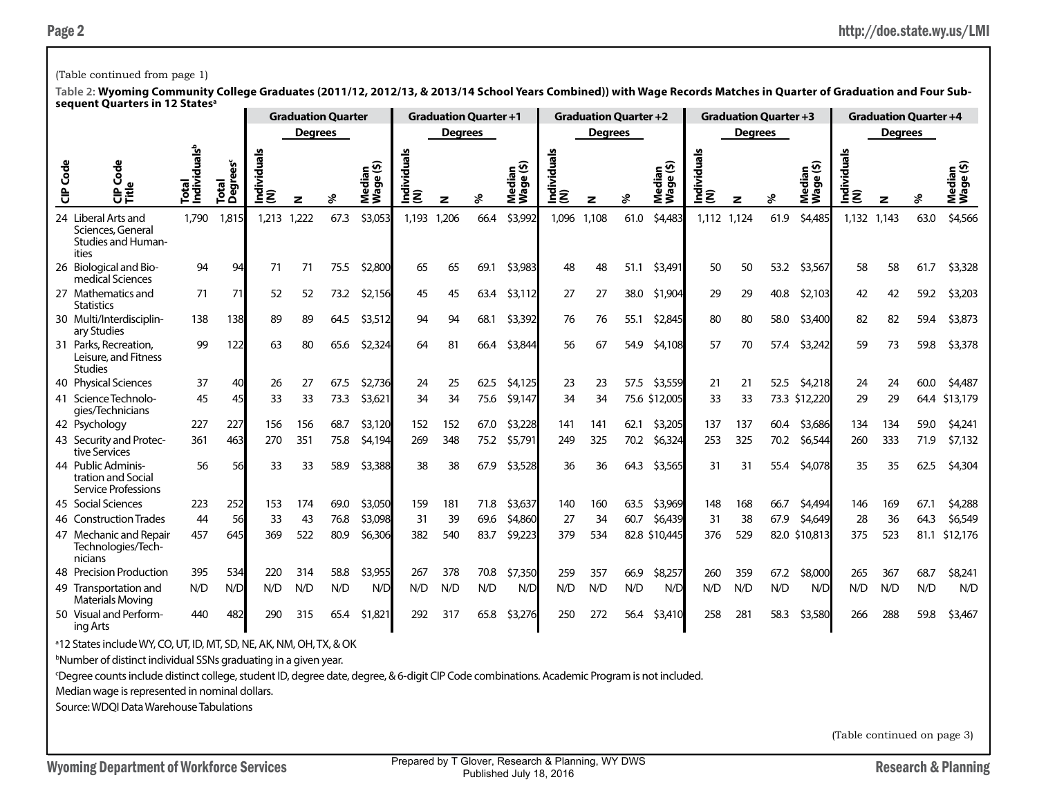### (Table continued from page 1)

**Table 2: Wyoming Community College Graduates (2011/12, 2012/13, & 2013/14 School Years Combined)) with Wage Records Matches in Quarter of Graduation and Four Subsequent Quarters in 12 Statesa**

|                 |                                                                                |                                      |                      |         |                | <b>Graduation Quarter</b> |                                   |                    | <b>Graduation Quarter +1</b> |      |                     |                    | <b>Graduation Quarter +2</b> |      |                                                 |                    | <b>Graduation Quarter +3</b> |      |                     |             |                | <b>Graduation Quarter +4</b> |                  |
|-----------------|--------------------------------------------------------------------------------|--------------------------------------|----------------------|---------|----------------|---------------------------|-----------------------------------|--------------------|------------------------------|------|---------------------|--------------------|------------------------------|------|-------------------------------------------------|--------------------|------------------------------|------|---------------------|-------------|----------------|------------------------------|------------------|
|                 |                                                                                |                                      |                      |         | <b>Degrees</b> |                           |                                   |                    | <b>Degrees</b>               |      |                     |                    | <b>Degrees</b>               |      |                                                 |                    | <b>Degrees</b>               |      |                     |             | <b>Degrees</b> |                              |                  |
| <b>CIP</b> Code | 응                                                                              | uals <sup>b</sup><br>Total<br>Indivi | ັຽ<br>Total<br>Degre | Ē<br>ΞΞ | z              |                           | ledian<br>``a (\$)<br>Nedi<br>Vag | Individuals<br>(N) | z                            | వి   | Median<br>Wage (\$) | Individual:<br>(N) | z                            | శి   | ⊆ ତି<br>edja<br>T<br>$\pmb{\omega}$<br>ē,<br>ŽΞ | Individuals<br>(N) | z                            | వి   | Median<br>Wage (\$) | nivia<br>E≷ |                |                              | eibə<br>ā,<br>ŹŠ |
|                 | 24 Liberal Arts and<br>Sciences, General<br><b>Studies and Human-</b><br>ities | 1.790                                | 1,815                | 1.213   | .222           | 67.3                      | \$3,053                           | 1.193              | 1,206                        | 66.4 | \$3,992             | 1,096              | 1,108                        | 61.0 | \$4,483                                         | 1,112              | 1,124                        | 61.9 | \$4,485             | 1,132       | 1,143          | 63.0                         | \$4,566          |
|                 | 26 Biological and Bio-<br>medical Sciences                                     | 94                                   | 94                   | 71      | 71             | 75.5                      | \$2,800                           | 65                 | 65                           | 69.1 | \$3,983             | 48                 | 48                           | 51.1 | \$3,491                                         | 50                 | 50                           | 53.2 | \$3,567             | 58          | 58             | 61.7                         | \$3,328          |
|                 | 27 Mathematics and<br><b>Statistics</b>                                        | 71                                   | 71                   | 52      | 52             | 73.2                      | \$2,156                           | 45                 | 45                           | 63.4 | \$3,112             | 27                 | 27                           | 38.0 | \$1,904                                         | 29                 | 29                           | 40.8 | \$2,103             | 42          | 42             | 59.2                         | \$3,203          |
|                 | 30 Multi/Interdisciplin-<br>ary Studies                                        | 138                                  | 138                  | 89      | 89             | 64.5                      | \$3,512                           | 94                 | 94                           | 68.1 | \$3,392             | 76                 | 76                           | 55.1 | \$2,845                                         | 80                 | 80                           | 58.0 | \$3,400             | 82          | 82             | 59.4                         | \$3,873          |
|                 | 31 Parks, Recreation,<br>Leisure, and Fitness<br><b>Studies</b>                | 99                                   | 122                  | 63      | 80             | 65.6                      | \$2,324                           | 64                 | 81                           | 66.4 | \$3,844             | 56                 | 67                           | 54.9 | \$4,108                                         | 57                 | 70                           | 57.4 | \$3,242             | 59          | 73             | 59.8                         | \$3,378          |
|                 | 40 Physical Sciences                                                           | 37                                   | 40                   | 26      | 27             | 67.5                      | \$2,736                           | 24                 | 25                           | 62.5 | \$4,125             | 23                 | 23                           | 57.5 | \$3,559                                         | 21                 | 21                           | 52.5 | \$4,218             | 24          | 24             | 60.0                         | \$4,487          |
|                 | 41 Science Technolo-<br>gies/Technicians                                       | 45                                   | 45                   | 33      | 33             | 73.3                      | \$3,621                           | 34                 | 34                           | 75.6 | \$9,147             | 34                 | 34                           |      | 75.6 \$12,005                                   | 33                 | 33                           |      | 73.3 \$12,220       | 29          | 29             | 64.4                         | \$13,179         |
|                 | 42 Psychology                                                                  | 227                                  | 227                  | 156     | 156            | 68.7                      | \$3,120                           | 152                | 152                          | 67.0 | \$3,228             | 141                | 141                          | 62.1 | \$3,205                                         | 137                | 137                          | 60.4 | \$3,686             | 134         | 134            | 59.0                         | \$4,241          |
|                 | 43 Security and Protec-<br>tive Services                                       | 361                                  | 463                  | 270     | 351            | 75.8                      | \$4,194                           | 269                | 348                          | 75.2 | \$5,791             | 249                | 325                          | 70.2 | \$6,324                                         | 253                | 325                          | 70.2 | \$6,544             | 260         | 333            | 71.9                         | \$7,132          |
|                 | 44 Public Adminis-<br>tration and Social<br><b>Service Professions</b>         | 56                                   | 56                   | 33      | 33             | 58.9                      | \$3,388                           | 38                 | 38                           | 67.9 | \$3,528             | 36                 | 36                           | 64.3 | \$3,565                                         | 31                 | 31                           | 55.4 | \$4,078             | 35          | 35             | 62.5                         | \$4,304          |
|                 | 45 Social Sciences                                                             | 223                                  | 252                  | 153     | 174            | 69.0                      | \$3,050                           | 159                | 181                          | 71.8 | \$3,637             | 140                | 160                          | 63.5 | \$3,969                                         | 148                | 168                          | 66.7 | \$4,494             | 146         | 169            | 67.1                         | \$4,288          |
|                 | 46 Construction Trades                                                         | 44                                   | 56                   | 33      | 43             | 76.8                      | \$3,098                           | 31                 | 39                           | 69.6 | \$4,860             | 27                 | 34                           | 60.7 | \$6,439                                         | 31                 | 38                           | 67.9 | \$4,649             | 28          | 36             | 64.3                         | \$6,549          |
|                 | 47 Mechanic and Repair<br>Technologies/Tech-<br>nicians                        | 457                                  | 645                  | 369     | 522            | 80.9                      | \$6,306                           | 382                | 540                          | 83.7 | \$9,223             | 379                | 534                          |      | 82.8 \$10,445                                   | 376                | 529                          |      | 82.0 \$10,813       | 375         | 523            | 81.1                         | \$12,176         |
|                 | 48 Precision Production                                                        | 395                                  | 534                  | 220     | 314            | 58.8                      | \$3,955                           | 267                | 378                          | 70.8 | \$7,350             | 259                | 357                          | 66.9 | \$8,257                                         | 260                | 359                          | 67.2 | \$8,000             | 265         | 367            | 68.7                         | \$8,241          |
|                 | 49 Transportation and<br><b>Materials Moving</b>                               | N/D                                  | N/D                  | N/D     | N/D            | N/D                       | N/D                               | N/D                | N/D                          | N/D  | N/D                 | N/D                | N/D                          | N/D  | N/D                                             | N/D                | N/D                          | N/D  | N/D                 | N/D         | N/D            | N/D                          | N/D              |
|                 | 50 Visual and Perform-<br>ing Arts                                             | 440                                  | 482                  | 290     | 315            | 65.4                      | \$1,821                           | 292                | 317                          | 65.8 | \$3,276             | 250                | 272                          | 56.4 | \$3,410                                         | 258                | 281                          | 58.3 | \$3,580             | 266         | 288            | 59.8                         | \$3,467          |

a 12 States include WY, CO, UT, ID, MT, SD, NE, AK, NM, OH, TX, & OK

b Number of distinct individual SSNs graduating in a given year.

c Degree counts include distinct college, student ID, degree date, degree, & 6-digit CIP Code combinations. Academic Program is not included.

Median wage is represented in nominal dollars.

Source: WDQI Data Warehouse Tabulations

(Table continued on page 3)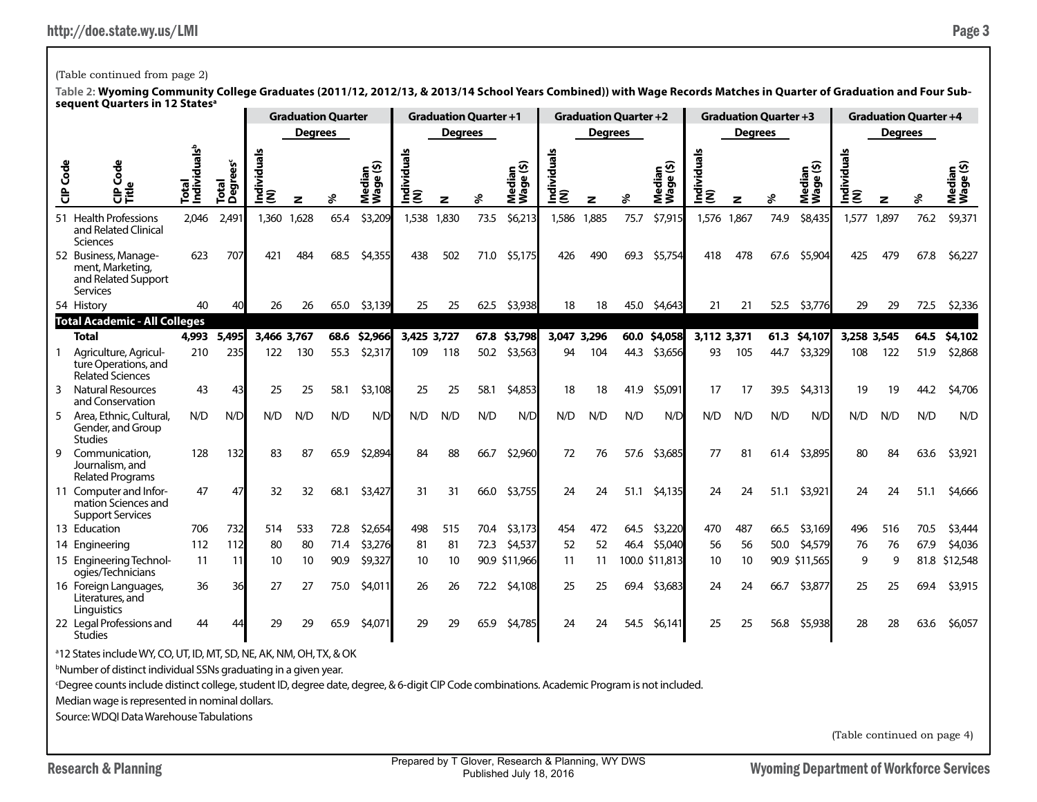Research & Planning Research & Planning Prepared by 1 Glover, Research & Planning, WY DWS Wyoming Department of Workforce Services Prepared by T Glover, Research & Planning, WY DWS Published July 18, 2016

(Table continued on page 4)

## (Table continued from page 2)

**Table 2: Wyoming Community College Graduates (2011/12, 2012/13, & 2013/14 School Years Combined)) with Wage Records Matches in Quarter of Graduation and Four Subsequent Quarters in 12 Statesa**

|                 |                                                                                    |                                   |                    |                  |                | <b>Graduation Quarter</b> |                                             |                    |                | <b>Graduation Quarter +1</b> |                     |                    | <b>Graduation Quarter +2</b> |      |                                          |                    | <b>Graduation Quarter +3</b> |      |                     |                    | <b>Graduation Quarter +4</b> |      |                     |
|-----------------|------------------------------------------------------------------------------------|-----------------------------------|--------------------|------------------|----------------|---------------------------|---------------------------------------------|--------------------|----------------|------------------------------|---------------------|--------------------|------------------------------|------|------------------------------------------|--------------------|------------------------------|------|---------------------|--------------------|------------------------------|------|---------------------|
|                 |                                                                                    |                                   |                    |                  | <b>Degrees</b> |                           |                                             |                    | <b>Degrees</b> |                              |                     |                    | <b>Degrees</b>               |      |                                          |                    | <b>Degrees</b>               |      |                     |                    | <b>Degrees</b>               |      |                     |
| <b>CIP</b> Code | Code<br>으<br>문<br>다른                                                               | Total<br>Individuals <sup>b</sup> | ັຽ<br>Total<br>Deg | g<br>ndivid<br>ξ | z              |                           | ୁ⊕<br>edia<br>$\pmb{\omega}$<br>Medi<br>Wag | Individuals<br>(N) | z              | వి                           | Median<br>Wage (\$) | Individuals<br>(N) | z                            | ళ    | ⊆ত<br>œ<br>$\mathbf{v}$<br>힣<br>ā.<br>ΣŠ | Individuals<br>(N) | z                            | s    | Median<br>Wage (\$) | Individuals<br>(N) | z                            |      | Median<br>Wage (\$) |
|                 | 51 Health Professions<br>and Related Clinical<br>Sciences                          | 2.046                             | 2,491              | 1,360            | 1,628          | 65.4                      | \$3,209                                     | 1,538              | 1,830          | 73.5                         | \$6,213             | 1,586              | 1,885                        | 75.7 | \$7,915                                  | 1.576              | 1,867                        | 74.9 | \$8,435             | 1,577              | 1,897                        | 76.2 | \$9,371             |
|                 | 52 Business, Manage-<br>ment, Marketing,<br>and Related Support<br><b>Services</b> | 623                               | 707                | 421              | 484            | 68.5                      | \$4,355                                     | 438                | 502            | 71.0                         | \$5,175             | 426                | 490                          | 69.3 | \$5,754                                  | 418                | 478                          | 67.6 | \$5,904             | 425                | 479                          | 67.8 | \$6,227             |
|                 | 54 History                                                                         | 40                                | 40                 | 26               | 26             | 65.0                      | \$3,139                                     | 25                 | 25             | 62.5                         | \$3,938             | 18                 | 18                           | 45.0 | \$4,643                                  | 21                 | 21                           | 52.5 | \$3,776             | 29                 | 29                           | 72.5 | \$2,336             |
|                 | <b>Total Academic - All Colleges</b>                                               |                                   |                    |                  |                |                           |                                             |                    |                |                              |                     |                    |                              |      |                                          |                    |                              |      |                     |                    |                              |      |                     |
|                 | <b>Total</b>                                                                       | 4,993                             | 5,495              | 3,466 3,767      |                | 68.6                      | \$2,966                                     | 3,425 3,727        |                |                              | 67.8 \$3,798        | 3,047 3,296        |                              |      | 60.0 \$4,058                             | 3,112 3,371        |                              |      | 61.3 \$4,107        | 3,258 3,545        |                              | 64.5 | \$4,102             |
|                 | Agriculture, Agricul-<br>ture Operations, and<br><b>Related Sciences</b>           | 210                               | 235                | 122              | 130            | 55.3                      | \$2,317                                     | 109                | 118            | 50.2                         | \$3,563             | 94                 | 104                          | 44.3 | \$3,656                                  | 93                 | 105                          | 44.7 | \$3,329             | 108                | 122                          | 51.9 | \$2,868             |
| 3               | <b>Natural Resources</b><br>and Conservation                                       | 43                                | 43                 | 25               | 25             | 58.1                      | \$3,108                                     | 25                 | 25             | 58.1                         | \$4,853             | 18                 | 18                           | 41.9 | \$5,091                                  | 17                 | 17                           | 39.5 | \$4,313             | 19                 | 19                           | 44.2 | \$4,706             |
| 5               | Area, Ethnic, Cultural,<br>Gender, and Group<br><b>Studies</b>                     | N/D                               | N/D                | N/D              | N/D            | N/D                       | N/D                                         | N/D                | N/D            | N/D                          | N/D                 | N/D                | N/D                          | N/D  | N/D                                      | N/D                | N/D                          | N/D  | N/D                 | N/D                | N/D                          | N/D  | N/D                 |
| q               | Communication.<br>Journalism, and<br><b>Related Programs</b>                       | 128                               | 132                | 83               | 87             | 65.9                      | \$2,894                                     | 84                 | 88             | 66.7                         | \$2,960             | 72                 | 76                           | 57.6 | \$3,685                                  | 77                 | 81                           | 61.4 | \$3,895             | 80                 | 84                           | 63.6 | \$3,921             |
|                 | 11 Computer and Infor-<br>mation Sciences and<br><b>Support Services</b>           | 47                                | 47                 | 32               | 32             | 68.1                      | \$3,427                                     | 31                 | 31             | 66.0                         | \$3,755             | 24                 | 24                           | 51.1 | \$4,135                                  | 24                 | 24                           | 51.1 | \$3,921             | 24                 | 24                           | 51.1 | \$4,666             |
|                 | 13 Education                                                                       | 706                               | 732                | 514              | 533            | 72.8                      | \$2,654                                     | 498                | 515            | 70.4                         | \$3,173             | 454                | 472                          | 64.5 | \$3,220                                  | 470                | 487                          | 66.5 | \$3,169             | 496                | 516                          | 70.5 | \$3,444             |
|                 | 14 Engineering                                                                     | 112                               | 112                | 80               | 80             | 71.4                      | \$3,276                                     | 81                 | 81             | 72.3                         | \$4,537             | 52                 | 52                           | 46.4 | \$5,040                                  | 56                 | 56                           | 50.0 | \$4,579             | 76                 | 76                           | 67.9 | \$4,036             |
|                 | 15 Engineering Technol-<br>ogies/Technicians                                       | 11                                | 11                 | 10               | 10             | 90.9                      | \$9,327                                     | 10                 | 10             |                              | 90.9 \$11,966       | 11                 | 11                           |      | 100.0 \$11,813                           | 10                 | 10                           |      | 90.9 \$11,565       | 9                  | 9                            | 81.8 | \$12,548            |
|                 | 16 Foreign Languages,<br>Literatures, and<br>Linguistics                           | 36                                | 36                 | 27               | 27             | 75.0                      | \$4,011                                     | 26                 | 26             | 72.2                         | \$4,108             | 25                 | 25                           | 69.4 | \$3,683                                  | 24                 | 24                           | 66.7 | \$3,877             | 25                 | 25                           | 69.4 | \$3,915             |
|                 | 22 Legal Professions and<br><b>Studies</b>                                         | 44                                | 44                 | 29               | 29             | 65.9                      | \$4,071                                     | 29                 | 29             | 65.9                         | \$4,785             | 24                 | 24                           | 54.5 | \$6,141                                  | 25                 | 25                           | 56.8 | \$5,938             | 28                 | 28                           | 63.6 | \$6,057             |
|                 | <sup>a</sup> 12 States include WY, CO, UT, ID, MT, SD, NE, AK, NM, OH, TX, & OK    |                                   |                    |                  |                |                           |                                             |                    |                |                              |                     |                    |                              |      |                                          |                    |                              |      |                     |                    |                              |      |                     |

b Number of distinct individual SSNs graduating in a given year. c Degree counts include distinct college, student ID, degree date, degree, & 6-digit CIP Code combinations. Academic Program is not included.

Median wage is represented in nominal dollars.

Source: WDQI Data Warehouse Tabulations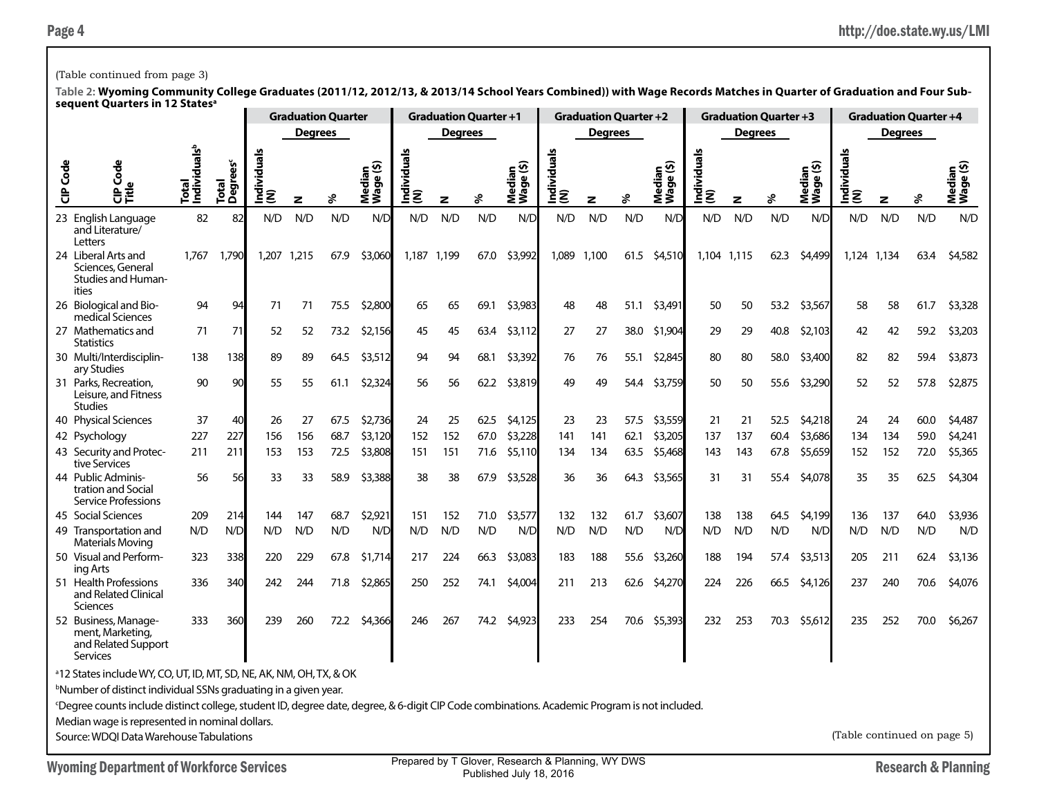### (Table continued from page 3)

| <b>Degrees</b><br><b>Degrees</b><br><b>Degrees</b><br><b>Degrees</b><br><b>Degrees</b><br>ndividuals <sup>b</sup><br>Individuals<br>(N)<br>Individuals<br>(N)<br>Individuals<br>(N)<br>Individuals<br>(N)<br>ividual<br>Total<br>Degrees <sup>c</sup><br>CIP Code<br>ledian<br>'¬ge (\$)<br>Median<br>Wage (\$)<br>ledian<br><sup>Jaqe</sup> (\$)<br>Median<br>Wage (\$)<br>Median<br>Wage (\$)<br><b>Go</b><br>Mediar<br>Wage (<br>Total<br>D<br>혿<br>응<br>Ê<br>వి<br>℅<br>%<br>వి<br>z<br>z<br>z<br>z<br>$\overline{z}$<br>82<br>N/D<br>N/D<br>N/D<br>N/D<br>23 English Language<br>82<br>N/D<br>N/D<br>N/D<br>N/D<br>N/D<br>N/D<br>N/D<br>N/D<br>N/D<br>N/D<br>N/D<br>N/D<br>N/D<br>N/D<br>N/D<br>and Literature/<br>Letters<br>1,790<br>1,207<br>67.9<br>\$3,060<br>1,187 1,199<br>\$3,992<br>1,089<br>1,100<br>62.3<br>24 Liberal Arts and<br>1.767<br>1,215<br>67.0<br>61.5<br>\$4,510<br>1,104 1,115<br>\$4,499<br>1.124<br>1,134<br>63.4<br>Sciences, General<br><b>Studies and Human-</b><br>ities<br>26 Biological and Bio-<br>94<br>94<br>71<br>71<br>75.5<br>\$2,800<br>65<br>65<br>69.1<br>\$3,983<br>48<br>48<br>51.1<br>\$3,491<br>50<br>50<br>53.2<br>\$3,567<br>58<br>58<br>61.7<br>medical Sciences<br>27 Mathematics and<br>71<br>71<br>52<br>52<br>73.2<br>\$2,156<br>45<br>45<br>63.4<br>\$3,112<br>27<br>27<br>38.0<br>\$1,904<br>29<br>29<br>40.8<br>\$2,103<br>42<br>42<br>59.2<br><b>Statistics</b><br>30 Multi/Interdisciplin-<br>89<br>64.5<br>\$3,512<br>76<br>\$2,845<br>82<br>59.4<br>138<br>138<br>89<br>94<br>94<br>68.1<br>\$3,392<br>76<br>55.1<br>80<br>80<br>58.0<br>\$3,400<br>82<br>ary Studies<br>31 Parks, Recreation,<br>90<br>90<br>55<br>55<br>61.1<br>\$2,324<br>56<br>62.2<br>\$3,819<br>49<br>49<br>\$3,759<br>50<br>50<br>55.6<br>\$3,290<br>52<br>52<br>57.8<br>56<br>54.4<br>Leisure, and Fitness<br><b>Studies</b><br>37<br>40<br>40 Physical Sciences<br>27<br>67.5<br>\$2,736<br>24<br>25<br>62.5<br>\$4,125<br>23<br>23<br>57.5<br>\$3,559<br>21<br>21<br>52.5<br>\$4,218<br>24<br>24<br>60.0<br>26<br>156<br>68.7<br>\$3,120<br>152<br>137<br>60.4<br>\$3,686<br>134<br>42 Psychology<br>227<br>227<br>156<br>152<br>67.0<br>\$3,228<br>141<br>141<br>62.1<br>\$3,205<br>137<br>134<br>59.0<br>43 Security and Protec-<br>153<br>72.5<br>\$3,808<br>151<br>\$5,110<br>63.5<br>\$5,468<br>67.8<br>152<br>211<br>211<br>153<br>151<br>71.6<br>134<br>134<br>143<br>143<br>\$5,659<br>152<br>72.0<br>tive Services<br>44 Public Adminis-<br>56<br>33<br>58.9<br>38<br>\$3,528<br>\$4,078<br>35<br>62.5<br>56<br>33<br>\$3,388<br>38<br>67.9<br>36<br>36<br>64.3<br>\$3,565<br>31<br>31<br>55.4<br>35<br>tration and Social<br><b>Service Professions</b> |  |     | <b>Graduation Quarter</b> |         | <b>Graduation Quarter +1</b> |         | <b>Graduation Quarter +2</b> |  |     | <b>Graduation Quarter +3</b> |  |     | <b>Graduation Quarter +4</b> |         |
|-------------------------------------------------------------------------------------------------------------------------------------------------------------------------------------------------------------------------------------------------------------------------------------------------------------------------------------------------------------------------------------------------------------------------------------------------------------------------------------------------------------------------------------------------------------------------------------------------------------------------------------------------------------------------------------------------------------------------------------------------------------------------------------------------------------------------------------------------------------------------------------------------------------------------------------------------------------------------------------------------------------------------------------------------------------------------------------------------------------------------------------------------------------------------------------------------------------------------------------------------------------------------------------------------------------------------------------------------------------------------------------------------------------------------------------------------------------------------------------------------------------------------------------------------------------------------------------------------------------------------------------------------------------------------------------------------------------------------------------------------------------------------------------------------------------------------------------------------------------------------------------------------------------------------------------------------------------------------------------------------------------------------------------------------------------------------------------------------------------------------------------------------------------------------------------------------------------------------------------------------------------------------------------------------------------------------------------------------------------------------------------------------------------------------------------------------------------------------------------------------------------------------------------------------------------------------------------------------------------------------------------------------------------------------------------------------------------|--|-----|---------------------------|---------|------------------------------|---------|------------------------------|--|-----|------------------------------|--|-----|------------------------------|---------|
|                                                                                                                                                                                                                                                                                                                                                                                                                                                                                                                                                                                                                                                                                                                                                                                                                                                                                                                                                                                                                                                                                                                                                                                                                                                                                                                                                                                                                                                                                                                                                                                                                                                                                                                                                                                                                                                                                                                                                                                                                                                                                                                                                                                                                                                                                                                                                                                                                                                                                                                                                                                                                                                                                                             |  |     |                           |         |                              |         |                              |  |     |                              |  |     |                              |         |
|                                                                                                                                                                                                                                                                                                                                                                                                                                                                                                                                                                                                                                                                                                                                                                                                                                                                                                                                                                                                                                                                                                                                                                                                                                                                                                                                                                                                                                                                                                                                                                                                                                                                                                                                                                                                                                                                                                                                                                                                                                                                                                                                                                                                                                                                                                                                                                                                                                                                                                                                                                                                                                                                                                             |  |     |                           |         |                              |         |                              |  |     |                              |  |     |                              |         |
|                                                                                                                                                                                                                                                                                                                                                                                                                                                                                                                                                                                                                                                                                                                                                                                                                                                                                                                                                                                                                                                                                                                                                                                                                                                                                                                                                                                                                                                                                                                                                                                                                                                                                                                                                                                                                                                                                                                                                                                                                                                                                                                                                                                                                                                                                                                                                                                                                                                                                                                                                                                                                                                                                                             |  |     |                           |         |                              |         |                              |  |     |                              |  |     |                              | N/D     |
|                                                                                                                                                                                                                                                                                                                                                                                                                                                                                                                                                                                                                                                                                                                                                                                                                                                                                                                                                                                                                                                                                                                                                                                                                                                                                                                                                                                                                                                                                                                                                                                                                                                                                                                                                                                                                                                                                                                                                                                                                                                                                                                                                                                                                                                                                                                                                                                                                                                                                                                                                                                                                                                                                                             |  |     |                           |         |                              |         |                              |  |     |                              |  |     |                              | \$4,582 |
|                                                                                                                                                                                                                                                                                                                                                                                                                                                                                                                                                                                                                                                                                                                                                                                                                                                                                                                                                                                                                                                                                                                                                                                                                                                                                                                                                                                                                                                                                                                                                                                                                                                                                                                                                                                                                                                                                                                                                                                                                                                                                                                                                                                                                                                                                                                                                                                                                                                                                                                                                                                                                                                                                                             |  |     |                           |         |                              |         |                              |  |     |                              |  |     |                              | \$3,328 |
|                                                                                                                                                                                                                                                                                                                                                                                                                                                                                                                                                                                                                                                                                                                                                                                                                                                                                                                                                                                                                                                                                                                                                                                                                                                                                                                                                                                                                                                                                                                                                                                                                                                                                                                                                                                                                                                                                                                                                                                                                                                                                                                                                                                                                                                                                                                                                                                                                                                                                                                                                                                                                                                                                                             |  |     |                           |         |                              |         |                              |  |     |                              |  |     |                              | \$3,203 |
|                                                                                                                                                                                                                                                                                                                                                                                                                                                                                                                                                                                                                                                                                                                                                                                                                                                                                                                                                                                                                                                                                                                                                                                                                                                                                                                                                                                                                                                                                                                                                                                                                                                                                                                                                                                                                                                                                                                                                                                                                                                                                                                                                                                                                                                                                                                                                                                                                                                                                                                                                                                                                                                                                                             |  |     |                           |         |                              |         |                              |  |     |                              |  |     |                              | \$3,873 |
|                                                                                                                                                                                                                                                                                                                                                                                                                                                                                                                                                                                                                                                                                                                                                                                                                                                                                                                                                                                                                                                                                                                                                                                                                                                                                                                                                                                                                                                                                                                                                                                                                                                                                                                                                                                                                                                                                                                                                                                                                                                                                                                                                                                                                                                                                                                                                                                                                                                                                                                                                                                                                                                                                                             |  |     |                           |         |                              |         |                              |  |     |                              |  |     |                              | \$2,875 |
|                                                                                                                                                                                                                                                                                                                                                                                                                                                                                                                                                                                                                                                                                                                                                                                                                                                                                                                                                                                                                                                                                                                                                                                                                                                                                                                                                                                                                                                                                                                                                                                                                                                                                                                                                                                                                                                                                                                                                                                                                                                                                                                                                                                                                                                                                                                                                                                                                                                                                                                                                                                                                                                                                                             |  |     |                           |         |                              |         |                              |  |     |                              |  |     |                              | \$4,487 |
|                                                                                                                                                                                                                                                                                                                                                                                                                                                                                                                                                                                                                                                                                                                                                                                                                                                                                                                                                                                                                                                                                                                                                                                                                                                                                                                                                                                                                                                                                                                                                                                                                                                                                                                                                                                                                                                                                                                                                                                                                                                                                                                                                                                                                                                                                                                                                                                                                                                                                                                                                                                                                                                                                                             |  |     |                           |         |                              |         |                              |  |     |                              |  |     |                              | \$4,241 |
|                                                                                                                                                                                                                                                                                                                                                                                                                                                                                                                                                                                                                                                                                                                                                                                                                                                                                                                                                                                                                                                                                                                                                                                                                                                                                                                                                                                                                                                                                                                                                                                                                                                                                                                                                                                                                                                                                                                                                                                                                                                                                                                                                                                                                                                                                                                                                                                                                                                                                                                                                                                                                                                                                                             |  |     |                           |         |                              |         |                              |  |     |                              |  |     |                              | \$5,365 |
|                                                                                                                                                                                                                                                                                                                                                                                                                                                                                                                                                                                                                                                                                                                                                                                                                                                                                                                                                                                                                                                                                                                                                                                                                                                                                                                                                                                                                                                                                                                                                                                                                                                                                                                                                                                                                                                                                                                                                                                                                                                                                                                                                                                                                                                                                                                                                                                                                                                                                                                                                                                                                                                                                                             |  |     |                           |         |                              |         |                              |  |     |                              |  |     |                              | \$4,304 |
| 45 Social Sciences<br>209<br>68.7<br>151<br>152<br>71.0<br>132<br>132<br>61.7<br>\$3,607<br>138<br>64.5<br>\$4,199<br>136<br>64.0<br>144                                                                                                                                                                                                                                                                                                                                                                                                                                                                                                                                                                                                                                                                                                                                                                                                                                                                                                                                                                                                                                                                                                                                                                                                                                                                                                                                                                                                                                                                                                                                                                                                                                                                                                                                                                                                                                                                                                                                                                                                                                                                                                                                                                                                                                                                                                                                                                                                                                                                                                                                                                    |  | 214 | 147                       | \$2,921 |                              | \$3,577 |                              |  | 138 |                              |  | 137 |                              | \$3,936 |
| N/D<br>N/D<br>N/D<br>N/D<br>N/D<br>N/D<br>N/D<br>N/D<br>N/D<br>N/D<br>N/D<br>N/D<br>49 Transportation and<br>N/D<br>N/D<br>N/D<br>N/D<br>N/D<br>N/D<br>N/D<br>N/D<br>N/D<br>Materials Moving                                                                                                                                                                                                                                                                                                                                                                                                                                                                                                                                                                                                                                                                                                                                                                                                                                                                                                                                                                                                                                                                                                                                                                                                                                                                                                                                                                                                                                                                                                                                                                                                                                                                                                                                                                                                                                                                                                                                                                                                                                                                                                                                                                                                                                                                                                                                                                                                                                                                                                                |  |     |                           |         |                              |         |                              |  |     |                              |  |     |                              | N/D     |
| 50 Visual and Perform-<br>338<br>229<br>67.8<br>188<br>194<br>\$3,513<br>211<br>323<br>220<br>\$1,714<br>217<br>224<br>66.3<br>\$3,083<br>183<br>55.6<br>\$3,260<br>188<br>57.4<br>205<br>62.4<br>ing Arts                                                                                                                                                                                                                                                                                                                                                                                                                                                                                                                                                                                                                                                                                                                                                                                                                                                                                                                                                                                                                                                                                                                                                                                                                                                                                                                                                                                                                                                                                                                                                                                                                                                                                                                                                                                                                                                                                                                                                                                                                                                                                                                                                                                                                                                                                                                                                                                                                                                                                                  |  |     |                           |         |                              |         |                              |  |     |                              |  |     |                              | \$3,136 |
| 51 Health Professions<br>336<br>340<br>242<br>244<br>71.8<br>\$2,865<br>250<br>252<br>74.1<br>\$4,004<br>211<br>213<br>62.6<br>\$4,270<br>224<br>226<br>66.5<br>\$4,126<br>237<br>240<br>70.6<br>and Related Clinical<br><b>Sciences</b>                                                                                                                                                                                                                                                                                                                                                                                                                                                                                                                                                                                                                                                                                                                                                                                                                                                                                                                                                                                                                                                                                                                                                                                                                                                                                                                                                                                                                                                                                                                                                                                                                                                                                                                                                                                                                                                                                                                                                                                                                                                                                                                                                                                                                                                                                                                                                                                                                                                                    |  |     |                           |         |                              |         |                              |  |     |                              |  |     |                              | \$4,076 |
| 260<br>\$4,923<br>52 Business, Manage-<br>333<br>360<br>239<br>72.2<br>\$4,366<br>246<br>267<br>233<br>254<br>70.6<br>\$5,393<br>232<br>253<br>70.3<br>\$5,612<br>235<br>252<br>70.0<br>74.2<br>ment. Marketing.<br>and Related Support<br>Services                                                                                                                                                                                                                                                                                                                                                                                                                                                                                                                                                                                                                                                                                                                                                                                                                                                                                                                                                                                                                                                                                                                                                                                                                                                                                                                                                                                                                                                                                                                                                                                                                                                                                                                                                                                                                                                                                                                                                                                                                                                                                                                                                                                                                                                                                                                                                                                                                                                         |  |     |                           |         |                              |         |                              |  |     |                              |  |     |                              | \$6,267 |
| <sup>a</sup> 12 States include WY, CO, UT, ID, MT, SD, NE, AK, NM, OH, TX, & OK                                                                                                                                                                                                                                                                                                                                                                                                                                                                                                                                                                                                                                                                                                                                                                                                                                                                                                                                                                                                                                                                                                                                                                                                                                                                                                                                                                                                                                                                                                                                                                                                                                                                                                                                                                                                                                                                                                                                                                                                                                                                                                                                                                                                                                                                                                                                                                                                                                                                                                                                                                                                                             |  |     |                           |         |                              |         |                              |  |     |                              |  |     |                              |         |
| <sup>b</sup> Number of distinct individual SSNs graduating in a given year.                                                                                                                                                                                                                                                                                                                                                                                                                                                                                                                                                                                                                                                                                                                                                                                                                                                                                                                                                                                                                                                                                                                                                                                                                                                                                                                                                                                                                                                                                                                                                                                                                                                                                                                                                                                                                                                                                                                                                                                                                                                                                                                                                                                                                                                                                                                                                                                                                                                                                                                                                                                                                                 |  |     |                           |         |                              |         |                              |  |     |                              |  |     |                              |         |
| <sup>c</sup> Degree counts include distinct college, student ID, degree date, degree, & 6-digit CIP Code combinations. Academic Program is not included.                                                                                                                                                                                                                                                                                                                                                                                                                                                                                                                                                                                                                                                                                                                                                                                                                                                                                                                                                                                                                                                                                                                                                                                                                                                                                                                                                                                                                                                                                                                                                                                                                                                                                                                                                                                                                                                                                                                                                                                                                                                                                                                                                                                                                                                                                                                                                                                                                                                                                                                                                    |  |     |                           |         |                              |         |                              |  |     |                              |  |     |                              |         |
| Median wage is represented in nominal dollars.                                                                                                                                                                                                                                                                                                                                                                                                                                                                                                                                                                                                                                                                                                                                                                                                                                                                                                                                                                                                                                                                                                                                                                                                                                                                                                                                                                                                                                                                                                                                                                                                                                                                                                                                                                                                                                                                                                                                                                                                                                                                                                                                                                                                                                                                                                                                                                                                                                                                                                                                                                                                                                                              |  |     |                           |         |                              |         |                              |  |     |                              |  |     |                              |         |
| (Table continued on page 5)<br>Source: WDQI Data Warehouse Tabulations                                                                                                                                                                                                                                                                                                                                                                                                                                                                                                                                                                                                                                                                                                                                                                                                                                                                                                                                                                                                                                                                                                                                                                                                                                                                                                                                                                                                                                                                                                                                                                                                                                                                                                                                                                                                                                                                                                                                                                                                                                                                                                                                                                                                                                                                                                                                                                                                                                                                                                                                                                                                                                      |  |     |                           |         |                              |         |                              |  |     |                              |  |     |                              |         |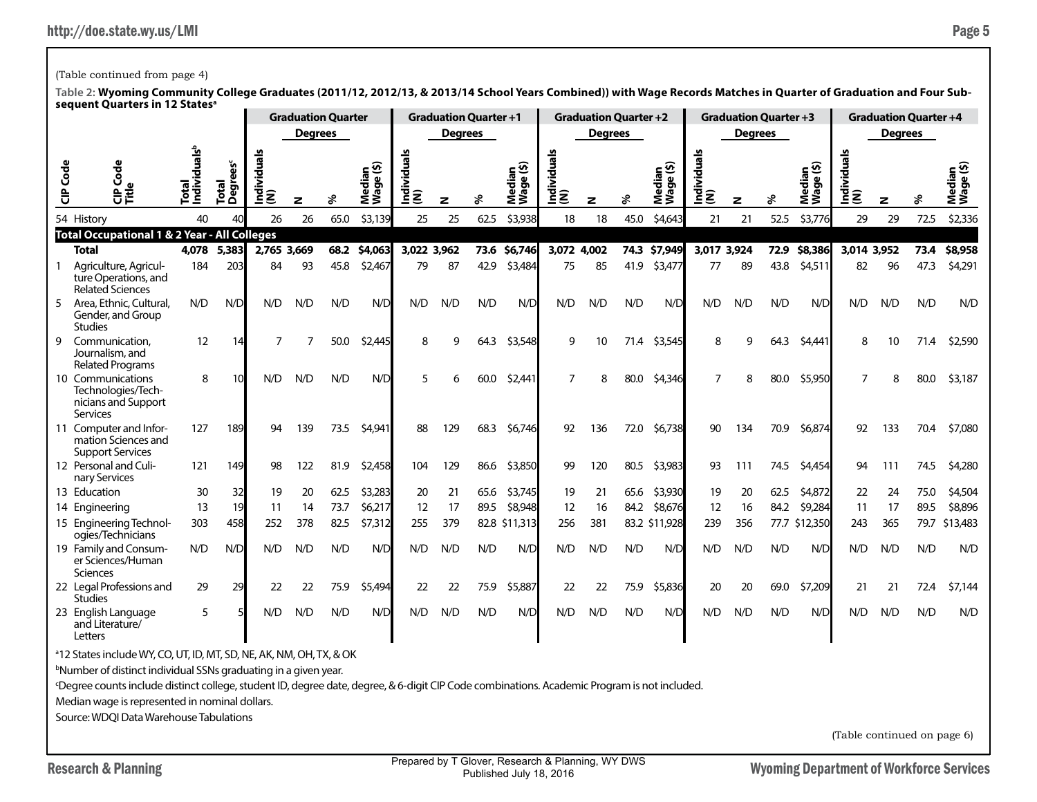## (Table continued from page 4)

**Table 2: Wyoming Community College Graduates (2011/12, 2012/13, & 2013/14 School Years Combined)) with Wage Records Matches in Quarter of Graduation and Four Subsequent Quarters in 12 Statesa**

|                 |                                                                                 |                                   |                               |                     | <b>Graduation Quarter</b> |      |                     |                 | <b>Graduation Quarter +1</b> |      |                     |                    |                | <b>Graduation Quarter +2</b> |                          |                    |                | <b>Graduation Quarter +3</b> |                     |                 |                | <b>Graduation Quarter +4</b> |                     |
|-----------------|---------------------------------------------------------------------------------|-----------------------------------|-------------------------------|---------------------|---------------------------|------|---------------------|-----------------|------------------------------|------|---------------------|--------------------|----------------|------------------------------|--------------------------|--------------------|----------------|------------------------------|---------------------|-----------------|----------------|------------------------------|---------------------|
|                 |                                                                                 |                                   |                               |                     | <b>Degrees</b>            |      |                     |                 | <b>Degrees</b>               |      |                     |                    | <b>Degrees</b> |                              |                          |                    | <b>Degrees</b> |                              |                     |                 | <b>Degrees</b> |                              |                     |
| <b>CIP</b> Code | 횽<br>Ũ<br>이<br>이 문<br>디자                                                        | Total<br>Individuals <sup>b</sup> | Total<br>Degrees <sup>c</sup> | dividuals<br>Ē<br>⊆ | z                         | వి   | Median<br>Wage (\$) | Individual<br>ξ | z                            | ℅    | Median<br>Wage (\$) | Individuals<br>(N) | z              | ళి                           | ledian<br>/age(\$)<br>ĔŠ | Individuals<br>(N) | z              |                              | Median<br>Wage (\$) | ndividuals<br>ξ | z              |                              | Median<br>Wage (\$) |
|                 | 54 History                                                                      | 40                                | 40                            | 26                  | 26                        | 65.0 | \$3,139             | 25              | 25                           | 62.5 | \$3,938             | 18                 | 18             | 45.0                         | \$4,643                  | 21                 | 21             | 52.5                         | \$3,776             | 29              | 29             | 72.5                         | \$2,336             |
|                 | <b>Total Occupational 1 &amp; 2 Year - All Colleges</b>                         |                                   |                               |                     |                           |      |                     |                 |                              |      |                     |                    |                |                              |                          |                    |                |                              |                     |                 |                |                              |                     |
|                 | <b>Total</b>                                                                    | 4,078                             | 5,383                         | 2,765 3,669         |                           | 68.2 | \$4,063             | 3,022 3,962     |                              |      | 73.6 \$6,746        | 3,072 4,002        |                |                              | 74.3 \$7,949             | 3,017 3,924        |                |                              | 72.9 \$8,386        | 3,014 3,952     |                | 73.4                         | \$8,958             |
|                 | Agriculture, Agricul-<br>ture Operations, and<br><b>Related Sciences</b>        | 184                               | 203                           | 84                  | 93                        | 45.8 | \$2,467             | 79              | 87                           | 42.9 | \$3,484             | 75                 | 85             | 41.9                         | \$3,477                  | 77                 | 89             | 43.8                         | \$4,511             | 82              | 96             | 47.3                         | \$4,291             |
| 5               | Area, Ethnic, Cultural,<br>Gender, and Group<br>Studies                         | N/D                               | N/D                           | N/D                 | N/D                       | N/D  | N/D                 | N/D             | N/D                          | N/D  | N/D                 | N/D                | N/D            | N/D                          | N/D                      | N/D                | N/D            | N/D                          | N/D                 | N/D             | N/D            | N/D                          | N/D                 |
| 9               | Communication.<br>Journalism, and<br><b>Related Programs</b>                    | 12                                | 14                            | 7                   |                           | 50.0 | \$2,445             | 8               | 9                            | 64.3 | \$3,548             | 9                  | 10             | 71.4                         | \$3,545                  | 8                  | q              | 64.3                         | \$4,441             | 8               | 10             | 71.4                         | \$2,590             |
|                 | 10 Communications<br>Technologies/Tech-<br>nicians and Support<br>Services      | 8                                 | 10                            | N/D                 | N/D                       | N/D  | N/D                 | 5               | 6                            | 60.0 | \$2,441             | 7                  | 8              | 80.0                         | \$4,346                  | $\overline{7}$     | 8              | 80.0                         | \$5,950             | 7               | 8              | 80.0                         | \$3,187             |
|                 | 11 Computer and Infor-<br>mation Sciences and<br><b>Support Services</b>        | 127                               | 189                           | 94                  | 139                       | 73.5 | \$4,941             | 88              | 129                          | 68.3 | \$6,746             | 92                 | 136            | 72.0                         | \$6,738                  | 90                 | 134            | 70.9                         | \$6,874             | 92              | 133            | 70.4                         | \$7,080             |
|                 | 12 Personal and Culi-<br>nary Services                                          | 121                               | 149                           | 98                  | 122                       | 81.9 | \$2,458             | 104             | 129                          | 86.6 | \$3,850             | 99                 | 120            | 80.5                         | \$3,983                  | 93                 | 111            | 74.5                         | \$4,454             | 94              | 111            | 74.5                         | \$4,280             |
|                 | 13 Education                                                                    | 30                                | 32                            | 19                  | 20                        | 62.5 | \$3,283             | 20              | 21                           | 65.6 | \$3,745             | 19                 | 21             | 65.6                         | \$3,930                  | 19                 | 20             | 62.5                         | \$4,872             | 22              | 24             | 75.0                         | \$4,504             |
|                 | 14 Engineering                                                                  | 13                                | 19                            | 11                  | 14                        | 73.7 | \$6,217             | 12              | 17                           | 89.5 | \$8,948             | 12                 | 16             | 84.2                         | \$8,676                  | 12                 | 16             | 84.2                         | \$9,284             | 11              | 17             | 89.5                         | \$8,896             |
|                 | 15 Engineering Technol-<br>ogies/Technicians                                    | 303                               | 458                           | 252                 | 378                       | 82.5 | \$7,312             | 255             | 379                          |      | 82.8 \$11,313       | 256                | 381            |                              | 83.2 \$11,928            | 239                | 356            |                              | 77.7 \$12,350       | 243             | 365            | 79.7                         | \$13,483            |
|                 | 19 Family and Consum-<br>er Sciences/Human<br>Sciences                          | N/D                               | N/D                           | N/D                 | N/D                       | N/D  | N/D                 | N/D             | N/D                          | N/D  | N/D                 | N/D                | N/D            | N/D                          | N/D                      | N/D                | N/D            | N/D                          | N/D                 | N/D             | N/D            | N/D                          | N/D                 |
|                 | 22 Legal Professions and<br>Studies                                             | 29                                | 29                            | 22                  | 22                        | 75.9 | \$5,494             | 22              | 22                           | 75.9 | \$5,887             | 22                 | 22             | 75.9                         | \$5,836                  | 20                 | 20             | 69.0                         | \$7,209             | 21              | 21             | 72.4                         | \$7,144             |
|                 | 23 English Language<br>and Literature/<br>Letters                               | 5                                 |                               | N/D                 | N/D                       | N/D  | N/D                 | N/D             | N/D                          | N/D  | N/D                 | N/D                | N/D            | N/D                          | N/D                      | N/D                | N/D            | N/D                          | N/D                 | N/D             | N/D            | N/D                          | N/D                 |
|                 | <sup>a</sup> 12 States include WY, CO, UT, ID, MT, SD, NE, AK, NM, OH, TX, & OK |                                   |                               |                     |                           |      |                     |                 |                              |      |                     |                    |                |                              |                          |                    |                |                              |                     |                 |                |                              |                     |

b Number of distinct individual SSNs graduating in a given year.

c Degree counts include distinct college, student ID, degree date, degree, & 6-digit CIP Code combinations. Academic Program is not included.

Median wage is represented in nominal dollars.

Source: WDQI Data Warehouse Tabulations

(Table continued on page 6)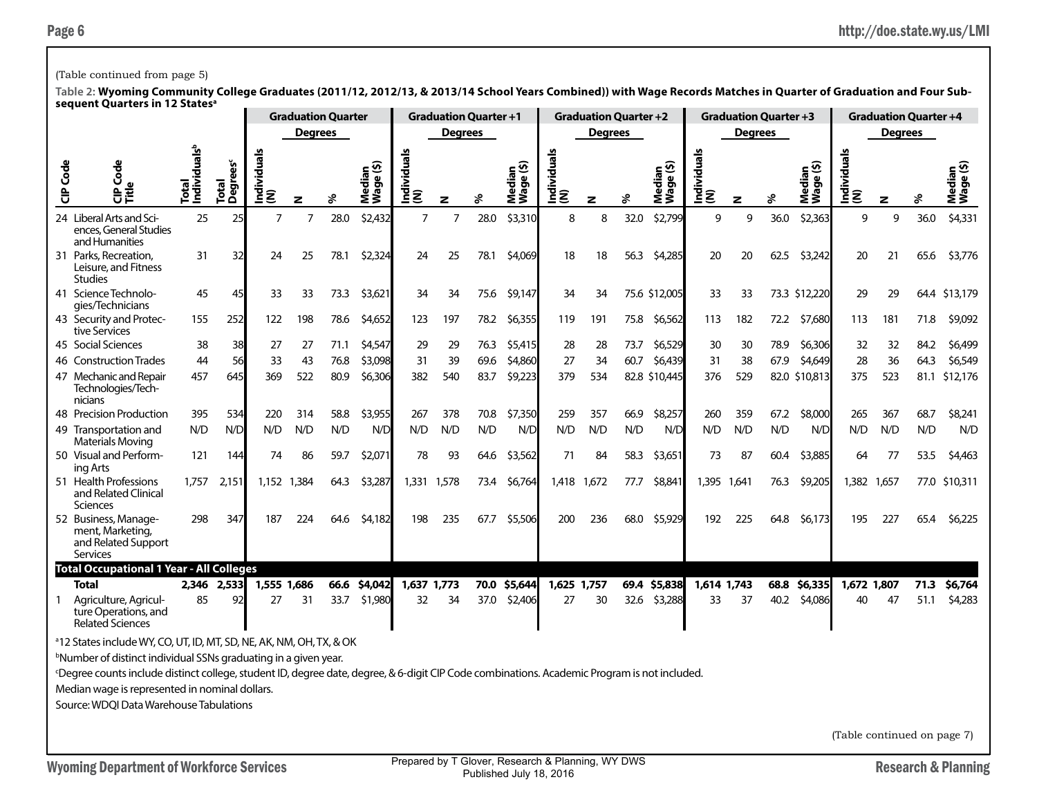## (Table continued from page 5)

**Table 2: Wyoming Community College Graduates (2011/12, 2012/13, & 2013/14 School Years Combined)) with Wage Records Matches in Quarter of Graduation and Four Subsequent Quarters in 12 Statesa**

|          | seguent Quarters III TZ States                                                                                                              |                                   |                               |                    | <b>Graduation Quarter</b> |      |                           |                    | <b>Graduation Quarter +1</b> |      |                     |                    | <b>Graduation Quarter +2</b> |      |                     |                    | <b>Graduation Quarter +3</b> |      |                     |                    | <b>Graduation Quarter +4</b> |      |                     |
|----------|---------------------------------------------------------------------------------------------------------------------------------------------|-----------------------------------|-------------------------------|--------------------|---------------------------|------|---------------------------|--------------------|------------------------------|------|---------------------|--------------------|------------------------------|------|---------------------|--------------------|------------------------------|------|---------------------|--------------------|------------------------------|------|---------------------|
|          |                                                                                                                                             |                                   |                               |                    | <b>Degrees</b>            |      |                           |                    | <b>Degrees</b>               |      |                     |                    | <b>Degrees</b>               |      |                     |                    | <b>Degrees</b>               |      |                     |                    | <b>Degrees</b>               |      |                     |
| CIP Code | Code<br>$\mathbf{v}$<br>응う                                                                                                                  | Total<br>Individuals <sup>b</sup> | Total<br>Degrees <sup>c</sup> | Individuals<br>(N) | z                         |      | ledian<br>age (\$)<br>≹Š. | Individuals<br>(N) | z                            | ℅    | Median<br>Wage (\$) | Individuals<br>(N) | $\mathbf{z}$                 | ℅    | Median<br>Wage (\$) | Individuals<br>(N) | z                            | వి   | Median<br>Wage (\$) | Individuals<br>(N) | z                            | ℅    | Median<br>Wage (\$) |
|          | 24 Liberal Arts and Sci-<br>ences, General Studies<br>and Humanities                                                                        | 25                                | 25                            | $\overline{7}$     | $\overline{7}$            | 28.0 | \$2,432                   | $\overline{7}$     | 7                            | 28.0 | \$3,310             | 8                  | 8                            | 32.0 | \$2,799             | 9                  | 9                            | 36.0 | \$2,363             | 9                  | 9                            | 36.0 | \$4,331             |
|          | 31 Parks, Recreation,<br>Leisure, and Fitness<br><b>Studies</b>                                                                             | 31                                | 32                            | 24                 | 25                        | 78.1 | \$2,324                   | 24                 | 25                           | 78.1 | \$4,069             | 18                 | 18                           | 56.3 | \$4,285             | 20                 | 20                           | 62.5 | \$3,242             | 20                 | 21                           | 65.6 | \$3,776             |
|          | 41 Science Technolo-<br>gies/Technicians                                                                                                    | 45                                | 45                            | 33                 | 33                        | 73.3 | \$3,621                   | 34                 | 34                           | 75.6 | \$9,147             | 34                 | 34                           |      | 75.6 \$12,005       | 33                 | 33                           |      | 73.3 \$12,220       | 29                 | 29                           |      | 64.4 \$13,179       |
|          | 43 Security and Protec-<br>tive Services                                                                                                    | 155                               | 252                           | 122                | 198                       | 78.6 | \$4,652                   | 123                | 197                          | 78.2 | \$6,355             | 119                | 191                          | 75.8 | \$6,562             | 113                | 182                          | 72.2 | \$7,680             | 113                | 181                          | 71.8 | \$9,092             |
|          | 45 Social Sciences                                                                                                                          | 38                                | 38                            | 27                 | 27                        | 71.1 | \$4,547                   | 29                 | 29                           | 76.3 | \$5,415             | 28                 | 28                           | 73.7 | \$6,529             | 30                 | 30                           | 78.9 | \$6,306             | 32                 | 32                           | 84.2 | \$6,499             |
|          | 46 Construction Trades                                                                                                                      | 44                                | 56                            | 33                 | 43                        | 76.8 | \$3,098                   | 31                 | 39                           | 69.6 | \$4,860             | 27                 | 34                           | 60.7 | \$6,439             | 31                 | 38                           | 67.9 | \$4,649             | 28                 | 36                           | 64.3 | \$6,549             |
|          | 47 Mechanic and Repair<br>Technologies/Tech-<br>nicians                                                                                     | 457                               | 645                           | 369                | 522                       | 80.9 | \$6,306                   | 382                | 540                          | 83.7 | \$9,223             | 379                | 534                          |      | 82.8 \$10,445       | 376                | 529                          |      | 82.0 \$10,813       | 375                | 523                          |      | 81.1 \$12,176       |
|          | 48 Precision Production                                                                                                                     | 395                               | 534                           | 220                | 314                       | 58.8 | \$3,955                   | 267                | 378                          | 70.8 | \$7,350             | 259                | 357                          | 66.9 | \$8,257             | 260                | 359                          | 67.2 | \$8,000             | 265                | 367                          | 68.7 | \$8,241             |
|          | 49 Transportation and<br><b>Materials Moving</b>                                                                                            | N/D                               | N/D                           | N/D                | N/D                       | N/D  | N/D                       | N/D                | N/D                          | N/D  | N/D                 | N/D                | N/D                          | N/D  | N/D                 | N/D                | N/D                          | N/D  | N/D                 | N/D                | N/D                          | N/D  | N/D                 |
|          | 50 Visual and Perform-<br>ing Arts                                                                                                          | 121                               | 144                           | 74                 | 86                        | 59.7 | \$2,071                   | 78                 | 93                           | 64.6 | \$3,562             | 71                 | 84                           | 58.3 | \$3,651             | 73                 | 87                           | 60.4 | \$3,885             | 64                 | 77                           | 53.5 | \$4,463             |
|          | 51 Health Professions<br>and Related Clinical<br>Sciences                                                                                   | 1.757                             | 2,151                         |                    | 1.152 1.384               | 64.3 | \$3,287                   | 1.331              | 1,578                        | 73.4 | \$6,764             | 1,418              | 1.672                        | 77.7 | \$8,841             | 1.395              | 1.641                        | 76.3 | \$9,205             | 1.382              | 1.657                        |      | 77.0 \$10,311       |
|          | 52 Business, Manage-<br>ment, Marketing,<br>and Related Support<br>Services                                                                 | 298                               | 347                           | 187                | 224                       | 64.6 | \$4,182                   | 198                | 235                          | 67.7 | \$5,506             | 200                | 236                          | 68.0 | \$5,929             | 192                | 225                          | 64.8 | \$6,173             | 195                | 227                          | 65.4 | \$6,225             |
|          | <b>Total Occupational 1 Year - All Colleges</b><br><b>Total</b>                                                                             | 2,346                             | 2,533                         |                    | 1,555 1,686               | 66.6 | \$4,042                   | 1,637 1,773        |                              | 70.0 | \$5,644             | 1,625 1,757        |                              |      | 69.4 \$5,838        | 1,614 1,743        |                              |      | 68.8 \$6,335        | 1,672 1,807        |                              | 71.3 | \$6,764             |
|          | Agriculture, Agricul-<br>ture Operations, and<br><b>Related Sciences</b>                                                                    | 85                                | 92                            | 27                 | 31                        | 33.7 | \$1,980                   | 32                 | 34                           | 37.0 | \$2,406             | 27                 | 30                           | 32.6 | \$3,288             | 33                 | 37                           | 40.2 | \$4,086             | 40                 | 47                           | 51.1 | \$4,283             |
|          | <sup>a</sup> 12 States include WY, CO, UT, ID, MT, SD, NE, AK, NM, OH, TX, & OK                                                             |                                   |                               |                    |                           |      |                           |                    |                              |      |                     |                    |                              |      |                     |                    |                              |      |                     |                    |                              |      |                     |
|          | <sup>b</sup> Number of distinct individual SSNs graduating in a given year.                                                                 |                                   |                               |                    |                           |      |                           |                    |                              |      |                     |                    |                              |      |                     |                    |                              |      |                     |                    |                              |      |                     |
|          | Degree counts include distinct college, student ID, degree date, degree, & 6-digit CIP Code combinations. Academic Program is not included. |                                   |                               |                    |                           |      |                           |                    |                              |      |                     |                    |                              |      |                     |                    |                              |      |                     |                    |                              |      |                     |

Median wage is represented in nominal dollars.

Source: WDQI Data Warehouse Tabulations

(Table continued on page 7)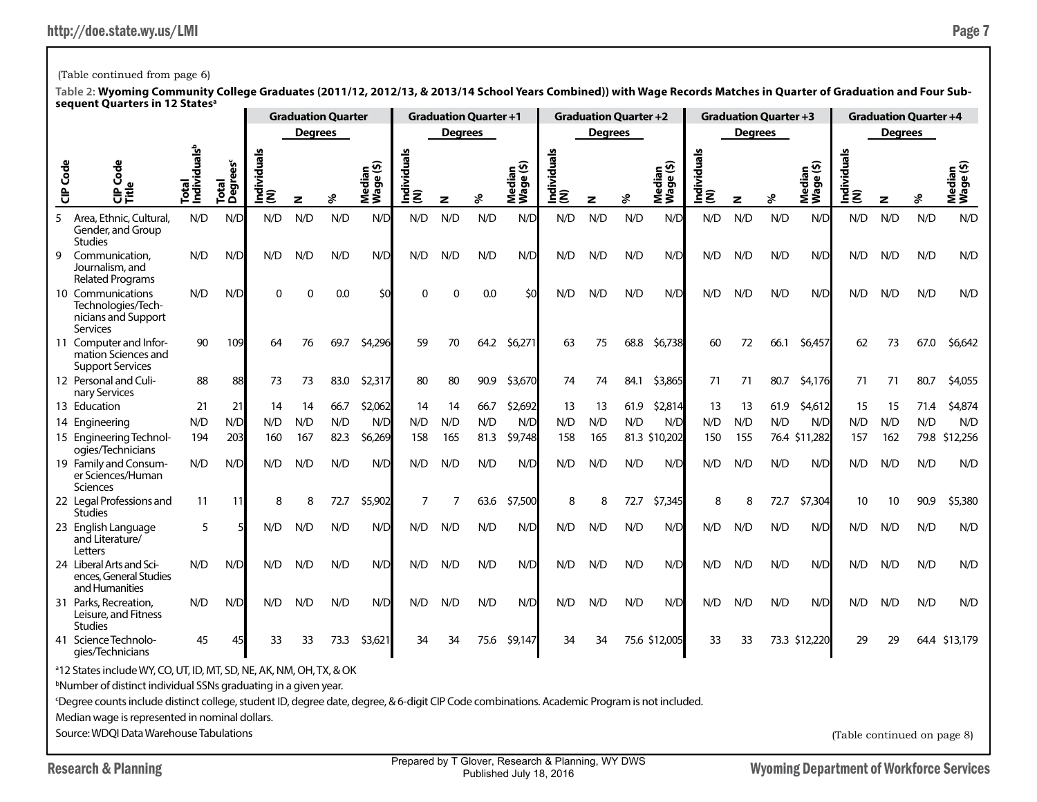| <b>CIP</b> Code | ලී                                                                                                                                                             | Total<br> Individuals <sup>b</sup> | ັຮ                     | Individuals<br>(N) |          |      | Median<br>Wage (\$) | Individual<br>(N) |              |      | Median<br>Wage (\$) | Individual:<br> (N) |              |      | Median<br>Wage (\$) | Individual |     |      | Median<br>Wage (\$) | Individual:<br> (N)         |     |      | Median<br>Wage (\$) |
|-----------------|----------------------------------------------------------------------------------------------------------------------------------------------------------------|------------------------------------|------------------------|--------------------|----------|------|---------------------|-------------------|--------------|------|---------------------|---------------------|--------------|------|---------------------|------------|-----|------|---------------------|-----------------------------|-----|------|---------------------|
|                 | 응                                                                                                                                                              |                                    | Degree<br><b>Total</b> |                    | z        | వి   |                     |                   | $\mathbf{z}$ | ४    |                     |                     | $\mathbf{z}$ | వి   |                     | ξ          | z   | వి   |                     |                             | z   | s    |                     |
| 5               | Area, Ethnic, Cultural,<br>Gender, and Group<br><b>Studies</b>                                                                                                 | N/D                                | N/D                    | N/D                | N/D      | N/D  | N/D                 | N/D               | N/D          | N/D  | N/D                 | N/D                 | N/D          | N/D  | N/D                 | N/D        | N/D | N/D  | N/D                 | N/D                         | N/D | N/D  | N/D                 |
| 9               | Communication.<br>Journalism, and<br><b>Related Programs</b>                                                                                                   | N/D                                | N/D                    | N/D                | N/D      | N/D  | N/D                 | N/D               | N/D          | N/D  | N/D                 | N/D                 | N/D          | N/D  | N/D                 | N/D        | N/D | N/D  | N/D                 | N/D                         | N/D | N/D  | N/D                 |
|                 | 10 Communications<br>Technologies/Tech-<br>nicians and Support<br>Services                                                                                     | N/D                                | N/D                    | $\Omega$           | $\Omega$ | 0.0  | \$0                 | $\Omega$          | $\mathbf 0$  | 0.0  | \$0                 | N/D                 | N/D          | N/D  | N/D                 | N/D        | N/D | N/D  | N/D                 | N/D                         | N/D | N/D  | N/D                 |
|                 | 11 Computer and Infor-<br>mation Sciences and<br><b>Support Services</b>                                                                                       | 90                                 | 109                    | 64                 | 76       | 69.7 | \$4,296             | 59                | 70           | 64.2 | \$6,271             | 63                  | 75           | 68.8 | \$6,738             | 60         | 72  | 66.1 | \$6,457             | 62                          | 73  | 67.0 | \$6,642             |
|                 | 12 Personal and Culi-<br>nary Services                                                                                                                         | 88                                 | 88                     | 73                 | 73       | 83.0 | \$2,317             | 80                | 80           | 90.9 | \$3,670             | 74                  | 74           | 84.1 | \$3,865             | 71         | 71  | 80.7 | \$4,176             | 71                          | 71  | 80.7 | \$4,055             |
|                 | 13 Education                                                                                                                                                   | 21                                 | 21                     | 14                 | 14       | 66.7 | \$2,062             | 14                | 14           | 66.7 | \$2,692             | 13                  | 13           | 61.9 | \$2,814             | 13         | 13  | 61.9 | \$4,612             | 15                          | 15  | 71.4 | \$4,874             |
|                 | 14 Engineering                                                                                                                                                 | N/D                                | N/D                    | N/D                | N/D      | N/D  | N/D                 | N/D               | N/D          | N/D  | N/D                 | N/D                 | N/D          | N/D  | N/D                 | N/D        | N/D | N/D  | N/D                 | N/D                         | N/D | N/D  | N/D                 |
|                 | 15 Engineering Technol-<br>ogies/Technicians                                                                                                                   | 194                                | 203                    | 160                | 167      | 82.3 | \$6,269             | 158               | 165          | 81.3 | \$9,748             | 158                 | 165          |      | 81.3 \$10,202       | 150        | 155 |      | 76.4 \$11.282       | 157                         | 162 | 79.8 | \$12,256            |
|                 | 19 Family and Consum-<br>er Sciences/Human<br>Sciences                                                                                                         | N/D                                | N/D                    | N/D                | N/D      | N/D  | N/D                 | N/D               | N/D          | N/D  | N/D                 | N/D                 | N/D          | N/D  | N/D                 | N/D        | N/D | N/D  | N/D                 | N/D                         | N/D | N/D  | N/D                 |
|                 | 22 Legal Professions and<br><b>Studies</b>                                                                                                                     | 11                                 | -11                    | 8                  | 8        | 72.7 | \$5,902             | 7                 | 7            | 63.6 | \$7,500             | 8                   | 8            | 72.7 | \$7,345             | 8          | 8   | 72.7 | \$7,304             | 10                          | 10  | 90.9 | \$5,380             |
|                 | 23 English Language<br>and Literature/<br>Letters                                                                                                              | 5                                  |                        | N/D                | N/D      | N/D  | N/D                 | N/D               | N/D          | N/D  | N/D                 | N/D                 | N/D          | N/D  | N/D                 | N/D        | N/D | N/D  | N/D                 | N/D                         | N/D | N/D  | N/D                 |
|                 | 24 Liberal Arts and Sci-<br>ences, General Studies<br>and Humanities                                                                                           | N/D                                | N/D                    | N/D                | N/D      | N/D  | N/D                 | N/D               | N/D          | N/D  | N/D                 | N/D                 | N/D          | N/D  | N/D                 | N/D        | N/D | N/D  | N/D                 | N/D                         | N/D | N/D  | N/D                 |
|                 | 31 Parks, Recreation,<br>Leisure, and Fitness<br><b>Studies</b>                                                                                                | N/D                                | N/D                    | N/D                | N/D      | N/D  | N/D                 | N/D               | N/D          | N/D  | N/D                 | N/D                 | N/D          | N/D  | N/D                 | N/D        | N/D | N/D  | N/D                 | N/D                         | N/D | N/D  | N/D                 |
|                 | 41 Science Technolo-<br>gies/Technicians                                                                                                                       | 45                                 | 45                     | 33                 | 33       | 73.3 | \$3,621             | 34                | 34           | 75.6 | \$9,147             | 34                  | 34           |      | 75.6 \$12,005       | 33         | 33  |      | 73.3 \$12,220       | 29                          | 29  | 64.4 | \$13,179            |
|                 | <sup>a</sup> 12 States include WY, CO, UT, ID, MT, SD, NE, AK, NM, OH, TX, & OK<br><sup>b</sup> Number of distinct individual SSNs graduating in a given year. |                                    |                        |                    |          |      |                     |                   |              |      |                     |                     |              |      |                     |            |     |      |                     |                             |     |      |                     |
|                 | <sup>c</sup> Degree counts include distinct college, student ID, degree date, degree, & 6-digit CIP Code combinations. Academic Program is not included.       |                                    |                        |                    |          |      |                     |                   |              |      |                     |                     |              |      |                     |            |     |      |                     |                             |     |      |                     |
|                 | Median wage is represented in nominal dollars.                                                                                                                 |                                    |                        |                    |          |      |                     |                   |              |      |                     |                     |              |      |                     |            |     |      |                     |                             |     |      |                     |
|                 | Source: WDOI Data Warehouse Tabulations                                                                                                                        |                                    |                        |                    |          |      |                     |                   |              |      |                     |                     |              |      |                     |            |     |      |                     | (Table continued on page 8) |     |      |                     |

## (Table continued from page 6)

**Table 2: Wyoming Community College Graduates (2011/12, 2012/13, & 2013/14 School Years Combined)) with Wage Records Matches in Quarter of Graduation and Four Subsequent Quarters in 12 Statesa Graduation Quarter Graduation Quarter +1 Graduation Quarter +2 Graduation Quarter +3 Graduation Quarter +4**

**Degrees Degrees Degrees Degrees Degrees**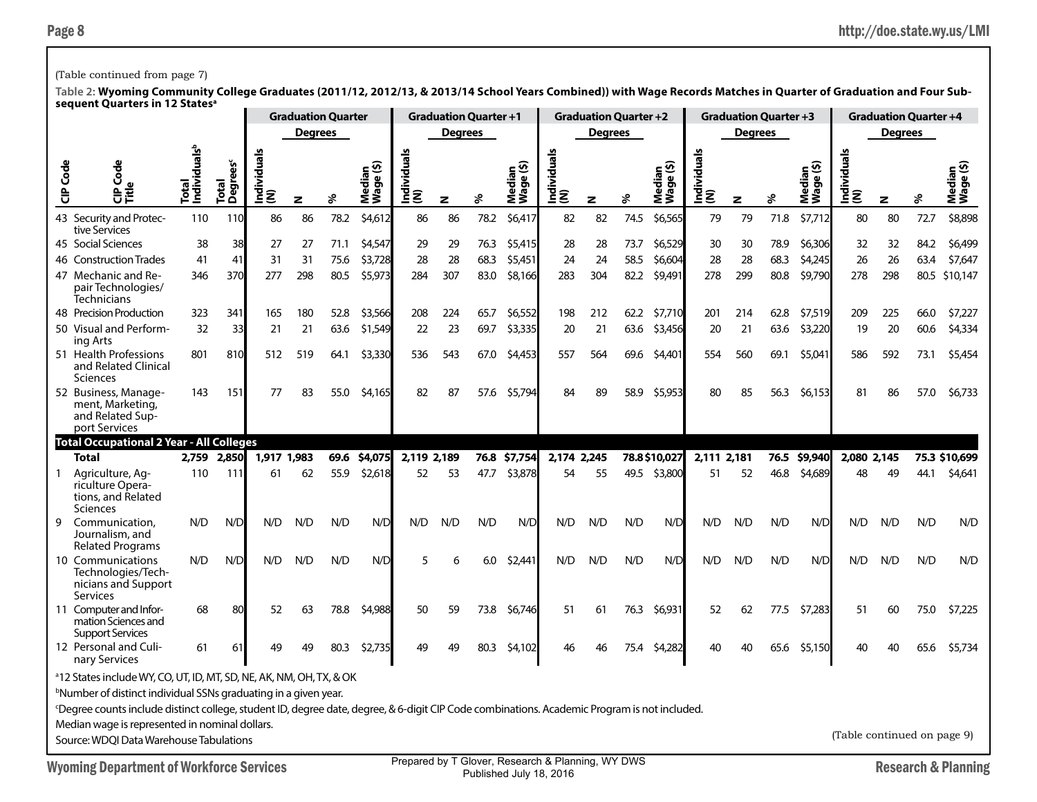## (Table continued from page 7)

|          |                                                                                                                                                                                                                                                                                                                                                                                                                                                               |                                   |                       |                   | <b>Graduation Quarter</b> |      |                                                    |                                                   | <b>Graduation Quarter +1</b> |      |                                    |                    | <b>Graduation Quarter +2</b> |      |                     |                     | <b>Graduation Quarter +3</b> |      |                     |                             |                | <b>Graduation Quarter +4</b> |                                |
|----------|---------------------------------------------------------------------------------------------------------------------------------------------------------------------------------------------------------------------------------------------------------------------------------------------------------------------------------------------------------------------------------------------------------------------------------------------------------------|-----------------------------------|-----------------------|-------------------|---------------------------|------|----------------------------------------------------|---------------------------------------------------|------------------------------|------|------------------------------------|--------------------|------------------------------|------|---------------------|---------------------|------------------------------|------|---------------------|-----------------------------|----------------|------------------------------|--------------------------------|
|          |                                                                                                                                                                                                                                                                                                                                                                                                                                                               |                                   |                       |                   | <b>Degrees</b>            |      |                                                    |                                                   | Degrees                      |      |                                    |                    | Degrees                      |      |                     |                     | <b>Degrees</b>               |      |                     |                             | <b>Degrees</b> |                              |                                |
| CIP Code | Code<br>o<br>문득                                                                                                                                                                                                                                                                                                                                                                                                                                               | Total<br>Individuals <sup>b</sup> | rees<br>Total<br>Degr | Individual<br>(N) | z                         | వి   | ledian<br><sup>Jaqe</sup> (\$)<br>Median<br>Wage ( | Individual<br>(N)                                 | z                            | వి   | ledian<br>/age (\$)<br>Nedi<br>Vag | Individuals<br>(N) | z                            | శి   | Median<br>Wage (\$) | Individuals<br> (N) | z                            | వి   | Median<br>Wage (\$) | Individual<br>(N)           | z              | శి                           | Median<br>Wage (\$)            |
|          | 43 Security and Protec-<br>tive Services                                                                                                                                                                                                                                                                                                                                                                                                                      | 110                               | 110                   | 86                | 86                        | 78.2 | \$4,612                                            | 86                                                | 86                           | 78.2 | \$6,417                            | 82                 | 82                           | 74.5 | \$6,565             | 79                  | 79                           | 71.8 | \$7,712             | 80                          | 80             | 72.7                         | \$8,898                        |
|          | 45 Social Sciences                                                                                                                                                                                                                                                                                                                                                                                                                                            | 38                                | 38                    | 27                | 27                        | 71.1 | \$4,547                                            | 29                                                | 29                           | 76.3 | \$5,415                            | 28                 | 28                           | 73.7 | \$6,529             | 30                  | 30                           | 78.9 | \$6,306             | 32                          | 32             | 84.2                         | \$6,499                        |
|          | 46 Construction Trades                                                                                                                                                                                                                                                                                                                                                                                                                                        | 41                                | 41                    | 31                | 31                        | 75.6 | \$3,728                                            | 28                                                | 28                           | 68.3 | \$5,451                            | 24                 | 24                           | 58.5 | \$6,604             | 28                  | 28                           | 68.3 | \$4,245             | 26                          | 26             | 63.4                         | \$7,647                        |
|          | 47 Mechanic and Re-<br>pair Technologies/<br>Technicians                                                                                                                                                                                                                                                                                                                                                                                                      | 346                               | 370                   | 277               | 298                       | 80.5 | \$5,973                                            | 284                                               | 307                          | 83.0 | \$8,166                            | 283                | 304                          | 82.2 | \$9,491             | 278                 | 299                          | 80.8 | \$9,790             | 278                         | 298            |                              | 80.5 \$10,147                  |
|          | 48 Precision Production                                                                                                                                                                                                                                                                                                                                                                                                                                       | 323                               | 341                   | 165               | 180                       | 52.8 | \$3,566                                            | 208                                               | 224                          | 65.7 | \$6,552                            | 198                | 212                          | 62.2 | \$7,710             | 201                 | 214                          | 62.8 | \$7,519             | 209                         | 225            | 66.0                         | \$7,227                        |
|          | 50 Visual and Perform-<br>ing Arts                                                                                                                                                                                                                                                                                                                                                                                                                            | 32                                | 33                    | 21                | 21                        | 63.6 | \$1,549                                            | 22                                                | 23                           | 69.7 | \$3,335                            | 20                 | 21                           | 63.6 | \$3,456             | 20                  | 21                           | 63.6 | \$3,220             | 19                          | 20             | 60.6                         | \$4,334                        |
|          | 51 Health Professions<br>and Related Clinical<br>Sciences                                                                                                                                                                                                                                                                                                                                                                                                     | 801                               | 810                   | 512               | 519                       | 64.1 | \$3,330                                            | 536                                               | 543                          | 67.0 | \$4,453                            | 557                | 564                          | 69.6 | \$4,401             | 554                 | 560                          | 69.1 | \$5,041             | 586                         | 592            | 73.1                         | \$5,454                        |
|          | 52 Business, Manage-<br>ment, Marketing,<br>and Related Sup-<br>port Services                                                                                                                                                                                                                                                                                                                                                                                 | 143                               | 151                   | 77                | 83                        | 55.0 | \$4,165                                            | 82                                                | 87                           | 57.6 | \$5,794                            | 84                 | 89                           | 58.9 | \$5,953             | 80                  | 85                           | 56.3 | \$6,153             | 81                          | 86             | 57.0                         | \$6,733                        |
|          | Total Occupational 2 Year - All Colleges                                                                                                                                                                                                                                                                                                                                                                                                                      |                                   |                       |                   |                           |      |                                                    |                                                   |                              |      |                                    |                    |                              |      |                     |                     |                              |      |                     |                             |                |                              |                                |
|          | <b>Total</b>                                                                                                                                                                                                                                                                                                                                                                                                                                                  | 2,759                             | 2,850                 | 1,917 1,983       |                           | 69.6 | \$4,075                                            | 2,119 2,189                                       |                              |      | 76.8 \$7,754                       | 2,174 2,245        |                              |      | 78.8 \$10,027       | 2,111 2,181         |                              |      | 76.5 \$9,940        | 2,080 2,145                 |                |                              | 75.3 \$10,699                  |
|          | Agriculture, Ag-<br>riculture Opera-                                                                                                                                                                                                                                                                                                                                                                                                                          | 110                               | <b>111</b>            | 61                | 62                        | 55.9 | \$2,618                                            | 52                                                | 53                           | 47.7 | \$3,878                            | 54                 | 55                           |      | 49.5 \$3,800        | 51                  | 52                           | 46.8 | \$4,689             | 48                          | 49             | 44.1                         | \$4,641                        |
|          | tions, and Related<br><b>Sciences</b>                                                                                                                                                                                                                                                                                                                                                                                                                         |                                   |                       |                   |                           |      |                                                    |                                                   |                              |      |                                    |                    |                              |      |                     |                     |                              |      |                     |                             |                |                              |                                |
| 9        | Communication,<br>Journalism, and<br><b>Related Programs</b>                                                                                                                                                                                                                                                                                                                                                                                                  | N/D                               | N/D                   | N/D               | N/D                       | N/D  | N/D                                                | N/D                                               | N/D                          | N/D  | N/D                                | N/D                | N/D                          | N/D  | N/D                 | N/D                 | N/D                          | N/D  | N/D                 | N/D                         | N/D            | N/D                          | N/D                            |
|          | 10 Communications<br>Technologies/Tech-<br>nicians and Support<br>Services                                                                                                                                                                                                                                                                                                                                                                                    | N/D                               | N/D                   | N/D               | N/D                       | N/D  | N/D                                                | 5                                                 | 6                            | 6.0  | \$2,441                            | N/D                | N/D                          | N/D  | N/D                 | N/D                 | N/D                          | N/D  | N/D                 | N/D                         | N/D            | N/D                          | N/D                            |
|          | 11 Computer and Infor-<br>mation Sciences and                                                                                                                                                                                                                                                                                                                                                                                                                 | 68                                | 80                    | 52                | 63                        | 78.8 | \$4,988                                            | 50                                                | 59                           | 73.8 | \$6,746                            | 51                 | 61                           | 76.3 | \$6,931             | 52                  | 62                           | 77.5 | \$7,283             | 51                          | 60             | 75.0                         | \$7,225                        |
|          | <b>Support Services</b><br>12 Personal and Culi-<br>nary Services                                                                                                                                                                                                                                                                                                                                                                                             | 61                                | 61                    | 49                | 49                        | 80.3 | \$2,735                                            | 49                                                | 49                           | 80.3 | \$4,102                            | 46                 | 46                           | 75.4 | \$4,282             | 40                  | 40                           | 65.6 | \$5,150             | 40                          | 40             | 65.6                         | \$5,734                        |
|          | <sup>a</sup> 12 States include WY, CO, UT, ID, MT, SD, NE, AK, NM, OH, TX, & OK<br><sup>b</sup> Number of distinct individual SSNs graduating in a given year.<br>Degree counts include distinct college, student ID, degree date, degree, & 6-digit CIP Code combinations. Academic Program is not included.<br>Median wage is represented in nominal dollars.<br>Source: WDOI Data Warehouse Tabulations<br><b>Wyoming Department of Workforce Services</b> |                                   |                       |                   |                           |      |                                                    | Prepared by T Glover, Research & Planning, WY DWS |                              |      |                                    |                    |                              |      |                     |                     |                              |      |                     | (Table continued on page 9) |                |                              | <b>Research &amp; Planning</b> |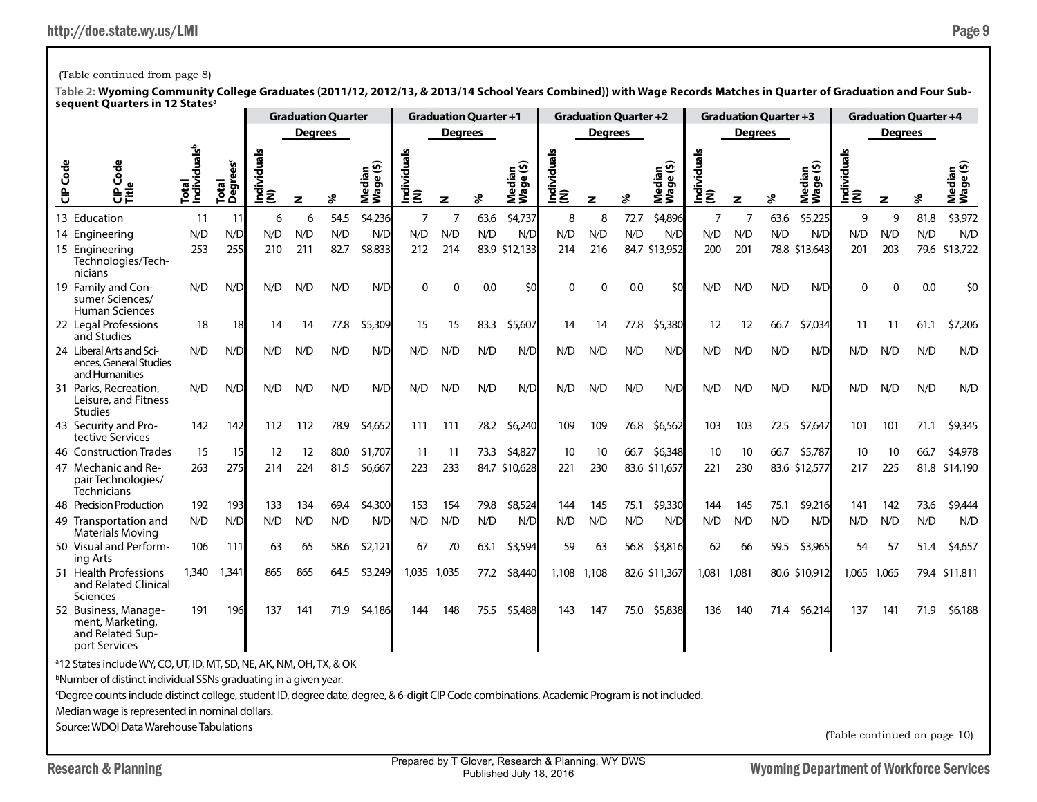Research & Planning Research & Planning Prepared by T Glover, Research & Planning, WY DWS<br>Published July 18, 2016 Prepared by T Glover, Research & Planning, WY DWS Published July 18, 2016

## (Table continued from page 8)

|          |                                                                                                                                                                                                                                         |                                   |                     |                |                | <b>Graduation Quarter</b> |                     |                | <b>Graduation Quarter +1</b> |      |                     |                 | <b>Graduation Quarter +2</b> |      |                     |                    | <b>Graduation Quarter +3</b> |      |                                                   |                              | <b>Graduation Quarter +4</b> |      |                     |
|----------|-----------------------------------------------------------------------------------------------------------------------------------------------------------------------------------------------------------------------------------------|-----------------------------------|---------------------|----------------|----------------|---------------------------|---------------------|----------------|------------------------------|------|---------------------|-----------------|------------------------------|------|---------------------|--------------------|------------------------------|------|---------------------------------------------------|------------------------------|------------------------------|------|---------------------|
|          |                                                                                                                                                                                                                                         |                                   |                     |                | <b>Degrees</b> |                           |                     |                | <b>Degrees</b>               |      |                     |                 | <b>Degrees</b>               |      |                     |                    | <b>Degrees</b>               |      |                                                   |                              | <b>Degrees</b>               |      |                     |
| CIP Code | Code<br>으<br>문<br>다른                                                                                                                                                                                                                    | Individuals <sup>b</sup><br>Total | ës<br>Total<br>Degi | ndividual<br>ξ | z              | శి                        | Median<br>Wage (\$) | g<br>흥<br>ΞΞ   | $\mathbf{z}$                 | ४    | Median<br>Wage (\$) | Individual<br>ξ | z                            | ℅    | Median<br>Wage (\$) | Individuals<br>(N) | $\mathbf{z}$                 | ℅    | ledian<br><sup>/age (\$)</sup><br>ত<br><b>New</b> | Individuals<br>(N)           | z                            | శి   | Median<br>Wage (\$) |
|          | 13 Education                                                                                                                                                                                                                            | 11                                | 11                  | 6              | 6              | 54.5                      | \$4,236             | $\overline{7}$ | $\overline{7}$               | 63.6 | \$4,737             | 8               | 8                            | 72.7 | \$4,896             | 7                  | $\overline{7}$               | 63.6 | \$5,225                                           | 9                            | 9                            | 81.8 | \$3,972             |
|          | 14 Engineering                                                                                                                                                                                                                          | N/D                               | N/D                 | N/D            | N/D            | N/D                       | N/D                 | N/D            | N/D                          | N/D  | N/D                 | N/D             | N/D                          | N/D  | N/D                 | N/D                | N/D                          | N/D  | N/D                                               | N/D                          | N/D                          | N/D  | N/D                 |
|          | 15 Engineering<br>Technologies/Tech-<br>nicians                                                                                                                                                                                         | 253                               | 255                 | 210            | 211            | 82.7                      | \$8,833             | 212            | 214                          |      | 83.9 \$12,133       | 214             | 216                          |      | 84.7 \$13,952       | 200                | 201                          |      | 78.8 \$13,643                                     | 201                          | 203                          |      | 79.6 \$13,722       |
|          | 19 Family and Con-<br>sumer Sciences/<br><b>Human Sciences</b>                                                                                                                                                                          | N/D                               | N/D                 | N/D            | N/D            | N/D                       | N/D                 | $\Omega$       | $\Omega$                     | 0.0  | \$0                 | $\Omega$        | $\mathbf{0}$                 | 0.0  | \$0                 | N/D                | N/D                          | N/D  | N/D                                               | $\Omega$                     | $\Omega$                     | 0.0  | \$0                 |
|          | 22 Legal Professions<br>and Studies                                                                                                                                                                                                     | 18                                | 18                  | 14             | 14             | 77.8                      | \$5,309             | 15             | 15                           | 83.3 | \$5,607             | 14              | 14                           | 77.8 | \$5,380             | 12                 | 12                           | 66.7 | \$7,034                                           | 11                           | 11                           | 61.1 | \$7,206             |
|          | 24 Liberal Arts and Sci-<br>ences, General Studies<br>and Humanities                                                                                                                                                                    | N/D                               | N/D                 | N/D            | N/D            | N/D                       | N/D                 | N/D            | N/D                          | N/D  | N/D                 | N/D             | N/D                          | N/D  | N/D                 | N/D                | N/D                          | N/D  | N/D                                               | N/D                          | N/D                          | N/D  | N/D                 |
|          | 31 Parks, Recreation,<br>Leisure, and Fitness<br><b>Studies</b>                                                                                                                                                                         | N/D                               | N/D                 | N/D            | N/D            | N/D                       | N/D                 | N/D            | N/D                          | N/D  | N/D                 | N/D             | N/D                          | N/D  | N/D                 | N/D                | N/D                          | N/D  | N/D                                               | N/D                          | N/D                          | N/D  | N/D                 |
|          | 43 Security and Pro-<br>tective Services                                                                                                                                                                                                | 142                               | 142                 | 112            | 112            | 78.9                      | \$4,652             | 111            | 111                          | 78.2 | \$6,240             | 109             | 109                          | 76.8 | \$6,562             | 103                | 103                          | 72.5 | \$7,647                                           | 101                          | 101                          | 71.1 | \$9,345             |
|          | 46 Construction Trades                                                                                                                                                                                                                  | 15                                | 15                  | 12             | 12             | 80.0                      | \$1,707             | 11             | 11                           | 73.3 | \$4,827             | 10              | 10                           | 66.7 | \$6,348             | 10                 | 10                           | 66.7 | \$5,787                                           | 10                           | 10                           | 66.7 | \$4,978             |
|          | 47 Mechanic and Re-<br>pair Technologies/<br><b>Technicians</b>                                                                                                                                                                         | 263                               | 275                 | 214            | 224            | 81.5                      | \$6,667             | 223            | 233                          |      | 84.7 \$10,628       | 221             | 230                          |      | 83.6 \$11,657       | 221                | 230                          |      | 83.6 \$12,577                                     | 217                          | 225                          | 81.8 | \$14,190            |
|          | 48 Precision Production                                                                                                                                                                                                                 | 192                               | 193                 | 133            | 134            | 69.4                      | \$4,300             | 153            | 154                          | 79.8 | \$8,524             | 144             | 145                          | 75.1 | \$9,330             | 144                | 145                          | 75.1 | \$9,216                                           | 141                          | 142                          | 73.6 | \$9,444             |
|          | 49 Transportation and<br><b>Materials Moving</b>                                                                                                                                                                                        | N/D                               | N/D                 | N/D            | N/D            | N/D                       | N/D                 | N/D            | N/D                          | N/D  | N/D                 | N/D             | N/D                          | N/D  | N/D                 | N/D                | N/D                          | N/D  | N/D                                               | N/D                          | N/D                          | N/D  | N/D                 |
|          | 50 Visual and Perform-<br>ing Arts                                                                                                                                                                                                      | 106                               | 111                 | 63             | 65             | 58.6                      | \$2,121             | 67             | 70                           | 63.1 | \$3,594             | 59              | 63                           | 56.8 | \$3,816             | 62                 | 66                           | 59.5 | \$3,965                                           | 54                           | 57                           | 51.4 | \$4,657             |
|          | 51 Health Professions<br>and Related Clinical<br>Sciences                                                                                                                                                                               | 1,340                             | 1,341               | 865            | 865            | 64.5                      | \$3,249             | 1,035          | 1,035                        | 77.2 | \$8,440             | 1,108           | 1,108                        |      | 82.6 \$11,367       | 1,081              | 1,081                        |      | 80.6 \$10,912                                     | 1,065                        | 1,065                        |      | 79.4 \$11,811       |
|          | 52 Business, Manage-<br>ment, Marketing,<br>and Related Sup-<br>port Services                                                                                                                                                           | 191                               | 196                 | 137            | 141            | 71.9                      | \$4,186             | 144            | 148                          | 75.5 | \$5,488             | 143             | 147                          | 75.0 | \$5,838             | 136                | 140                          | 71.4 | \$6,214                                           | 137                          | 141                          | 71.9 | \$6,188             |
|          | <sup>a</sup> 12 States include WY, CO, UT, ID, MT, SD, NE, AK, NM, OH, TX, & OK                                                                                                                                                         |                                   |                     |                |                |                           |                     |                |                              |      |                     |                 |                              |      |                     |                    |                              |      |                                                   |                              |                              |      |                     |
|          | <sup>b</sup> Number of distinct individual SSNs graduating in a given year.<br><sup>c</sup> Degree counts include distinct college, student ID, degree date, degree, & 6-digit CIP Code combinations. Academic Program is not included. |                                   |                     |                |                |                           |                     |                |                              |      |                     |                 |                              |      |                     |                    |                              |      |                                                   |                              |                              |      |                     |
|          | Median wage is represented in nominal dollars.                                                                                                                                                                                          |                                   |                     |                |                |                           |                     |                |                              |      |                     |                 |                              |      |                     |                    |                              |      |                                                   |                              |                              |      |                     |
|          | Source: WDOI Data Warehouse Tabulations                                                                                                                                                                                                 |                                   |                     |                |                |                           |                     |                |                              |      |                     |                 |                              |      |                     |                    |                              |      |                                                   |                              |                              |      |                     |
|          |                                                                                                                                                                                                                                         |                                   |                     |                |                |                           |                     |                |                              |      |                     |                 |                              |      |                     |                    |                              |      |                                                   | (Table continued on page 10) |                              |      |                     |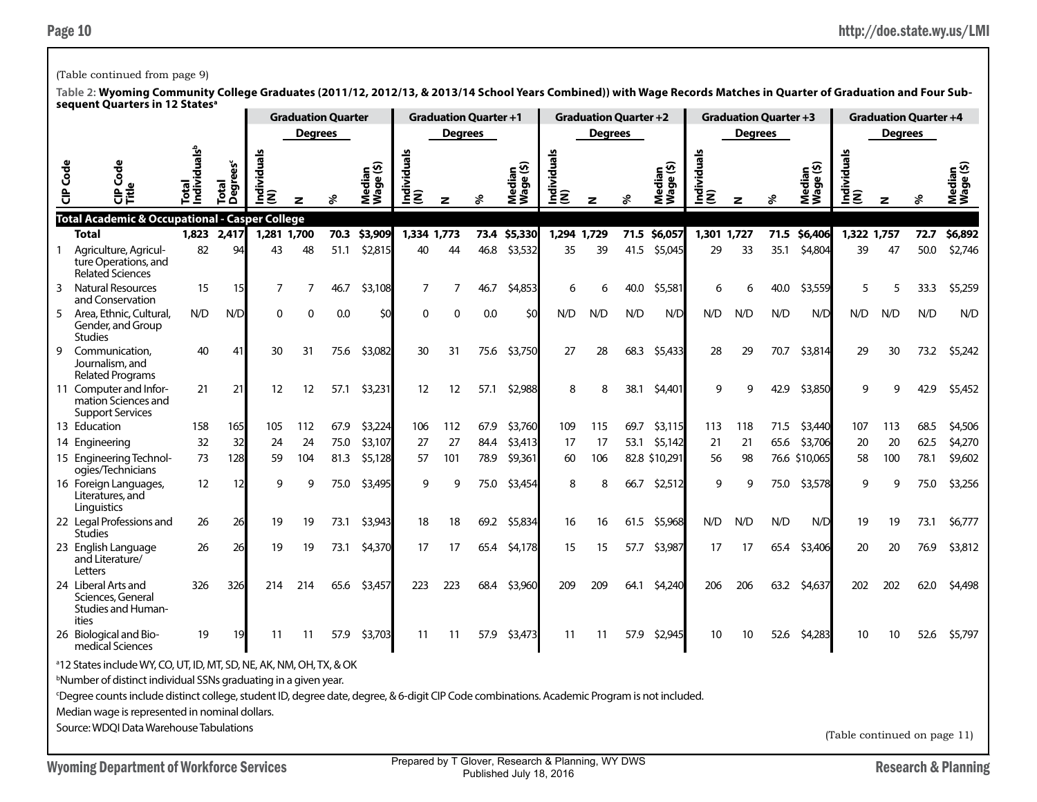### (Table continued from page 9)

**Table 2: Wyoming Community College Graduates (2011/12, 2012/13, & 2013/14 School Years Combined)) with Wage Records Matches in Quarter of Graduation and Four Subsequent Quarters in 12 Statesa**

|                 | sequent Quarters in TZ States                                                                                                               |                                  |                          |                       |                | <b>Graduation Quarter</b> |                     |                    | <b>Graduation Quarter +1</b> |              |                     |                    | <b>Graduation Quarter +2</b> |              |                     |                    | <b>Graduation Quarter +3</b> |              |                     |                    |                | <b>Graduation Quarter +4</b> |                    |
|-----------------|---------------------------------------------------------------------------------------------------------------------------------------------|----------------------------------|--------------------------|-----------------------|----------------|---------------------------|---------------------|--------------------|------------------------------|--------------|---------------------|--------------------|------------------------------|--------------|---------------------|--------------------|------------------------------|--------------|---------------------|--------------------|----------------|------------------------------|--------------------|
|                 |                                                                                                                                             |                                  |                          |                       | <b>Degrees</b> |                           |                     |                    | <b>Degrees</b>               |              |                     |                    | <b>Degrees</b>               |              |                     |                    | <b>Degrees</b>               |              |                     |                    | <b>Degrees</b> |                              |                    |
| <b>CIP</b> Code | 양                                                                                                                                           | ndividuals <sup>t</sup><br>Total | <b>Degrees®</b><br>Total | uals<br>Individu<br>Ē |                | వి                        | Median<br>Wage (\$) | Individuals<br>(N) | z                            | వి           | Median<br>Wage (\$) | Individuals<br>(N) | z                            |              | Median<br>Wage (\$) | Individuals<br>(N) | z                            |              | Median<br>Wage (\$) | Individuals<br>(N) | z              |                              | Nedi<br>Vag        |
|                 | <b>Total Academic &amp; Occupational - Casper College</b>                                                                                   |                                  |                          |                       |                |                           | \$3,909             |                    |                              |              |                     |                    |                              |              | \$6,057             |                    |                              |              | \$6,406             |                    |                |                              |                    |
| 1               | Total<br>Agriculture, Agricul-                                                                                                              | 1,823<br>82                      | 2,417<br>94              | 1,281 1,700<br>43     | 48             | 70.3<br>51.1              | \$2,815             | 1,334 1,773<br>40  | 44                           | 73.4<br>46.8 | \$5,330<br>\$3,532  | 1,294 1,729<br>35  | 39                           | 71.5<br>41.5 | \$5,045             | 1,301 1,727<br>29  | 33                           | 71.5<br>35.1 | \$4,804             | 1,322 1,757<br>39  | 47             | 72.7<br>50.0                 | \$6,892<br>\$2,746 |
|                 | ture Operations, and<br><b>Related Sciences</b>                                                                                             |                                  |                          |                       |                |                           |                     |                    |                              |              |                     |                    |                              |              |                     |                    |                              |              |                     |                    |                |                              |                    |
| 3               | <b>Natural Resources</b><br>and Conservation                                                                                                | 15                               | 15                       | 7                     |                | 46.7                      | \$3,108             | 7                  | 7                            | 46.7         | \$4,853             | 6                  |                              | 40.0         | \$5,581             | 6                  |                              | 40.0         | \$3,559             | 5                  |                | 33.3                         | \$5,259            |
| 5               | Area, Ethnic, Cultural,<br>Gender, and Group<br><b>Studies</b>                                                                              | N/D                              | N/D                      | $\Omega$              | $\Omega$       | 0.0                       | \$0                 | 0                  | 0                            | 0.0          | \$0                 | N/D                | N/D                          | N/D          | N/D                 | N/D                | N/D                          | N/D          | N/D                 | N/D                | N/D            | N/D                          | N/D                |
| 9               | Communication.<br>Journalism, and<br><b>Related Programs</b>                                                                                | 40                               | 41                       | 30                    | 31             | 75.6                      | \$3,082             | 30                 | 31                           | 75.6         | \$3,750             | 27                 | 28                           | 68.3         | \$5,433             | 28                 | 29                           | 70.7         | \$3,814             | 29                 | 30             | 73.2                         | \$5,242            |
|                 | 11 Computer and Infor-<br>mation Sciences and<br><b>Support Services</b>                                                                    | 21                               | 21                       | 12                    | 12             | 57.1                      | \$3,231             | 12                 | 12                           | 57.1         | \$2,988             | 8                  | 8                            | 38.1         | \$4,401             | q                  | Q                            | 42.9         | \$3,850             | q                  |                | 42.9                         | \$5,452            |
|                 | 13 Education                                                                                                                                | 158                              | 165                      | 105                   | 112            | 67.9                      | \$3,224             | 106                | 112                          | 67.9         | \$3,760             | 109                | 115                          | 69.7         | \$3,115             | 113                | 118                          | 71.5         | \$3,440             | 107                | 113            | 68.5                         | \$4,506            |
|                 | 14 Engineering                                                                                                                              | 32                               | 32                       | 24                    | 24             | 75.0                      | \$3,107             | 27                 | 27                           | 84.4         | \$3,413             | 17                 | 17                           | 53.1         | \$5,142             | 21                 | 21                           | 65.6         | \$3,706             | 20                 | 20             | 62.5                         | \$4,270            |
|                 | 15 Engineering Technol-<br>ogies/Technicians                                                                                                | 73                               | 128                      | 59                    | 104            | 81.3                      | \$5,128             | 57                 | 101                          | 78.9         | \$9,361             | 60                 | 106                          |              | 82.8 \$10,291       | 56                 | 98                           |              | 76.6 \$10,065       | 58                 | 100            | 78.1                         | \$9,602            |
|                 | 16 Foreign Languages,<br>Literatures, and<br>Linguistics                                                                                    | 12                               | 12                       | 9                     | q              | 75.0                      | \$3,495             | 9                  | 9                            | 75.0         | \$3,454             | 8                  | 8                            | 66.7         | \$2,512             | 9                  | 9                            | 75.0         | \$3,578             | q                  | q              | 75.0                         | \$3,256            |
|                 | 22 Legal Professions and<br><b>Studies</b>                                                                                                  | 26                               | 26                       | 19                    | 19             | 73.1                      | \$3,943             | 18                 | 18                           | 69.2         | \$5,834             | 16                 | 16                           | 61.5         | \$5,968             | N/D                | N/D                          | N/D          | N/D                 | 19                 | 19             | 73.1                         | \$6,777            |
|                 | 23 English Language<br>and Literature/<br>Letters                                                                                           | 26                               | 26                       | 19                    | 19             | 73.1                      | \$4,370             | 17                 | 17                           | 65.4         | \$4,178             | 15                 | 15                           | 57.7         | \$3,987             | 17                 | 17                           | 65.4         | \$3,406             | 20                 | 20             | 76.9                         | \$3,812            |
|                 | 24 Liberal Arts and<br>Sciences, General<br>Studies and Human-<br>ities                                                                     | 326                              | 326                      | 214                   | 214            | 65.6                      | \$3,457             | 223                | 223                          | 68.4         | \$3,960             | 209                | 209                          | 64.1         | \$4,240             | 206                | 206                          | 63.2         | \$4,637             | 202                | 202            | 62.0                         | \$4,498            |
|                 | 26 Biological and Bio-<br>medical Sciences                                                                                                  | 19                               | 19                       | 11                    | 11             | 57.9                      | \$3,703             | 11                 | 11                           | 57.9         | \$3,473             | 11                 | 11                           | 57.9         | \$2,945             | 10                 | 10                           | 52.6         | \$4,283             | 10                 | 10             | 52.6                         | \$5,797            |
|                 | <sup>a</sup> 12 States include WY, CO, UT, ID, MT, SD, NE, AK, NM, OH, TX, & OK                                                             |                                  |                          |                       |                |                           |                     |                    |                              |              |                     |                    |                              |              |                     |                    |                              |              |                     |                    |                |                              |                    |
|                 | <sup>b</sup> Number of distinct individual SSNs graduating in a given year.                                                                 |                                  |                          |                       |                |                           |                     |                    |                              |              |                     |                    |                              |              |                     |                    |                              |              |                     |                    |                |                              |                    |
|                 | Degree counts include distinct college, student ID, degree date, degree, & 6-digit CIP Code combinations. Academic Program is not included. |                                  |                          |                       |                |                           |                     |                    |                              |              |                     |                    |                              |              |                     |                    |                              |              |                     |                    |                |                              |                    |
|                 | Median wage is represented in nominal dollars.                                                                                              |                                  |                          |                       |                |                           |                     |                    |                              |              |                     |                    |                              |              |                     |                    |                              |              |                     |                    |                |                              |                    |

Source: WDQI Data Warehouse Tabulations

(Table continued on page 11)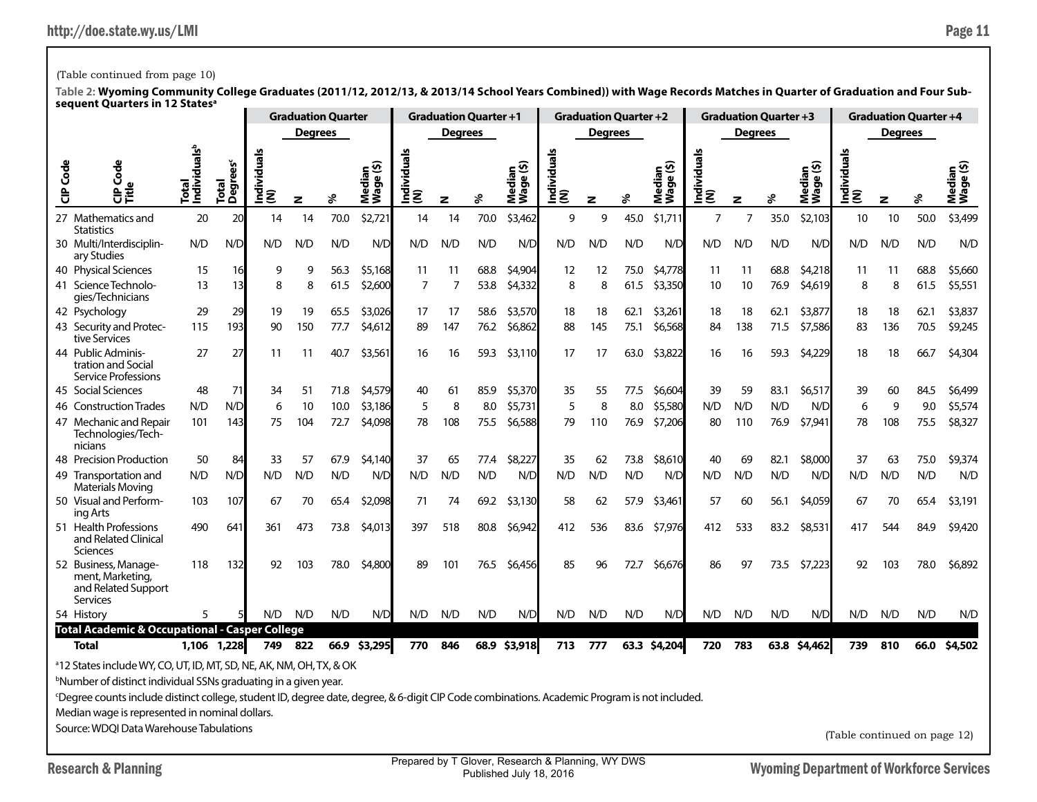# (Table continued from page 10)

|          |                                                                                                                                                                                                                                                                                                                                                                                                                         |                                   |                       |                |                | <b>Graduation Quarter</b> |                          |                  |                | <b>Graduation Quarter +1</b> |                              |                      | <b>Graduation Quarter +2</b> |      |                                       |                    |                | <b>Graduation Quarter +3</b> |                     |                    |                | <b>Graduation Quarter +4</b> |                     |
|----------|-------------------------------------------------------------------------------------------------------------------------------------------------------------------------------------------------------------------------------------------------------------------------------------------------------------------------------------------------------------------------------------------------------------------------|-----------------------------------|-----------------------|----------------|----------------|---------------------------|--------------------------|------------------|----------------|------------------------------|------------------------------|----------------------|------------------------------|------|---------------------------------------|--------------------|----------------|------------------------------|---------------------|--------------------|----------------|------------------------------|---------------------|
|          |                                                                                                                                                                                                                                                                                                                                                                                                                         |                                   |                       |                | <b>Degrees</b> |                           |                          |                  | <b>Degrees</b> |                              |                              |                      | <b>Degrees</b>               |      |                                       |                    | <b>Degrees</b> |                              |                     |                    | <b>Degrees</b> |                              |                     |
| CIP Code | Code<br>$\ddot{a}$<br>Ě                                                                                                                                                                                                                                                                                                                                                                                                 | Individuals <sup>b</sup><br>istal | rees<br>Total<br>Degn | ndividual<br>ξ | z              | వి                        | ⊆ ଦି<br>edia<br>შ,<br>ĔŠ | Individuals<br>ŝ | z              | శి                           | Median<br>Iwaqe (\$)<br>Wage | g<br>Individu<br>(N) | z                            | వి   | ledian<br>/aqe (\$)<br>Ō<br><b>ŠŠ</b> | Individuals<br>(N) | z              | శి                           | Median<br>Wage (\$) | Individuals<br>(N) | z              | వి                           | Median<br>Wage (\$) |
|          | 27 Mathematics and<br><b>Statistics</b>                                                                                                                                                                                                                                                                                                                                                                                 | 20                                | 20                    | 14             | 14             | 70.0                      | \$2,721                  | 14               | 14             | 70.0                         | \$3,462                      | 9                    | 9                            | 45.0 | \$1,711                               | $\overline{7}$     | $\overline{7}$ | 35.0                         | \$2,103             | 10                 | 10             | 50.0                         | \$3,499             |
|          | 30 Multi/Interdisciplin-<br>ary Studies                                                                                                                                                                                                                                                                                                                                                                                 | N/D                               | N/D                   | N/D            | N/D            | N/D                       | N/D                      | N/D              | N/D            | N/D                          | N/D                          | N/D                  | N/D                          | N/D  | N/D                                   | N/D                | N/D            | N/D                          | N/D                 | N/D                | N/D            | N/D                          | N/D                 |
|          | 40 Physical Sciences                                                                                                                                                                                                                                                                                                                                                                                                    | 15                                | 16                    | 9              | 9              | 56.3                      | \$5,168                  | 11               | 11             | 68.8                         | \$4,904                      | 12                   | 12                           | 75.0 | \$4,778                               | -11                | 11             | 68.8                         | \$4,218             | 11                 | 11             | 68.8                         | \$5,660             |
|          | 41 Science Technolo-<br>gies/Technicians                                                                                                                                                                                                                                                                                                                                                                                | 13                                | 13                    | 8              | 8              | 61.5                      | \$2,600                  | $\overline{7}$   | $\overline{7}$ | 53.8                         | \$4,332                      | 8                    | 8                            | 61.5 | \$3,350                               | 10                 | 10             | 76.9                         | \$4,619             | 8                  | 8              | 61.5                         | \$5,551             |
|          | 42 Psychology                                                                                                                                                                                                                                                                                                                                                                                                           | 29                                | 29                    | 19             | 19             | 65.5                      | \$3,026                  | 17               | 17             | 58.6                         | \$3,570                      | 18                   | 18                           | 62.1 | \$3,261                               | 18                 | 18             | 62.1                         | \$3,877             | 18                 | 18             | 62.1                         | \$3,837             |
|          | 43 Security and Protec-<br>tive Services                                                                                                                                                                                                                                                                                                                                                                                | 115                               | 193                   | 90             | 150            | 77.7                      | \$4,612                  | 89               | 147            | 76.2                         | \$6,862                      | 88                   | 145                          | 75.1 | \$6,568                               | 84                 | 138            | 71.5                         | \$7,586             | 83                 | 136            | 70.5                         | \$9,245             |
|          | 44 Public Adminis-<br>tration and Social<br>Service Professions                                                                                                                                                                                                                                                                                                                                                         | 27                                | 27                    | 11             | 11             | 40.7                      | \$3,561                  | 16               | 16             | 59.3                         | \$3,110                      | 17                   | 17                           | 63.0 | \$3,822                               | 16                 | 16             | 59.3                         | \$4,229             | 18                 | 18             | 66.7                         | \$4,304             |
|          | 45 Social Sciences                                                                                                                                                                                                                                                                                                                                                                                                      | 48                                | 71                    | 34             | 51             | 71.8                      | \$4,579                  | 40               | 61             | 85.9                         | \$5,370                      | 35                   | 55                           | 77.5 | \$6,604                               | 39                 | 59             | 83.1                         | \$6,517             | 39                 | 60             | 84.5                         | \$6,499             |
|          | 46 Construction Trades                                                                                                                                                                                                                                                                                                                                                                                                  | N/D                               | N/D                   | 6              | 10             | 10.0                      | \$3,186                  | 5                | 8              | 8.0                          | \$5,731                      | 5                    | 8                            | 8.0  | \$5,580                               | N/D                | N/D            | N/D                          | N/D                 | 6                  | 9              | 9.0                          | \$5,574             |
|          | 47 Mechanic and Repair<br>Technologies/Tech-<br>nicians                                                                                                                                                                                                                                                                                                                                                                 | 101                               | 143                   | 75             | 104            | 72.7                      | \$4,098                  | 78               | 108            | 75.5                         | \$6,588                      | 79                   | 110                          | 76.9 | \$7,206                               | 80                 | 110            | 76.9                         | \$7,941             | 78                 | 108            | 75.5                         | \$8,327             |
|          | 48 Precision Production                                                                                                                                                                                                                                                                                                                                                                                                 | 50                                | 84                    | 33             | 57             | 67.9                      | \$4,140                  | 37               | 65             | 77.4                         | \$8,227                      | 35                   | 62                           | 73.8 | \$8,610                               | 40                 | 69             | 82.1                         | \$8,000             | 37                 | 63             | 75.0                         | \$9,374             |
|          | 49 Transportation and<br><b>Materials Moving</b>                                                                                                                                                                                                                                                                                                                                                                        | N/D                               | N/D                   | N/D            | N/D            | N/D                       | N/D                      | N/D              | N/D            | N/D                          | N/D                          | N/D                  | N/D                          | N/D  | N/D                                   | N/D                | N/D            | N/D                          | N/D                 | N/D                | N/D            | N/D                          | N/D                 |
|          | 50 Visual and Perform-<br>ing Arts                                                                                                                                                                                                                                                                                                                                                                                      | 103                               | 107                   | 67             | 70             | 65.4                      | \$2,098                  | 71               | 74             | 69.2                         | \$3,130                      | 58                   | 62                           | 57.9 | \$3,461                               | 57                 | 60             | 56.1                         | \$4,059             | 67                 | 70             | 65.4                         | \$3,191             |
|          | 51 Health Professions<br>and Related Clinical<br>Sciences                                                                                                                                                                                                                                                                                                                                                               | 490                               | 641                   | 361            | 473            | 73.8                      | \$4,013                  | 397              | 518            | 80.8                         | \$6,942                      | 412                  | 536                          | 83.6 | \$7,976                               | 412                | 533            | 83.2                         | \$8,531             | 417                | 544            | 84.9                         | \$9,420             |
|          | 52 Business, Manage-<br>ment, Marketing,<br>and Related Support<br>Services                                                                                                                                                                                                                                                                                                                                             | 118                               | 132                   | 92             | 103            | 78.0                      | \$4,800                  | 89               | 101            | 76.5                         | \$6,456                      | 85                   | 96                           | 72.7 | \$6,676                               | 86                 | 97             | 73.5                         | \$7,223             | 92                 | 103            | 78.0                         | \$6,892             |
|          | 54 History                                                                                                                                                                                                                                                                                                                                                                                                              | 5                                 |                       | N/D            | N/D            | N/D                       | N/D                      | N/D              | N/D            | N/D                          | N/D                          | N/D                  | N/D                          | N/D  | N/D                                   | N/D                | N/D            | N/D                          | N/D                 | N/D                | N/D            | N/D                          | N/D                 |
|          | <b>Total Academic &amp; Occupational - Casper College</b>                                                                                                                                                                                                                                                                                                                                                               |                                   |                       |                |                |                           |                          |                  |                |                              |                              |                      |                              |      |                                       |                    |                |                              |                     |                    |                |                              |                     |
|          | <b>Total</b>                                                                                                                                                                                                                                                                                                                                                                                                            |                                   | 1,106 1,228           | 749            | 822            |                           | 66.9 \$3,295             | 770              | 846            |                              | 68.9 \$3,918                 | 713                  | 777                          |      | 63.3 \$4,204                          | 720                | 783            |                              | 63.8 \$4,462        | 739                | 810            | 66.0                         | \$4,502             |
|          | <sup>a</sup> 12 States include WY, CO, UT, ID, MT, SD, NE, AK, NM, OH, TX, & OK<br><sup>b</sup> Number of distinct individual SSNs graduating in a given year.<br><sup>c</sup> Degree counts include distinct college, student ID, degree date, degree, & 6-digit CIP Code combinations. Academic Program is not included.<br>Median wage is represented in nominal dollars.<br>Source: WDOI Data Warehouse Tabulations |                                   |                       |                |                |                           |                          |                  |                |                              |                              |                      |                              |      | (Table continued on page 12)          |                    |                |                              |                     |                    |                |                              |                     |
|          |                                                                                                                                                                                                                                                                                                                                                                                                                         |                                   |                       |                |                |                           |                          |                  |                |                              |                              |                      |                              |      |                                       |                    |                |                              |                     |                    |                |                              |                     |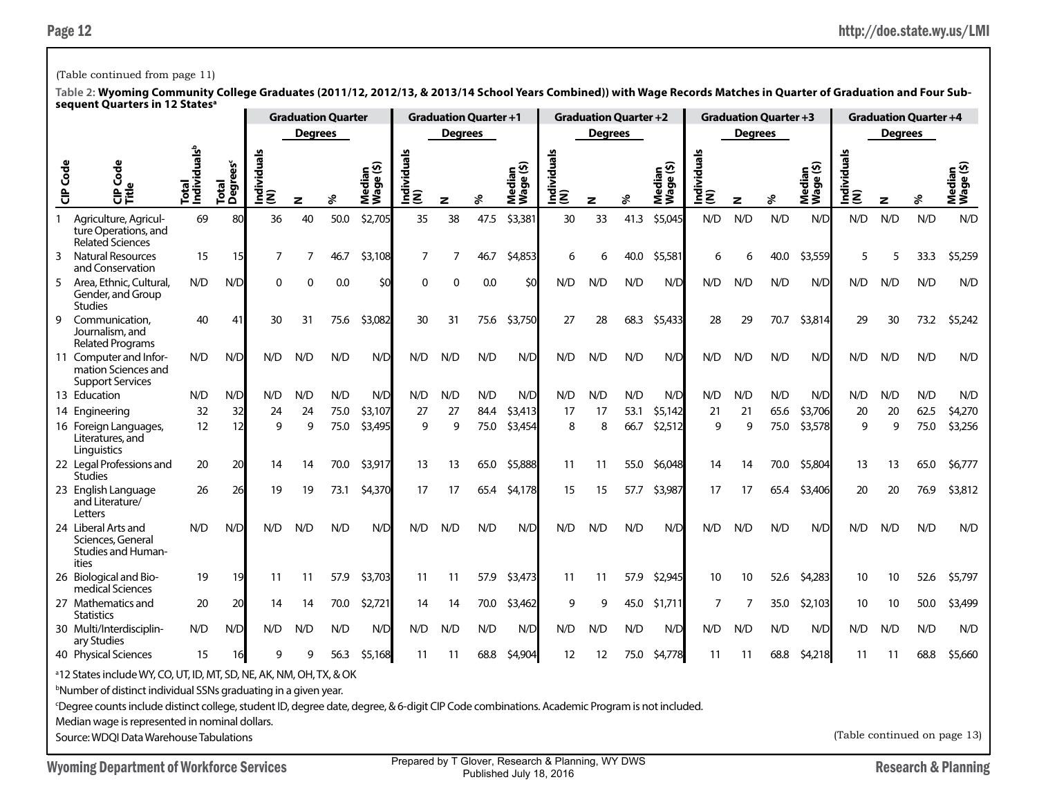### (Table continued from page 11)

|                 | <b>SEQUEIIL QUALIEIS III IZ</b>                                                                                                                                                                                                                                                                                                                                                                                   |                                   |                         |                 |                | <b>Graduation Quarter</b> |                          |                 |                | <b>Graduation Quarter +1</b> |                     |                    | <b>Graduation Quarter +2</b> |      |                     |                    |                | <b>Graduation Quarter +3</b> |                     |                              |                | <b>Graduation Quarter +4</b> |                 |
|-----------------|-------------------------------------------------------------------------------------------------------------------------------------------------------------------------------------------------------------------------------------------------------------------------------------------------------------------------------------------------------------------------------------------------------------------|-----------------------------------|-------------------------|-----------------|----------------|---------------------------|--------------------------|-----------------|----------------|------------------------------|---------------------|--------------------|------------------------------|------|---------------------|--------------------|----------------|------------------------------|---------------------|------------------------------|----------------|------------------------------|-----------------|
|                 |                                                                                                                                                                                                                                                                                                                                                                                                                   |                                   |                         |                 | <b>Degrees</b> |                           |                          |                 | <b>Degrees</b> |                              |                     |                    | <b>Degrees</b>               |      |                     |                    | <b>Degrees</b> |                              |                     |                              | <b>Degrees</b> |                              |                 |
| <b>CIP</b> Code | රි<br>$\mathbf{\tilde{e}}$                                                                                                                                                                                                                                                                                                                                                                                        | Individuals <sup>b</sup><br>Total | <b>Degrees</b><br>Total | Individual<br>ξ | z              | ళ                         | ∈ ທີ<br>Median<br>Wage ( | Individual<br>ξ | z              | శి                           | Median<br>Wage (\$) | Individuals<br>(N) | z                            | %    | Median<br>Wage (\$) | Individuals<br>(N) | z              | శి                           | Median<br>Wage (\$) | ౨<br> Individual:<br> (N)    | $\mathbf{z}$   | ४                            | Media<br>Wage ( |
| $\mathbf{1}$    | Agriculture, Agricul-<br>ture Operations, and<br><b>Related Sciences</b>                                                                                                                                                                                                                                                                                                                                          | 69                                | 80                      | 36              | 40             | 50.0                      | \$2,705                  | 35              | 38             | 47.5                         | \$3,381             | 30                 | 33                           | 41.3 | \$5,045             | N/D                | N/D            | N/D                          | N/D                 | N/D                          | N/D            | N/D                          | N/D             |
| 3               | <b>Natural Resources</b><br>and Conservation                                                                                                                                                                                                                                                                                                                                                                      | 15                                | 15                      | $\overline{7}$  | 7              | 46.7                      | \$3,108                  | $\overline{7}$  | $\overline{7}$ | 46.7                         | \$4,853             | 6                  |                              | 40.0 | \$5,581             | 6                  | 6              | 40.0                         | \$3,559             | 5                            |                | 33.3                         | \$5,259         |
| 5               | Area, Ethnic, Cultural,<br>Gender, and Group<br><b>Studies</b>                                                                                                                                                                                                                                                                                                                                                    | N/D                               | N/D                     | $\Omega$        | O              | 0.0                       | \$C                      | $\Omega$        | $\mathbf 0$    | 0.0                          | \$0                 | N/D                | N/D                          | N/D  | N/D                 | N/D                | N/D            | N/D                          | N/D                 | N/D                          | N/D            | N/D                          | N/D             |
| 9               | Communication,<br>Journalism, and<br><b>Related Programs</b>                                                                                                                                                                                                                                                                                                                                                      | 40                                | 41                      | 30              | 31             | 75.6                      | \$3,082                  | 30              | 31             | 75.6                         | \$3,750             | 27                 | 28                           | 68.3 | \$5,433             | 28                 | 29             | 70.7                         | \$3,814             | 29                           | 30             | 73.2                         | \$5,242         |
|                 | 11 Computer and Infor-<br>mation Sciences and<br><b>Support Services</b>                                                                                                                                                                                                                                                                                                                                          | N/D                               | N/D                     | N/D             | N/D            | N/D                       | N/D                      | N/D             | N/D            | N/D                          | N/D                 | N/D                | N/D                          | N/D  | N/D                 | N/D                | N/D            | N/D                          | N/D                 | N/D                          | N/D            | N/D                          | N/D             |
|                 | 13 Education                                                                                                                                                                                                                                                                                                                                                                                                      | N/D                               | N/D                     | N/D             | N/D            | N/D                       | N/D                      | N/D             | N/D            | N/D                          | N/D                 | N/D                | N/D                          | N/D  | N/D                 | N/D                | N/D            | N/D                          | N/D                 | N/D                          | N/D            | N/D                          | N/D             |
|                 | 14 Engineering                                                                                                                                                                                                                                                                                                                                                                                                    | 32                                | 32                      | 24              | 24             | 75.0                      | \$3,107                  | 27              | 27             | 84.4                         | \$3,413             | 17                 | 17                           | 53.1 | \$5,142             | 21                 | 21             | 65.6                         | \$3,706             | 20                           | 20             | 62.5                         | \$4,270         |
|                 | 16 Foreign Languages,<br>Literatures, and<br>Linguistics                                                                                                                                                                                                                                                                                                                                                          | 12                                | 12                      | 9               | 9              | 75.0                      | \$3,495                  | 9               | 9              | 75.0                         | \$3,454             | 8                  | 8                            | 66.7 | \$2,512             | 9                  | 9              | 75.0                         | \$3,578             | 9                            | 9              | 75.0                         | \$3,256         |
|                 | 22 Legal Professions and<br><b>Studies</b>                                                                                                                                                                                                                                                                                                                                                                        | 20                                | 20                      | 14              | 14             | 70.0                      | \$3,917                  | 13              | 13             | 65.0                         | \$5,888             | 11                 | 11                           | 55.0 | \$6,048             | 14                 | 14             | 70.0                         | \$5,804             | 13                           | 13             | 65.0                         | \$6,777         |
|                 | 23 English Language<br>and Literature/<br>Letters                                                                                                                                                                                                                                                                                                                                                                 | 26                                | 26                      | 19              | 19             | 73.1                      | \$4,370                  | 17              | 17             | 65.4                         | \$4,178             | 15                 | 15                           | 57.7 | \$3,987             | 17                 | 17             | 65.4                         | \$3,406             | 20                           | 20             | 76.9                         | \$3,812         |
|                 | 24 Liberal Arts and<br>Sciences, General<br>Studies and Human-<br>ities                                                                                                                                                                                                                                                                                                                                           | N/D                               | N/D                     | N/D             | N/D            | N/D                       | N/D                      | N/D             | N/D            | N/D                          | N/D                 | N/D                | N/D                          | N/D  | N/D                 | N/D                | N/D            | N/D                          | N/D                 | N/D                          | N/D            | N/D                          | N/D             |
|                 | 26 Biological and Bio-<br>medical Sciences                                                                                                                                                                                                                                                                                                                                                                        | 19                                | 19                      | 11              | 11             | 57.9                      | \$3,703                  | 11              | 11             | 57.9                         | \$3,473             | 11                 | 11                           | 57.9 | \$2,945             | 10                 | 10             | 52.6                         | \$4,283             | 10                           | 10             | 52.6                         | \$5,797         |
|                 | 27 Mathematics and<br><b>Statistics</b>                                                                                                                                                                                                                                                                                                                                                                           | 20                                | 20                      | 14              | 14             | 70.0                      | \$2,721                  | 14              | 14             | 70.0                         | \$3,462             | 9                  | 9                            | 45.0 | \$1,711             | 7                  | 7              | 35.0                         | \$2,103             | 10                           | 10             | 50.0                         | \$3,499         |
|                 | 30 Multi/Interdisciplin-<br>ary Studies                                                                                                                                                                                                                                                                                                                                                                           | N/D                               | N/D                     | N/D             | N/D            | N/D                       | N/D                      | N/D             | N/D            | N/D                          | N/D                 | N/D                | N/D                          | N/D  | N/D                 | N/D                | N/D            | N/D                          | N/D                 | N/D                          | N/D            | N/D                          | N/D             |
|                 | 40 Physical Sciences                                                                                                                                                                                                                                                                                                                                                                                              | 15                                | 16                      | 9               | q              | 56.3                      | \$5,168                  | 11              | 11             | 68.8                         | \$4,904             | 12                 | 12                           | 75.0 | \$4,778             | 11                 | 11             | 68.8                         | \$4,218             | 11                           | 11             | 68.8                         | \$5,660         |
|                 | <sup>a</sup> 12 States include WY, CO, UT, ID, MT, SD, NE, AK, NM, OH, TX, & OK<br><b>Number of distinct individual SSNs graduating in a given year.</b><br><sup>c</sup> Degree counts include distinct college, student ID, degree date, degree, & 6-digit CIP Code combinations. Academic Program is not included.<br>Median wage is represented in nominal dollars.<br>Source: WDQI Data Warehouse Tabulations |                                   |                         |                 |                |                           |                          |                 |                |                              |                     |                    |                              |      |                     |                    |                |                              |                     | (Table continued on page 13) |                |                              |                 |
|                 |                                                                                                                                                                                                                                                                                                                                                                                                                   |                                   |                         |                 |                |                           |                          |                 |                |                              |                     |                    |                              |      |                     |                    |                |                              |                     |                              |                |                              |                 |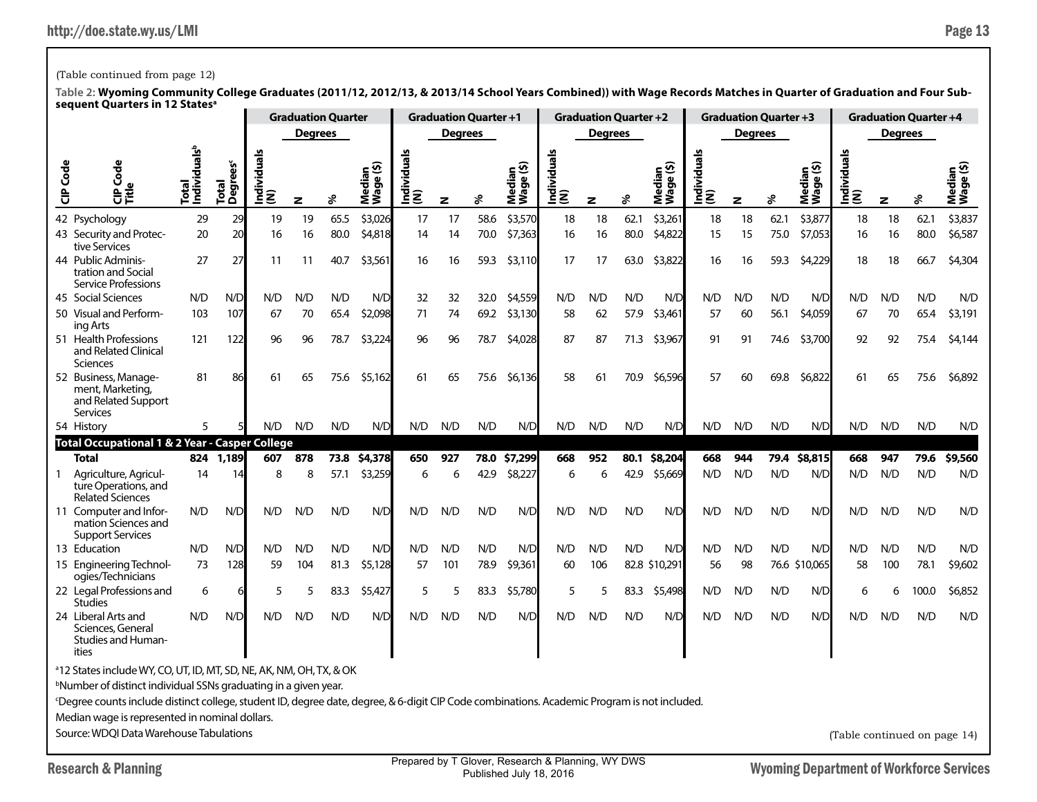# (Table continued from page 12)

|                 |                                                                                                                                                          |                                   |                               |                    | <b>Graduation Quarter</b> |      |                     |                    | <b>Graduation Quarter +1</b> |      |                     |                       |         | <b>Graduation Quarter +2</b> |                        |                  |         | <b>Graduation Quarter +3</b> |                     |                                  |                | <b>Graduation Quarter +4</b> |                     |
|-----------------|----------------------------------------------------------------------------------------------------------------------------------------------------------|-----------------------------------|-------------------------------|--------------------|---------------------------|------|---------------------|--------------------|------------------------------|------|---------------------|-----------------------|---------|------------------------------|------------------------|------------------|---------|------------------------------|---------------------|----------------------------------|----------------|------------------------------|---------------------|
|                 |                                                                                                                                                          |                                   |                               |                    | <b>Degrees</b>            |      |                     |                    | <b>Degrees</b>               |      |                     |                       | Degrees |                              |                        |                  | Degrees |                              |                     |                                  | <b>Degrees</b> |                              |                     |
| <b>CIP</b> Code | Š<br>ĚĔ                                                                                                                                                  | Individuals <sup>b</sup><br>Total | Total<br>Degrees <sup>c</sup> | ढ<br>Individu<br>ξ | z                         | శి   | Median<br>Wage (\$) | ত<br>Individu<br>ξ | z                            | ℅    | Median<br>Wage (\$) | ᠊ᢛ<br>Individu<br>(N) | z       | ४                            | ⊆ॐ<br>Median<br>Wage ( | Individuals<br>ξ | z       | ℅                            | Median<br>Wage (\$) | <u>ທ</u><br>g<br>Individu<br>(N) | z              | వి                           | Median<br>Wage (\$) |
|                 | 42 Psychology                                                                                                                                            | 29                                | 29                            | 19                 | 19                        | 65.5 | \$3,026             | 17                 | 17                           | 58.6 | \$3,570             | 18                    | 18      | 62.1                         | \$3,261                | 18               | 18      | 62.1                         | \$3,877             | 18                               | 18             | 62.1                         | \$3,837             |
|                 | 43 Security and Protec-<br>tive Services                                                                                                                 | 20                                | 20                            | 16                 | 16                        | 80.0 | \$4,818             | 14                 | 14                           | 70.0 | \$7,363             | 16                    | 16      | 80.0                         | \$4,822                | 15               | 15      | 75.0                         | \$7,053             | 16                               | 16             | 80.0                         | \$6,587             |
|                 | 44 Public Adminis-<br>tration and Social<br>Service Professions                                                                                          | 27                                | 27                            | 11                 | 11                        | 40.7 | \$3,561             | 16                 | 16                           | 59.3 | \$3,110             | 17                    | 17      | 63.0                         | \$3,822                | 16               | 16      | 59.3                         | \$4,229             | 18                               | 18             | 66.7                         | \$4,304             |
|                 | 45 Social Sciences                                                                                                                                       | N/D                               | N/D                           | N/D                | N/D                       | N/D  | N/D                 | 32                 | 32                           | 32.0 | \$4,559             | N/D                   | N/D     | N/D                          | N/D                    | N/D              | N/D     | N/D                          | N/D                 | N/D                              | N/D            | N/D                          | N/D                 |
|                 | 50 Visual and Perform-<br>ing Arts                                                                                                                       | 103                               | 107                           | 67                 | 70                        | 65.4 | \$2,098             | 71                 | 74                           | 69.2 | \$3,130             | 58                    | 62      | 57.9                         | \$3,461                | 57               | 60      | 56.1                         | \$4,059             | 67                               | 70             | 65.4                         | \$3,191             |
|                 | 51 Health Professions<br>and Related Clinical<br>Sciences                                                                                                | 122                               | 96                            | \$3,224            | 96                        | 96   | 78.7                | \$4,028            | 87                           | 87   | 71.3                | \$3,967               | 91      | 91                           | 74.6                   | \$3,700          | 92      | 92                           | 75.4                | \$4,144                          |                |                              |                     |
|                 | 52 Business, Manage-<br>ment, Marketing,<br>and Related Support<br>Services                                                                              | 81                                | 86                            | 61                 | 65                        | 75.6 | \$5,162             | 61                 | 65                           | 75.6 | \$6,136             | 58                    | 61      | 70.9                         | \$6,596                | 57               | 60      | 69.8                         | \$6,822             | 61                               | 65             | 75.6                         | \$6,892             |
|                 | 54 History                                                                                                                                               | 5                                 |                               | N/D                | N/D                       | N/D  | N/D                 | N/D                | N/D                          | N/D  | N/D                 | N/D                   | N/D     | N/D                          | N/D                    | N/D              | N/D     | N/D                          | N/D                 | N/D                              | N/D            | N/D                          | N/D                 |
|                 | <b>Total Occupational 1 &amp; 2 Year - Casper College</b>                                                                                                |                                   |                               |                    |                           |      |                     |                    |                              |      |                     |                       |         |                              |                        |                  |         |                              |                     |                                  |                |                              |                     |
|                 | <b>Total</b>                                                                                                                                             | 824                               | 1.189                         | 607                | 878                       | 73.8 | \$4,378             | 650                | 927                          | 78.0 | \$7,299             | 668                   | 952     | 80.1                         | \$8,204                | 668              | 944     | 79.4                         | \$8,815             | 668                              | 947            | 79.6                         | \$9,560             |
|                 | Agriculture, Agricul-<br>ture Operations, and<br><b>Related Sciences</b>                                                                                 | 14                                | 14                            | 8                  | 8                         | 57.1 | \$3,259             | 6                  | 6                            | 42.9 | \$8,227             | 6                     | 6       | 42.9                         | \$5,669                | N/D              | N/D     | N/D                          | N/D                 | N/D                              | N/D            | N/D                          | N/D                 |
|                 | 11 Computer and Infor-<br>mation Sciences and<br><b>Support Services</b>                                                                                 | N/D                               | N/D                           | N/D                | N/D                       | N/D  | N/D                 | N/D                | N/D                          | N/D  | N/D                 | N/D                   | N/D     | N/D                          | N/D                    | N/D              | N/D     | N/D                          | N/D                 | N/D                              | N/D            | N/D                          | N/D                 |
|                 | 13 Education                                                                                                                                             | N/D                               | N/D                           | N/D                | N/D                       | N/D  | N/D                 | N/D                | N/D                          | N/D  | N/D                 | N/D                   | N/D     | N/D                          | N/D                    | N/D              | N/D     | N/D                          | N/D                 | N/D                              | N/D            | N/D                          | N/D                 |
|                 | 15 Engineering Technol-<br>ogies/Technicians                                                                                                             | 73                                | 128                           | 59                 | 104                       | 81.3 | \$5,128             | 57                 | 101                          | 78.9 | \$9,361             | 60                    | 106     |                              | 82.8 \$10,291          | 56               | 98      |                              | 76.6 \$10,065       | 58                               | 100            | 78.1                         | \$9,602             |
|                 | 22 Legal Professions and<br><b>Studies</b>                                                                                                               | 6                                 |                               | 5                  | 5                         | 83.3 | \$5,427             | 5                  | 5                            | 83.3 | \$5,780             | 5                     | 5       | 83.3                         | \$5,498                | N/D              | N/D     | N/D                          | N/D                 | 6                                | 6              | 100.0                        | \$6,852             |
|                 | 24 Liberal Arts and<br>Sciences, General<br>Studies and Human-<br>ities                                                                                  | N/D                               | N/D                           | N/D                | N/D                       | N/D  | N/D                 | N/D                | N/D                          | N/D  | N/D                 | N/D                   | N/D     | N/D                          | N/D                    | N/D              | N/D     | N/D                          | N/D                 | N/D                              | N/D            | N/D                          | N/D                 |
|                 | <sup>a</sup> 12 States include WY, CO, UT, ID, MT, SD, NE, AK, NM, OH, TX, & OK                                                                          |                                   |                               |                    |                           |      |                     |                    |                              |      |                     |                       |         |                              |                        |                  |         |                              |                     |                                  |                |                              |                     |
|                 | <sup>b</sup> Number of distinct individual SSNs graduating in a given year.                                                                              |                                   |                               |                    |                           |      |                     |                    |                              |      |                     |                       |         |                              |                        |                  |         |                              |                     |                                  |                |                              |                     |
|                 | <sup>c</sup> Degree counts include distinct college, student ID, degree date, degree, & 6-digit CIP Code combinations. Academic Program is not included. |                                   |                               |                    |                           |      |                     |                    |                              |      |                     |                       |         |                              |                        |                  |         |                              |                     |                                  |                |                              |                     |
|                 | Median wage is represented in nominal dollars.                                                                                                           |                                   |                               |                    |                           |      |                     |                    |                              |      |                     |                       |         |                              |                        |                  |         |                              |                     |                                  |                |                              |                     |
|                 | Source: WDQI Data Warehouse Tabulations                                                                                                                  |                                   |                               |                    |                           |      |                     |                    |                              |      |                     |                       |         |                              |                        |                  |         |                              |                     | (Table continued on page 14)     |                |                              |                     |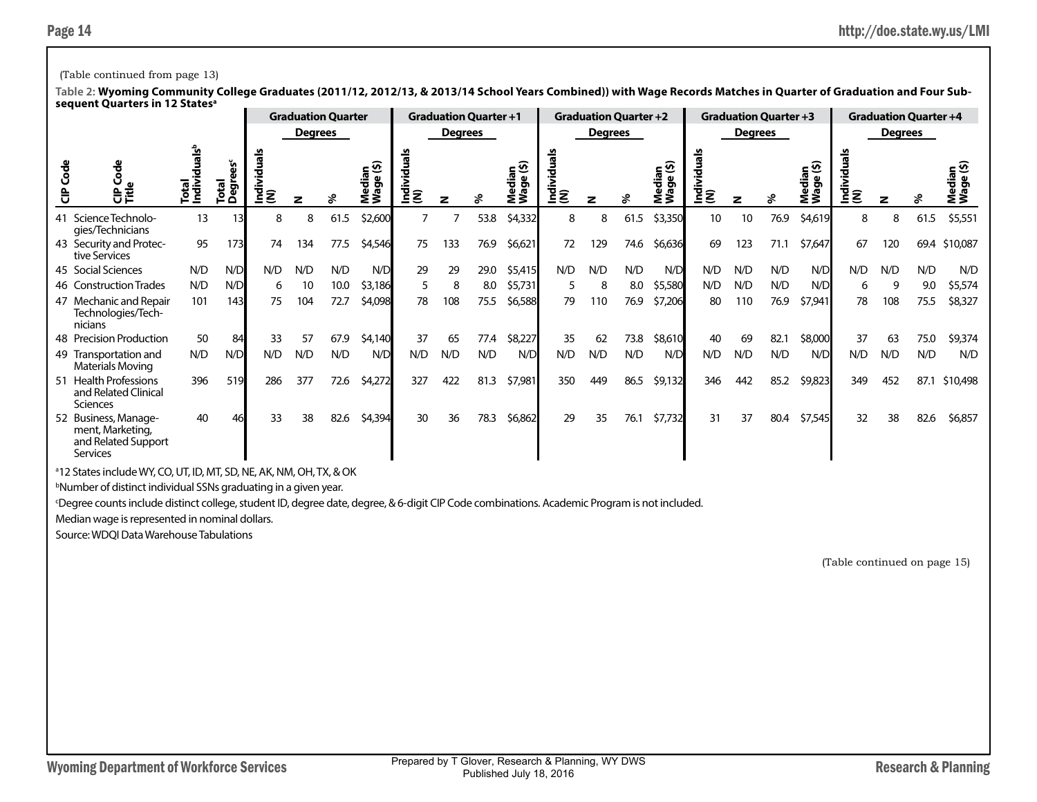# (Table continued from page 13)

**Table 2: Wyoming Community College Graduates (2011/12, 2012/13, & 2013/14 School Years Combined)) with Wage Records Matches in Quarter of Graduation and Four Subsequent Quarters in 12 Statesa**

|                                                                             |                  |                |           |                                                                         | <b>Graduation Quarter</b> |         |     |                | <b>Graduation Quarter +1</b> |                     |                |                | <b>Graduation Quarter +2</b> |                   |                        |                | <b>Graduation Quarter +3</b> |                                                  |     |                | <b>Graduation Quarter +4</b> |                  |
|-----------------------------------------------------------------------------|------------------|----------------|-----------|-------------------------------------------------------------------------|---------------------------|---------|-----|----------------|------------------------------|---------------------|----------------|----------------|------------------------------|-------------------|------------------------|----------------|------------------------------|--------------------------------------------------|-----|----------------|------------------------------|------------------|
|                                                                             |                  |                |           | <b>Degrees</b>                                                          |                           |         |     | <b>Degrees</b> |                              |                     |                | <b>Degrees</b> |                              |                   |                        | <b>Degrees</b> |                              |                                                  |     | <b>Degrees</b> |                              |                  |
| $\frac{8}{10}$                                                              | Total<br>Individ | Total<br>ខេត្ត | <u>ξ3</u> | Median<br>Wage (\$)<br>Individ<br>(N)<br>z<br>\$2,600<br>61.5<br>8<br>8 |                           |         |     | z              | ∗                            | Median<br>Wage (\$) | Individ<br>(N) | z              | ҂                            | ⊆ છે<br>္တိ<br>Σ≧ | als<br>Individu<br>(N) | z              | వ్                           | ledian<br><sup>r</sup> aqe (\$)<br>Media<br>Wage |     |                |                              | eib<br>T<br>ร็≋ิ |
| 41 Science Technolo-<br>gies/Technicians                                    | 13               |                |           |                                                                         |                           |         |     |                | 53.8                         | \$4,332             | 8              | 8              | 61.5                         | \$3,350           | 10                     | 10             | 76.9                         | \$4,619                                          | 8   | 8              | 61.5                         | \$5,551          |
| 43 Security and Protec-<br>tive Services                                    | 95               | 173            | 74        | 134                                                                     | 77.5                      | \$4,546 | 75  | 133            | 76.9                         | \$6,621             | 72             | 129            | 74.6                         | \$6,636           | 69                     | 123            | 71.1                         | \$7,647                                          | 67  | 120            | 69.4                         | \$10,087         |
| 45 Social Sciences                                                          | N/D              | N/D            | N/D       | N/D                                                                     | N/D                       | N/D     | 29  | 29             | 29.0                         | \$5,415             | N/D            | N/D            | N/D                          | N/D               | N/D                    | N/D            | N/D                          | N/D                                              | N/D | N/D            | N/D                          | N/D              |
| 46 Construction Trades                                                      | N/D              | N/D            | 6         | 10                                                                      | 10.0                      | \$3,186 | 5   | 8              | 8.0                          | \$5,731             |                | 8              | 8.0                          | \$5,580           | N/D                    | N/D            | N/D                          | N/D                                              | 6   |                | 9.0                          | \$5,574          |
| 47 Mechanic and Repair<br>Technologies/Tech-<br>nicians                     | 101              | 143            | 75        | 104                                                                     | 72.7                      | \$4,098 | 78  | 108            | 75.5                         | \$6,588             | 79             | 110            | 76.9                         | \$7,206           | 80                     | 110            | 76.9                         | \$7,941                                          | 78  | 108            | 75.5                         | \$8,327          |
| 48 Precision Production                                                     | 50               | 84             | 33        | 57                                                                      | 67.9                      | \$4,140 | 37  | 65             | 77.4                         | \$8,227             | 35             | 62             | 73.8                         | \$8,610           | 40                     | 69             | 82.1                         | \$8,000                                          | 37  | 63             | 75.0                         | \$9,374          |
| 49 Transportation and<br>Materials Moving                                   | N/D              | N/D            | N/D       | N/D                                                                     | N/D                       | N/D     | N/D | N/D            | N/D                          | N/D                 | N/D            | N/D            | N/D                          | N/D               | N/D                    | N/D            | N/D                          | N/D                                              | N/D | N/D            | N/D                          | N/D              |
| 51 Health Professions<br>and Related Clinical<br><b>Sciences</b>            | 396              | 519            | 286       | 377                                                                     | 72.6                      | \$4,272 | 327 | 422            | 81.3                         | \$7,981             | 350            | 449            | 86.5                         | \$9,132           | 346                    | 442            | 85.2                         | \$9,823                                          | 349 | 452            | 87.1                         | \$10,498         |
| 52 Business, Manage-<br>ment, Marketing,<br>and Related Support<br>Services | 40               |                | 33        | 38                                                                      | 82.6                      | \$4,394 | 30  | 36             | 78.3                         | \$6,862             | 29             | 35             | 76.1                         | \$7,732           | 31                     | 37             | 80.4                         | \$7,545                                          | 32  | 38             | 82.6                         | \$6,857          |

a 12 States include WY, CO, UT, ID, MT, SD, NE, AK, NM, OH, TX, & OK

b Number of distinct individual SSNs graduating in a given year.

c Degree counts include distinct college, student ID, degree date, degree, & 6-digit CIP Code combinations. Academic Program is not included.

Median wage is represented in nominal dollars.

Source: WDQI Data Warehouse Tabulations

(Table continued on page 15)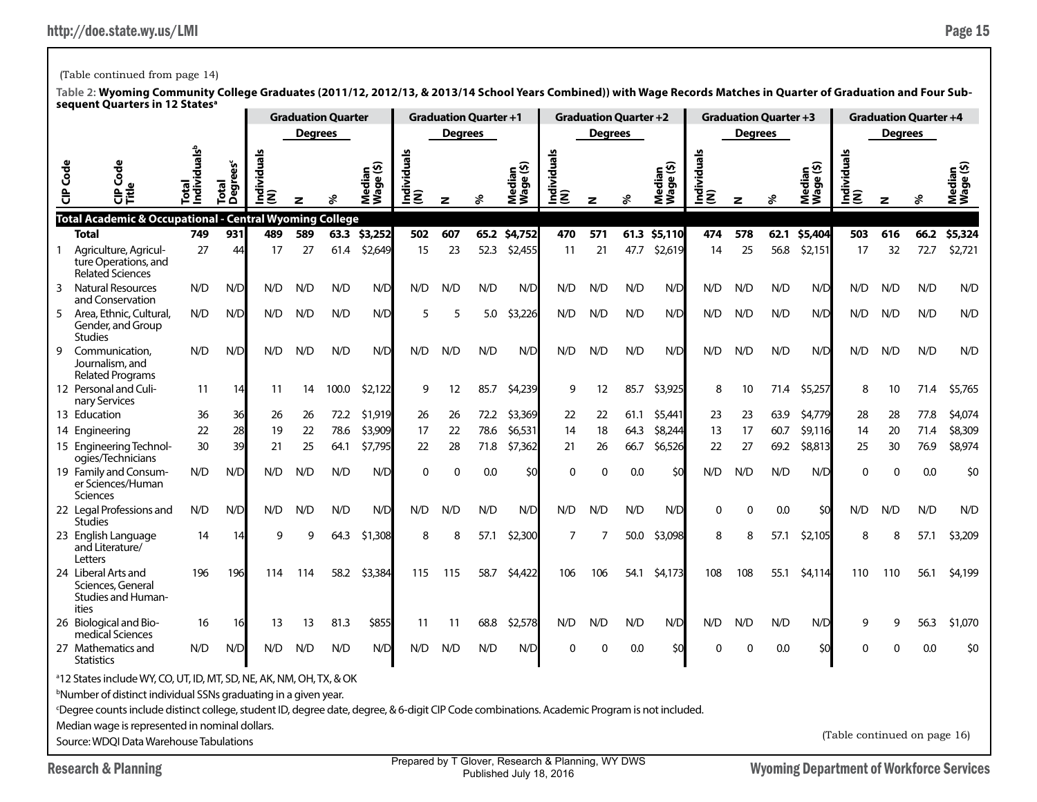## (Table continued from page 14)

|                 |                                                                                                                                                                                                                                                                                                                            |                        |                     |                   |                | <b>Graduation Quarter</b> |                                           |                 |             | <b>Graduation Quarter +1</b> |                     |                                                   |                | <b>Graduation Quarter +2</b> |                            |                     |                | <b>Graduation Quarter +3</b> |                    |                              |                | <b>Graduation Quarter +4</b> |                     |
|-----------------|----------------------------------------------------------------------------------------------------------------------------------------------------------------------------------------------------------------------------------------------------------------------------------------------------------------------------|------------------------|---------------------|-------------------|----------------|---------------------------|-------------------------------------------|-----------------|-------------|------------------------------|---------------------|---------------------------------------------------|----------------|------------------------------|----------------------------|---------------------|----------------|------------------------------|--------------------|------------------------------|----------------|------------------------------|---------------------|
|                 |                                                                                                                                                                                                                                                                                                                            |                        |                     |                   | <b>Degrees</b> |                           |                                           |                 | Degrees     |                              |                     |                                                   | <b>Degrees</b> |                              |                            |                     | <b>Degrees</b> |                              |                    |                              | <b>Degrees</b> |                              |                     |
| <b>CIP</b> Code | g<br>Ü<br>₿Ĕ                                                                                                                                                                                                                                                                                                               | dividuals <sup>t</sup> | ິຮ<br>Degr<br>Total | ᠊ᢛ<br>ndivid<br>Ē | z              |                           | ین<br>edia<br>$\mathbf{Q}$<br>Nedi<br>Vag | Individual<br>Ē | z           |                              | Median<br>Wage (\$) | g<br>Individu<br>(N)                              | z              | శి                           | ⊆ທີ<br>œ<br>Wage<br>ᅘ<br>Σ | Individuals<br> (N) | z              | వి                           | Median<br>Tre (\$) | Individuals<br>(N)           | z              |                              | Median<br>Wage (\$) |
|                 | Total Academic & Occupational - Central Wyoming College<br><b>Total</b>                                                                                                                                                                                                                                                    | 749                    | 931                 | 489               | 589            | 63.3                      | \$3,252                                   | 502             | 607         | 65.2                         | \$4,752             | 470                                               | 571            | 61.3                         | \$5,110                    | 474                 | 578            | 62.1                         | \$5,404            | 503                          | 616            | 66.2                         | \$5,324             |
|                 | Agriculture, Agricul-<br>ture Operations, and<br><b>Related Sciences</b>                                                                                                                                                                                                                                                   | 27                     | 44                  | 17                | 27             | 61.4                      | \$2,649                                   | 15              | 23          | 52.3                         | \$2,455             | 11                                                | 21             | 47.7                         | \$2,619                    | 14                  | 25             | 56.8                         | \$2,151            | 17                           | 32             | 72.7                         | \$2,721             |
| 3               | <b>Natural Resources</b><br>and Conservation                                                                                                                                                                                                                                                                               | N/D                    | N/D                 | N/D               | N/D            | N/D                       | N/D                                       | N/D             | N/D         | N/D                          | N/D                 | N/D                                               | N/D            | N/D                          | N/D                        | N/D                 | N/D            | N/D                          | N/D                | N/D                          | N/D            | N/D                          | N/D                 |
| 5               | Area, Ethnic, Cultural,<br>Gender, and Group<br><b>Studies</b>                                                                                                                                                                                                                                                             | N/D                    | N/D                 | N/D               | N/D            | N/D                       | N/D                                       | 5               | 5           | 5.0                          | \$3,226             | N/D                                               | N/D            | N/D                          | N/D                        | N/D                 | N/D            | N/D                          | N/D                | N/D                          | N/D            | N/D                          | N/D                 |
| 9               | Communication.<br>Journalism, and<br><b>Related Programs</b>                                                                                                                                                                                                                                                               | N/D                    | N/D                 | N/D               | N/D            | N/D                       | N/D                                       | N/D             | N/D         | N/D                          | N/D                 | N/D                                               | N/D            | N/D                          | N/D                        | N/D                 | N/D            | N/D                          | N/D                | N/D                          | N/D            | N/D                          | N/D                 |
|                 | 12 Personal and Culi-<br>nary Services                                                                                                                                                                                                                                                                                     | 11                     | 14                  | 11                | 14             | 100.0                     | \$2,122                                   | 9               | 12          | 85.7                         | \$4,239             | 9                                                 | 12             | 85.7                         | \$3,925                    | 8                   | 10             | 71.4                         | \$5,257            | 8                            | 10             | 71.4                         | \$5,765             |
|                 | 13 Education                                                                                                                                                                                                                                                                                                               | 36                     | 36                  | 26                | 26             | 72.2                      | \$1,919                                   | 26              | 26          | 72.2                         | \$3,369             | 22                                                | 22             | 61.1                         | \$5,441                    | 23                  | 23             | 63.9                         | \$4,779            | 28                           | 28             | 77.8                         | \$4,074             |
|                 | 14 Engineering                                                                                                                                                                                                                                                                                                             | 22                     | 28                  | 19                | 22             | 78.6                      | \$3,909                                   | 17              | 22          | 78.6                         | \$6,531             | 14                                                | 18             | 64.3                         | \$8,244                    | 13                  | 17             | 60.7                         | \$9,116            | 14                           | 20             | 71.4                         | \$8,309             |
|                 | 15 Engineering Technol-<br>ogies/Technicians                                                                                                                                                                                                                                                                               | 30                     | 39                  | 21                | 25             | 64.1                      | \$7,795                                   | 22              | 28          | 71.8                         | \$7,362             | 21                                                | 26             | 66.7                         | \$6,526                    | 22                  | 27             | 69.2                         | \$8,813            | 25                           | 30             | 76.9                         | \$8,974             |
|                 | 19 Family and Consum-<br>er Sciences/Human<br><b>Sciences</b>                                                                                                                                                                                                                                                              | N/D                    | N/D                 | N/D               | N/D            | N/D                       | N/D                                       | $\mathbf 0$     | $\mathbf 0$ | 0.0                          | \$0                 | $\Omega$                                          | $\mathbf 0$    | 0.0                          | \$0                        | N/D                 | N/D            | N/D                          | N/D                | $\Omega$                     | 0              | 0.0                          | \$0                 |
|                 | 22 Legal Professions and<br><b>Studies</b>                                                                                                                                                                                                                                                                                 | N/D                    | N/D                 | N/D               | N/D            | N/D                       | N/D                                       | N/D             | N/D         | N/D                          | N/D                 | N/D                                               | N/D            | N/D                          | N/D                        | $\Omega$            | 0              | 0.0                          | \$0                | N/D                          | N/D            | N/D                          | N/D                 |
|                 | 23 English Language<br>and Literature/<br>Letters                                                                                                                                                                                                                                                                          | 14                     | 14                  | q                 | q              | 64.3                      | \$1,308                                   | 8               | 8           | 57.1                         | \$2,300             | 7                                                 | 7              | 50.0                         | \$3,098                    | 8                   | 8              | 57.1                         | \$2,105            | 8                            | R              | 57.1                         | \$3,209             |
|                 | 24 Liberal Arts and<br>Sciences, General<br><b>Studies and Human-</b><br>ities                                                                                                                                                                                                                                             | 196                    | 196                 | 114               | 114            | 58.2                      | \$3,384                                   | 115             | 115         | 58.7                         | \$4,422             | 106                                               | 106            | 54.1                         | \$4,173                    | 108                 | 108            | 55.1                         | \$4,114            | 110                          | 110            | 56.1                         | \$4,199             |
|                 | 26 Biological and Bio-<br>medical Sciences                                                                                                                                                                                                                                                                                 | 16                     | 16                  | 13                | 13             | 81.3                      | \$855                                     | 11              | -11         | 68.8                         | \$2,578             | N/D                                               | N/D            | N/D                          | N/D                        | N/D                 | N/D            | N/D                          | N/D                | 9                            | 9              | 56.3                         | \$1,070             |
|                 | 27 Mathematics and<br><b>Statistics</b>                                                                                                                                                                                                                                                                                    | N/D                    | N/D                 | N/D               | N/D            | N/D                       | N/D                                       | N/D             | N/D         | N/D                          | N/D                 | $\Omega$                                          | 0              | 0.0                          | \$0                        | $\Omega$            | $\Omega$       | 0.0                          | \$0                | 0                            | $\Omega$       | 0.0                          | \$0                 |
|                 | <sup>a</sup> 12 States include WY, CO, UT, ID, MT, SD, NE, AK, NM, OH, TX, & OK<br><sup>b</sup> Number of distinct individual SSNs graduating in a given year.<br><sup>c</sup> Degree counts include distinct college, student ID, degree date, degree, & 6-digit CIP Code combinations. Academic Program is not included. |                        |                     |                   |                |                           |                                           |                 |             |                              |                     |                                                   |                |                              |                            |                     |                |                              |                    |                              |                |                              |                     |
|                 | Median wage is represented in nominal dollars.<br>Source: WDOI Data Warehouse Tabulations                                                                                                                                                                                                                                  |                        |                     |                   |                |                           |                                           |                 |             |                              |                     |                                                   |                |                              |                            |                     |                |                              |                    | (Table continued on page 16) |                |                              |                     |
|                 |                                                                                                                                                                                                                                                                                                                            |                        |                     |                   |                |                           |                                           |                 |             |                              |                     | Prepared by T Clover, Pesearch & Planning, WV DWS |                |                              |                            |                     |                |                              |                    |                              |                |                              |                     |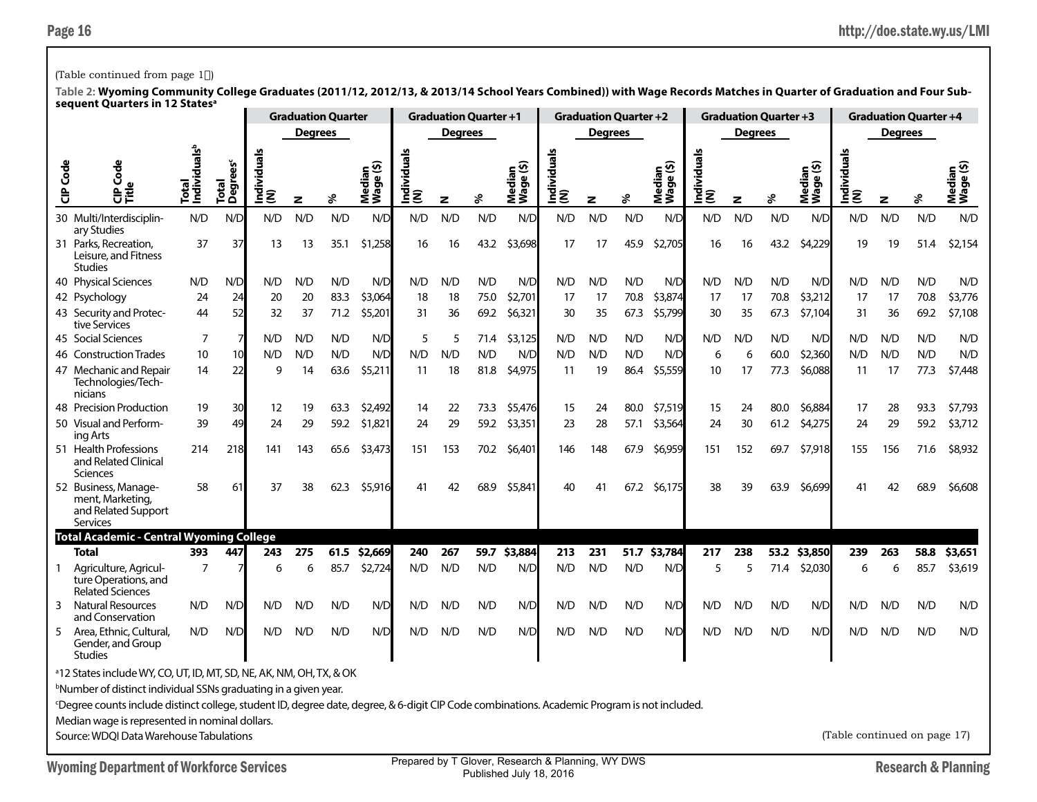### (Table continued from page 1)

|          |                                                                                                                                                                                                                                                                                                                                                                  |                                          |                               |                        | <b>Graduation Quarter</b> |      |                                      |                           | <b>Graduation Quarter +1</b> |      |                                              |                     |                | <b>Graduation Quarter +2</b> |                     |                                | <b>Graduation Quarter +3</b> |      |                                             |                              |                | <b>Graduation Quarter +4</b> |                               |
|----------|------------------------------------------------------------------------------------------------------------------------------------------------------------------------------------------------------------------------------------------------------------------------------------------------------------------------------------------------------------------|------------------------------------------|-------------------------------|------------------------|---------------------------|------|--------------------------------------|---------------------------|------------------------------|------|----------------------------------------------|---------------------|----------------|------------------------------|---------------------|--------------------------------|------------------------------|------|---------------------------------------------|------------------------------|----------------|------------------------------|-------------------------------|
|          |                                                                                                                                                                                                                                                                                                                                                                  |                                          |                               |                        | <b>Degrees</b>            |      |                                      |                           | <b>Degrees</b>               |      |                                              |                     | <b>Degrees</b> |                              |                     |                                | <b>Degrees</b>               |      |                                             |                              | <b>Degrees</b> |                              |                               |
| CIP Code | Ğ<br>$\tilde{\vec{c}}$                                                                                                                                                                                                                                                                                                                                           | Individuals <sup>t</sup><br><b>Total</b> | Total<br>Degrees <sup>c</sup> | ౨<br>g<br>Individ<br>ξ | z                         | s,   | ledian<br>Jage (\$)<br>Media<br>Wage | S<br> Individual:<br> (N) | z                            | ళ    | ⊆ ଦ<br>$\overline{\bullet}$<br>Media<br>Wage | Individuals<br> (N) | z              | ℅                            | Median<br>Wage (\$) | $\frac{1}{2}$<br>$\frac{1}{2}$ | z                            | వి   | ∈ ଊ<br>edia<br>$\mathbf{\omega}$<br>ō<br>ĕ₹ | ndividuals<br>ξ              | z              | శి                           | ତ<br>edian<br>Media<br>Wage ( |
|          | 30 Multi/Interdisciplin-<br>ary Studies                                                                                                                                                                                                                                                                                                                          | N/D                                      | N/D                           | N/D                    | N/D                       | N/D  | N/D                                  | N/D                       | N/D                          | N/D  | N/D                                          | N/D                 | N/D            | N/D                          | N/D                 | N/D                            | N/D                          | N/D  | N/D                                         | N/D                          | N/D            | N/D                          | N/D                           |
|          | 31 Parks, Recreation,<br>Leisure, and Fitness<br><b>Studies</b>                                                                                                                                                                                                                                                                                                  | 37                                       | 37                            | 13                     | 13                        | 35.1 | \$1,258                              | 16                        | 16                           | 43.2 | \$3,698                                      | 17                  | 17             | 45.9                         | \$2,705             | 16                             | 16                           | 43.2 | \$4,229                                     | 19                           | 19             | 51.4                         | \$2,154                       |
|          | 40 Physical Sciences                                                                                                                                                                                                                                                                                                                                             | N/D                                      | N/D                           | N/D                    | N/D                       | N/D  | N/D                                  | N/D                       | N/D                          | N/D  | N/D                                          | N/D                 | N/D            | N/D                          | N/D                 | N/D                            | N/D                          | N/D  | N/D                                         | N/D                          | N/D            | N/D                          | N/D                           |
|          | 42 Psychology                                                                                                                                                                                                                                                                                                                                                    | 24                                       | 24                            | 20                     | 20                        | 83.3 | \$3,064                              | 18                        | 18                           | 75.0 | \$2,701                                      | 17                  | 17             | 70.8                         | \$3,874             | 17                             | 17                           | 70.8 | \$3,212                                     | 17                           | 17             | 70.8                         | \$3,776                       |
|          | 43 Security and Protec-<br>tive Services                                                                                                                                                                                                                                                                                                                         | 44                                       | 52                            | 32                     | 37                        | 71.2 | \$5,201                              | 31                        | 36                           | 69.2 | \$6,321                                      | 30                  | 35             | 67.3                         | \$5,799             | 30                             | 35                           | 67.3 | \$7,104                                     | 31                           | 36             | 69.2                         | \$7,108                       |
|          | 45 Social Sciences                                                                                                                                                                                                                                                                                                                                               | 7                                        | $\overline{7}$                | N/D                    | N/D                       | N/D  | N/D                                  | 5                         | 5                            | 71.4 | \$3,125                                      | N/D                 | N/D            | N/D                          | N/D                 | N/D                            | N/D                          | N/D  | N/D                                         | N/D                          | N/D            | N/D                          | N/D                           |
|          | 46 Construction Trades                                                                                                                                                                                                                                                                                                                                           | 10                                       | 10                            | N/D                    | N/D                       | N/D  | N/D                                  | N/D                       | N/D                          | N/D  | N/D                                          | N/D                 | N/D            | N/D                          | N/D                 | 6                              | 6                            | 60.0 | \$2,360                                     | N/D                          | N/D            | N/D                          | N/D                           |
|          | 47 Mechanic and Repair<br>Technologies/Tech-<br>nicians                                                                                                                                                                                                                                                                                                          | 14                                       | 22                            | 9                      | 14                        | 63.6 | \$5,211                              | 11                        | 18                           | 81.8 | \$4,975                                      | 11                  | 19             | 86.4                         | \$5,559             | 10                             | 17                           | 77.3 | \$6,088                                     | 11                           | 17             | 77.3                         | \$7,448                       |
|          | 48 Precision Production                                                                                                                                                                                                                                                                                                                                          | 19                                       | 30                            | 12                     | 19                        | 63.3 | \$2,492                              | 14                        | 22                           | 73.3 | \$5,476                                      | 15                  | 24             | 80.0                         | \$7,519             | 15                             | 24                           | 80.0 | \$6,884                                     | 17                           | 28             | 93.3                         | \$7,793                       |
|          | 50 Visual and Perform-<br>ing Arts                                                                                                                                                                                                                                                                                                                               | 39                                       | 49                            | 24                     | 29                        | 59.2 | \$1,821                              | 24                        | 29                           | 59.2 | \$3,351                                      | 23                  | 28             | 57.1                         | \$3,564             | 24                             | 30                           | 61.2 | \$4,275                                     | 24                           | 29             | 59.2                         | \$3,712                       |
|          | 51 Health Professions<br>and Related Clinical<br><b>Sciences</b>                                                                                                                                                                                                                                                                                                 | 214                                      | 218                           | 141                    | 143                       | 65.6 | \$3,473                              | 151                       | 153                          | 70.2 | \$6,401                                      | 146                 | 148            | 67.9                         | \$6,959             | 151                            | 152                          | 69.7 | \$7,918                                     | 155                          | 156            | 71.6                         | \$8,932                       |
|          | 52 Business, Manage-<br>ment, Marketing,<br>and Related Support<br>Services                                                                                                                                                                                                                                                                                      | 58                                       | 61                            | 37                     | 38                        | 62.3 | \$5,916                              | 41                        | 42                           | 68.9 | \$5,841                                      | 40                  | 41             | 67.2                         | \$6,175             | 38                             | 39                           | 63.9 | \$6,699                                     | 41                           | 42             | 68.9                         | \$6,608                       |
|          | Total Academic - Central Wyoming College                                                                                                                                                                                                                                                                                                                         |                                          |                               |                        |                           |      |                                      |                           |                              |      |                                              |                     |                |                              |                     |                                |                              |      |                                             |                              |                |                              |                               |
|          | <b>Total</b>                                                                                                                                                                                                                                                                                                                                                     | 393                                      | 447                           | 243                    | 275                       |      | 61.5 \$2,669                         | 240                       | 267                          | 59.7 | \$3,884                                      | 213                 | 231            |                              | 51.7 \$3,784        | 217                            | 238                          | 53.2 | \$3,850                                     | 239                          | 263            | 58.8                         | \$3,651                       |
| 1        | Agriculture, Agricul-<br>ture Operations, and<br><b>Related Sciences</b>                                                                                                                                                                                                                                                                                         | $\overline{7}$                           |                               | 6                      | 6                         | 85.7 | \$2,724                              | N/D                       | N/D                          | N/D  | N/D                                          | N/D                 | N/D            | N/D                          | N/D                 | 5                              | 5                            | 71.4 | \$2,030                                     | 6                            | 6              | 85.7                         | \$3,619                       |
| 3        | <b>Natural Resources</b><br>and Conservation                                                                                                                                                                                                                                                                                                                     | N/D                                      | N/D                           | N/D                    | N/D                       | N/D  | N/D                                  | N/D                       | N/D                          | N/D  | N/D                                          | N/D                 | N/D            | N/D                          | N/D                 | N/D                            | N/D                          | N/D  | N/D                                         | N/D                          | N/D            | N/D                          | N/D                           |
| 5        | Area, Ethnic, Cultural,<br>Gender, and Group<br><b>Studies</b>                                                                                                                                                                                                                                                                                                   | N/D                                      | N/D                           | N/D                    | N/D                       | N/D  | N/D                                  | N/D                       | N/D                          | N/D  | N/D                                          | N/D                 | N/D            | N/D                          | N/D                 | N/D                            | N/D                          | N/D  | N/D                                         | N/D                          | N/D            | N/D                          | N/D                           |
|          | <sup>a</sup> 12 States include WY, CO, UT, ID, MT, SD, NE, AK, NM, OH, TX, & OK<br>bNumber of distinct individual SSNs graduating in a given year.<br><sup>c</sup> Degree counts include distinct college, student ID, degree date, degree, & 6-digit CIP Code combinations. Academic Program is not included.<br>Median wage is represented in nominal dollars. |                                          |                               |                        |                           |      |                                      |                           |                              |      |                                              |                     |                |                              |                     |                                |                              |      |                                             |                              |                |                              |                               |
|          | Source: WDOI Data Warehouse Tabulations                                                                                                                                                                                                                                                                                                                          |                                          |                               |                        |                           |      |                                      |                           |                              |      |                                              |                     |                |                              |                     |                                |                              |      |                                             | (Table continued on page 17) |                |                              |                               |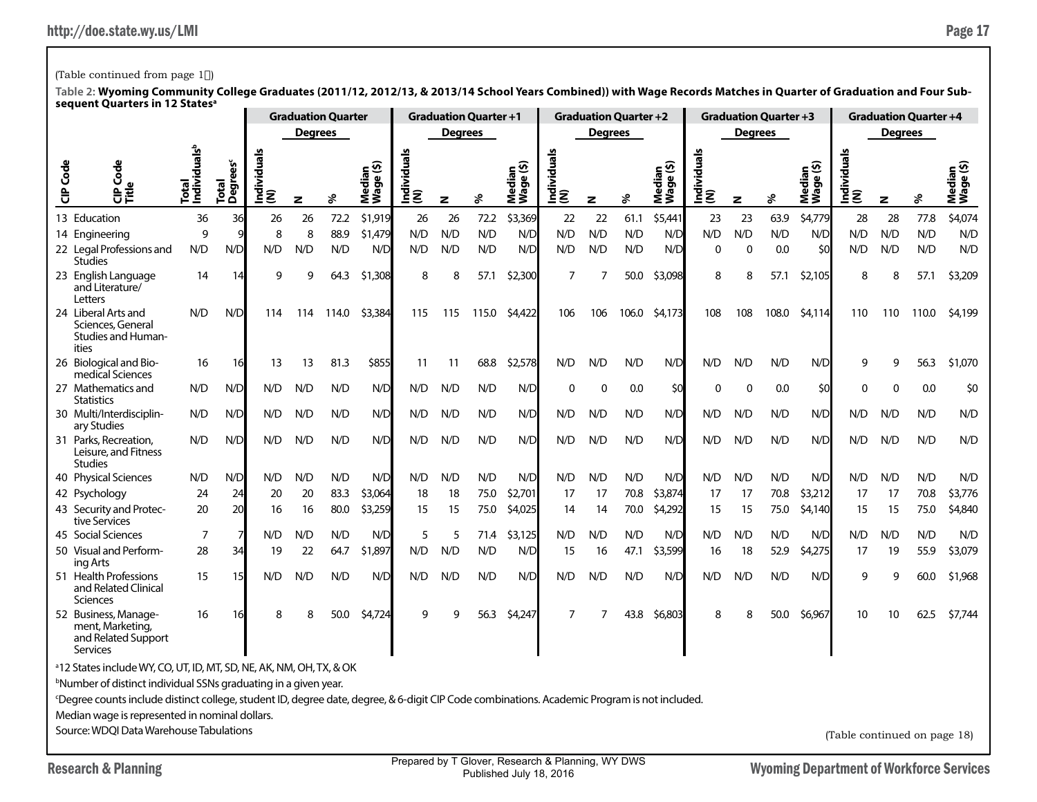# (Table continued from page  $1^*$ )

| Š<br>$\mathbf \omega$<br>응う                                                 | Individuals <sup>b</sup><br>lotal<br>D                                                       | ğ<br>Degree<br><b>Total</b>        | ndividual<br>ξ        | z                                                                                                             | వి                                          | ledian<br>Vage (\$)<br>Mediar<br>Wage (                                                                                                      | Individuals<br>(N)                                                                                                                                                                   | z                             | శి                                  | Median<br>Wage (\$)                 | <u>ທ</u><br>Individuals<br>(N)                                                                       | $\mathbf{z}$     | శి                                   | Median<br>Wage (\$)                  | Individuals<br>(N)                                                                        | $\mathbf{z}$                                                                                                                                                                 | ℅                             | Median<br>Wage (\$)                                 | Individuals<br>(N)                                                             | $\mathbf{z}$         | శి             | Median<br>Wage (\$)                                                                                                  |
|-----------------------------------------------------------------------------|----------------------------------------------------------------------------------------------|------------------------------------|-----------------------|---------------------------------------------------------------------------------------------------------------|---------------------------------------------|----------------------------------------------------------------------------------------------------------------------------------------------|--------------------------------------------------------------------------------------------------------------------------------------------------------------------------------------|-------------------------------|-------------------------------------|-------------------------------------|------------------------------------------------------------------------------------------------------|------------------|--------------------------------------|--------------------------------------|-------------------------------------------------------------------------------------------|------------------------------------------------------------------------------------------------------------------------------------------------------------------------------|-------------------------------|-----------------------------------------------------|--------------------------------------------------------------------------------|----------------------|----------------|----------------------------------------------------------------------------------------------------------------------|
| 13 Education                                                                | 36                                                                                           | 36                                 | 26                    | 26                                                                                                            | 72.2                                        | \$1,919                                                                                                                                      | 26                                                                                                                                                                                   | 26                            | 72.2                                | \$3,369                             | 22                                                                                                   | 22               | 61.1                                 | \$5,441                              | 23                                                                                        | 23                                                                                                                                                                           | 63.9                          | \$4,779                                             | 28                                                                             | 28                   | 77.8           | \$4,074                                                                                                              |
| 14 Engineering                                                              | 9                                                                                            |                                    | 8                     | 8                                                                                                             | 88.9                                        | \$1,479                                                                                                                                      | N/D                                                                                                                                                                                  | N/D                           | N/D                                 | N/D                                 | N/D                                                                                                  | N/D              | N/D                                  | N/D                                  | N/D                                                                                       | N/D                                                                                                                                                                          | N/D                           | N/D                                                 | N/D                                                                            | N/D                  | N/D            | N/D                                                                                                                  |
| 22 Legal Professions and<br><b>Studies</b>                                  | N/D                                                                                          | N/D                                | N/D                   | N/D                                                                                                           | N/D                                         | N/D                                                                                                                                          | N/D                                                                                                                                                                                  | N/D                           | N/D                                 | N/D                                 | N/D                                                                                                  | N/D              | N/D                                  | N/D                                  | $\Omega$                                                                                  | $\mathbf{0}$                                                                                                                                                                 | 0.0                           | \$0                                                 | N/D                                                                            | N/D                  | N/D            | N/D                                                                                                                  |
| 23 English Language<br>and Literature/<br>Letters                           | 14                                                                                           | 14                                 | 9                     | 9                                                                                                             | 64.3                                        | \$1,308                                                                                                                                      | 8                                                                                                                                                                                    | 8                             | 57.1                                | \$2,300                             | 7                                                                                                    | 7                | 50.0                                 | \$3,098                              | 8                                                                                         | 8                                                                                                                                                                            | 57.1                          | \$2,105                                             | 8                                                                              | 8                    | 57.1           | \$3,209                                                                                                              |
| 24 Liberal Arts and<br>Sciences, General<br>Studies and Human-              | \$3,384                                                                                      | 115                                | 115                   | 115.0                                                                                                         | \$4,422                                     | 106                                                                                                                                          | 106                                                                                                                                                                                  | 106.0                         | \$4,173                             | 108                                 | 108                                                                                                  | 108.0            | \$4,114                              | 110                                  | 110                                                                                       | 110.0                                                                                                                                                                        | \$4,199                       |                                                     |                                                                                |                      |                |                                                                                                                      |
| 26 Biological and Bio-<br>medical Sciences                                  | 16                                                                                           | 16                                 | 13                    | 13                                                                                                            | 81.3                                        | \$855                                                                                                                                        | 11                                                                                                                                                                                   | 11                            | 68.8                                | \$2,578                             | N/D                                                                                                  | N/D              | N/D                                  | N/D                                  | N/D                                                                                       | N/D                                                                                                                                                                          | N/D                           | N/D                                                 | 9                                                                              | 9                    | 56.3           | \$1,070                                                                                                              |
| 27 Mathematics and<br><b>Statistics</b>                                     | N/D                                                                                          | N/D                                | N/D                   | N/D                                                                                                           | N/D                                         | N/D                                                                                                                                          | N/D                                                                                                                                                                                  | N/D                           | N/D                                 | N/D                                 | 0                                                                                                    | $\mathbf 0$      | 0.0                                  | \$0                                  | 0                                                                                         | $\Omega$                                                                                                                                                                     | 0.0                           | \$0                                                 | $\Omega$                                                                       | ∩                    | 0.0            | \$0                                                                                                                  |
| ary Studies                                                                 |                                                                                              | N/D                                | N/D                   |                                                                                                               | N/D                                         |                                                                                                                                              |                                                                                                                                                                                      |                               | N/D                                 |                                     | N/D                                                                                                  |                  | N/D                                  |                                      | N/D                                                                                       |                                                                                                                                                                              | N/D                           |                                                     | N/D                                                                            | N/D                  | N/D            | N/D                                                                                                                  |
| 31 Parks, Recreation,<br>Leisure, and Fitness<br><b>Studies</b>             |                                                                                              | N/D                                | N/D                   |                                                                                                               | N/D                                         |                                                                                                                                              |                                                                                                                                                                                      |                               |                                     |                                     | N/D                                                                                                  |                  | N/D                                  |                                      | N/D                                                                                       | N/D                                                                                                                                                                          |                               |                                                     | N/D                                                                            | N/D                  |                | N/D                                                                                                                  |
| 40 Physical Sciences                                                        | N/D                                                                                          | N/D                                | N/D                   | N/D                                                                                                           | N/D                                         | N/D                                                                                                                                          | N/D                                                                                                                                                                                  | N/D                           | N/D                                 | N/D                                 | N/D                                                                                                  | N/D              | N/D                                  | N/D                                  | N/D                                                                                       | N/D                                                                                                                                                                          | N/D                           | N/D                                                 | N/D                                                                            | N/D                  | N/D            | N/D                                                                                                                  |
|                                                                             | 24                                                                                           | 24                                 | 20                    |                                                                                                               |                                             |                                                                                                                                              | 18                                                                                                                                                                                   |                               | 75.0                                |                                     | 17                                                                                                   |                  | 70.8                                 |                                      | 17                                                                                        |                                                                                                                                                                              |                               |                                                     |                                                                                | 17                   |                | \$3,776                                                                                                              |
| 43 Security and Protec-<br>tive Services                                    | 20                                                                                           |                                    | 16                    | 16                                                                                                            |                                             |                                                                                                                                              | 15                                                                                                                                                                                   | 15                            | 75.0                                |                                     | 14                                                                                                   | 14               | 70.0                                 |                                      | 15                                                                                        | 15                                                                                                                                                                           | 75.0                          | \$4,140                                             | 15                                                                             | 15                   | 75.0           | \$4,840                                                                                                              |
| 45 Social Sciences                                                          |                                                                                              |                                    | N/D                   |                                                                                                               |                                             |                                                                                                                                              |                                                                                                                                                                                      |                               | 71.4                                |                                     |                                                                                                      |                  |                                      |                                      |                                                                                           |                                                                                                                                                                              |                               |                                                     |                                                                                |                      |                | N/D                                                                                                                  |
| ing Arts                                                                    |                                                                                              |                                    |                       |                                                                                                               |                                             |                                                                                                                                              |                                                                                                                                                                                      |                               |                                     |                                     |                                                                                                      |                  |                                      |                                      |                                                                                           |                                                                                                                                                                              |                               |                                                     |                                                                                |                      |                | \$3,079                                                                                                              |
| and Related Clinical<br>Sciences                                            |                                                                                              |                                    |                       |                                                                                                               |                                             |                                                                                                                                              |                                                                                                                                                                                      |                               |                                     |                                     |                                                                                                      |                  |                                      |                                      |                                                                                           |                                                                                                                                                                              |                               |                                                     |                                                                                |                      |                | \$1,968                                                                                                              |
| 52 Business, Manage-<br>ment, Marketing,<br>and Related Support<br>Services | 16                                                                                           | 16                                 | 8                     | 8                                                                                                             | 50.0                                        |                                                                                                                                              | q                                                                                                                                                                                    | q                             | 56.3                                |                                     | 7                                                                                                    | 7                | 43.8                                 | \$6,803                              | 8                                                                                         | 8                                                                                                                                                                            | 50.0                          | \$6,967                                             | 10                                                                             | 10                   | 62.5           | \$7,744                                                                                                              |
|                                                                             |                                                                                              |                                    |                       |                                                                                                               |                                             |                                                                                                                                              |                                                                                                                                                                                      |                               |                                     |                                     |                                                                                                      |                  |                                      |                                      |                                                                                           |                                                                                                                                                                              |                               |                                                     |                                                                                |                      |                |                                                                                                                      |
|                                                                             | 30 Multi/Interdisciplin-<br>42 Psychology<br>50 Visual and Perform-<br>51 Health Professions | N/D<br>N/D<br>N/D<br>7<br>28<br>15 | N/D<br>20<br>34<br>15 | 114<br>19<br>N/D<br>Median wage is represented in nominal dollars.<br>Source: WDOI Data Warehouse Tabulations | 114<br>N/D<br>N/D<br>20<br>N/D<br>22<br>N/D | <b>Degrees</b><br>114.0<br>83.3<br>80.0<br>N/D<br>64.7<br>N/D<br><sup>b</sup> Number of distinct individual SSNs graduating in a given year. | <b>Graduation Quarter</b><br>N/D<br>N/D<br>\$3,064<br>\$3,259<br>N/D<br>\$1,897<br>N/D<br>\$4,724<br><sup>a</sup> 12 States include WY, CO, UT, ID, MT, SD, NE, AK, NM, OH, TX, & OK | N/D<br>N/D<br>5<br>N/D<br>N/D | N/D<br>N/D<br>18<br>5<br>N/D<br>N/D | <b>Degrees</b><br>N/D<br>N/D<br>N/D | <b>Graduation Quarter +1</b><br>N/D<br>N/D<br>\$2,701<br>\$4,025<br>\$3,125<br>N/D<br>N/D<br>\$4,247 | N/D<br>15<br>N/D | N/D<br>N/D<br>17<br>N/D<br>16<br>N/D | <b>Degrees</b><br>N/D<br>47.1<br>N/D | <b>Graduation Quarter +2</b><br>N/D<br>N/D<br>\$3,874<br>\$4,292<br>N/D<br>\$3,599<br>N/D | N/D<br>16<br>N/D<br><sup>c</sup> Degree counts include distinct college, student ID, degree date, degree, & 6-digit CIP Code combinations. Academic Program is not included. | N/D<br>17<br>N/D<br>18<br>N/D | <b>Degrees</b><br>N/D<br>70.8<br>N/D<br>52.9<br>N/D | <b>Graduation Quarter +3</b><br>N/D<br>N/D<br>\$3,212<br>N/D<br>\$4,275<br>N/D | 17<br>N/D<br>17<br>9 | N/D<br>19<br>9 | <b>Graduation Quarter +4</b><br><b>Degrees</b><br>N/D<br>70.8<br>N/D<br>55.9<br>60.0<br>(Table continued on page 18) |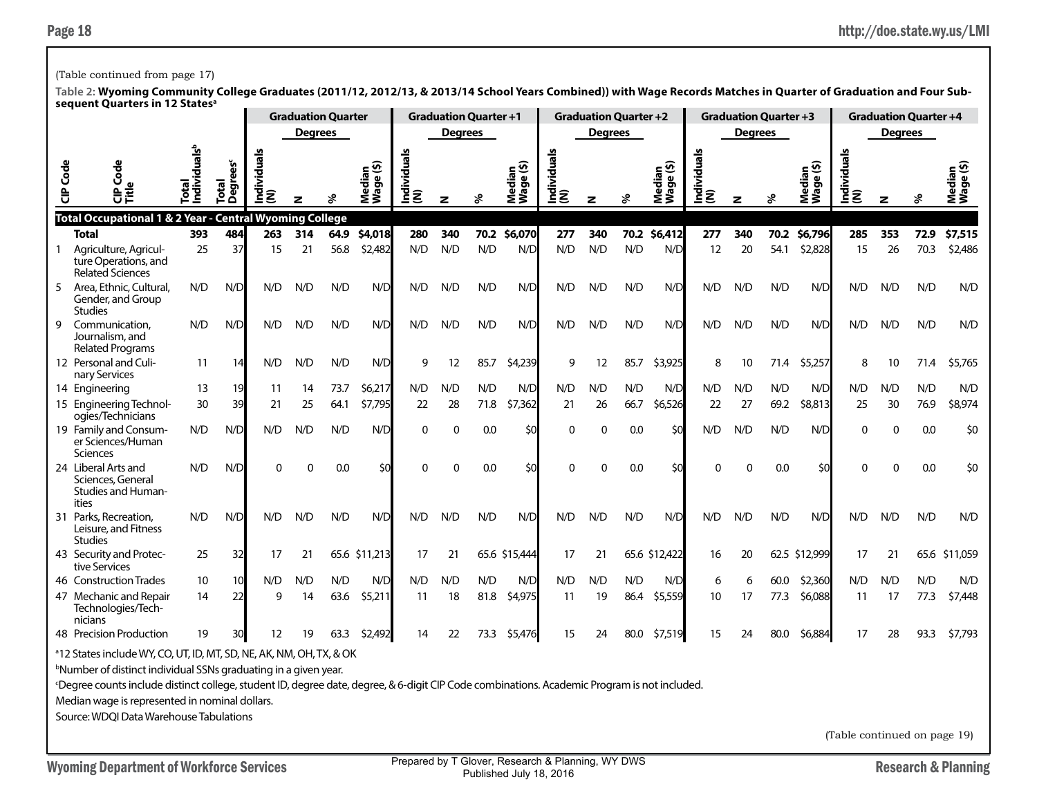### (Table continued from page 17)

**Table 2: Wyoming Community College Graduates (2011/12, 2012/13, & 2013/14 School Years Combined)) with Wage Records Matches in Quarter of Graduation and Four Subsequent Quarters in 12 Statesa**

|          | <b>QUALLED III 14</b>                                                                                                                                    |                                         |                              |                 |                | <b>Graduation Quarter</b> |                                          |                    | <b>Graduation Quarter +1</b> |      |                           |                    |                | <b>Graduation Quarter +2</b> |                                |                  | <b>Graduation Quarter +3</b> |      |                     |                    |                | <b>Graduation Quarter +4</b> |                  |
|----------|----------------------------------------------------------------------------------------------------------------------------------------------------------|-----------------------------------------|------------------------------|-----------------|----------------|---------------------------|------------------------------------------|--------------------|------------------------------|------|---------------------------|--------------------|----------------|------------------------------|--------------------------------|------------------|------------------------------|------|---------------------|--------------------|----------------|------------------------------|------------------|
|          |                                                                                                                                                          |                                         |                              |                 | <b>Degrees</b> |                           |                                          |                    | <b>Degrees</b>               |      |                           |                    | <b>Degrees</b> |                              |                                |                  | <b>Degrees</b>               |      |                     |                    | <b>Degrees</b> |                              |                  |
| CIP Code | ह<br>응章                                                                                                                                                  | ndividuals <sup>b</sup><br><b>Total</b> | grees<br><b>Total</b><br>ٛۜۊ | leubi<br>혿<br>ξ |                | వి                        | ledian<br><sup>(age (\$)</sup><br>ឨ៓៓៓៓៓ | Individuals<br>(N) | z                            | వి   | Median<br>Wage (\$)<br>Ź. | Individuals<br>(N) | z              | వి                           | ledian<br>/age (\$)<br>ă<br>Nă | Individuals<br>ξ | z                            | వి   | Median<br>Wage (\$) | Individuals<br>(N) | z              | వి                           | Mediar<br>Wage ( |
|          | Total Occupational 1 & 2 Year - Central Wyoming College                                                                                                  |                                         |                              |                 |                |                           |                                          |                    |                              |      |                           |                    |                |                              |                                |                  |                              |      |                     |                    |                |                              |                  |
|          | <b>Total</b>                                                                                                                                             | 393                                     | 484                          | 263             | 314            | 64.9                      | \$4,018                                  | 280                | 340                          | 70.2 | \$6,070                   | 277                | 340            | 70.2                         | \$6,412                        | 277              | 340                          | 70.2 | \$6,796             | 285                | 353            | 72.9                         | \$7,515          |
|          | Agriculture, Agricul-<br>ture Operations, and<br><b>Related Sciences</b>                                                                                 | 25                                      | 37                           | 15              | 21             | 56.8                      | \$2,482                                  | N/D                | N/D                          | N/D  | N/D                       | N/D                | N/D            | N/D                          | N/D                            | 12               | 20                           | 54.1 | \$2,828             | 15                 | 26             | 70.3                         | \$2,486          |
| 5        | Area, Ethnic, Cultural,<br>Gender, and Group<br><b>Studies</b>                                                                                           | N/D                                     | N/D                          | N/D             | N/D            | N/D                       | N/D                                      | N/D                | N/D                          | N/D  | N/D                       | N/D                | N/D            | N/D                          | N/D                            | N/D              | N/D                          | N/D  | N/D                 | N/D                | N/D            | N/D                          | N/D              |
| 9        | Communication.<br>Journalism, and<br><b>Related Programs</b>                                                                                             | N/D                                     | N/D                          | N/D             | N/D            | N/D                       | N/D                                      | N/D                | N/D                          | N/D  | N/D                       | N/D                | N/D            | N/D                          | N/D                            | N/D              | N/D                          | N/D  | N/D                 | N/D                | N/D            | N/D                          | N/D              |
|          | 12 Personal and Culi-<br>nary Services                                                                                                                   | 11                                      | 14                           | N/D             | N/D            | N/D                       | N/D                                      | 9                  | 12                           | 85.7 | \$4,239                   | 9                  | 12             | 85.7                         | \$3,925                        | 8                | 10                           | 71.4 | \$5,257             | 8                  | 10             | 71.4                         | \$5,765          |
|          | 14 Engineering                                                                                                                                           | 13                                      | 19                           | 11              | 14             | 73.7                      | \$6,217                                  | N/D                | N/D                          | N/D  | N/D                       | N/D                | N/D            | N/D                          | N/D                            | N/D              | N/D                          | N/D  | N/D                 | N/D                | N/D            | N/D                          | N/D              |
|          | 15 Engineering Technol-<br>ogies/Technicians                                                                                                             | 30                                      | 39                           | 21              | 25             | 64.1                      | \$7,795                                  | 22                 | 28                           | 71.8 | \$7,362                   | 21                 | 26             | 66.7                         | \$6,526                        | 22               | 27                           | 69.2 | \$8,813             | 25                 | 30             | 76.9                         | \$8,974          |
|          | 19 Family and Consum-<br>er Sciences/Human<br>Sciences                                                                                                   | N/D                                     | N/D                          | N/D             | N/D            | N/D                       | N/D                                      | 0                  | 0                            | 0.0  | \$0                       | $\Omega$           | $\mathbf{0}$   | 0.0                          | \$0                            | N/D              | N/D                          | N/D  | N/D                 | $\mathbf 0$        | $\Omega$       | 0.0                          | \$0              |
|          | 24 Liberal Arts and<br>Sciences, General<br><b>Studies and Human-</b><br>ities                                                                           | N/D                                     | N/D                          | U               | $\Omega$       | 0.0                       | \$0                                      | 0                  | $\mathbf 0$                  | 0.0  | \$0                       | $\Omega$           | $\Omega$       | 0.0                          | \$0                            | $\Omega$         | $\Omega$                     | 0.0  | \$0                 | U                  | $\Omega$       | 0.0                          | \$0              |
|          | 31 Parks, Recreation,<br>Leisure, and Fitness<br><b>Studies</b>                                                                                          | N/D                                     | N/D                          | N/D             | N/D            | N/D                       | N/D                                      | N/D                | N/D                          | N/D  | N/D                       | N/D                | N/D            | N/D                          | N/D                            | N/D              | N/D                          | N/D  | N/D                 | N/D                | N/D            | N/D                          | N/D              |
|          | 43 Security and Protec-<br>tive Services                                                                                                                 | 25                                      | 32                           | 17              | 21             |                           | 65.6 \$11,213                            | 17                 | 21                           |      | 65.6 \$15,444             | 17                 | 21             |                              | 65.6 \$12,422                  | 16               | 20                           |      | 62.5 \$12,999       | 17                 | 21             | 65.6                         | \$11,059         |
|          | 46 Construction Trades                                                                                                                                   | 10                                      | 10                           | N/D             | N/D            | N/D                       | N/D                                      | N/D                | N/D                          | N/D  | N/D                       | N/D                | N/D            | N/D                          | N/D                            | 6                | 6                            | 60.0 | \$2,360             | N/D                | N/D            | N/D                          | N/D              |
|          | 47 Mechanic and Repair<br>Technologies/Tech-<br>nicians                                                                                                  | 14                                      | 22                           | 9               | 14             | 63.6                      | \$5,211                                  | -11                | 18                           | 81.8 | \$4,975                   | 11                 | 19             | 86.4                         | \$5,559                        | 10               | 17                           | 77.3 | \$6,088             | 11                 | 17             | 77.3                         | \$7,448          |
|          | 48 Precision Production                                                                                                                                  | 19                                      |                              | 12              | 19             | 63.3                      | \$2,492                                  | 14                 | 22                           | 73.3 | \$5,476                   | 15                 | 24             | 80.0                         | \$7,519                        | 15               | 24                           | 80.0 | \$6,884             | 17                 | 28             | 93.3                         | \$7,793          |
|          | <sup>a</sup> 12 States include WY, CO, UT, ID, MT, SD, NE, AK, NM, OH, TX, & OK                                                                          |                                         |                              |                 |                |                           |                                          |                    |                              |      |                           |                    |                |                              |                                |                  |                              |      |                     |                    |                |                              |                  |
|          | <sup>b</sup> Number of distinct individual SSNs graduating in a given year.                                                                              |                                         |                              |                 |                |                           |                                          |                    |                              |      |                           |                    |                |                              |                                |                  |                              |      |                     |                    |                |                              |                  |
|          | <sup>c</sup> Degree counts include distinct college, student ID, degree date, degree, & 6-digit CIP Code combinations. Academic Program is not included. |                                         |                              |                 |                |                           |                                          |                    |                              |      |                           |                    |                |                              |                                |                  |                              |      |                     |                    |                |                              |                  |
|          | Median wage is represented in nominal dollars.                                                                                                           |                                         |                              |                 |                |                           |                                          |                    |                              |      |                           |                    |                |                              |                                |                  |                              |      |                     |                    |                |                              |                  |

Source: WDQI Data Warehouse Tabulations

(Table continued on page 19)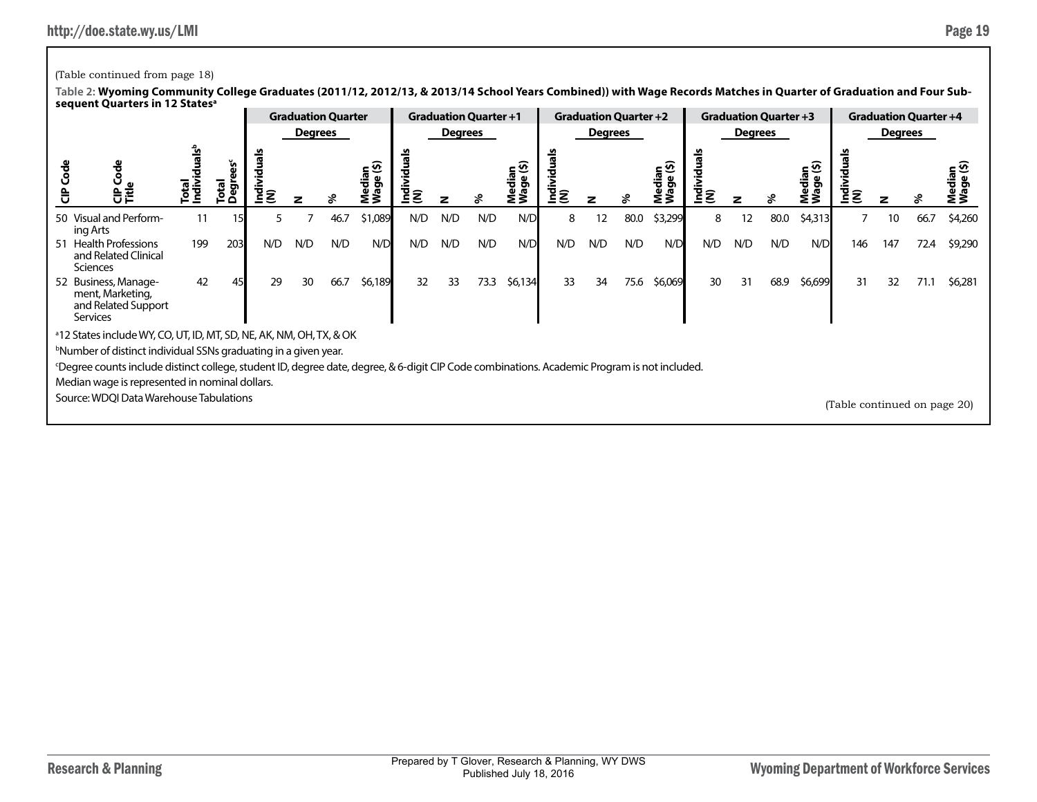## (Table continued from page 18)

|    |                                                                                                                                                                |     |                      |     |         | <b>Graduation Quarter</b> |              |                | <b>Graduation Quarter +1</b> |      |                     |                 | <b>Graduation Quarter +2</b> |      |                 |          |                | <b>Graduation Quarter +3</b> |            |                              |         | <b>Graduation Quarter +4</b> |                         |
|----|----------------------------------------------------------------------------------------------------------------------------------------------------------------|-----|----------------------|-----|---------|---------------------------|--------------|----------------|------------------------------|------|---------------------|-----------------|------------------------------|------|-----------------|----------|----------------|------------------------------|------------|------------------------------|---------|------------------------------|-------------------------|
|    |                                                                                                                                                                |     |                      |     | Degrees |                           |              |                | Degrees                      |      |                     |                 | <b>Degrees</b>               |      |                 |          | <b>Degrees</b> |                              |            |                              | Degrees |                              |                         |
|    | )<br>이<br>이 드                                                                                                                                                  | ີທ  | š<br>letal<br>ō<br>o |     |         |                           | ⊆ ଦି<br>≗็ร็ | Individ<br>(N) |                              |      | Median<br>Wage (\$) | Individu<br>(N) |                              |      | dian<br>ge (\$) | ΞĒ<br>ΞS |                |                              | - ଜ<br>៓ៜ៓ | lndivi<br>(N)                |         |                              | ⊆ ⊻າ<br>edja<br>T<br>Σ3 |
|    | 50 Visual and Perform-<br>ing Arts                                                                                                                             | 11  |                      | 5.  |         | 46.7                      | \$1,089      | N/D            | N/D                          | N/D  | N/D                 | 8               | 12                           | 80.0 | \$3,299         | 8        | 12             | 80.0                         | \$4,313    |                              | 10      | 66.7                         | \$4,260                 |
| 51 | <b>Health Professions</b><br>and Related Clinical<br><b>Sciences</b>                                                                                           | 199 | 203                  | N/D | N/D     | N/D                       | N/D          | N/D            | N/D                          | N/D  | N/D                 | N/D             | N/D                          | N/D  | N/D             | N/D      | N/D            | N/D                          | N/D        | 146                          | 147     | 72.4                         | \$9,290                 |
|    | 52 Business, Manage-<br>ment, Marketing,<br>and Related Support<br><b>Services</b>                                                                             | 42  |                      | 29  | 30      | 66.7                      | \$6,189      | 32             | 33                           | 73.3 | \$6,134             | 33              | 34                           | 75.6 | \$6,069         | 30       | 31             | 68.9                         | \$6,699    | 31                           | 32      | 71.1                         | \$6,281                 |
|    | <sup>a</sup> 12 States include WY, CO, UT, ID, MT, SD, NE, AK, NM, OH, TX, & OK<br><sup>b</sup> Number of distinct individual SSNs graduating in a given year. |     |                      |     |         |                           |              |                |                              |      |                     |                 |                              |      |                 |          |                |                              |            |                              |         |                              |                         |
|    | Degree counts include distinct college, student ID, degree date, degree, & 6-digit CIP Code combinations. Academic Program is not included.                    |     |                      |     |         |                           |              |                |                              |      |                     |                 |                              |      |                 |          |                |                              |            |                              |         |                              |                         |
|    | Median wage is represented in nominal dollars.                                                                                                                 |     |                      |     |         |                           |              |                |                              |      |                     |                 |                              |      |                 |          |                |                              |            |                              |         |                              |                         |
|    | Source: WDQI Data Warehouse Tabulations                                                                                                                        |     |                      |     |         |                           |              |                |                              |      |                     |                 |                              |      |                 |          |                |                              |            | (Table continued on page 20) |         |                              |                         |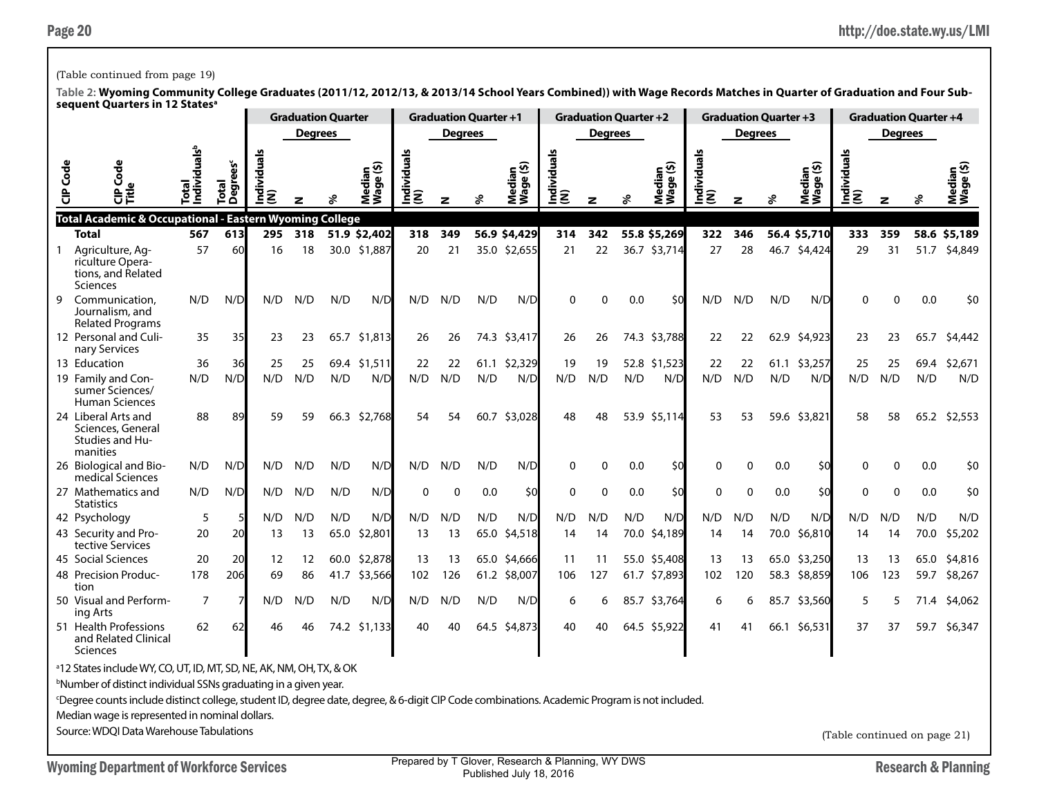### (Table continued from page 19)

**Table 2: Wyoming Community College Graduates (2011/12, 2012/13, & 2013/14 School Years Combined)) with Wage Records Matches in Quarter of Graduation and Four Subsequent Quarters in 12 Statesa**

|                 | sequent Quarters in 12 States                                                                                                               |                                  |                                     |                 | <b>Graduation Quarter</b> |      |                     |                    | <b>Graduation Quarter +1</b> |      |                     |                    | <b>Graduation Quarter +2</b> |      |                     |                    | <b>Graduation Quarter +3</b> |      |                     |                    |                | <b>Graduation Quarter +4</b> |                     |
|-----------------|---------------------------------------------------------------------------------------------------------------------------------------------|----------------------------------|-------------------------------------|-----------------|---------------------------|------|---------------------|--------------------|------------------------------|------|---------------------|--------------------|------------------------------|------|---------------------|--------------------|------------------------------|------|---------------------|--------------------|----------------|------------------------------|---------------------|
|                 |                                                                                                                                             |                                  |                                     |                 | <b>Degrees</b>            |      |                     |                    | <b>Degrees</b>               |      |                     |                    | <b>Degrees</b>               |      |                     |                    | <b>Degrees</b>               |      |                     |                    | <b>Degrees</b> |                              |                     |
| <b>CIP</b> Code | 횽<br>ι∰                                                                                                                                     | ndividuals <sup>b</sup><br>Total | <b>Degrees<sup>c</sup></b><br>Total | ndividuals<br>ξ |                           |      | Median<br>Wage (\$) | Individuals<br>(N) | z                            | వి   | Median<br>Wage (\$) | Individuals<br>(N) | z                            | ళి   | Median<br>Wage (\$) | Individuals<br>(N) | z                            |      | Median<br>Wage (\$) | Individuals<br>(N) | $\mathbf{z}$   | వి                           | Median<br>Wage (\$) |
|                 | Total Academic & Occupational - Eastern Wyoming College                                                                                     |                                  |                                     |                 |                           |      |                     |                    |                              |      |                     |                    |                              |      |                     |                    |                              |      |                     |                    |                |                              |                     |
|                 | <b>Total</b>                                                                                                                                | 567                              | 613                                 | 295             | 318                       |      | 51.9 \$2,402        | 318                | 349                          |      | 56.9 \$4,429        | 314                | 342                          |      | 55.8 \$5,269        | 322                | 346                          |      | 56.4 \$5,710        | 333                | 359            |                              | 58.6 \$5,189        |
| $\mathbf{1}$    | Agriculture, Ag-<br>riculture Opera-<br>tions, and Related<br><b>Sciences</b>                                                               | 57                               | 60                                  | 16              | 18                        |      | 30.0 \$1,887        | 20                 | 21                           |      | 35.0 \$2,655        | 21                 | 22                           |      | 36.7 \$3,714        | 27                 | 28                           |      | 46.7 \$4,424        | 29                 | 31             |                              | 51.7 \$4,849        |
| 9               | Communication.<br>Journalism, and<br><b>Related Programs</b>                                                                                | N/D                              | N/D                                 | N/D             | N/D                       | N/D  | N/D                 | N/D                | N/D                          | N/D  | N/D                 | ŋ                  | 0                            | 0.0  | \$0                 | N/D                | N/D                          | N/D  | N/D                 | O                  | O              | 0.0                          | \$0                 |
|                 | 12 Personal and Culi-<br>nary Services                                                                                                      | 35                               | 35                                  | 23              | 23                        | 65.7 | \$1,813             | 26                 | 26                           |      | 74.3 \$3,417        | 26                 | 26                           |      | 74.3 \$3,788        | 22                 | 22                           |      | 62.9 \$4,923        | 23                 | 23             | 65.7                         | \$4,442             |
|                 | 13 Education                                                                                                                                | 36                               | 36                                  | 25              | 25                        | 69.4 | \$1,511             | 22                 | 22                           | 61.1 | \$2,329             | 19                 | 19                           |      | 52.8 \$1,523        | 22                 | 22                           |      | 61.1 \$3,257        | 25                 | 25             | 69.4                         | \$2,671             |
|                 | 19 Family and Con-<br>sumer Sciences/<br>Human Sciences                                                                                     | N/D                              | N/D                                 | N/D             | N/D                       | N/D  | N/D                 | N/D                | N/D                          | N/D  | N/D                 | N/D                | N/D                          | N/D  | N/D                 | N/D                | N/D                          | N/D  | N/D                 | N/D                | N/D            | N/D                          | N/D                 |
|                 | 24 Liberal Arts and<br>Sciences, General<br><b>Studies and Hu-</b><br>manities                                                              | 88                               | 89                                  | 59              | 59                        |      | 66.3 \$2,768        | 54                 | 54                           | 60.7 | \$3,028             | 48                 | 48                           |      | 53.9 \$5,114        | 53                 | 53                           |      | 59.6 \$3,821        | 58                 | 58             |                              | 65.2 \$2,553        |
|                 | 26 Biological and Bio-<br>medical Sciences                                                                                                  | N/D                              | N/D                                 | N/D             | N/D                       | N/D  | N/D                 | N/D                | N/D                          | N/D  | N/D                 | $\Omega$           | 0                            | 0.0  | \$0                 | $\Omega$           | 0                            | 0.0  | \$0                 | 0                  | $\Omega$       | 0.0                          | \$0                 |
|                 | 27 Mathematics and<br><b>Statistics</b>                                                                                                     | N/D                              | N/D                                 | N/D             | N/D                       | N/D  | N/D                 | $\mathbf{0}$       | $\mathbf{0}$                 | 0.0  | \$0                 | ŋ                  | $\Omega$                     | 0.0  | \$0                 | $\Omega$           | 0                            | 0.0  | \$0                 | O                  | O              | 0.0                          | \$0                 |
|                 | 42 Psychology                                                                                                                               | 5                                |                                     | N/D             | N/D                       | N/D  | N/D                 | N/D                | N/D                          | N/D  | N/D                 | N/D                | N/D                          | N/D  | N/D                 | N/D                | N/D                          | N/D  | N/D                 | N/D                | N/D            | N/D                          | N/D                 |
|                 | 43 Security and Pro-<br>tective Services                                                                                                    | 20                               | 20                                  | 13              | 13                        |      | 65.0 \$2,801        | 13                 | 13                           |      | 65.0 \$4,518        | 14                 | 14                           |      | 70.0 \$4,189        | 14                 | 14                           |      | 70.0 \$6,810        | 14                 | 14             | 70.0                         | \$5,202             |
|                 | 45 Social Sciences                                                                                                                          | 20                               | 20                                  | 12              | 12                        |      | 60.0 \$2,878        | 13                 | 13                           |      | 65.0 \$4,666        | 11                 | 11                           |      | 55.0 \$5,408        | 13                 | 13                           |      | 65.0 \$3,250        | 13                 | 13             | 65.0                         | \$4,816             |
|                 | 48 Precision Produc-<br>tion                                                                                                                | 178                              | 206                                 | 69              | 86                        | 41.7 | \$3,566             | 102                | 126                          |      | 61.2 \$8,007        | 106                | 127                          |      | 61.7 \$7,893        | 102                | 120                          |      | 58.3 \$8,859        | 106                | 123            | 59.7                         | \$8,267             |
|                 | 50 Visual and Perform-<br>ing Arts                                                                                                          | $\overline{7}$                   |                                     | N/D             | N/D                       | N/D  | N/D                 | N/D                | N/D                          | N/D  | N/D                 | 6                  | 6                            | 85.7 | \$3,764             | 6                  | 6                            | 85.7 | \$3,560             | 5                  | 5              | 71.4                         | \$4,062             |
|                 | 51 Health Professions<br>and Related Clinical<br>Sciences                                                                                   | 62                               | 62                                  | 46              | 46                        |      | 74.2 \$1,133        | 40                 | 40                           | 64.5 | \$4,873             | 40                 | 40                           |      | 64.5 \$5,922        | 41                 | 41                           |      | 66.1 \$6,531        | 37                 | 37             | 59.7                         | \$6,347             |
|                 | <sup>a</sup> 12 States include WY, CO, UT, ID, MT, SD, NE, AK, NM, OH, TX, & OK                                                             |                                  |                                     |                 |                           |      |                     |                    |                              |      |                     |                    |                              |      |                     |                    |                              |      |                     |                    |                |                              |                     |
|                 | <sup>b</sup> Number of distinct individual SSNs graduating in a given year.                                                                 |                                  |                                     |                 |                           |      |                     |                    |                              |      |                     |                    |                              |      |                     |                    |                              |      |                     |                    |                |                              |                     |
|                 | Degree counts include distinct college, student ID, degree date, degree, & 6-digit CIP Code combinations. Academic Program is not included. |                                  |                                     |                 |                           |      |                     |                    |                              |      |                     |                    |                              |      |                     |                    |                              |      |                     |                    |                |                              |                     |

Median wage is represented in nominal dollars.

Source: WDQI Data Warehouse Tabulations

(Table continued on page 21)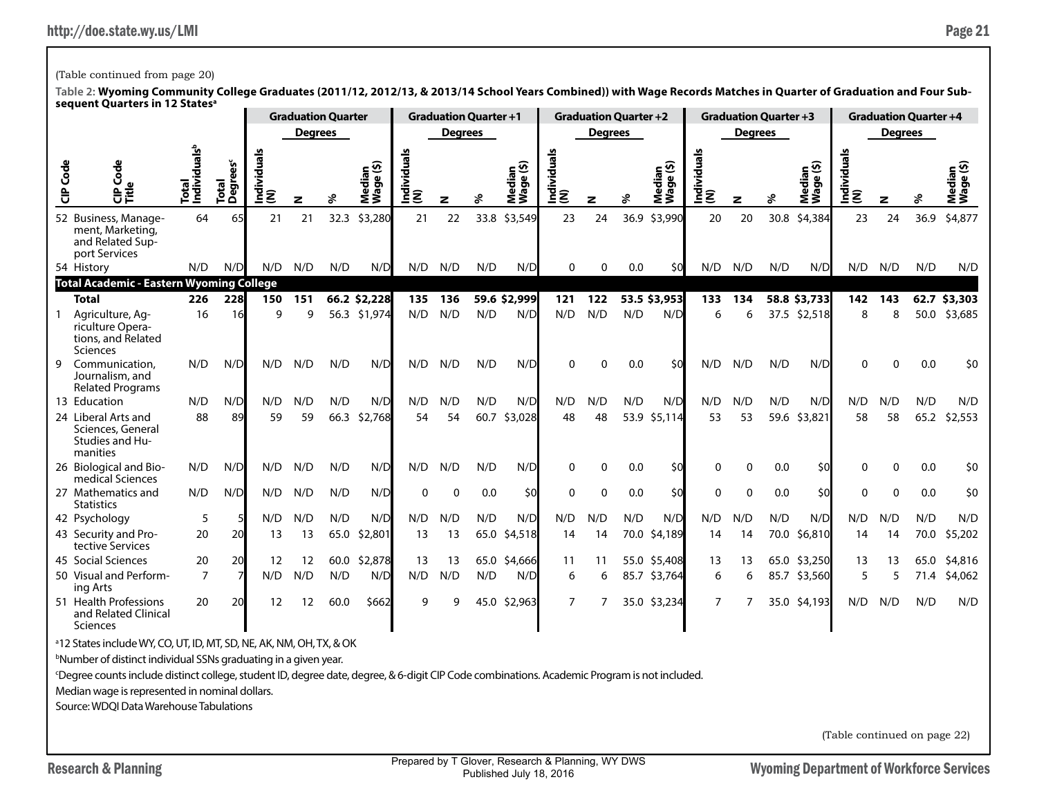# (Table continued from page 20)

**Table 2: Wyoming Community College Graduates (2011/12, 2012/13, & 2013/14 School Years Combined)) with Wage Records Matches in Quarter of Graduation and Four Subsequent Quarters in 12 Statesa**

|        |                                                                               |                                              |                               |                    | <b>Graduation Quarter</b> |      |                    |                  | <b>Graduation Quarter +1</b> |      |                     |                    | <b>Graduation Quarter +2</b> |      |                                     |                    | <b>Graduation Quarter +3</b> |      |                     |                    |                | <b>Graduation Quarter +4</b> |                 |
|--------|-------------------------------------------------------------------------------|----------------------------------------------|-------------------------------|--------------------|---------------------------|------|--------------------|------------------|------------------------------|------|---------------------|--------------------|------------------------------|------|-------------------------------------|--------------------|------------------------------|------|---------------------|--------------------|----------------|------------------------------|-----------------|
|        |                                                                               |                                              |                               |                    | <b>Degrees</b>            |      |                    |                  | <b>Degrees</b>               |      |                     |                    | <b>Degrees</b>               |      |                                     |                    | <b>Degrees</b>               |      |                     |                    | <b>Degrees</b> |                              |                 |
| Š<br>ិ | Code<br>C<br>Frie                                                             | ث <mark>ي</mark><br>وا<br>Total<br>Individua | Total<br>Degrees <sup>c</sup> | ᠊ᢛ<br>ndividu<br>ξ | z                         |      | ⊆ ⊻ົ<br>edia<br>ĕ₹ | Individuals<br>ξ | z                            |      | Median<br>Wage (\$) | Individuals<br>(N) | z                            | శి   | Median<br>Wage (\$)<br>$\mathbf{g}$ | Individuals<br>(N) | z                            |      | Median<br>Wage (\$) | Individuals<br>(N) | z              |                              | edia<br>ō<br>ŠŠ |
|        | 52 Business, Manage-<br>ment, Marketing,<br>and Related Sup-<br>port Services | 64                                           | 65                            | 21                 | 21                        | 32.3 | \$3,280            | 21               | 22                           | 33.8 | \$3,549             | 23                 | 24                           | 36.9 | \$3,990                             | 20                 | 20                           | 30.8 | \$4,384             | 23                 | 24             | 36.9                         | \$4,877         |
|        | 54 History                                                                    | N/D                                          | N/D                           | N/D                | N/D                       | N/D  | N/D                | N/D              | N/D                          | N/D  | N/D                 | 0                  | O                            | 0.0  | \$0                                 | N/D                | N/D                          | N/D  | N/D                 | N/D                | N/D            | N/D                          | N/D             |
|        | <b>Total Academic - Eastern Wyoming College</b>                               |                                              |                               |                    |                           |      |                    |                  |                              |      |                     |                    |                              |      |                                     |                    |                              |      |                     |                    |                |                              |                 |
|        | <b>Total</b>                                                                  | 226                                          | 228                           | 150                | 151                       |      | 66.2 \$2,228       | 135              | 136                          |      | 59.6 \$2,999        | 121                | 122                          |      | 53.5 \$3,953                        | 133                | 134                          |      | 58.8 \$3,733        | 142                | 143            |                              | 62.7 \$3,303    |
|        | Agriculture, Ag-<br>riculture Opera-<br>tions, and Related<br>Sciences        | 16                                           | 16                            | $\mathbf Q$        | q                         | 56.3 | \$1,974            | N/D              | N/D                          | N/D  | N/D                 | N/D                | N/D                          | N/D  | N/D                                 | 6                  | 6                            | 37.5 | \$2,518             | 8                  | 8              | 50.0                         | \$3,685         |
| 9      | Communication.<br>Journalism, and<br><b>Related Programs</b>                  | N/D                                          | N/D                           | N/D                | N/D                       | N/D  | N/D                | N/D              | N/D                          | N/D  | N/D                 | $\Omega$           | 0                            | 0.0  | \$0                                 | N/D                | N/D                          | N/D  | N/D                 | $\Omega$           | ∩              | 0.0                          | \$0             |
|        | 13 Education                                                                  | N/D                                          | N/D                           | N/D                | N/D                       | N/D  | N/D                | N/D              | N/D                          | N/D  | N/D                 | N/D                | N/D                          | N/D  | N/D                                 | N/D                | N/D                          | N/D  | N/D                 | N/D                | N/D            | N/D                          | N/D             |
|        | 24 Liberal Arts and<br>Sciences, General<br>Studies and Hu-<br>manities       | 88                                           | 89                            | 59                 | 59                        | 66.3 | \$2,768            | 54               | 54                           | 60.7 | \$3,028             | 48                 | 48                           | 53.9 | \$5,114                             | 53                 | 53                           | 59.6 | \$3,821             | 58                 | 58             | 65.2                         | \$2,553         |
|        | 26 Biological and Bio-<br>medical Sciences                                    | N/D                                          | N/D                           | N/D                | N/D                       | N/D  | N/D                | N/D              | N/D                          | N/D  | N/D                 | $\Omega$           | $\Omega$                     | 0.0  | \$0                                 | 0                  | ∩                            | 0.0  | \$0                 | ∩                  |                | 0.0                          | \$0             |
|        | 27 Mathematics and<br><b>Statistics</b>                                       | N/D                                          | N/D                           | N/D                | N/D                       | N/D  | N/D                | $\mathbf{0}$     | $\Omega$                     | 0.0  | \$0                 | $\Omega$           | $\mathbf{0}$                 | 0.0  | \$0                                 | $\Omega$           | $\Omega$                     | 0.0  | \$0                 | $\Omega$           |                | 0.0                          | \$0             |
|        | 42 Psychology                                                                 | 5                                            |                               | N/D                | N/D                       | N/D  | N/D                | N/D              | N/D                          | N/D  | N/D                 | N/D                | N/D                          | N/D  | N/D                                 | N/D                | N/D                          | N/D  | N/D                 | N/D                | N/D            | N/D                          | N/D             |
|        | 43 Security and Pro-<br>tective Services                                      | 20                                           | 20                            | 13                 | 13                        | 65.0 | \$2,801            | 13               | 13                           | 65.0 | \$4,518             | 14                 | 14                           | 70.0 | \$4,189                             | 14                 | 14                           | 70.0 | \$6,810             | 14                 | 14             | 70.0                         | \$5,202         |
|        | 45 Social Sciences                                                            | 20                                           | 20                            | 12                 | 12                        | 60.0 | \$2,878            | 13               | 13                           |      | 65.0 \$4,666        | 11                 | 11                           |      | 55.0 \$5,408                        | 13                 | 13                           |      | 65.0 \$3,250        | 13                 | 13             | 65.0                         | \$4,816         |
|        | 50 Visual and Perform-<br>ing Arts                                            | $\overline{7}$                               |                               | N/D                | N/D                       | N/D  | N/D                | N/D              | N/D                          | N/D  | N/D                 | 6                  | 6                            | 85.7 | \$3,764                             | 6                  | 6                            | 85.7 | \$3,560             | 5                  |                | 71.4                         | \$4,062         |
|        | 51 Health Professions<br>and Related Clinical<br>Sciences                     | 20                                           | 20                            | 12                 | 12                        | 60.0 | \$662              | q                | q                            |      | 45.0 \$2,963        | 7                  |                              |      | 35.0 \$3,234                        | 7                  |                              |      | 35.0 \$4,193        | N/D                | N/D            | N/D                          | N/D             |

a 12 States include WY, CO, UT, ID, MT, SD, NE, AK, NM, OH, TX, & OK

b Number of distinct individual SSNs graduating in a given year.

c Degree counts include distinct college, student ID, degree date, degree, & 6-digit CIP Code combinations. Academic Program is not included.

Median wage is represented in nominal dollars.

Source: WDQI Data Warehouse Tabulations

(Table continued on page 22)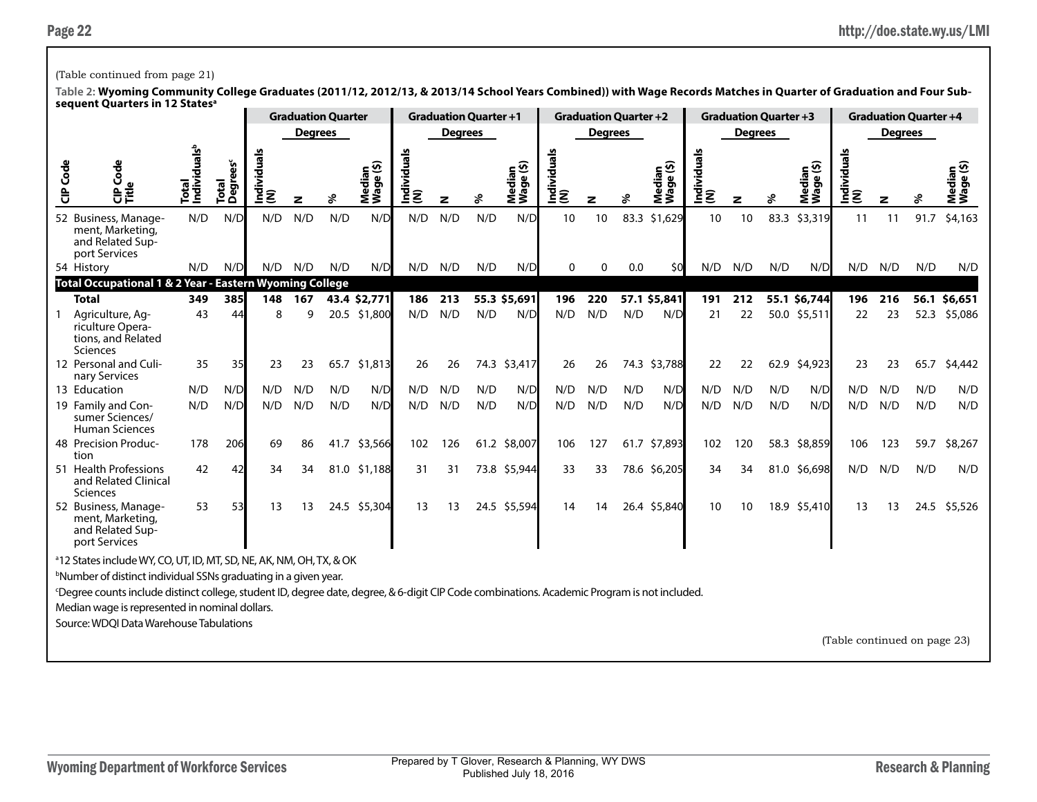### (Table continued from page 21)

**Table 2: Wyoming Community College Graduates (2011/12, 2012/13, & 2013/14 School Years Combined)) with Wage Records Matches in Quarter of Graduation and Four Subsequent Quarters in 12 Statesa**

|          | ~ ……                                                                                                                                                     |                                   |                               |                    |                | <b>Graduation Quarter</b> |                     |                 | <b>Graduation Quarter +1</b> |              |                     |                    |                | <b>Graduation Quarter +2</b> |                                                  |                    |                | <b>Graduation Quarter +3</b> |                     |                    |                | <b>Graduation Quarter +4</b> |                                     |
|----------|----------------------------------------------------------------------------------------------------------------------------------------------------------|-----------------------------------|-------------------------------|--------------------|----------------|---------------------------|---------------------|-----------------|------------------------------|--------------|---------------------|--------------------|----------------|------------------------------|--------------------------------------------------|--------------------|----------------|------------------------------|---------------------|--------------------|----------------|------------------------------|-------------------------------------|
|          |                                                                                                                                                          |                                   |                               |                    | <b>Degrees</b> |                           |                     |                 | <b>Degrees</b>               |              |                     |                    | <b>Degrees</b> |                              |                                                  |                    | <b>Degrees</b> |                              |                     |                    | <b>Degrees</b> |                              |                                     |
| CIP Code | Š<br>$\mathbf{v}$<br>응                                                                                                                                   | Total<br>Individuals <sup>b</sup> | Total<br>Degrees <sup>c</sup> | Individuals<br>(N) | z              | శి                        | Median<br>Wage (\$) | Individual<br>ξ | z                            |              | Median<br>Wage (\$) | Individuals<br>(N) |                | ళ                            | ledian<br><sup>(age (\$)</sup><br>Media<br> Wage | Individuals<br>(N) | z              |                              | Median<br>Wage (\$) | Individuals<br>(N) | z              |                              | ledian<br><sup>Jaqe</sup> (\$)<br>≅ |
|          | 52 Business, Manage-<br>ment, Marketing,<br>and Related Sup-<br>port Services                                                                            | N/D                               | N/D                           | N/D                | N/D            | N/D                       | 10                  | 10              |                              | 83.3 \$1,629 | 10                  | 10                 | 83.3           | \$3,319                      | 11                                               | 11                 | 91.7           | \$4,163                      |                     |                    |                |                              |                                     |
|          | N/D<br>N/D<br>N/D<br>N/D<br>N/D<br>54 History<br>Total Occupational 1 & 2 Year - Eastern Wyoming College                                                 |                                   |                               |                    |                |                           |                     | N/D             | N/D                          | N/D          | N/D                 | 0                  | $\mathbf{0}$   | 0.0                          | \$0                                              | N/D                | N/D            | N/D                          | N/D                 | N/D                | N/D            | N/D                          | N/D                                 |
|          |                                                                                                                                                          | N/D<br>43.4 \$2,771               |                               |                    |                |                           |                     |                 |                              |              |                     |                    |                |                              |                                                  |                    |                |                              |                     |                    |                |                              |                                     |
|          | <b>Total</b>                                                                                                                                             | 349                               | 385                           | 148                | 167            |                           |                     | 186             | 213                          |              | 55.3 \$5,691        | 196                | 220            |                              | 57.1 \$5,841                                     | 191                | 212            |                              | 55.1 \$6,744        | 196                | 216            |                              | 56.1 \$6,651                        |
|          | Agriculture, Ag-<br>riculture Opera-<br>tions, and Related<br><b>Sciences</b>                                                                            | 43                                | 44                            | 8                  | q              |                           | 20.5 \$1,800        | N/D             | N/D                          | N/D          | N/D                 | N/D                | N/D            | N/D                          | N/D                                              | 21                 | 22             |                              | 50.0 \$5,511        | 22                 | 23             | 52.3                         | \$5,086                             |
|          | 12 Personal and Culi-<br>nary Services                                                                                                                   | 35                                | 35                            | 23                 | 23             | 65.7                      | \$1,813             | 26              | 26                           |              | 74.3 \$3,417        | 26                 | 26             | 74.3                         | \$3,788                                          | 22                 | 22             | 62.9                         | \$4,923             | 23                 | 23             | 65.7                         | \$4,442                             |
|          | 13 Education                                                                                                                                             | N/D                               | N/D                           | N/D                | N/D            | N/D                       | N/D                 | N/D             | N/D                          | N/D          | N/D                 | N/D                | N/D            | N/D                          | N/D                                              | N/D                | N/D            | N/D                          | N/D                 | N/D                | N/D            | N/D                          | N/D                                 |
|          | 19 Family and Con-<br>sumer Sciences/<br><b>Human Sciences</b>                                                                                           | N/D                               | N/D                           | N/D                | N/D            | N/D                       | N/D                 | N/D             | N/D                          | N/D          | N/D                 | N/D                | N/D            | N/D                          | N/D                                              | N/D                | N/D            | N/D                          | N/D                 | N/D                | N/D            | N/D                          | N/D                                 |
|          | 48 Precision Produc-<br>tion                                                                                                                             | 178                               | 206                           | 69                 | 86             | 41.7                      | \$3,566             | 102             | 126                          |              | 61.2 \$8,007        | 106                | 127            |                              | 61.7 \$7,893                                     | 102                | 120            |                              | 58.3 \$8,859        | 106                | 123            | 59.7                         | \$8,267                             |
|          | 51 Health Professions<br>and Related Clinical<br><b>Sciences</b>                                                                                         | 42                                | 42                            | 34                 | 34             |                           | 81.0 \$1,188        | 31              | 31                           |              | 73.8 \$5,944        | 33                 | 33             |                              | 78.6 \$6,205                                     | 34                 | 34             |                              | 81.0 \$6,698        | N/D                | N/D            | N/D                          | N/D                                 |
|          | 52 Business, Manage-<br>ment, Marketing,<br>and Related Sup-<br>port Services                                                                            | 53                                | 53                            | 13                 | 13             |                           | 24.5 \$5,304        | 13              | 13                           |              | 24.5 \$5,594        | 14                 | 14             |                              | 26.4 \$5,840                                     | 10                 | 10             |                              | 18.9 \$5,410        | 13                 | 13             |                              | 24.5 \$5,526                        |
|          | <sup>a</sup> 12 States include WY, CO, UT, ID, MT, SD, NE, AK, NM, OH, TX, & OK                                                                          |                                   |                               |                    |                |                           |                     |                 |                              |              |                     |                    |                |                              |                                                  |                    |                |                              |                     |                    |                |                              |                                     |
|          | <sup>b</sup> Number of distinct individual SSNs graduating in a given year.                                                                              |                                   |                               |                    |                |                           |                     |                 |                              |              |                     |                    |                |                              |                                                  |                    |                |                              |                     |                    |                |                              |                                     |
|          | <sup>c</sup> Degree counts include distinct college, student ID, degree date, degree, & 6-digit CIP Code combinations. Academic Program is not included. |                                   |                               |                    |                |                           |                     |                 |                              |              |                     |                    |                |                              |                                                  |                    |                |                              |                     |                    |                |                              |                                     |
|          | Median wage is represented in nominal dollars.                                                                                                           |                                   |                               |                    |                |                           |                     |                 |                              |              |                     |                    |                |                              |                                                  |                    |                |                              |                     |                    |                |                              |                                     |
|          | Source: WDQI Data Warehouse Tabulations                                                                                                                  |                                   |                               |                    |                |                           |                     |                 |                              |              |                     |                    |                |                              |                                                  |                    |                |                              |                     |                    |                |                              |                                     |

(Table continued on page 23)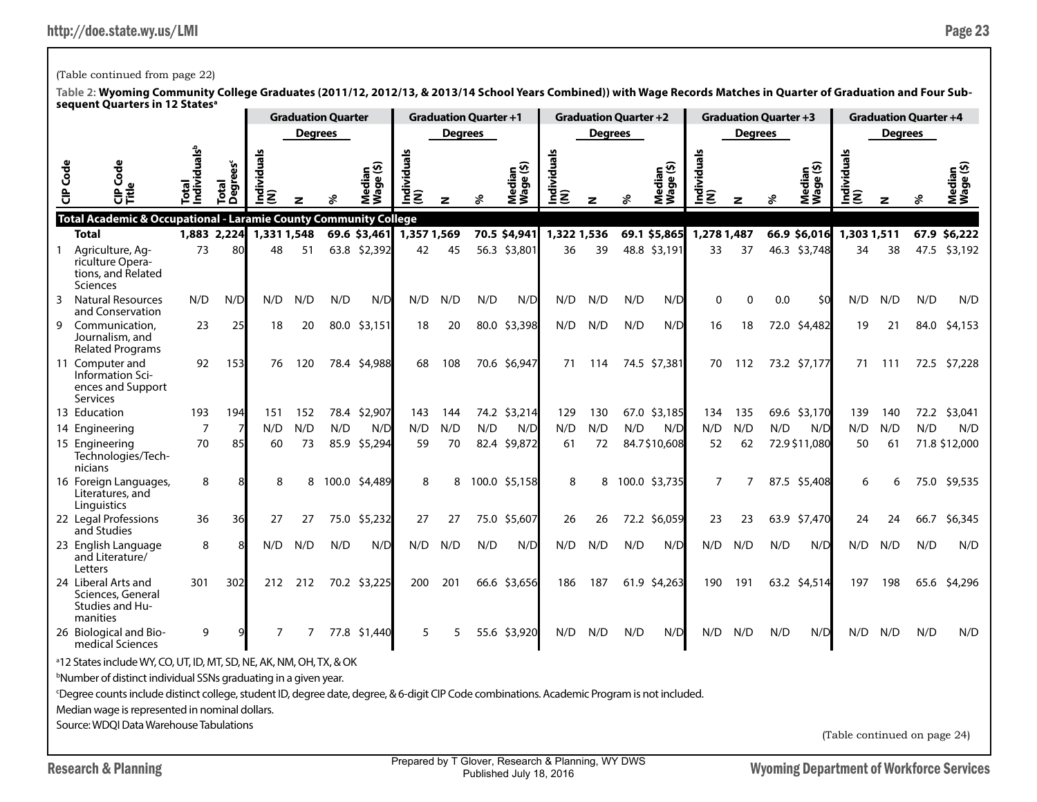## (Table continued from page 22)

|                 |                                                                                                                                                                                                                                                                                                                                                                                                                         |                                                                         |                         |                 |                | <b>Graduation Quarter</b> |                                             |                    |                | <b>Graduation Quarter +1</b> |                     |                    |                | <b>Graduation Quarter +2</b> |                     |                    | <b>Graduation Quarter +3</b> |     |                          |                              |                | <b>Graduation Quarter +4</b> |                     |
|-----------------|-------------------------------------------------------------------------------------------------------------------------------------------------------------------------------------------------------------------------------------------------------------------------------------------------------------------------------------------------------------------------------------------------------------------------|-------------------------------------------------------------------------|-------------------------|-----------------|----------------|---------------------------|---------------------------------------------|--------------------|----------------|------------------------------|---------------------|--------------------|----------------|------------------------------|---------------------|--------------------|------------------------------|-----|--------------------------|------------------------------|----------------|------------------------------|---------------------|
|                 |                                                                                                                                                                                                                                                                                                                                                                                                                         |                                                                         |                         |                 | <b>Degrees</b> |                           |                                             |                    | <b>Degrees</b> |                              |                     |                    | <b>Degrees</b> |                              |                     |                    | <b>Degrees</b>               |     |                          |                              | <b>Degrees</b> |                              |                     |
| <b>CIP</b> Code | ह<br>Ū<br>θĔ                                                                                                                                                                                                                                                                                                                                                                                                            | ndividuals <sup>b</sup><br>Total                                        | <b>Degrees</b><br>Total | ndividuals<br>ξ |                |                           | ledian<br>`° (\$)<br>Wage <sup>(</sup><br>ž | Individuals<br>(N) | z              | వి                           | Median<br>Wage (\$) | Individuals<br>(N) | z              | ళి                           | Median<br>Wage (\$) | Individuals<br>(N) | z                            | వి  | Median<br>Wage (\$)      | Individuals<br>(N)           | z              | శ                            | Median<br>Wage (\$) |
|                 | Total Academic & Occupational - Laramie County Community College<br><b>Total</b>                                                                                                                                                                                                                                                                                                                                        | 1,883 2,224                                                             |                         | 1,331 1,548     |                |                           | 69.6 \$3,461                                | 1,357 1,569        |                |                              | 70.5 \$4,941        | 1,322 1,536        |                |                              | 69.1 \$5,865        | 1,278 1,487        |                              |     | 66.9 \$6,016 1,303 1,511 |                              |                |                              | 67.9 \$6,222        |
|                 | Agriculture, Ag-<br>riculture Opera-<br>tions, and Related<br>Sciences                                                                                                                                                                                                                                                                                                                                                  | 73<br>80<br>63.8 \$2,392<br>48<br>51<br>N/D<br>N/D<br>N/D<br>N/D<br>N/D |                         |                 |                |                           |                                             |                    |                |                              | 56.3 \$3,801        | 36                 | 39             |                              | 48.8 \$3,191        | 33                 | 37                           |     | 46.3 \$3,748             | 34                           | 38             |                              | 47.5 \$3,192        |
| 3               | <b>Natural Resources</b><br>and Conservation                                                                                                                                                                                                                                                                                                                                                                            | N/D                                                                     | N/D                     | N/D             | N/D            | N/D                       | N/D                                         | N/D                | N/D            | N/D                          | $\Omega$            | $\Omega$           | 0.0            | \$0                          | N/D                 | N/D                | N/D                          | N/D |                          |                              |                |                              |                     |
|                 | 9 Communication,<br>Journalism, and<br><b>Related Programs</b>                                                                                                                                                                                                                                                                                                                                                          | 23                                                                      | 25                      | 18              | 20             | 80.0                      | \$3,151                                     | 18                 | 20             |                              | 80.0 \$3,398        | N/D                | N/D            | N/D                          | N/D                 | 16                 | 18                           |     | 72.0 \$4,482             | 19                           | 21             | 84.0                         | \$4,153             |
|                 | 11 Computer and<br>Information Sci-<br>ences and Support<br>Services                                                                                                                                                                                                                                                                                                                                                    | 92                                                                      | 153                     | 76              | 120            |                           | 78.4 \$4,988                                | 68                 | 108            |                              | 70.6 \$6,947        | 71                 | 114            |                              | 74.5 \$7,381        | 70                 | 112                          |     | 73.2 \$7,177             | 71                           | 111            |                              | 72.5 \$7,228        |
|                 | 13 Education                                                                                                                                                                                                                                                                                                                                                                                                            | 193                                                                     | 194                     | 151             | 152            |                           | 78.4 \$2,907                                | 143                | 144            |                              | 74.2 \$3,214        | 129                | 130            |                              | 67.0 \$3,185        | 134                | 135                          |     | 69.6 \$3,170             | 139                          | 140            |                              | 72.2 \$3,041        |
|                 | 14 Engineering                                                                                                                                                                                                                                                                                                                                                                                                          | $\overline{7}$                                                          | 7                       | N/D             | N/D            | N/D                       | N/D                                         | N/D                | N/D            | N/D                          | N/D                 | N/D                | N/D            | N/D                          | N/D                 | N/D                | N/D                          | N/D | N/D                      | N/D                          | N/D            | N/D                          | N/D                 |
|                 | 15 Engineering<br>Technologies/Tech-<br>nicians                                                                                                                                                                                                                                                                                                                                                                         | 70                                                                      | 85                      | 60              | 73             |                           | 85.9 \$5,294                                | 59                 | 70             |                              | 82.4 \$9,872        | 61                 | 72             |                              | 84.7\$10,608        | 52                 | 62                           |     | 72.9 \$11,080            | 50                           | 61             |                              | 71.8 \$12,000       |
|                 | 16 Foreign Languages,<br>Literatures, and<br>Linguistics                                                                                                                                                                                                                                                                                                                                                                | 8                                                                       |                         | 8               | 8              |                           | 100.0 \$4,489                               | 8                  | 8              |                              | 100.0 \$5,158       | 8                  | 8              |                              | 100.0 \$3,735       | 7                  | 7                            |     | 87.5 \$5,408             | 6                            | 6              | 75.0                         | \$9,535             |
|                 | 22 Legal Professions<br>and Studies                                                                                                                                                                                                                                                                                                                                                                                     | 36                                                                      | 36                      | 27              | 27             | 75.0                      | \$5,232                                     | 27                 | 27             |                              | 75.0 \$5,607        | 26                 | 26             |                              | 72.2 \$6,059        | 23                 | 23                           |     | 63.9 \$7,470             | 24                           | 24             | 66.7                         | \$6,345             |
|                 | 23 English Language<br>and Literature/<br>Letters                                                                                                                                                                                                                                                                                                                                                                       | 8                                                                       | 8                       | N/D             | N/D            | N/D                       | N/D                                         | N/D                | N/D            | N/D                          | N/D                 | N/D                | N/D            | N/D                          | N/D                 | N/D                | N/D                          | N/D | N/D                      | N/D                          | N/D            | N/D                          | N/D                 |
|                 | 24 Liberal Arts and<br>Sciences, General<br>Studies and Hu-<br>manities                                                                                                                                                                                                                                                                                                                                                 | 301                                                                     | 302                     | 212             | 212            |                           | 70.2 \$3,225                                | 200                | 201            |                              | 66.6 \$3,656        | 186                | 187            |                              | 61.9 \$4,263        | 190                | 191                          |     | 63.2 \$4,514             | 197                          | 198            | 65.6                         | \$4,296             |
|                 | 26 Biological and Bio-<br>medical Sciences                                                                                                                                                                                                                                                                                                                                                                              | 9                                                                       |                         | 7               | 7              | 77.8                      | \$1,440                                     | 5                  | 5              |                              | 55.6 \$3,920        | N/D                | N/D            | N/D                          | N/D                 | N/D                | N/D                          | N/D | N/D                      | N/D                          | N/D            | N/D                          | N/D                 |
|                 | <sup>a</sup> 12 States include WY, CO, UT, ID, MT, SD, NE, AK, NM, OH, TX, & OK<br><sup>b</sup> Number of distinct individual SSNs graduating in a given year.<br><sup>c</sup> Degree counts include distinct college, student ID, degree date, degree, & 6-digit CIP Code combinations. Academic Program is not included.<br>Median wage is represented in nominal dollars.<br>Source: WDOI Data Warehouse Tabulations |                                                                         |                         |                 |                |                           |                                             |                    |                |                              |                     |                    |                |                              |                     |                    |                              |     |                          |                              |                |                              |                     |
|                 |                                                                                                                                                                                                                                                                                                                                                                                                                         |                                                                         |                         |                 |                |                           |                                             |                    |                |                              |                     |                    |                |                              |                     |                    |                              |     |                          | (Table continued on page 24) |                |                              |                     |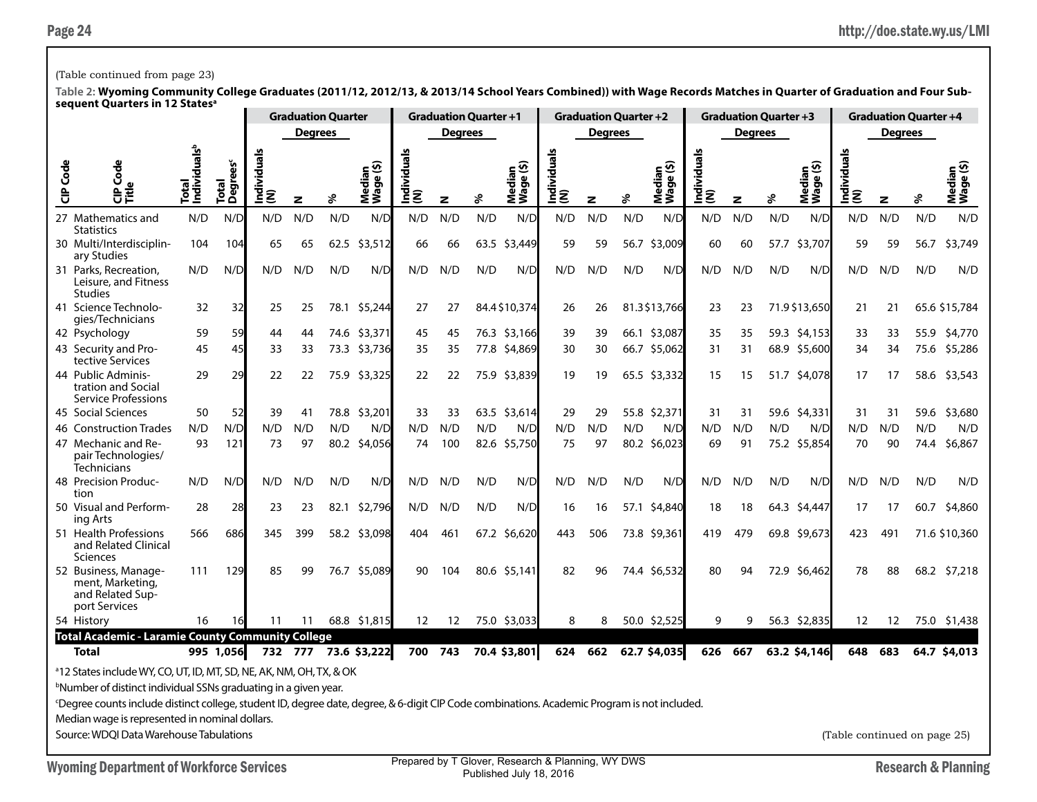## (Table continued from page 23)

|          | .                                                                                                                                                                                                                                                                                                                                                                                                                       |                                        |                                    |                         | <b>Graduation Quarter</b> |               |                                      |                         | <b>Graduation Quarter +1</b> |              |                     |                    |                | <b>Graduation Quarter +2</b> |                     |                    | <b>Graduation Quarter +3</b> |               |                         |                              |                   | <b>Graduation Quarter +4</b> |                     |
|----------|-------------------------------------------------------------------------------------------------------------------------------------------------------------------------------------------------------------------------------------------------------------------------------------------------------------------------------------------------------------------------------------------------------------------------|----------------------------------------|------------------------------------|-------------------------|---------------------------|---------------|--------------------------------------|-------------------------|------------------------------|--------------|---------------------|--------------------|----------------|------------------------------|---------------------|--------------------|------------------------------|---------------|-------------------------|------------------------------|-------------------|------------------------------|---------------------|
|          |                                                                                                                                                                                                                                                                                                                                                                                                                         |                                        |                                    |                         | <b>Degrees</b>            |               |                                      |                         | <b>Degrees</b>               |              |                     |                    | <b>Degrees</b> |                              |                     |                    | <b>Degrees</b>               |               |                         |                              | <b>Degrees</b>    |                              |                     |
| CIP Code | Φ<br>Ğ<br><b>DE</b>                                                                                                                                                                                                                                                                                                                                                                                                     | Individuals <sup>b</sup><br><b>Rad</b> | rees <sup>c</sup><br>Total<br>Degi | ౨<br>Individual:<br>(N) | z                         | వి            | ledian<br>`^(\$)<br>Mediar<br>Wage ( | ౨<br>Individuals<br>(N) | $\mathbf{z}$                 | ४            | Median<br>Wage (\$) | Individuals<br>(N) | z              | ℅                            | Median<br>Wage (\$) | Individuals<br>(N) | z                            | శి            | ୁ ⊙<br>Mediar<br>Wage ( | Individuals<br>(N)           | z                 | ళ                            | Median<br>Wage (\$) |
|          | 27 Mathematics and<br><b>Statistics</b>                                                                                                                                                                                                                                                                                                                                                                                 | N/D                                    | N/L                                | N/D                     | N/D                       | N/D           | N/D                                  | N/D                     | N/D                          | N/D          | N/D                 | N/D                | N/D            | N/D                          | N/D                 | N/D                | N/D                          | N/D           | N/D                     | N/D                          | N/D               | N/D                          | N/D                 |
|          | 30 Multi/Interdisciplin-<br>ary Studies                                                                                                                                                                                                                                                                                                                                                                                 | 104                                    | 104                                | 65                      | 65                        | 62.5          | \$3,512                              | 66                      | 66                           | 63.5         | \$3,449             | 59                 | 59             | 56.7                         | \$3,009             | 60                 | 60                           | 57.7          | \$3,707                 | 59                           | 59                | 56.7                         | \$3,749             |
|          | 31 Parks, Recreation,<br>Leisure, and Fitness<br><b>Studies</b>                                                                                                                                                                                                                                                                                                                                                         | N/D                                    | N/D                                | N/D                     | N/D                       | N/D           | N/D                                  | N/D                     | N/D                          | N/D          | N/D                 | N/D                | N/D            | N/D                          | N/D                 | N/D                | N/D                          | N/D           | N/D                     | N/D                          | N/D               | N/D                          | N/D                 |
|          | 41 Science Technolo-<br>gies/Technicians                                                                                                                                                                                                                                                                                                                                                                                | \$5,244                                | 27                                 | 27                      |                           | 84.4 \$10,374 | 26                                   | 26                      |                              | 81.3\$13,766 | 23                  | 23                 |                | 71.9 \$13,650                | 21                  | 21                 |                              | 65.6 \$15,784 |                         |                              |                   |                              |                     |
|          | 42 Psychology                                                                                                                                                                                                                                                                                                                                                                                                           | 59                                     | 59                                 | 44                      | 44                        | 74.6          | \$3,371                              | 45                      | 45                           |              | 76.3 \$3,166        | 39                 | 39             |                              | 66.1 \$3,087        | 35                 | 35                           |               | 59.3 \$4,153            | 33                           | 33                | 55.9                         | \$4,770             |
|          | 43 Security and Pro-<br>tective Services                                                                                                                                                                                                                                                                                                                                                                                | 45                                     | 45                                 | 33                      | 33                        |               | 73.3 \$3,736                         | 35                      | 35                           |              | 77.8 \$4,869        | 30                 | 30             |                              | 66.7 \$5,062        | 31                 | 31                           |               | 68.9 \$5,600            | 34                           | 34                |                              | 75.6 \$5,286        |
|          | 44 Public Adminis-<br>tration and Social<br>Service Professions                                                                                                                                                                                                                                                                                                                                                         | 29                                     | 29                                 | 22                      | 22                        |               | 75.9 \$3,325                         | 22                      | 22                           |              | 75.9 \$3,839        | 19                 | 19             |                              | 65.5 \$3,332        | 15                 | 15                           |               | 51.7 \$4,078            | 17                           | 17                |                              | 58.6 \$3,543        |
|          | 45 Social Sciences                                                                                                                                                                                                                                                                                                                                                                                                      | 50                                     | 52                                 | 39                      | 41                        | 78.8          | \$3,201                              | 33                      | 33                           |              | 63.5 \$3,614        | 29                 | 29             |                              | 55.8 \$2,371        | 31                 | 31                           |               | 59.6 \$4,331            | 31                           | 31                | 59.6                         | \$3,680             |
|          | 46 Construction Trades                                                                                                                                                                                                                                                                                                                                                                                                  | N/D                                    | N/D                                | N/D                     | N/D                       | N/D           | N/D                                  | N/D                     | N/D                          | N/D          | N/D                 | N/D                | N/D            | N/D                          | N/D                 | N/D                | N/D                          | N/D           | N/D                     | N/D                          | N/D               | N/D                          | N/D                 |
|          | 47 Mechanic and Re-<br>pair Technologies/<br>Technicians                                                                                                                                                                                                                                                                                                                                                                | 93                                     | 121                                | 73                      | 97                        | 80.2          | \$4,056                              | 74                      | 100                          |              | 82.6 \$5,750        | 75                 | 97             |                              | 80.2 \$6,023        | 69                 | 91                           |               | 75.2 \$5,854            | 70                           | 90                | 74.4                         | \$6,867             |
|          | 48 Precision Produc-<br>tion                                                                                                                                                                                                                                                                                                                                                                                            | N/D                                    | N/D                                | N/D                     | N/D                       | N/D           | N/D                                  | N/D                     | N/D                          | N/D          | N/D                 | N/D                | N/D            | N/D                          | N/D                 | N/D                | N/D                          | N/D           | N/D                     | N/D                          | N/D               | N/D                          | N/D                 |
|          | 50 Visual and Perform-<br>ing Arts                                                                                                                                                                                                                                                                                                                                                                                      | 28                                     | 28                                 | 23                      | 23                        | 82.1          | \$2,796                              | N/D                     | N/D                          | N/D          | N/D                 | 16                 | 16             | 57.1                         | \$4,840             | 18                 | 18                           |               | 64.3 \$4,447            | 17                           | 17                | 60.7                         | \$4,860             |
|          | 51 Health Professions<br>and Related Clinical<br>Sciences                                                                                                                                                                                                                                                                                                                                                               | 566                                    | 686                                | 345                     | 399                       |               | 58.2 \$3,098                         | 404                     | 461                          |              | 67.2 \$6,620        | 443                | 506            | 73.8                         | \$9,361             | 419                | 479                          |               | 69.8 \$9,673            | 423                          | 491               |                              | 71.6 \$10,360       |
|          | 52 Business, Manage-<br>ment, Marketing,<br>and Related Sup-<br>port Services                                                                                                                                                                                                                                                                                                                                           | 111                                    | 129                                | 85                      | 99                        |               | 76.7 \$5,089                         | 90                      | 104                          |              | 80.6 \$5,141        | 82                 | 96             |                              | 74.4 \$6,532        | 80                 | 94                           |               | 72.9 \$6,462            | 78                           | 88                |                              | 68.2 \$7,218        |
|          | 54 History                                                                                                                                                                                                                                                                                                                                                                                                              | 16                                     |                                    | 11                      | 11                        |               | 68.8 \$1.815                         | 12                      | 12                           |              | 75.0 \$3,033        | 8                  | 8              |                              | 50.0 \$2,525        | 9                  | 9                            |               | 56.3 \$2,835            | 12                           | $12 \overline{ }$ |                              | 75.0 \$1,438        |
|          | <b>Total Academic - Laramie County Community College</b>                                                                                                                                                                                                                                                                                                                                                                |                                        |                                    |                         |                           |               |                                      |                         |                              |              |                     |                    |                |                              |                     |                    |                              |               |                         |                              |                   |                              |                     |
|          | <b>Total</b>                                                                                                                                                                                                                                                                                                                                                                                                            |                                        | 995 1,056                          |                         |                           |               | 732 777 73.6 \$3,222                 |                         | 700 743                      |              | 70.4 \$3,801        | 624                | 662            |                              | 62.7 \$4,035        | 626                | 667                          |               | 63.2 \$4,146            | 648                          | 683               |                              | 64.7 \$4,013        |
|          | <sup>a</sup> 12 States include WY, CO, UT, ID, MT, SD, NE, AK, NM, OH, TX, & OK<br><sup>b</sup> Number of distinct individual SSNs graduating in a given year.<br><sup>c</sup> Degree counts include distinct college, student ID, degree date, degree, & 6-digit CIP Code combinations. Academic Program is not included.<br>Median wage is represented in nominal dollars.<br>Source: WDOI Data Warehouse Tabulations |                                        |                                    |                         |                           |               |                                      |                         |                              |              |                     |                    |                |                              |                     |                    |                              |               |                         | (Table continued on page 25) |                   |                              |                     |
|          |                                                                                                                                                                                                                                                                                                                                                                                                                         |                                        |                                    |                         |                           |               |                                      |                         |                              |              |                     |                    |                |                              |                     |                    |                              |               |                         |                              |                   |                              |                     |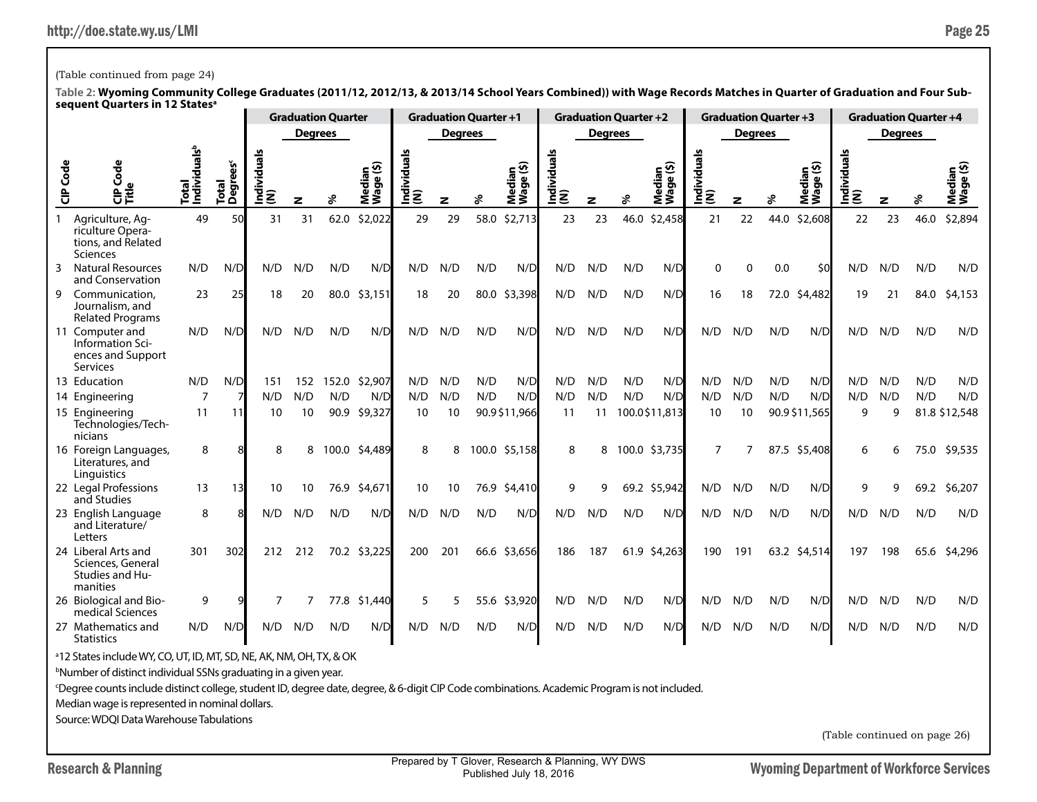## (Table continued from page 24)

**Table 2: Wyoming Community College Graduates (2011/12, 2012/13, & 2013/14 School Years Combined)) with Wage Records Matches in Quarter of Graduation and Four Subsequent Quarters in 12 Statesa**

|                 | אנטעכווג עטטו נכוא ווו וב                                                       |                                   |                       |                   |                | <b>Graduation Quarter</b> |                        |                   |                | <b>Graduation Quarter +1</b> |                     |                    |                | <b>Graduation Quarter +2</b> |                              |                    |                | <b>Graduation Quarter +3</b> |                     |                    |                | <b>Graduation Quarter +4</b> |                     |
|-----------------|---------------------------------------------------------------------------------|-----------------------------------|-----------------------|-------------------|----------------|---------------------------|------------------------|-------------------|----------------|------------------------------|---------------------|--------------------|----------------|------------------------------|------------------------------|--------------------|----------------|------------------------------|---------------------|--------------------|----------------|------------------------------|---------------------|
|                 |                                                                                 |                                   |                       |                   | <b>Degrees</b> |                           |                        |                   | <b>Degrees</b> |                              |                     |                    | <b>Degrees</b> |                              |                              |                    | <b>Degrees</b> |                              |                     |                    | <b>Degrees</b> |                              |                     |
| <b>CIP</b> Code | Code<br>C<br>Trie                                                               | Total<br>Individuals <sup>b</sup> | ees<br>Total<br>Degre | ᢛ<br>ndividu<br>ξ | z              | వి                        | ⊆ত<br>Media<br> Wage ( | Individuals<br>้౾ | z              | వి                           | Median<br>Wage (\$) | Individuals<br>(N) | z              | వి                           | ⊆⊛<br>Media<br> <br>  Wage ( | Individuals<br>(N) | z              | వి                           | Median<br>Wage (\$) | Individuals<br>(N) | z              | వి                           | Median<br>Wage (\$) |
|                 | Agriculture, Ag-<br>riculture Opera-<br>tions, and Related<br>Sciences          | 49                                | 50                    | 31                | 31             | 62.0                      | \$2,022                | 29                | 29             | 58.0                         | \$2,713             | 23                 | 23             | 46.0                         | \$2,458                      | 21                 | 22             | 44.0                         | \$2,608             | 22                 | 23             | 46.0                         | \$2,894             |
| 3               | <b>Natural Resources</b><br>and Conservation                                    | N/D                               | N/D                   | N/D               | N/D            | N/D                       | N/D                    | N/D               | N/D            | N/D                          | N/D                 | N/D                | N/D            | N/D                          | N/D                          | $\Omega$           | $\Omega$       | 0.0                          | \$0                 | N/D                | N/D            | N/D                          | N/D                 |
| 9               | Communication.<br>Journalism, and<br><b>Related Programs</b>                    | 23                                | 25                    | 18                | 20             | 80.0                      | \$3,151                | 18                | 20             |                              | 80.0 \$3,398        | N/D                | N/D            | N/D                          | N/D                          | 16                 | 18             | 72.0                         | \$4,482             | 19                 | 21             | 84.0                         | \$4,153             |
|                 | 11 Computer and<br>Information Sci-<br>ences and Support<br>Services            | N/D                               | N/D                   | N/D               | N/D            | N/D                       | N/D                    | N/D               | N/D            | N/D                          | N/D                 | N/D                | N/D            | N/D                          | N/D                          | N/D                | N/D            | N/D                          | N/D                 | N/D                | N/D            | N/D                          | N/D                 |
|                 | 13 Education                                                                    | N/D                               | N/D                   | 151               | 152            | 152.0                     | \$2,907                | N/D               | N/D            | N/D                          | N/D                 | N/D                | N/D            | N/D                          | N/D                          | N/D                | N/D            | N/D                          | N/D                 | N/D                | N/D            | N/D                          | N/D                 |
|                 | 14 Engineering                                                                  | $\overline{7}$                    |                       | N/D               | N/D            | N/D                       | N/D                    | N/D               | N/D            | N/D                          | N/D                 | N/D                | N/D            | N/D                          | N/D                          | N/D                | N/D            | N/D                          | N/D                 | N/D                | N/D            | N/D                          | N/D                 |
|                 | 15 Engineering<br>Technologies/Tech-<br>nicians                                 | 11                                | 11                    | 10                | 10             | 90.9                      | \$9,327                | 10                | 10             |                              | 90.9\$11,966        | 11                 | 11             |                              | 100.0\$11,813                | 10                 | 10             |                              | 90.9 \$11,565       | 9                  | 9              |                              | 81.8 \$12,548       |
|                 | 16 Foreign Languages,<br>Literatures, and<br>Linguistics                        | 8                                 |                       | 8                 | 8              | 100.0                     | \$4,489                | 8                 | 8              |                              | 100.0 \$5,158       | 8                  | 8              | 100.0                        | \$3,735                      | $\overline{7}$     | $\overline{7}$ | 87.5                         | \$5,408             | 6                  | 6              | 75.0                         | \$9,535             |
|                 | 22 Legal Professions<br>and Studies                                             | 13                                | 13                    | 10                | 10             | 76.9                      | \$4,671                | 10                | 10             | 76.9                         | \$4,410             | 9                  | 9              |                              | 69.2 \$5,942                 | N/D                | N/D            | N/D                          | N/D                 | 9                  | 9              | 69.2                         | \$6,207             |
|                 | 23 English Language<br>and Literature/<br>Letters                               | 8                                 |                       | N/D               | N/D            | N/D                       | N/D                    | N/D               | N/D            | N/D                          | N/D                 | N/D                | N/D            | N/D                          | N/D                          | N/D                | N/D            | N/D                          | N/D                 | N/D                | N/D            | N/D                          | N/D                 |
|                 | 24 Liberal Arts and<br>Sciences, General<br>Studies and Hu-<br>manities         | 301                               | 302                   | 212               | 212            |                           | 70.2 \$3,225           | 200               | 201            |                              | 66.6 \$3,656        | 186                | 187            | 61.9                         | \$4,263                      | 190                | 191            |                              | 63.2 \$4,514        | 197                | 198            | 65.6                         | \$4,296             |
|                 | 26 Biological and Bio-<br>medical Sciences                                      | 9                                 |                       | 7                 | 7              |                           | 77.8 \$1,440           | 5                 | 5              |                              | 55.6 \$3,920        | N/D                | N/D            | N/D                          | N/D                          | N/D                | N/D            | N/D                          | N/D                 | N/D                | N/D            | N/D                          | N/D                 |
|                 | 27 Mathematics and<br><b>Statistics</b>                                         | N/D                               | N/D                   | N/D               | N/D            | N/D                       | N/D                    | N/D               | N/D            | N/D                          | N/D                 | N/D                | N/D            | N/D                          | N/D                          | N/D                | N/D            | N/D                          | N/D                 | N/D                | N/D            | N/D                          | N/D                 |
|                 | <sup>a</sup> 12 States include WY, CO, UT, ID, MT, SD, NE, AK, NM, OH, TX, & OK |                                   |                       |                   |                |                           |                        |                   |                |                              |                     |                    |                |                              |                              |                    |                |                              |                     |                    |                |                              |                     |
|                 | <sup>b</sup> Number of distinct individual SSNs graduating in a given year.     |                                   |                       |                   |                |                           |                        |                   |                |                              |                     |                    |                |                              |                              |                    |                |                              |                     |                    |                |                              |                     |

c Degree counts include distinct college, student ID, degree date, degree, & 6-digit CIP Code combinations. Academic Program is not included.

Median wage is represented in nominal dollars.

Source: WDQI Data Warehouse Tabulations

(Table continued on page 26)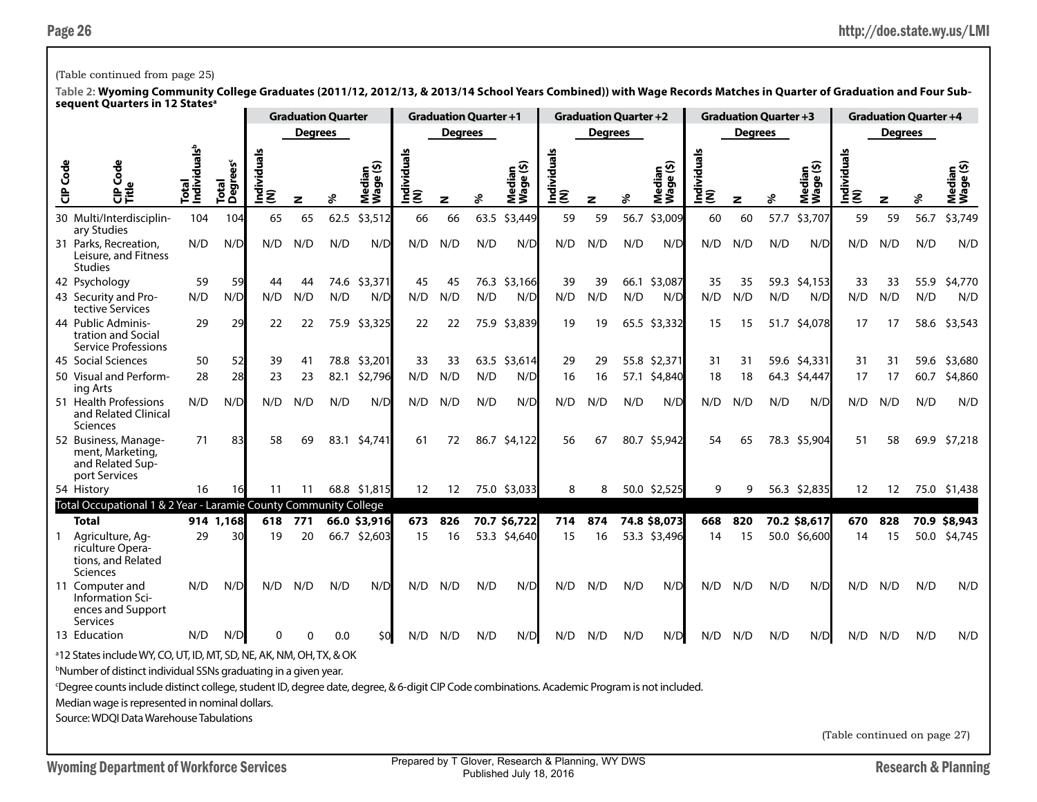### (Table continued from page 25)

**Table 2: Wyoming Community College Graduates (2011/12, 2012/13, & 2013/14 School Years Combined)) with Wage Records Matches in Quarter of Graduation and Four Subsequent Quarters in 12 Statesa**

|          | . <i>. . . .</i>                                                                                                                                                                                                                                                                                                           |                                   |                               |                        |                | <b>Graduation Quarter</b> |                     |                         | <b>Graduation Quarter +1</b> |      |                     |                    | <b>Graduation Quarter +2</b> |      |                                             |                    | <b>Graduation Quarter +3</b> |      |                                         |                    |                | <b>Graduation Quarter +4</b> |                     |
|----------|----------------------------------------------------------------------------------------------------------------------------------------------------------------------------------------------------------------------------------------------------------------------------------------------------------------------------|-----------------------------------|-------------------------------|------------------------|----------------|---------------------------|---------------------|-------------------------|------------------------------|------|---------------------|--------------------|------------------------------|------|---------------------------------------------|--------------------|------------------------------|------|-----------------------------------------|--------------------|----------------|------------------------------|---------------------|
|          |                                                                                                                                                                                                                                                                                                                            |                                   |                               |                        | <b>Degrees</b> |                           |                     |                         | <b>Degrees</b>               |      |                     |                    | <b>Degrees</b>               |      |                                             |                    | <b>Degrees</b>               |      |                                         |                    | <b>Degrees</b> |                              |                     |
| CIP Code | Š<br>응う                                                                                                                                                                                                                                                                                                                    | Individuals <sup>b</sup><br>Total | Total<br>Degrees <sup>c</sup> | S<br>g<br>Individ<br>ξ | z              | శి                        | Median<br>Wage (\$) | ౨<br>Individuals<br>(N) | z                            | ళి   | Median<br>Wage (\$) | Individuals<br>(N) | z                            | ℅    | ledian<br><sub>Vaqe</sub> (\$)<br>Nag<br>Ź. | Individuals<br>(N) | z                            | వి   | ledian<br>/age (\$)<br>Mediar<br>Wage ( | Individuals<br>(N) | z              | ℅                            | Median<br>Wage (\$) |
|          | 30 Multi/Interdisciplin-<br>ary Studies                                                                                                                                                                                                                                                                                    | 104                               | 104                           | 65                     | 65             | 62.5                      | \$3,512             | 66                      | 66                           | 63.5 | \$3,449             | 59                 | 59                           | 56.7 | \$3,009                                     | 60                 | 60                           | 57.7 | \$3,707                                 | 59                 | 59             | 56.7                         | \$3,749             |
|          | 31 Parks, Recreation,<br>Leisure, and Fitness<br><b>Studies</b>                                                                                                                                                                                                                                                            | N/D                               | N/D                           | N/D                    | N/D            | N/D                       | N/D                 | N/D                     | N/D                          | N/D  | N/D                 | N/D                | N/D                          | N/D  | N/D                                         | N/D                | N/D                          | N/D  | N/D                                     | N/D                | N/D            | N/D                          | N/D                 |
|          | 42 Psychology                                                                                                                                                                                                                                                                                                              | 59                                | 59                            | 44                     | 44             | 74.6                      | \$3,371             | 45                      | 45                           |      | 76.3 \$3,166        | 39                 | 39                           |      | 66.1 \$3,087                                | 35                 | 35                           |      | 59.3 \$4,153                            | 33                 | 33             | 55.9                         | \$4,770             |
|          | 43 Security and Pro-<br>tective Services                                                                                                                                                                                                                                                                                   | N/D                               | N/D                           | N/D                    | N/D            | N/D                       | N/D                 | N/D                     | N/D                          | N/D  | N/D                 | N/D                | N/D                          | N/D  | N/D                                         | N/D                | N/D                          | N/D  | N/D                                     | N/D                | N/D            | N/D                          | N/D                 |
|          | 44 Public Adminis-<br>tration and Social<br><b>Service Professions</b>                                                                                                                                                                                                                                                     | 29                                | 29                            | 22                     | 22             |                           | 75.9 \$3,325        | 22                      | 22                           |      | 75.9 \$3,839        | 19                 | 19                           |      | 65.5 \$3,332                                | 15                 | 15                           |      | 51.7 \$4,078                            | 17                 | 17             | 58.6                         | \$3,543             |
|          | 45 Social Sciences                                                                                                                                                                                                                                                                                                         | 50                                | 52                            | 39                     | 41             | 78.8                      | \$3,201             | 33                      | 33                           |      | 63.5 \$3,614        | 29                 | 29                           |      | 55.8 \$2,371                                | 31                 | 31                           |      | 59.6 \$4,331                            | 31                 | 31             | 59.6                         | \$3,680             |
|          | 50 Visual and Perform-<br>ing Arts                                                                                                                                                                                                                                                                                         | 28                                | 28                            | 23                     | 23             | 82.1                      | \$2,796             | N/D                     | N/D                          | N/D  | N/D                 | 16                 | 16                           |      | 57.1 \$4,840                                | 18                 | 18                           |      | 64.3 \$4,447                            | 17                 | 17             | 60.7                         | \$4,860             |
|          | 51 Health Professions<br>and Related Clinical<br><b>Sciences</b>                                                                                                                                                                                                                                                           | N/D                               | N/D                           | N/D                    | N/D            | N/D                       | N/D                 | N/D                     | N/D                          | N/D  | N/D                 | N/D                | N/D                          | N/D  | N/D                                         | N/D                | N/D                          | N/D  | N/D                                     | N/D                | N/D            | N/D                          | N/D                 |
|          | 52 Business, Manage-<br>ment, Marketing,<br>and Related Sup-<br>port Services                                                                                                                                                                                                                                              | 71                                | 83                            | 58                     | 69             |                           | 83.1 \$4,741        | 61                      | 72                           |      | 86.7 \$4,122        | 56                 | 67                           |      | 80.7 \$5,942                                | 54                 | 65                           |      | 78.3 \$5,904                            | 51                 | 58             |                              | 69.9 \$7,218        |
|          | 54 History                                                                                                                                                                                                                                                                                                                 | 16                                | 16                            | 11                     | 11             |                           | 68.8 \$1.815        | 12                      | 12                           |      | 75.0 \$3,033        | 8                  | 8                            |      | 50.0 \$2,525                                | 9                  | 9                            |      | 56.3 \$2,835                            | 12                 | 12             |                              | 75.0 \$1,438        |
|          | Total Occupational 1 & 2 Year - Laramie County Community College                                                                                                                                                                                                                                                           |                                   |                               |                        |                |                           |                     |                         |                              |      |                     |                    |                              |      |                                             |                    |                              |      |                                         |                    |                |                              |                     |
|          | <b>Total</b>                                                                                                                                                                                                                                                                                                               |                                   | 914 1,168                     | 618                    | 771            |                           | 66.0 \$3,916        | 673                     | 826                          |      | 70.7 \$6,722        | 714                | 874                          |      | 74.8 \$8,073                                | 668                | 820                          |      | 70.2 \$8,617                            | 670                | 828            |                              | 70.9 \$8,943        |
|          | Agriculture, Ag-<br>riculture Opera-<br>tions, and Related<br><b>Sciences</b>                                                                                                                                                                                                                                              | 29                                | 30                            | 19                     | 20             |                           | 66.7 \$2,603        | 15                      | 16                           |      | 53.3 \$4,640        | 15                 | 16                           |      | 53.3 \$3,496                                | 14                 | 15                           |      | 50.0 \$6,600                            | 14                 | 15             |                              | 50.0 \$4,745        |
|          | 11 Computer and<br>Information Sci-<br>ences and Support<br>Services                                                                                                                                                                                                                                                       | N/D                               | N/D                           | N/D                    | N/D            | N/D                       | N/D                 | N/D                     | N/D                          | N/D  | N/D                 | N/D                | N/D                          | N/D  | N/D                                         | N/D                | N/D                          | N/D  | N/D                                     | N/D                | N/D            | N/D                          | N/D                 |
|          | 13 Education                                                                                                                                                                                                                                                                                                               | N/D                               | N/D                           | U                      |                | 0.0                       | \$0                 | N/D                     | N/D                          | N/D  | N/D                 | N/D                | N/D                          | N/D  | N/D                                         | N/D                | N/D                          | N/D  | N/D                                     | N/D                | N/D            | N/D                          | N/D                 |
|          | <sup>a</sup> 12 States include WY, CO, UT, ID, MT, SD, NE, AK, NM, OH, TX, & OK<br><sup>b</sup> Number of distinct individual SSNs graduating in a given year.<br><sup>c</sup> Degree counts include distinct college, student ID, degree date, degree, & 6-digit CIP Code combinations. Academic Program is not included. |                                   |                               |                        |                |                           |                     |                         |                              |      |                     |                    |                              |      |                                             |                    |                              |      |                                         |                    |                |                              |                     |
|          | Median wage is represented in nominal dollars.                                                                                                                                                                                                                                                                             |                                   |                               |                        |                |                           |                     |                         |                              |      |                     |                    |                              |      |                                             |                    |                              |      |                                         |                    |                |                              |                     |
|          | Source: WDQI Data Warehouse Tabulations                                                                                                                                                                                                                                                                                    |                                   |                               |                        |                |                           |                     |                         |                              |      |                     |                    |                              |      |                                             |                    |                              |      |                                         |                    |                |                              |                     |

(Table continued on page 27)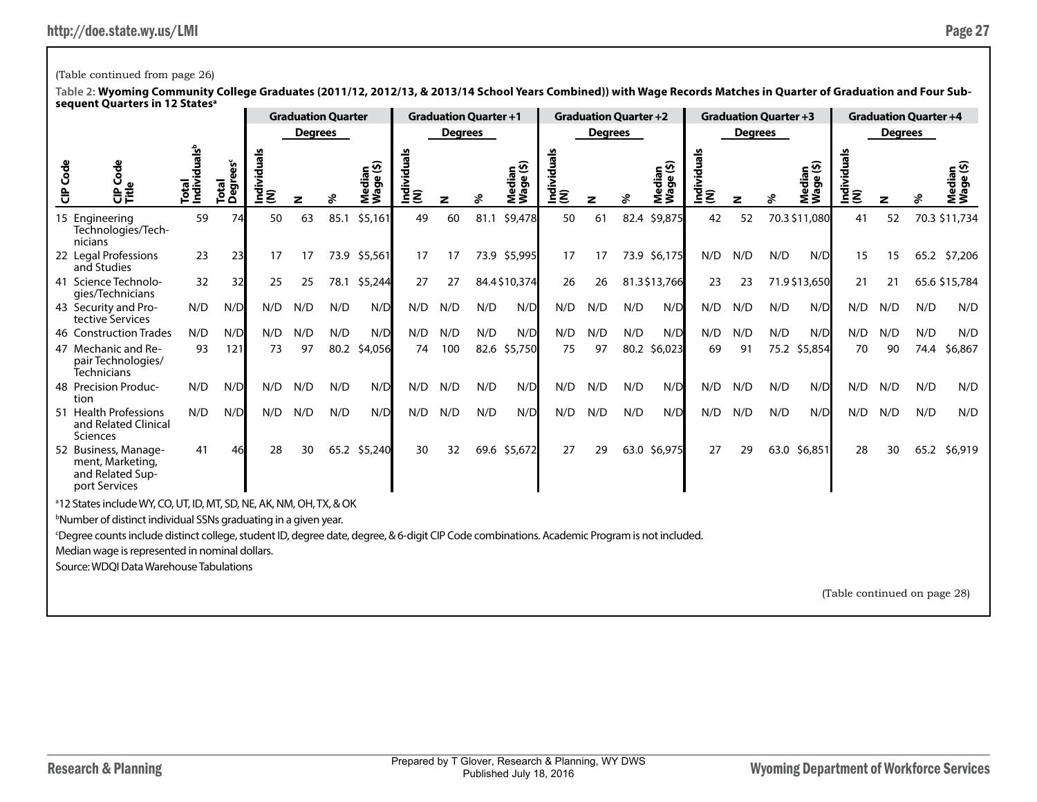# (Table continued from page 26)

|         |                                                                                                                                             |                                   |                     |                |                | <b>Graduation Quarter</b> |                          |                    | <b>Graduation Quarter +1</b> |      |                     |                    |                | <b>Graduation Quarter +2</b> |                                      |                    |                | <b>Graduation Quarter +3</b> |                     |                              |                | <b>Graduation Quarter +4</b> |                     |
|---------|---------------------------------------------------------------------------------------------------------------------------------------------|-----------------------------------|---------------------|----------------|----------------|---------------------------|--------------------------|--------------------|------------------------------|------|---------------------|--------------------|----------------|------------------------------|--------------------------------------|--------------------|----------------|------------------------------|---------------------|------------------------------|----------------|------------------------------|---------------------|
|         |                                                                                                                                             |                                   |                     |                | <b>Degrees</b> |                           |                          |                    | <b>Degrees</b>               |      |                     |                    | <b>Degrees</b> |                              |                                      |                    | <b>Degrees</b> |                              |                     |                              | <b>Degrees</b> |                              |                     |
| CIP Cod | Code<br>으<br>음료                                                                                                                             | Total<br>Individuals <sup>b</sup> | ង៉ូ<br>Total<br>Deg | ndividual<br>ξ | z              |                           | ⊊∙<br>eibə<br>შ,<br>ร็ร็ | Individuals<br>(N) | z                            | శి   | Median<br>Wage (\$) | Individuals<br>(N) |                | ፠                            | edian<br>age (\$)<br>Media<br>Wage ( | Individuals<br>(N) | z              | శి                           | Median<br>Wage (\$) | Individuals<br> (N)          | z              |                              | Median<br>Wage (\$) |
|         | 15 Engineering<br>Technologies/Tech-<br>nicians                                                                                             | 59                                | 74                  | 50             | 63             | 85.1                      | \$5,161                  | 49                 | 60                           | 81.1 | \$9,478             | 50                 | 61             | 82.4                         | \$9,875                              | 42                 | 52             |                              | 70.3 \$11,080       | 41                           | 52             |                              | 70.3 \$11,734       |
|         | 22 Legal Professions<br>and Studies                                                                                                         | 23                                | 23                  | 17             | 17             |                           | 73.9 \$5,561             | 17                 | 17                           |      | 73.9 \$5,995        | 17                 | 17             | 73.9                         | \$6,175                              | N/D                | N/D            | N/D                          | N/D                 | 15                           | 15             |                              | 65.2 \$7,206        |
|         | 41 Science Technolo-<br>gies/Technicians                                                                                                    | 32                                | 32                  | 25             | 25             |                           | 78.1 \$5,244             | 27                 | 27                           |      | 84.4 \$10,374       | 26                 | 26             |                              | 81.3\$13,766                         | 23                 | 23             |                              | 71.9 \$13,650       | 21                           | 21             |                              | 65.6 \$15,784       |
|         | 43 Security and Pro-<br>tective Services                                                                                                    | N/D                               | N/D                 | N/D            | N/D            | N/D                       | N/D                      | N/D                | N/D                          | N/D  | N/D                 | N/D                | N/D            | N/D                          | N/D                                  | N/D                | N/D            | N/D                          | N/D                 | N/D                          | N/D            | N/D                          | N/D                 |
|         | 46 Construction Trades                                                                                                                      | N/D                               | N/D                 | N/D            | N/D            | N/D                       | N/D                      | N/D                | N/D                          | N/D  | N/D                 | N/D                | N/D            | N/D                          | N/D                                  | N/D                | N/D            | N/D                          | N/D                 | N/D                          | N/D            | N/D                          | N/D                 |
|         | 47 Mechanic and Re-<br>pair Technologies/<br><b>Technicians</b>                                                                             | 93                                | 121                 | 73             | 97             | 80.2                      | \$4,056                  | 74                 | 100                          | 82.6 | \$5,750             | 75                 | 97             | 80.2                         | \$6,023                              | 69                 | 91             | 75.2                         | \$5,854             | 70                           | 90             | 74.4                         | \$6,867             |
| tion    | 48 Precision Produc-                                                                                                                        | N/D                               | N/D                 | N/D            | N/D            | N/D                       | N/D                      | N/D                | N/D                          | N/D  | N/D                 | N/D                | N/D            | N/D                          | N/D                                  | N/D                | N/D            | N/D                          | N/D                 | N/D                          | N/D            | N/D                          | N/D                 |
|         | 51 Health Professions<br>and Related Clinical<br>Sciences                                                                                   | N/D                               | N/D                 | N/D            | N/D            | N/D                       | N/D                      | N/D                | N/D                          | N/D  | N/D                 | N/D                | N/D            | N/D                          | N/D                                  | N/D                | N/D            | N/D                          | N/D                 | N/D                          | N/D            | N/D                          | N/D                 |
|         | 52 Business, Manage-<br>ment, Marketing,<br>and Related Sup-<br>port Services                                                               | 41                                | 46                  | 28             | 30             |                           | 65.2 \$5,240             | 30                 | 32                           |      | 69.6 \$5,672        | 27                 | 29             | 63.0                         | \$6,975                              | 27                 | 29             | 63.0                         | \$6,851             | 28                           | 30             | 65.2                         | \$6,919             |
|         | <sup>a</sup> 12 States include WY, CO, UT, ID, MT, SD, NE, AK, NM, OH, TX, & OK                                                             |                                   |                     |                |                |                           |                          |                    |                              |      |                     |                    |                |                              |                                      |                    |                |                              |                     |                              |                |                              |                     |
|         | <sup>b</sup> Number of distinct individual SSNs graduating in a given year.                                                                 |                                   |                     |                |                |                           |                          |                    |                              |      |                     |                    |                |                              |                                      |                    |                |                              |                     |                              |                |                              |                     |
|         | Degree counts include distinct college, student ID, degree date, degree, & 6-digit CIP Code combinations. Academic Program is not included. |                                   |                     |                |                |                           |                          |                    |                              |      |                     |                    |                |                              |                                      |                    |                |                              |                     |                              |                |                              |                     |
|         | Median wage is represented in nominal dollars.                                                                                              |                                   |                     |                |                |                           |                          |                    |                              |      |                     |                    |                |                              |                                      |                    |                |                              |                     |                              |                |                              |                     |
|         | Source: WDQI Data Warehouse Tabulations                                                                                                     |                                   |                     |                |                |                           |                          |                    |                              |      |                     |                    |                |                              |                                      |                    |                |                              |                     |                              |                |                              |                     |
|         |                                                                                                                                             |                                   |                     |                |                |                           |                          |                    |                              |      |                     |                    |                |                              |                                      |                    |                |                              |                     | (Table continued on page 28) |                |                              |                     |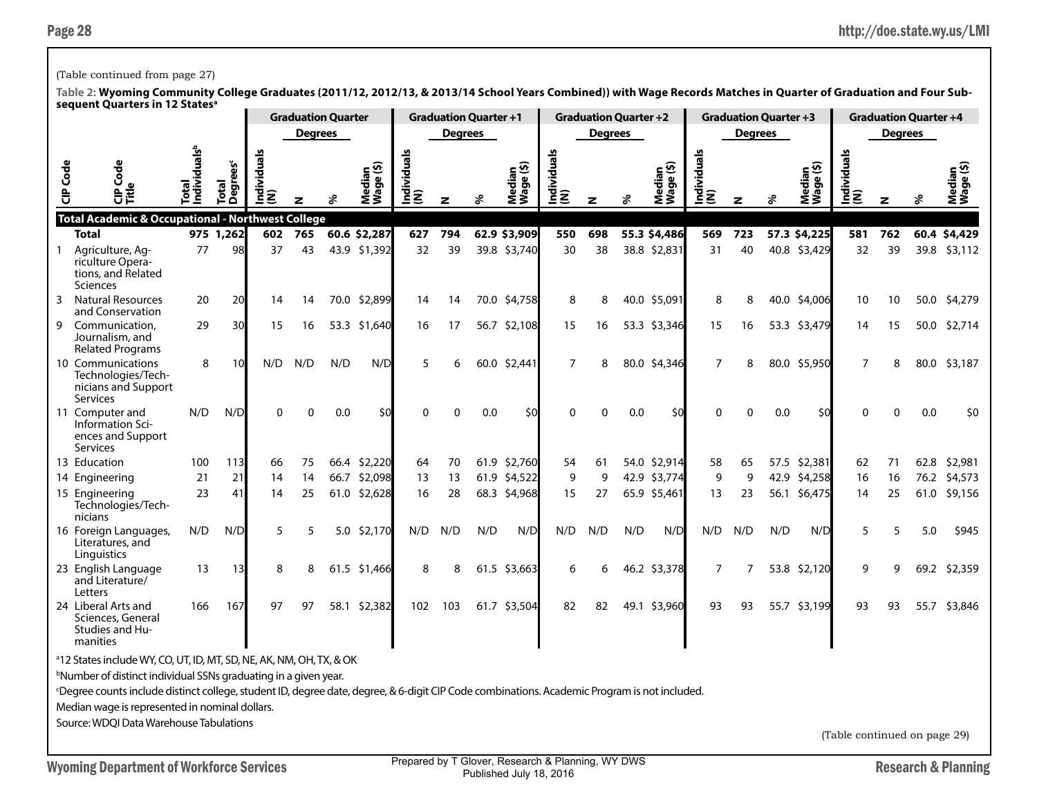### (Table continued from page 27)

|                 | sequent Quarters in 12 States°                                                                                                                           |                                   |                               |                    | <b>Graduation Quarter</b> |     |                     |                    | <b>Graduation Quarter +1</b> |      |                           |                    | <b>Graduation Quarter +2</b> |     |                     |                    | <b>Graduation Quarter +3</b> |     |                     |                    |                | <b>Graduation Quarter +4</b> |                     |
|-----------------|----------------------------------------------------------------------------------------------------------------------------------------------------------|-----------------------------------|-------------------------------|--------------------|---------------------------|-----|---------------------|--------------------|------------------------------|------|---------------------------|--------------------|------------------------------|-----|---------------------|--------------------|------------------------------|-----|---------------------|--------------------|----------------|------------------------------|---------------------|
|                 |                                                                                                                                                          |                                   |                               |                    | <b>Degrees</b>            |     |                     |                    | <b>Degrees</b>               |      |                           |                    | <b>Degrees</b>               |     |                     |                    | <b>Degrees</b>               |     |                     |                    | <b>Degrees</b> |                              |                     |
|                 |                                                                                                                                                          |                                   |                               |                    |                           |     |                     |                    |                              |      |                           |                    |                              |     |                     |                    |                              |     |                     |                    |                |                              |                     |
| <b>CIP</b> Code | Ü<br>응호                                                                                                                                                  | Individuals <sup>t</sup><br>Total | Total<br>Degrees <sup>c</sup> | Individuals<br>(N) |                           |     | Median<br>Wage (\$) | Individuals<br>(N) | z                            |      | Median<br>Wage (\$)<br>Σ. | Individuals<br>(N) | z                            | శ   | Median<br>Wage (\$) | Individuals<br>(N) | z                            |     | Median<br>Wage (\$) | Individuals<br>(N) | z              |                              | Median<br>Wage (\$) |
|                 | <b>Total Academic &amp; Occupational - Northwest College</b>                                                                                             |                                   |                               |                    |                           |     |                     |                    |                              |      |                           |                    |                              |     |                     |                    |                              |     |                     |                    |                |                              |                     |
|                 | Total                                                                                                                                                    |                                   | 975 1,262                     | 602                | 765                       |     | 60.6 \$2,287        | 627                | 794                          |      | 62.9 \$3,909              | 550                | 698                          |     | 55.3 \$4,486        | 569                | 723                          |     | 57.3 \$4,225        | 581                | 762            |                              | 60.4 \$4,429        |
| $\mathbf{1}$    | Agriculture, Ag-<br>riculture Opera-<br>tions, and Related<br><b>Sciences</b>                                                                            | 77                                | 98                            | 37                 | 43                        |     | 43.9 \$1,392        | 32                 | 39                           |      | 39.8 \$3,740              | 30                 | 38                           |     | 38.8 \$2,831        | 31                 | 40                           |     | 40.8 \$3,429        | 32                 | 39             |                              | 39.8 \$3,112        |
| 3               | <b>Natural Resources</b><br>and Conservation                                                                                                             | 20                                | 20                            | 14                 | 14                        |     | 70.0 \$2,899        | 14                 | 14                           |      | 70.0 \$4,758              | 8                  | 8                            |     | 40.0 \$5,091        | 8                  | 8                            |     | 40.0 \$4,006        | 10                 | 10             |                              | 50.0 \$4,279        |
| 9               | Communication.<br>Journalism, and<br><b>Related Programs</b>                                                                                             | 29                                | 30                            | 15                 | 16                        |     | 53.3 \$1,640        | 16                 | 17                           |      | 56.7 \$2,108              | 15                 | 16                           |     | 53.3 \$3,346        | 15                 | 16                           |     | 53.3 \$3,479        | 14                 | 15             |                              | 50.0 \$2,714        |
|                 | 10 Communications<br>Technologies/Tech-<br>nicians and Support<br>Services                                                                               | 8                                 | 10                            | N/D                | N/D                       | N/D | N/D                 | 5                  | 6                            |      | 60.0 \$2,441              | 7                  | 8                            |     | 80.0 \$4,346        | $\overline{7}$     | 8                            |     | 80.0 \$5,950        | 7                  | 8              |                              | 80.0 \$3,187        |
|                 | 11 Computer and<br>Information Sci-<br>ences and Support<br><b>Services</b>                                                                              | N/D                               | N/D                           | 0                  | O                         | 0.0 | \$0                 | $\Omega$           | $\Omega$                     | 0.0  | \$0                       | $\Omega$           | O                            | 0.0 | \$0                 | $\Omega$           | 0                            | 0.0 | \$0                 | $\Omega$           | ∩              | 0.0                          | \$0                 |
|                 | 13 Education                                                                                                                                             | 100                               | 113                           | 66                 | 75                        |     | 66.4 \$2,220        | 64                 | 70                           |      | 61.9 \$2,760              | 54                 | 61                           |     | 54.0 \$2,914        | 58                 | 65                           |     | 57.5 \$2,381        | 62                 | 71             | 62.8                         | \$2,981             |
|                 | 14 Engineering                                                                                                                                           | 21                                | 21                            | 14                 | 14                        |     | 66.7 \$2,098        | 13                 | 13                           |      | 61.9 \$4,522              | 9                  | 9                            |     | 42.9 \$3,774        | 9                  | 9                            |     | 42.9 \$4,258        | 16                 | 16             |                              | 76.2 \$4,573        |
|                 | 15 Engineering<br>Technologies/Tech-<br>nicians                                                                                                          | 23                                | 41                            | 14                 | 25                        |     | 61.0 \$2,628        | 16                 | 28                           |      | 68.3 \$4,968              | 15                 | 27                           |     | 65.9 \$5,461        | 13                 | 23                           |     | 56.1 \$6,475        | 14                 | 25             |                              | 61.0 \$9,156        |
|                 | 16 Foreign Languages,<br>Literatures, and<br>Linguistics                                                                                                 | N/D                               | N/D                           | 5                  | 5                         |     | 5.0 \$2,170         | N/D                | N/D                          | N/D  | N/D                       | N/D                | N/D                          | N/D | N/D                 | N/D                | N/D                          | N/D | N/D                 | 5                  | 5              | 5.0                          | \$945               |
|                 | 23 English Language<br>and Literature/<br>Letters                                                                                                        | 13                                | 13                            | 8                  | 8                         |     | 61.5 \$1,466        | 8                  | 8                            | 61.5 | \$3,663                   | 6                  | 6                            |     | 46.2 \$3,378        | $\overline{7}$     | 7                            |     | 53.8 \$2,120        | 9                  | 9              |                              | 69.2 \$2,359        |
|                 | 24 Liberal Arts and<br>Sciences, General<br><b>Studies and Hu-</b><br>manities                                                                           | 166                               | 167                           | 97                 | 97                        |     | 58.1 \$2,382        | 102                | 103                          |      | 61.7 \$3,504              | 82                 | 82                           |     | 49.1 \$3,960        | 93                 | 93                           |     | 55.7 \$3,199        | 93                 | 93             |                              | 55.7 \$3,846        |
|                 | <sup>a</sup> 12 States include WY, CO, UT, ID, MT, SD, NE, AK, NM, OH, TX, & OK                                                                          |                                   |                               |                    |                           |     |                     |                    |                              |      |                           |                    |                              |     |                     |                    |                              |     |                     |                    |                |                              |                     |
|                 | <sup>b</sup> Number of distinct individual SSNs graduating in a given year.                                                                              |                                   |                               |                    |                           |     |                     |                    |                              |      |                           |                    |                              |     |                     |                    |                              |     |                     |                    |                |                              |                     |
|                 | <sup>c</sup> Degree counts include distinct college, student ID, degree date, degree, & 6-digit CIP Code combinations. Academic Program is not included. |                                   |                               |                    |                           |     |                     |                    |                              |      |                           |                    |                              |     |                     |                    |                              |     |                     |                    |                |                              |                     |
|                 | Median wage is represented in nominal dollars.                                                                                                           |                                   |                               |                    |                           |     |                     |                    |                              |      |                           |                    |                              |     |                     |                    |                              |     |                     |                    |                |                              |                     |
|                 | Source: WDQI Data Warehouse Tabulations                                                                                                                  |                                   |                               |                    |                           |     |                     |                    |                              |      |                           |                    |                              |     |                     |                    |                              |     |                     |                    |                |                              |                     |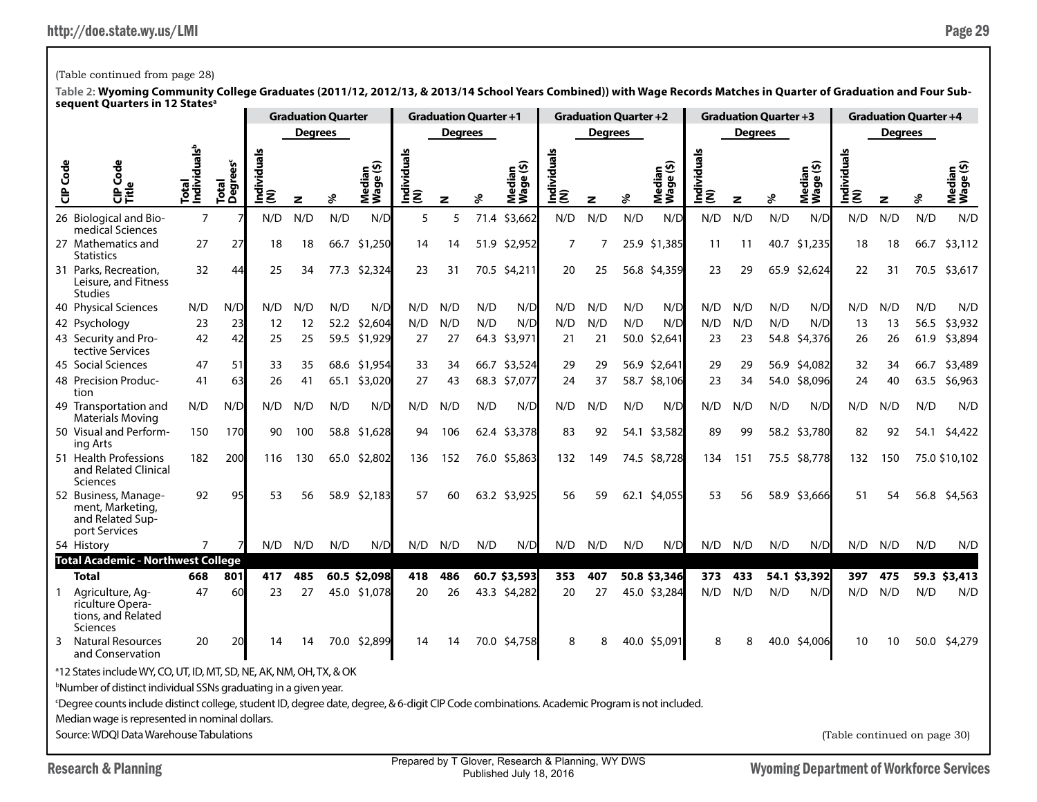## (Table continued from page 28)

|                                                                                                                                                                                                                                                                                                               |                                   |                       |                    |                | <b>Graduation Quarter</b> |                     |                   | <b>Graduation Quarter +1</b> |      |                                    |                                                   | <b>Graduation Quarter +2</b> |      |                                         |                    |                | <b>Graduation Quarter +3</b> |                     |                              |                | <b>Graduation Quarter +4</b> |                                                 |
|---------------------------------------------------------------------------------------------------------------------------------------------------------------------------------------------------------------------------------------------------------------------------------------------------------------|-----------------------------------|-----------------------|--------------------|----------------|---------------------------|---------------------|-------------------|------------------------------|------|------------------------------------|---------------------------------------------------|------------------------------|------|-----------------------------------------|--------------------|----------------|------------------------------|---------------------|------------------------------|----------------|------------------------------|-------------------------------------------------|
|                                                                                                                                                                                                                                                                                                               |                                   |                       |                    | <b>Degrees</b> |                           |                     |                   | Degrees                      |      |                                    |                                                   | <b>Degrees</b>               |      |                                         |                    | <b>Degrees</b> |                              |                     |                              | <b>Degrees</b> |                              |                                                 |
| <b>CIP</b> Code<br>Code<br>o<br>문<br>다                                                                                                                                                                                                                                                                        | Total<br>Individuals <sup>b</sup> | rees<br>Total<br>Degr | Individual:<br>(N) | z              | ℅                         | Median<br>Wage (\$) | Individual<br>(N) | z                            | ళి   | ledian<br>/aqe (\$)<br>Nedi<br>Wag | Individuals<br>(N)                                | z                            | ℅    | ledian<br>/age (\$)<br>Mediar<br>Wage ( | Individuals<br>(N) | z              | ℅                            | Median<br>Wage (\$) | Individuals<br> (N)          | z              | ℅                            | Median<br>Wage (\$)                             |
| 26 Biological and Bio-<br>medical Sciences                                                                                                                                                                                                                                                                    | $\overline{7}$                    |                       | N/D                | N/D            | N/D                       | N/D                 | 5                 | 5                            | 71.4 | \$3,662                            | N/D                                               | N/D                          | N/D  | N/D                                     | N/D                | N/D            | N/D                          | N/D                 | N/D                          | N/D            | N/D                          | N/D                                             |
| 27 Mathematics and<br><b>Statistics</b>                                                                                                                                                                                                                                                                       | 27                                | 27                    | 18                 | 18             |                           | 66.7 \$1,250        | 14                | 14                           | 51.9 | \$2,952                            | $\overline{7}$                                    |                              |      | 25.9 \$1,385                            | 11                 | 11             |                              | 40.7 \$1,235        | 18                           | 18             |                              | 66.7 \$3,112                                    |
| 31 Parks, Recreation,<br>Leisure, and Fitness<br>Studies                                                                                                                                                                                                                                                      | 32                                | 44                    | 25                 | 34             | 77.3                      | \$2,324             | 23                | 31                           |      | 70.5 \$4,211                       | 20                                                | 25                           |      | 56.8 \$4,359                            | 23                 | 29             |                              | 65.9 \$2,624        | 22                           | 31             |                              | 70.5 \$3,617                                    |
| 40 Physical Sciences                                                                                                                                                                                                                                                                                          | N/D                               | N/D                   | N/D                | N/D            | N/D                       | N/D                 | N/D               | N/D                          | N/D  | N/D                                | N/D                                               | N/D                          | N/D  | N/D                                     | N/D                | N/D            | N/D                          | N/D                 | N/D                          | N/D            | N/D                          | N/D                                             |
| 42 Psychology                                                                                                                                                                                                                                                                                                 | 23                                | 23                    | 12                 | 12             | 52.2                      | \$2,604             | N/D               | N/D                          | N/D  | N/D                                | N/D                                               | N/D                          | N/D  | N/D                                     | N/D                | N/D            | N/D                          | N/D                 | 13                           | 13             |                              | 56.5 \$3,932                                    |
| 43 Security and Pro-<br>tective Services                                                                                                                                                                                                                                                                      | 42                                | 42                    | 25                 | 25             | 59.5                      | \$1,929             | 27                | 27                           | 64.3 | \$3,971                            | 21                                                | 21                           | 50.0 | \$2,641                                 | 23                 | 23             | 54.8                         | \$4,376             | 26                           | 26             | 61.9                         | \$3,894                                         |
| 45 Social Sciences                                                                                                                                                                                                                                                                                            | 47                                | 51                    | 33                 | 35             | 68.6                      | \$1,954             | 33                | 34                           | 66.7 | \$3,524                            | 29                                                | 29                           |      | 56.9 \$2,641                            | 29                 | 29             | 56.9                         | \$4,082             | 32                           | 34             | 66.7                         | \$3,489                                         |
| 48 Precision Produc-<br>tion                                                                                                                                                                                                                                                                                  | 41                                | 63                    | 26                 | 41             | 65.1                      | \$3,020             | 27                | 43                           | 68.3 | \$7,077                            | 24                                                | 37                           |      | 58.7 \$8,106                            | 23                 | 34             |                              | 54.0 \$8,096        | 24                           | 40             |                              | 63.5 \$6,963                                    |
| 49 Transportation and<br>Materials Moving                                                                                                                                                                                                                                                                     | N/D                               | N/D                   | N/D                | N/D            | N/D                       | N/D                 | N/D               | N/D                          | N/D  | N/D                                | N/D                                               | N/D                          | N/D  | N/D                                     | N/D                | N/D            | N/D                          | N/D                 | N/D                          | N/D            | N/D                          | N/D                                             |
| 50 Visual and Perform-<br>ing Arts                                                                                                                                                                                                                                                                            | 150                               | 170                   | 90                 | 100            | 58.8                      | \$1,628             | 94                | 106                          |      | 62.4 \$3,378                       | 83                                                | 92                           |      | 54.1 \$3,582                            | 89                 | 99             |                              | 58.2 \$3,780        | 82                           | 92             |                              | 54.1 \$4,422                                    |
| 51 Health Professions<br>and Related Clinical<br>Sciences                                                                                                                                                                                                                                                     | 182                               | 200                   | 116                | 130            |                           | 65.0 \$2,802        | 136               | 152                          |      | 76.0 \$5,863                       | 132                                               | 149                          |      | 74.5 \$8,728                            | 134                | 151            |                              | 75.5 \$8,778        | 132                          | 150            |                              | 75.0 \$10,102                                   |
| 52 Business, Manage-<br>ment, Marketing,<br>and Related Sup-<br>port Services                                                                                                                                                                                                                                 | 92                                | 95                    | 53                 | 56             |                           | 58.9 \$2,183        | 57                | 60                           |      | 63.2 \$3,925                       | 56                                                | 59                           |      | 62.1 \$4,055                            | 53                 | 56             |                              | 58.9 \$3,666        | 51                           | 54             |                              | 56.8 \$4,563                                    |
| 54 History                                                                                                                                                                                                                                                                                                    | $\overline{7}$                    |                       | N/D                | N/D            | N/D                       | N/D                 | N/D               | N/D                          | N/D  | N/D                                | N/D                                               | N/D                          | N/D  | N/D                                     | N/D                | N/D            | N/D                          | N/D                 | N/D                          | N/D            | N/D                          | N/D                                             |
| <b>Total Academic - Northwest College</b>                                                                                                                                                                                                                                                                     |                                   |                       |                    |                |                           |                     |                   |                              |      |                                    |                                                   |                              |      |                                         |                    |                |                              |                     |                              |                |                              |                                                 |
| <b>Total</b>                                                                                                                                                                                                                                                                                                  | 668                               | 801                   | 417                | 485            |                           | 60.5 \$2,098        | 418               | 486                          |      | 60.7 \$3,593                       | 353                                               | 407                          |      | 50.8 \$3,346                            | 373                | 433            |                              | 54.1 \$3,392        | 397                          | 475            |                              | 59.3 \$3,413                                    |
| Agriculture, Ag-<br>1<br>riculture Opera-<br>tions, and Related<br>Sciences                                                                                                                                                                                                                                   | 47                                | 60                    | 23                 | 27             |                           | 45.0 \$1,078        | 20                | 26                           |      | 43.3 \$4,282                       | 20                                                | 27                           |      | 45.0 \$3,284                            | N/D                | N/D            | N/D                          | N/D                 | N/D                          | N/D            | N/D                          | N/D                                             |
| <b>Natural Resources</b><br>3<br>and Conservation                                                                                                                                                                                                                                                             | 20                                | 20                    | 14                 | 14             | 70.0                      | \$2,899             | 14                | 14                           | 70.0 | \$4,758                            | 8                                                 | 8                            |      | 40.0 \$5,091                            | 8                  | 8              |                              | 40.0 \$4,006        | 10                           | 10             |                              | 50.0 \$4,279                                    |
| <sup>a</sup> 12 States include WY, CO, UT, ID, MT, SD, NE, AK, NM, OH, TX, & OK<br><sup>b</sup> Number of distinct individual SSNs graduating in a given year.<br>Degree counts include distinct college, student ID, degree date, degree, & 6-digit CIP Code combinations. Academic Program is not included. |                                   |                       |                    |                |                           |                     |                   |                              |      |                                    |                                                   |                              |      |                                         |                    |                |                              |                     |                              |                |                              |                                                 |
| Median wage is represented in nominal dollars.                                                                                                                                                                                                                                                                |                                   |                       |                    |                |                           |                     |                   |                              |      |                                    |                                                   |                              |      |                                         |                    |                |                              |                     |                              |                |                              |                                                 |
| Source: WDOI Data Warehouse Tabulations                                                                                                                                                                                                                                                                       |                                   |                       |                    |                |                           |                     |                   |                              |      |                                    |                                                   |                              |      |                                         |                    |                |                              |                     | (Table continued on page 30) |                |                              |                                                 |
| <b>Research &amp; Planning</b>                                                                                                                                                                                                                                                                                |                                   |                       |                    |                |                           |                     |                   |                              |      | Published July 18 2016             | Prepared by T Glover, Research & Planning, WY DWS |                              |      |                                         |                    |                |                              |                     |                              |                |                              | <b>Wyoming Department of Workforce Services</b> |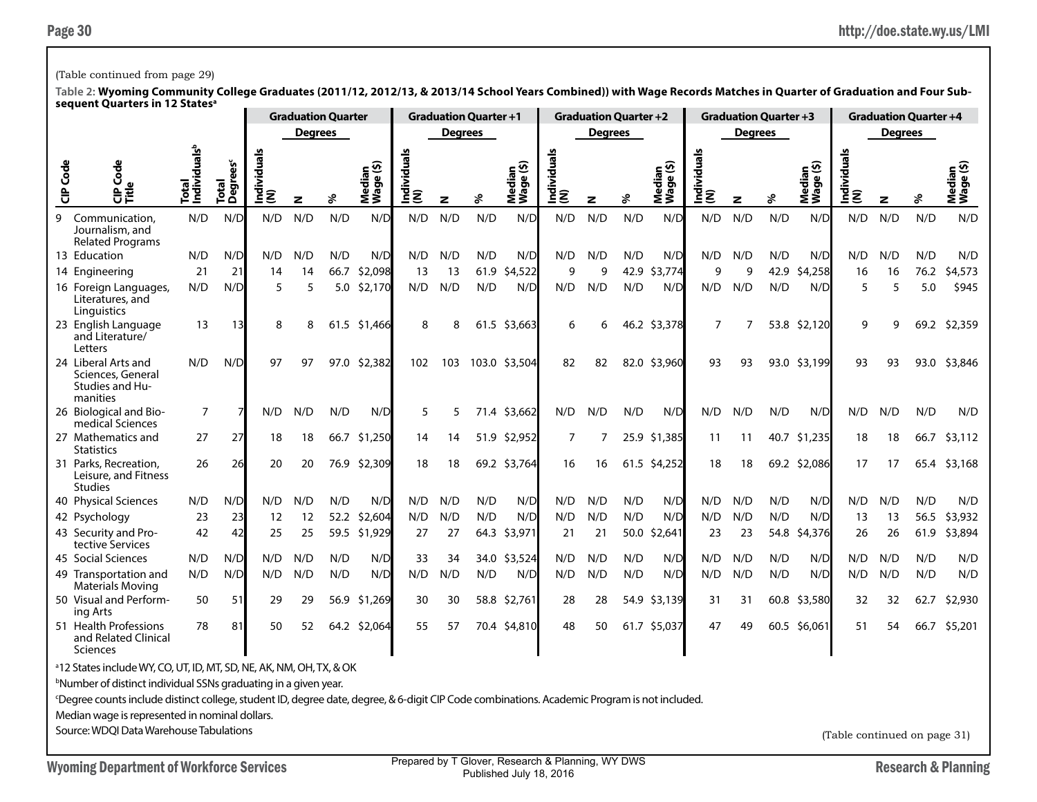## (Table continued from page 29)

**Table 2: Wyoming Community College Graduates (2011/12, 2012/13, & 2013/14 School Years Combined)) with Wage Records Matches in Quarter of Graduation and Four Subsequent Quarters in 12 Statesa**

|                 | אכקטכוונ עטמו נכוא ווו וב אמנכא                                                 | <b>Graduation Quarter</b>         |                               |                           |                |      | <b>Graduation Quarter +1</b> |                    |                | <b>Graduation Quarter +2</b> |                     |                    |                | <b>Graduation Quarter +3</b> |                     |                    |                |      | <b>Graduation Quarter +4</b> |                     |                |      |                     |
|-----------------|---------------------------------------------------------------------------------|-----------------------------------|-------------------------------|---------------------------|----------------|------|------------------------------|--------------------|----------------|------------------------------|---------------------|--------------------|----------------|------------------------------|---------------------|--------------------|----------------|------|------------------------------|---------------------|----------------|------|---------------------|
|                 |                                                                                 |                                   |                               |                           | <b>Degrees</b> |      |                              |                    | <b>Degrees</b> |                              |                     |                    | <b>Degrees</b> |                              |                     |                    | <b>Degrees</b> |      |                              |                     | <b>Degrees</b> |      |                     |
| <b>CIP</b> Code | Ğ<br>ਜ਼ਁ                                                                        | Total<br>Individuals <sup>b</sup> | Total<br>Degrees <sup>c</sup> | <b>Individuals</b><br>(N) | z              | వి   | Median<br>Wage (\$)          | Individuals<br>(N) | z              | ℅                            | Median<br>Wage (\$) | Individuals<br>(N) | z              | శ                            | Median<br>Wage (\$) | Individuals<br>(N) | z              | శి   | Median<br>Wage (\$)          | Individuals<br> (N) | z              | ళి   | Median<br>Wage (\$) |
| 9               | Communication.<br>Journalism, and<br><b>Related Programs</b>                    | N/D                               | $N/\Gamma$                    | N/D                       | N/D            | N/D  | N/D                          | N/D                | N/D            | N/D                          | N/D                 | N/D                | N/D            | N/D                          | N/D                 | N/D                | N/D            | N/D  | N/D                          | N/D                 | N/D            | N/D  | N/D                 |
|                 | 13 Education                                                                    | N/D                               | N/D                           | N/D                       | N/D            | N/D  | N/D                          | N/D                | N/D            | N/D                          | N/D                 | N/D                | N/D            | N/D                          | N/D                 | N/D                | N/D            | N/D  | N/D                          | N/D                 | N/D            | N/D  | N/D                 |
|                 | 14 Engineering                                                                  | 21                                | 21                            | 14                        | 14             | 66.7 | \$2,098                      | 13                 | 13             | 61.9                         | \$4,522             | 9                  | q              | 42.9                         | \$3,774             | 9                  | 9              | 42.9 | \$4,258                      | 16                  | 16             | 76.2 | \$4,573             |
|                 | 16 Foreign Languages,<br>Literatures, and<br>Linguistics                        | N/D                               | N/D                           | 5                         | 5              | 5.0  | \$2,170                      | N/D                | N/D            | N/D                          | N/D                 | N/D                | N/D            | N/D                          | N/D                 | N/D                | N/D            | N/D  | N/D                          | 5                   | 5              | 5.0  | \$945               |
|                 | 23 English Language<br>and Literature/<br>Letters                               | 13                                | 13                            | 8                         | 8              |      | 61.5 \$1,466                 | 8                  | 8              | 61.5                         | \$3,663             | 6                  | 6              |                              | 46.2 \$3,378        | 7                  | 7              |      | 53.8 \$2,120                 | 9                   | q              | 69.2 | \$2,359             |
|                 | 24 Liberal Arts and<br>Sciences, General<br>Studies and Hu-<br>manities         | N/D                               | N/D                           | 97                        | 97             |      | 97.0 \$2,382                 | 102                | 103            |                              | 103.0 \$3.504       | 82                 | 82             |                              | 82.0 \$3,960        | 93                 | 93             |      | 93.0 \$3,199                 | 93                  | 93             |      | 93.0 \$3,846        |
|                 | 26 Biological and Bio-<br>medical Sciences                                      | 7                                 |                               | N/D                       | N/D            | N/D  | N/D                          | 5                  | 5              |                              | 71.4 \$3,662        | N/D                | N/D            | N/D                          | N/D                 | N/D                | N/D            | N/D  | N/D                          | N/D                 | N/D            | N/D  | N/D                 |
|                 | 27 Mathematics and<br><b>Statistics</b>                                         | 27                                | 27                            | 18                        | 18             | 66.7 | \$1,250                      | 14                 | 14             | 51.9                         | \$2,952             | 7                  | 7              | 25.9                         | \$1,385             | 11                 | -11            | 40.7 | \$1,235                      | 18                  | 18             | 66.7 | \$3,112             |
|                 | 31 Parks, Recreation,<br>Leisure, and Fitness<br><b>Studies</b>                 | 26                                | 26                            | 20                        | 20             | 76.9 | \$2,309                      | 18                 | 18             |                              | 69.2 \$3,764        | 16                 | 16             | 61.5                         | \$4,252             | 18                 | 18             |      | 69.2 \$2,086                 | 17                  | 17             | 65.4 | \$3,168             |
|                 | 40 Physical Sciences                                                            | N/D                               | N/D                           | N/D                       | N/D            | N/D  | N/D                          | N/D                | N/D            | N/D                          | N/D                 | N/D                | N/D            | N/D                          | N/D                 | N/D                | N/D            | N/D  | N/D                          | N/D                 | N/D            | N/D  | N/D                 |
|                 | 42 Psychology                                                                   | 23                                | 23                            | 12                        | 12             | 52.2 | \$2,604                      | N/D                | N/D            | N/D                          | N/D                 | N/D                | N/D            | N/D                          | N/D                 | N/D                | N/D            | N/D  | N/D                          | 13                  | -13            | 56.5 | \$3,932             |
|                 | 43 Security and Pro-<br>tective Services                                        | 42                                | 42                            | 25                        | 25             | 59.5 | \$1,929                      | 27                 | 27             | 64.3                         | \$3,971             | 21                 | 21             | 50.0                         | \$2,641             | 23                 | 23             | 54.8 | \$4,376                      | 26                  | 26             | 61.9 | \$3,894             |
|                 | 45 Social Sciences                                                              | N/D                               | N/D                           | N/D                       | N/D            | N/D  | N/D                          | 33                 | 34             |                              | 34.0 \$3,524        | N/D                | N/D            | N/D                          | N/D                 | N/D                | N/D            | N/D  | N/D                          | N/D                 | N/D            | N/D  | N/D                 |
|                 | 49 Transportation and<br><b>Materials Moving</b>                                | N/D                               | N/D                           | N/D                       | N/D            | N/D  | N/D                          | N/D                | N/D            | N/D                          | N/D                 | N/D                | N/D            | N/D                          | N/D                 | N/D                | N/D            | N/D  | N/D                          | N/D                 | N/D            | N/D  | N/D                 |
|                 | 50 Visual and Perform-<br>ing Arts                                              | 50                                | 51                            | 29                        | 29             |      | 56.9 \$1,269                 | 30                 | 30             |                              | 58.8 \$2,761        | 28                 | 28             |                              | 54.9 \$3,139        | 31                 | 31             |      | 60.8 \$3,580                 | 32                  | 32             | 62.7 | \$2,930             |
|                 | 51 Health Professions<br>and Related Clinical<br>Sciences                       | 78                                | 81                            | 50                        | 52             |      | 64.2 \$2,064                 | 55                 | 57             |                              | 70.4 \$4,810        | 48                 | 50             |                              | 61.7 \$5,037        | 47                 | 49             |      | 60.5 \$6,061                 | 51                  | 54             | 66.7 | \$5,201             |
|                 | <sup>a</sup> 12 States include WY, CO, UT, ID, MT, SD, NE, AK, NM, OH, TX, & OK |                                   |                               |                           |                |      |                              |                    |                |                              |                     |                    |                |                              |                     |                    |                |      |                              |                     |                |      |                     |
|                 | <sup>b</sup> Number of distinct individual SSNs graduating in a given year.     |                                   |                               |                           |                |      |                              |                    |                |                              |                     |                    |                |                              |                     |                    |                |      |                              |                     |                |      |                     |

c Degree counts include distinct college, student ID, degree date, degree, & 6-digit CIP Code combinations. Academic Program is not included.

Median wage is represented in nominal dollars.

Source: WDQI Data Warehouse Tabulations

(Table continued on page 31)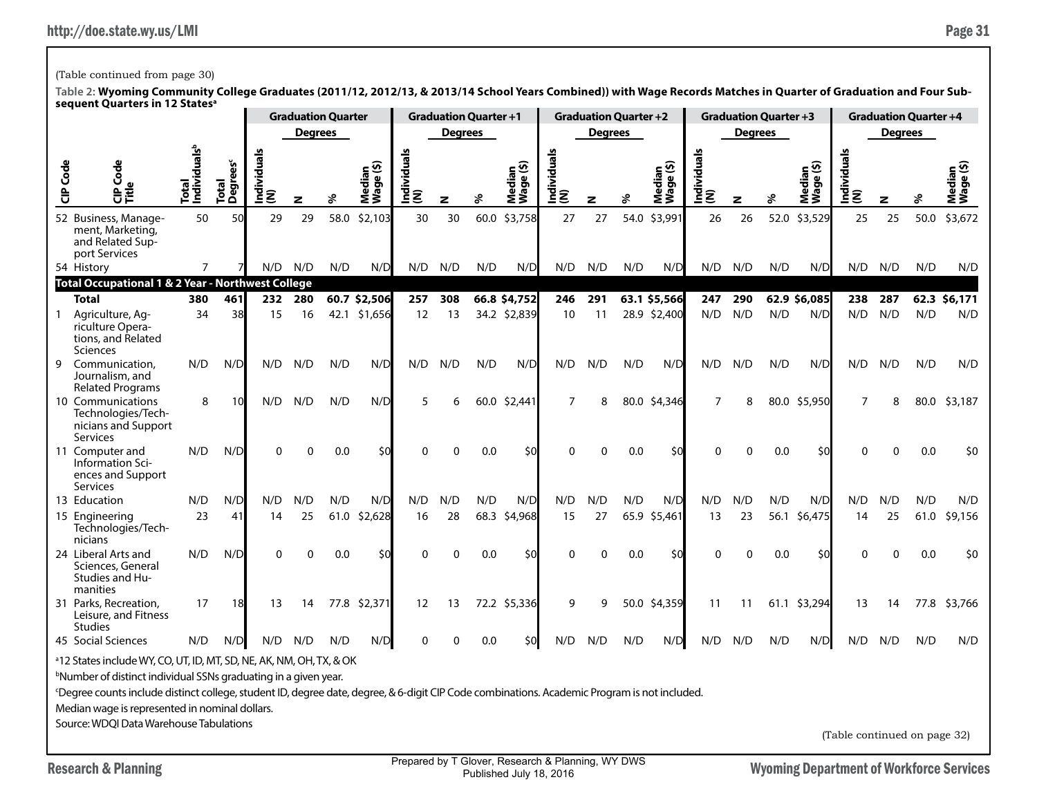Prepared by T Glover, Research & Planning, WY DWS Published July 18, 2016

# (Table continued from page 30)

|              |                                                                                                                                                                                                                                                                                                                                                                                                            |                                   |                       |                |                | <b>Graduation Quarter</b> |                     |                     | <b>Graduation Quarter +1</b> |      |                     |                    | <b>Graduation Quarter +2</b> |      |                     |                    |                | <b>Graduation Quarter +3</b> |                     |                              | <b>Graduation Quarter +4</b> |      |                     |
|--------------|------------------------------------------------------------------------------------------------------------------------------------------------------------------------------------------------------------------------------------------------------------------------------------------------------------------------------------------------------------------------------------------------------------|-----------------------------------|-----------------------|----------------|----------------|---------------------------|---------------------|---------------------|------------------------------|------|---------------------|--------------------|------------------------------|------|---------------------|--------------------|----------------|------------------------------|---------------------|------------------------------|------------------------------|------|---------------------|
|              |                                                                                                                                                                                                                                                                                                                                                                                                            |                                   |                       |                | <b>Degrees</b> |                           |                     |                     | Degrees                      |      |                     |                    | <b>Degrees</b>               |      |                     |                    | <b>Degrees</b> |                              |                     |                              | Degrees                      |      |                     |
| CIP Code     | CIP Code<br>Title                                                                                                                                                                                                                                                                                                                                                                                          | Total<br>Individuals <sup>b</sup> | čes<br>Total<br>Degre | ndividual<br>ξ | z              |                           | Median<br>Wage (\$) | Individuals<br> (N) | z                            | శి   | Median<br>Wage (\$) | Individuals<br>(N) | z                            | ४    | Median<br>Wage (\$) | Individuals<br>(N) | z              | ℅                            | Median<br>Wage (\$) | Individuals<br>(N)           | z                            |      | Median<br>Wage (\$) |
|              | 52 Business, Manage-<br>ment, Marketing,<br>and Related Sup-<br>port Services                                                                                                                                                                                                                                                                                                                              | 50                                | 50                    | 29             | 29             | 58.0                      | \$2,103             | 30                  | 30                           | 60.0 | \$3,758             | 27                 | 27                           | 54.0 | \$3,991             | 26                 | 26             | 52.0                         | \$3,529             | 25                           | 25                           | 50.0 | \$3,672             |
|              | 54 History                                                                                                                                                                                                                                                                                                                                                                                                 | $\overline{7}$                    |                       | N/D            | N/D            | N/D                       | N/D                 | N/D                 | N/D                          | N/D  | N/D                 | N/D                | N/D                          | N/D  | N/D                 | N/D                | N/D            | N/D                          | N/D                 | N/D                          | N/D                          | N/D  | N/D                 |
|              | <b>Total Occupational 1 &amp; 2 Year - Northwest College</b>                                                                                                                                                                                                                                                                                                                                               |                                   |                       |                |                |                           |                     |                     |                              |      |                     |                    |                              |      |                     |                    |                |                              |                     |                              |                              |      |                     |
|              | Total                                                                                                                                                                                                                                                                                                                                                                                                      | 380                               | 461                   | 232            | 280            |                           | 60.7 \$2,506        | 257                 | 308                          |      | 66.8 \$4,752        | 246                | 291                          |      | 63.1 \$5,566        | 247                | 290            |                              | 62.9 \$6,085        | 238                          | 287                          |      | 62.3 \$6,171        |
| $\mathbf{1}$ | Agriculture, Ag-<br>riculture Opera-<br>tions, and Related<br>Sciences                                                                                                                                                                                                                                                                                                                                     | 34                                | 38                    | 15             | 16             |                           | 42.1 \$1,656        | 12                  | 13                           |      | 34.2 \$2,839        | 10                 | 11                           |      | 28.9 \$2,400        | N/D                | N/D            | N/D                          | N/D                 | N/D                          | N/D                          | N/D  | N/D                 |
| 9            | Communication.<br>Journalism, and<br><b>Related Programs</b>                                                                                                                                                                                                                                                                                                                                               | N/D                               | N/D                   | N/D            | N/D            | N/D                       | N/D                 | N/D                 | N/D                          | N/D  | N/D                 | N/D                | N/D                          | N/D  | N/D                 | N/D                | N/D            | N/D                          | N/D                 | N/D                          | N/D                          | N/D  | N/D                 |
|              | 10 Communications<br>Technologies/Tech-<br>nicians and Support<br>Services                                                                                                                                                                                                                                                                                                                                 | 8                                 | 10                    | N/D            | N/D            | N/D                       | N/D                 | 5                   | 6                            | 60.0 | \$2,441             | $\overline{7}$     | 8                            | 80.0 | \$4,346             | $\overline{7}$     | 8              | 80.0                         | \$5,950             | $\overline{7}$               | 8                            | 80.0 | \$3,187             |
|              | 11 Computer and<br>Information Sci-<br>ences and Support<br><b>Services</b>                                                                                                                                                                                                                                                                                                                                | N/D                               | N/D                   | $\Omega$       | $\Omega$       | 0.0                       | \$0                 | O                   | $\Omega$                     | 0.0  | \$0                 | 0                  | O                            | 0.0  | \$0                 | ∩                  | 0              | 0.0                          | \$0                 | O                            | $\Omega$                     | 0.0  | \$0                 |
|              | 13 Education                                                                                                                                                                                                                                                                                                                                                                                               | N/D                               | N/D                   | N/D            | N/D            | N/D                       | N/D                 | N/D                 | N/D                          | N/D  | N/D                 | N/D                | N/D                          | N/D  | N/D                 | N/D                | N/D            | N/D                          | N/D                 | N/D                          | N/D                          | N/D  | N/D                 |
|              | 15 Engineering<br>Technologies/Tech-<br>nicians                                                                                                                                                                                                                                                                                                                                                            | 23                                | 41                    | 14             | 25             | 61.0                      | \$2,628             | 16                  | 28                           | 68.3 | \$4,968             | 15                 | 27                           | 65.9 | \$5,461             | 13                 | 23             | 56.1                         | \$6,475             | 14                           | 25                           | 61.0 | \$9,156             |
|              | 24 Liberal Arts and<br>Sciences, General<br>Studies and Hu-<br>manities                                                                                                                                                                                                                                                                                                                                    | N/D                               | N/D                   | $\Omega$       | U              | 0.0                       | \$0                 | $\Omega$            | $\Omega$                     | 0.0  | \$0                 | $\Omega$           | 0                            | 0.0  | \$0                 |                    | $\Omega$       | 0.0                          | \$0                 |                              | U                            | 0.0  | \$0                 |
|              | 31 Parks, Recreation,<br>Leisure, and Fitness<br><b>Studies</b>                                                                                                                                                                                                                                                                                                                                            | 17                                | 18                    | 13             | 14             |                           | 77.8 \$2,371        | 12                  | 13                           |      | 72.2 \$5,336        | 9                  | 9                            | 50.0 | \$4,359             | 11                 | 11             |                              | 61.1 \$3,294        | 13                           | 14                           | 77.8 | \$3,766             |
|              | 45 Social Sciences                                                                                                                                                                                                                                                                                                                                                                                         | N/D                               | N/D                   | N/D            | N/D            | N/D                       | N/D                 | $\Omega$            | $\Omega$                     | 0.0  | \$0                 | N/D                | N/D                          | N/D  | N/D                 | N/D                | N/D            | N/D                          | N/D                 | N/D                          | N/D                          | N/D  | N/D                 |
|              | <sup>a</sup> 12 States include WY, CO, UT, ID, MT, SD, NE, AK, NM, OH, TX, & OK<br><sup>b</sup> Number of distinct individual SSNs graduating in a given year.<br>Degree counts include distinct college, student ID, degree date, degree, & 6-digit CIP Code combinations. Academic Program is not included.<br>Median wage is represented in nominal dollars.<br>Source: WDQI Data Warehouse Tabulations |                                   |                       |                |                |                           |                     |                     |                              |      |                     |                    |                              |      |                     |                    |                |                              |                     | (Table continued on page 32) |                              |      |                     |
|              |                                                                                                                                                                                                                                                                                                                                                                                                            |                                   |                       |                |                |                           |                     |                     |                              |      |                     |                    |                              |      |                     |                    |                |                              |                     |                              |                              |      |                     |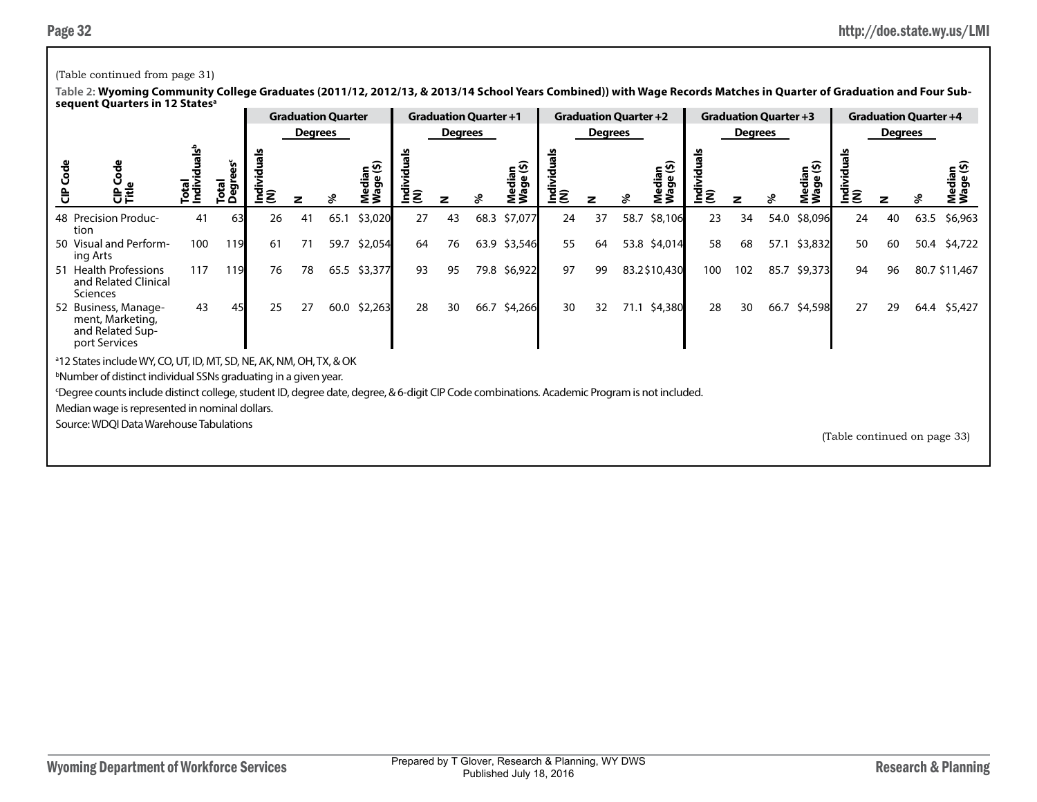## (Table continued from page 31)

|        | --------------                                                                                                                              |                          |                 |    | <b>Graduation Quarter</b> |      |                          |                    | <b>Graduation Quarter +1</b> |      |                 |                    |                | <b>Graduation Quarter +2</b> |                          |               | <b>Graduation Quarter +3</b> |      |         |                              | <b>Graduation Quarter +4</b> |      |               |
|--------|---------------------------------------------------------------------------------------------------------------------------------------------|--------------------------|-----------------|----|---------------------------|------|--------------------------|--------------------|------------------------------|------|-----------------|--------------------|----------------|------------------------------|--------------------------|---------------|------------------------------|------|---------|------------------------------|------------------------------|------|---------------|
|        |                                                                                                                                             |                          |                 |    | Degrees                   |      |                          |                    | Degrees                      |      |                 |                    | <b>Degrees</b> |                              |                          |               | Degrees                      |      |         |                              | <b>Degrees</b>               |      |               |
| Š<br>ਰ | )<br>이<br>이 드                                                                                                                               | iduals <sup>b</sup><br>も | Total<br>ה<br>≏ | ξξ |                           |      | edian<br>'aqe (\$)<br>ξŠ | Individuals<br>(N) |                              |      | ဖွဲ့<br>ခ<br>Σ3 | Individuals<br>(N) |                | ℅                            | ledian<br>age (\$)<br>Σ3 | indivi<br>(N) |                              |      | Σ3      | ž<br>I¤D<br>I                |                              |      | edia<br>ŹŠ    |
|        | 48 Precision Produc-<br>tion                                                                                                                | 41                       | 63              | 26 | 41                        | 65.1 | \$3,020                  | 27                 | 43                           | 68.3 | \$7,077         | 24                 | 37             | 58.7                         | \$8,106                  | 23            | 34                           | 54.0 | \$8,096 | 24                           | 40                           | 63.5 | \$6,963       |
|        | 50 Visual and Perform-<br>ing Arts                                                                                                          | 100                      | 119             | 61 | 71                        | 59.7 | \$2,054                  | 64                 | 76                           | 63.9 | \$3,546         | 55                 | 64             |                              | 53.8 \$4,014             | 58            | 68                           | 57.1 | \$3,832 | 50                           | 60                           |      | 50.4 \$4,722  |
|        | 51 Health Professions<br>and Related Clinical<br><b>Sciences</b>                                                                            | 117                      | 119             | 76 | 78                        | 65.5 | \$3,377                  | 93                 | 95                           |      | 79.8 \$6,922    | 97                 | 99             |                              | 83.2\$10,430             | 100           | 102                          | 85.7 | \$9,373 | 94                           | 96                           |      | 80.7 \$11,467 |
|        | 52 Business, Manage-<br>ment, Marketing,<br>and Related Sup-<br>port Services                                                               | 43                       |                 | 25 | 27                        | 60.0 | \$2,263                  | 28                 | 30                           | 66.7 | \$4,266         | 30                 | 32             | 71.1                         | \$4,380                  | 28            | 30                           | 66.7 | \$4,598 | 27                           | 29                           |      | 64.4 \$5,427  |
|        | <sup>a</sup> 12 States include WY, CO, UT, ID, MT, SD, NE, AK, NM, OH, TX, & OK                                                             |                          |                 |    |                           |      |                          |                    |                              |      |                 |                    |                |                              |                          |               |                              |      |         |                              |                              |      |               |
|        | bNumber of distinct individual SSNs graduating in a given year.                                                                             |                          |                 |    |                           |      |                          |                    |                              |      |                 |                    |                |                              |                          |               |                              |      |         |                              |                              |      |               |
|        | Degree counts include distinct college, student ID, degree date, degree, & 6-digit CIP Code combinations. Academic Program is not included. |                          |                 |    |                           |      |                          |                    |                              |      |                 |                    |                |                              |                          |               |                              |      |         |                              |                              |      |               |
|        | Median wage is represented in nominal dollars.                                                                                              |                          |                 |    |                           |      |                          |                    |                              |      |                 |                    |                |                              |                          |               |                              |      |         |                              |                              |      |               |
|        | Source: WDQI Data Warehouse Tabulations                                                                                                     |                          |                 |    |                           |      |                          |                    |                              |      |                 |                    |                |                              |                          |               |                              |      |         | (Table continued on page 33) |                              |      |               |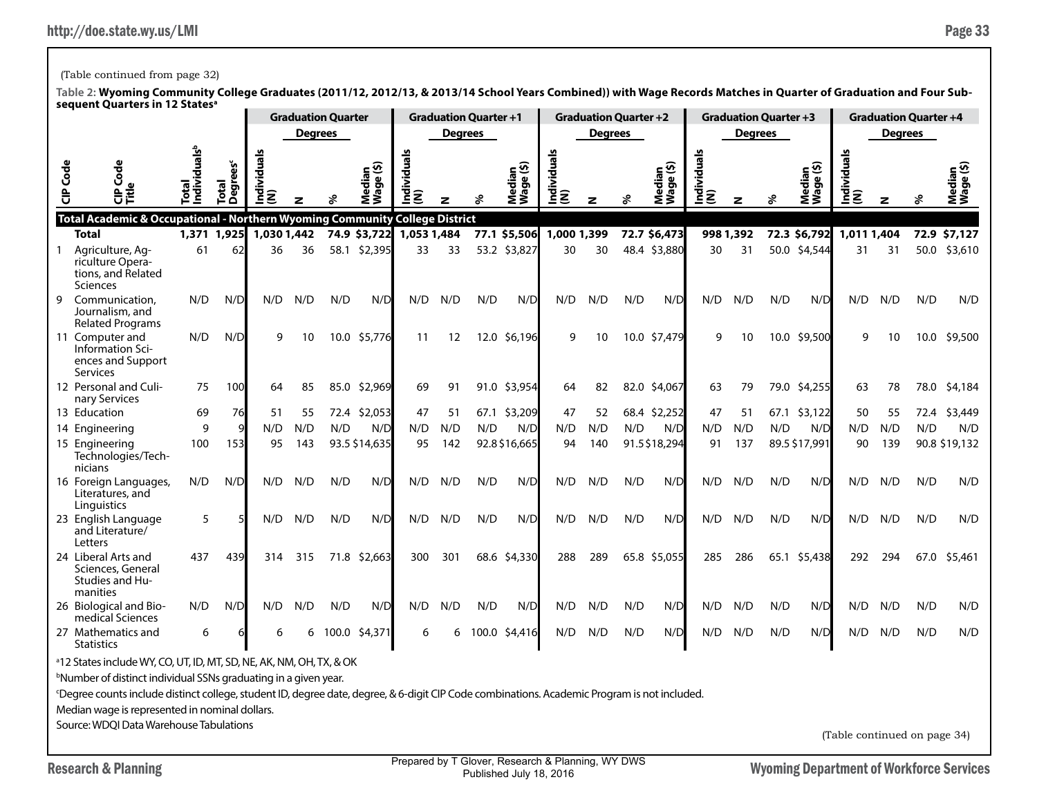## (Table continued from page 32)

|                 | אכקטכווג עטמו נכוא ווו וב אמנכא                                                                                                             |                                       |                                            |                  |                | <b>Graduation Quarter</b> |                             |                    |                | <b>Graduation Quarter +1</b> |                     |                    | <b>Graduation Quarter +2</b> |     |                     |                    | <b>Graduation Quarter +3</b> |     |                     |                                 |                | <b>Graduation Quarter +4</b> |                                                 |
|-----------------|---------------------------------------------------------------------------------------------------------------------------------------------|---------------------------------------|--------------------------------------------|------------------|----------------|---------------------------|-----------------------------|--------------------|----------------|------------------------------|---------------------|--------------------|------------------------------|-----|---------------------|--------------------|------------------------------|-----|---------------------|---------------------------------|----------------|------------------------------|-------------------------------------------------|
|                 |                                                                                                                                             |                                       |                                            |                  | <b>Degrees</b> |                           |                             |                    | <b>Degrees</b> |                              |                     |                    | <b>Degrees</b>               |     |                     |                    | <b>Degrees</b>               |     |                     |                                 | <b>Degrees</b> |                              |                                                 |
| <b>CIP</b> Code | CIP Cod<br>Title                                                                                                                            | ndividuals <sup>t</sup><br><u>ត្រ</u> | <b>Degrees<sup>c</sup></b><br><b>Total</b> | Individuals<br>Ē |                |                           | Median<br>Wage (\$)<br>Wage | Individuals<br>(N) |                |                              | Median<br>Wage (\$) | Individuals<br>(N) |                              |     | Median<br>Wage (\$) | Individuals<br>(N) | z                            | వి  | Median<br>Wage (\$) | <u>ທ</u><br> Individuals<br>(N) | z              | ℅                            | ⊆ ତି<br>ledial<br><sup>lage</sup><br><b>New</b> |
|                 | Total Academic & Occupational - Northern Wyoming Community College District<br><b>Total</b>                                                 | 1,371                                 | 1,925                                      | 1,030 1,442      |                |                           | 74.9 \$3,722                | 1,053 1,484        |                |                              | 77.1 \$5,506        | 1,000 1,399        |                              |     | 72.7 \$6,473        |                    | 998 1,392                    |     | 72.3 \$6,792        | 1,011 1,404                     |                |                              | 72.9 \$7,127                                    |
| 1               | Agriculture, Ag-<br>riculture Opera-<br>tions, and Related<br><b>Sciences</b>                                                               | 61                                    | 62                                         | 36               | 36             |                           | 58.1 \$2,395                | 33                 | 33             |                              | 53.2 \$3,827        | 30                 | 30                           |     | 48.4 \$3,880        | 30                 | 31                           |     | 50.0 \$4,544        | 31                              | 31             |                              | 50.0 \$3,610                                    |
| 9               | Communication,<br>Journalism, and<br><b>Related Programs</b>                                                                                | N/D                                   | N/D                                        | N/D              | N/D            | N/D                       | N/D                         | N/D                | N/D            | N/D                          | N/D                 | N/D                | N/D                          | N/D | N/D                 | N/D                | N/D                          | N/D | N/D                 | N/D                             | N/D            | N/D                          | N/D                                             |
|                 | 11 Computer and<br>Information Sci-<br>ences and Support<br>Services                                                                        | N/D                                   | N/D                                        | 9                | 10             |                           | 10.0 \$5,776                | 11                 | 12             |                              | 12.0 \$6,196        | q                  | 10                           |     | 10.0 \$7,479        | q                  | 10                           |     | 10.0 \$9,500        | g                               | 10             | 10.0                         | \$9,500                                         |
|                 | 12 Personal and Culi-<br>nary Services                                                                                                      | 75                                    | 100                                        | 64               | 85             |                           | 85.0 \$2,969                | 69                 | 91             |                              | 91.0 \$3,954        | 64                 | 82                           |     | 82.0 \$4,067        | 63                 | 79                           |     | 79.0 \$4,255        | 63                              | 78             | 78.0                         | \$4,184                                         |
|                 | 13 Education                                                                                                                                | 69                                    | 76                                         | 51               | 55             | 72.4                      | \$2,053                     | 47                 | 51             | 67.1                         | \$3,209             | 47                 | 52                           |     | 68.4 \$2,252        | 47                 | 51                           |     | 67.1 \$3,122        | 50                              | 55             | 72.4                         | \$3,449                                         |
|                 | 14 Engineering                                                                                                                              | 9                                     | 9                                          | N/D              | N/D            | N/D                       | N/D                         | N/D                | N/D            | N/D                          | N/D                 | N/D                | N/D                          | N/D | N/D                 | N/D                | N/D                          | N/D | N/D                 | N/D                             | N/D            | N/D                          | N/D                                             |
|                 | 15 Engineering<br>Technologies/Tech-<br>nicians                                                                                             | 100                                   | 153                                        | 95               | 143            |                           | 93.5 \$14,635               | 95                 | 142            |                              | 92.8 \$16,665       | 94                 | 140                          |     | 91.5\$18,294        | 91                 | 137                          |     | 89.5 \$17,991       | 90                              | 139            |                              | 90.8 \$19,132                                   |
|                 | 16 Foreign Languages,<br>Literatures, and<br>Linguistics                                                                                    | N/D                                   | N/D                                        | N/D              | N/D            | N/D                       | N/D                         | N/D                | N/D            | N/D                          | N/D                 | N/D                | N/D                          | N/D | N/D                 | N/D                | N/D                          | N/D | N/D                 | N/D                             | N/D            | N/D                          | N/D                                             |
|                 | 23 English Language<br>and Literature/<br>Letters                                                                                           | 5                                     |                                            | N/D              | N/D            | N/D                       | N/D                         | N/D                | N/D            | N/D                          | N/D                 | N/D                | N/D                          | N/D | N/D                 | N/D                | N/D                          | N/D | N/D                 | N/D                             | N/D            | N/D                          | N/D                                             |
|                 | 24 Liberal Arts and<br>Sciences, General<br><b>Studies and Hu-</b><br>manities                                                              | 437                                   | 439                                        | 314              | 315            |                           | 71.8 \$2,663                | 300                | 301            |                              | 68.6 \$4,330        | 288                | 289                          |     | 65.8 \$5,055        | 285                | 286                          |     | 65.1 \$5,438        | 292                             | 294            | 67.0                         | \$5,461                                         |
|                 | 26 Biological and Bio-<br>medical Sciences                                                                                                  | N/D                                   | N/D                                        | N/D              | N/D            | N/D                       | N/D                         | N/D                | N/D            | N/D                          | N/D                 | N/D                | N/D                          | N/D | N/D                 | N/D                | N/D                          | N/D | N/D                 | N/D                             | N/D            | N/D                          | N/D                                             |
|                 | 27 Mathematics and<br><b>Statistics</b>                                                                                                     | 6                                     |                                            | 6                | 6              |                           | 100.0 \$4,371               | 6                  | 6              | 100.0                        | \$4,416             | N/D                | N/D                          | N/D | N/D                 | N/D                | N/D                          | N/D | N/D                 | N/D                             | N/D            | N/D                          | N/D                                             |
|                 | <sup>a</sup> 12 States include WY, CO, UT, ID, MT, SD, NE, AK, NM, OH, TX, & OK                                                             |                                       |                                            |                  |                |                           |                             |                    |                |                              |                     |                    |                              |     |                     |                    |                              |     |                     |                                 |                |                              |                                                 |
|                 | <sup>b</sup> Number of distinct individual SSNs graduating in a given year.                                                                 |                                       |                                            |                  |                |                           |                             |                    |                |                              |                     |                    |                              |     |                     |                    |                              |     |                     |                                 |                |                              |                                                 |
|                 | Degree counts include distinct college, student ID, degree date, degree, & 6-digit CIP Code combinations. Academic Program is not included. |                                       |                                            |                  |                |                           |                             |                    |                |                              |                     |                    |                              |     |                     |                    |                              |     |                     |                                 |                |                              |                                                 |
|                 | Median wage is represented in nominal dollars.                                                                                              |                                       |                                            |                  |                |                           |                             |                    |                |                              |                     |                    |                              |     |                     |                    |                              |     |                     |                                 |                |                              |                                                 |
|                 | Source: WDQI Data Warehouse Tabulations                                                                                                     |                                       |                                            |                  |                |                           |                             |                    |                |                              |                     |                    |                              |     |                     |                    |                              |     |                     | (Table continued on page 34)    |                |                              |                                                 |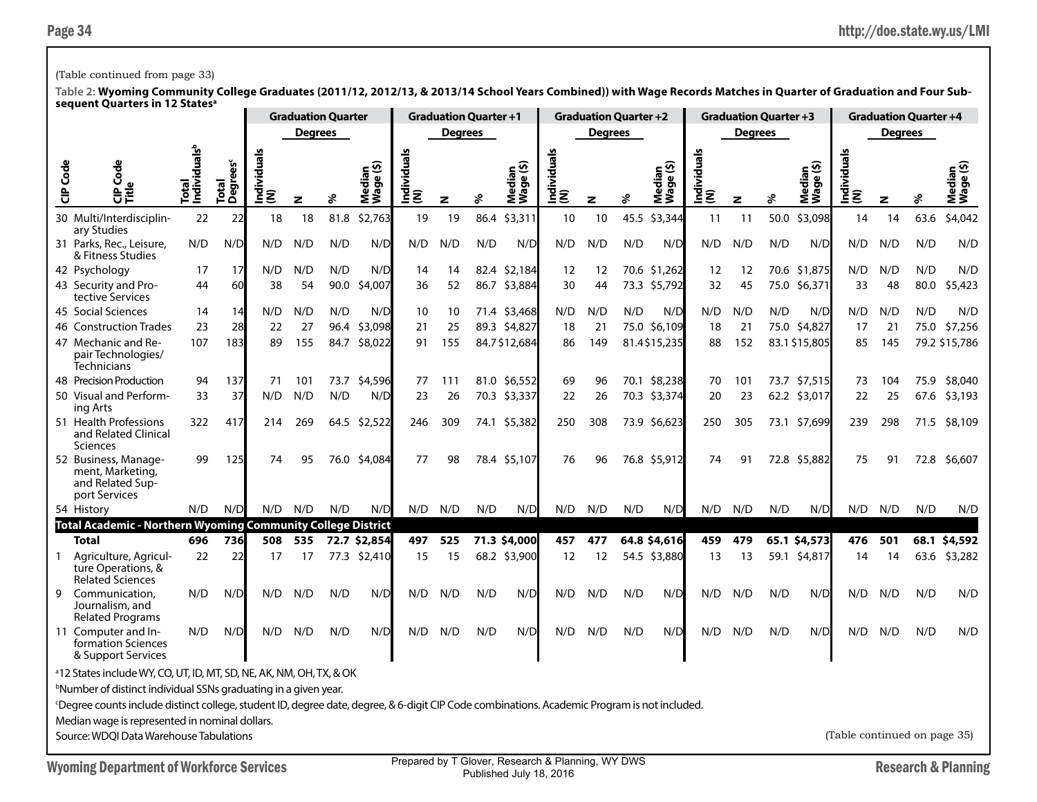## (Table continued from page 33)

|          |                                                                                                                                                          |                                   |                               |                            | <b>Graduation Quarter</b> |      |                     |                    | <b>Graduation Quarter +1</b> |      |                     |                    | <b>Graduation Quarter +2</b> |      |                     |                    | <b>Graduation Quarter +3</b> |      |                     |                              | <b>Graduation Quarter +4</b> |      |                     |
|----------|----------------------------------------------------------------------------------------------------------------------------------------------------------|-----------------------------------|-------------------------------|----------------------------|---------------------------|------|---------------------|--------------------|------------------------------|------|---------------------|--------------------|------------------------------|------|---------------------|--------------------|------------------------------|------|---------------------|------------------------------|------------------------------|------|---------------------|
|          |                                                                                                                                                          |                                   |                               |                            | <b>Degrees</b>            |      |                     |                    | <b>Degrees</b>               |      |                     |                    | <b>Degrees</b>               |      |                     |                    | <b>Degrees</b>               |      |                     |                              | <b>Degrees</b>               |      |                     |
| CIP Code | Š<br>$\mathbf{a}$<br>용                                                                                                                                   | Individuals <sup>b</sup><br>Total | Total<br>Degrees <sup>c</sup> | Individual <u>:</u><br>(N) | $\overline{\mathbf{z}}$   | వి   | Median<br>Wage (\$) | Individual:<br>(N) | $\mathbf{z}$                 | వి   | Median<br>Wage (\$) | Individuals<br>(N) | z                            | ℅    | Median<br>Wage (\$) | Individuals<br>(N) | z                            |      | Median<br>Wage (\$) | Individuals<br>(N)           | z                            | వి   | Median<br>Wage (\$) |
|          | 30 Multi/Interdisciplin-<br>ary Studies                                                                                                                  | 22                                | 22                            | 18                         | 18                        | 81.8 | \$2,763             | 19                 | 19                           | 86.4 | \$3,311             | 10                 | 10                           | 45.5 | \$3,344             | 11                 | 11                           | 50.0 | \$3,098             | 14                           | 14                           | 63.6 | \$4,042             |
|          | 31 Parks, Rec., Leisure,<br>& Fitness Studies                                                                                                            | N/D                               | N/D                           | N/D                        | N/D                       | N/D  | N/D                 | N/D                | N/D                          | N/D  | N/D                 | N/D                | N/D                          | N/D  | N/D                 | N/D                | N/D                          | N/D  | N/D                 | N/D                          | N/D                          | N/D  | N/D                 |
|          | 42 Psychology                                                                                                                                            | 17                                | 17                            | N/D                        | N/D                       | N/D  | N/D                 | 14                 | 14                           |      | 82.4 \$2,184        | 12                 | 12                           |      | 70.6 \$1,262        | 12                 | 12                           |      | 70.6 \$1,875        | N/D                          | N/D                          | N/D  | N/D                 |
|          | 43 Security and Pro-<br>tective Services                                                                                                                 | 44                                | 60                            | 38                         | 54                        | 90.0 | \$4,007             | 36                 | 52                           |      | 86.7 \$3,884        | 30                 | 44                           |      | 73.3 \$5,792        | 32                 | 45                           |      | 75.0 \$6,371        | 33                           | 48                           | 80.0 | \$5,423             |
|          | 45 Social Sciences                                                                                                                                       | 14                                | 14                            | N/D                        | N/D                       | N/D  | N/D                 | 10                 | 10                           |      | 71.4 \$3,468        | N/D                | N/D                          | N/D  | N/D                 | N/D                | N/D                          | N/D  | N/D                 | N/D                          | N/D                          | N/D  | N/D                 |
|          | 46 Construction Trades                                                                                                                                   | 23                                | 28                            | 22                         | 27                        | 96.4 | \$3,098             | 21                 | 25                           |      | 89.3 \$4,827        | 18                 | 21                           |      | 75.0 \$6,109        | 18                 | 21                           |      | 75.0 \$4,827        | 17                           | 21                           | 75.0 | \$7,256             |
|          | 47 Mechanic and Re-<br>pair Technologies/<br>Technicians                                                                                                 | 107                               | 183                           | 89                         | 155                       | 84.7 | \$8,022             | 91                 | 155                          |      | 84.7\$12,684        | 86                 | 149                          |      | 81.4\$15,235        | 88                 | 152                          |      | 83.1 \$15,805       | 85                           | 145                          |      | 79.2 \$15,786       |
|          | 48 Precision Production                                                                                                                                  | 94                                | 137                           | 71                         | 101                       | 73.7 | \$4,596             | 77                 | 111                          |      | 81.0 \$6,552        | 69                 | 96                           |      | 70.1 \$8,238        | 70                 | 101                          |      | 73.7 \$7,515        | 73                           | 104                          | 75.9 | \$8,040             |
|          | 50 Visual and Perform-<br>ing Arts                                                                                                                       | 33                                | 37                            | N/D                        | N/D                       | N/D  | N/D                 | 23                 | 26                           |      | 70.3 \$3,337        | 22                 | 26                           |      | 70.3 \$3,374        | 20                 | 23                           |      | 62.2 \$3,017        | 22                           | 25                           | 67.6 | \$3,193             |
|          | 51 Health Professions<br>and Related Clinical<br>Sciences                                                                                                | 322                               | 417                           | 214                        | 269                       |      | 64.5 \$2,522        | 246                | 309                          |      | 74.1 \$5,382        | 250                | 308                          |      | 73.9 \$6,623        | 250                | 305                          |      | 73.1 \$7,699        | 239                          | 298                          |      | 71.5 \$8,109        |
|          | 52 Business, Manage-<br>ment, Marketing,<br>and Related Sup-<br>port Services                                                                            | 99                                | 125                           | 74                         | 95                        |      | 76.0 \$4,084        | 77                 | 98                           |      | 78.4 \$5,107        | 76                 | 96                           |      | 76.8 \$5,912        | 74                 | 91                           |      | 72.8 \$5,882        | 75                           | 91                           |      | 72.8 \$6,607        |
|          | 54 History                                                                                                                                               | N/D                               | N/D                           | N/D                        | N/D                       | N/D  | N/D                 | N/D                | N/D                          | N/D  | N/D                 | N/D                | N/D                          | N/D  | N/D                 | N/D                | N/D                          | N/D  | N/D                 | N/D                          | N/D                          | N/D  | N/D                 |
|          | <b>Total Academic - Northern Wyoming Community College District</b>                                                                                      |                                   |                               |                            |                           |      |                     |                    |                              |      |                     |                    |                              |      |                     |                    |                              |      |                     |                              |                              |      |                     |
|          | <b>Total</b>                                                                                                                                             | 696                               | 736                           | 508                        | 535                       |      | 72.7 \$2,854        | 497                | 525                          |      | 71.3 \$4,000        | 457                | 477                          |      | 64.8 \$4,616        | 459                | 479                          |      | 65.1 \$4,573        | 476                          | 501                          |      | 68.1 \$4,592        |
|          | Agriculture, Agricul-<br>ture Operations, &<br><b>Related Sciences</b>                                                                                   | 22                                | 22                            | 17                         | 17                        |      | 77.3 \$2,410        | 15                 | 15                           |      | 68.2 \$3,900        | 12                 | 12                           |      | 54.5 \$3,880        | 13                 | 13                           |      | 59.1 \$4,817        | 14                           | 14                           | 63.6 | \$3,282             |
| 9        | Communication.<br>Journalism, and<br><b>Related Programs</b>                                                                                             | N/D                               | N/D                           | N/D                        | N/D                       | N/D  | N/D                 | N/D                | N/D                          | N/D  | N/D                 | N/D                | N/D                          | N/D  | N/D                 | N/D                | N/D                          | N/D  | N/D                 | N/D                          | N/D                          | N/D  | N/D                 |
|          | 11 Computer and In-<br>formation Sciences<br>& Support Services                                                                                          | N/D                               | N/D                           | N/D                        | N/D                       | N/D  | N/D                 | N/D                | N/D                          | N/D  | N/D                 | N/D                | N/D                          | N/D  | N/D                 | N/D                | N/D                          | N/D  | N/D                 | N/D                          | N/D                          | N/D  | N/D                 |
|          | <sup>a</sup> 12 States include WY, CO, UT, ID, MT, SD, NE, AK, NM, OH, TX, & OK                                                                          |                                   |                               |                            |                           |      |                     |                    |                              |      |                     |                    |                              |      |                     |                    |                              |      |                     |                              |                              |      |                     |
|          | <sup>b</sup> Number of distinct individual SSNs graduating in a given year.                                                                              |                                   |                               |                            |                           |      |                     |                    |                              |      |                     |                    |                              |      |                     |                    |                              |      |                     |                              |                              |      |                     |
|          | <sup>c</sup> Degree counts include distinct college, student ID, degree date, degree, & 6-digit CIP Code combinations. Academic Program is not included. |                                   |                               |                            |                           |      |                     |                    |                              |      |                     |                    |                              |      |                     |                    |                              |      |                     |                              |                              |      |                     |
|          | Median wage is represented in nominal dollars.                                                                                                           |                                   |                               |                            |                           |      |                     |                    |                              |      |                     |                    |                              |      |                     |                    |                              |      |                     |                              |                              |      |                     |
|          | Source: WDQI Data Warehouse Tabulations                                                                                                                  |                                   |                               |                            |                           |      |                     |                    |                              |      |                     |                    |                              |      |                     |                    |                              |      |                     | (Table continued on page 35) |                              |      |                     |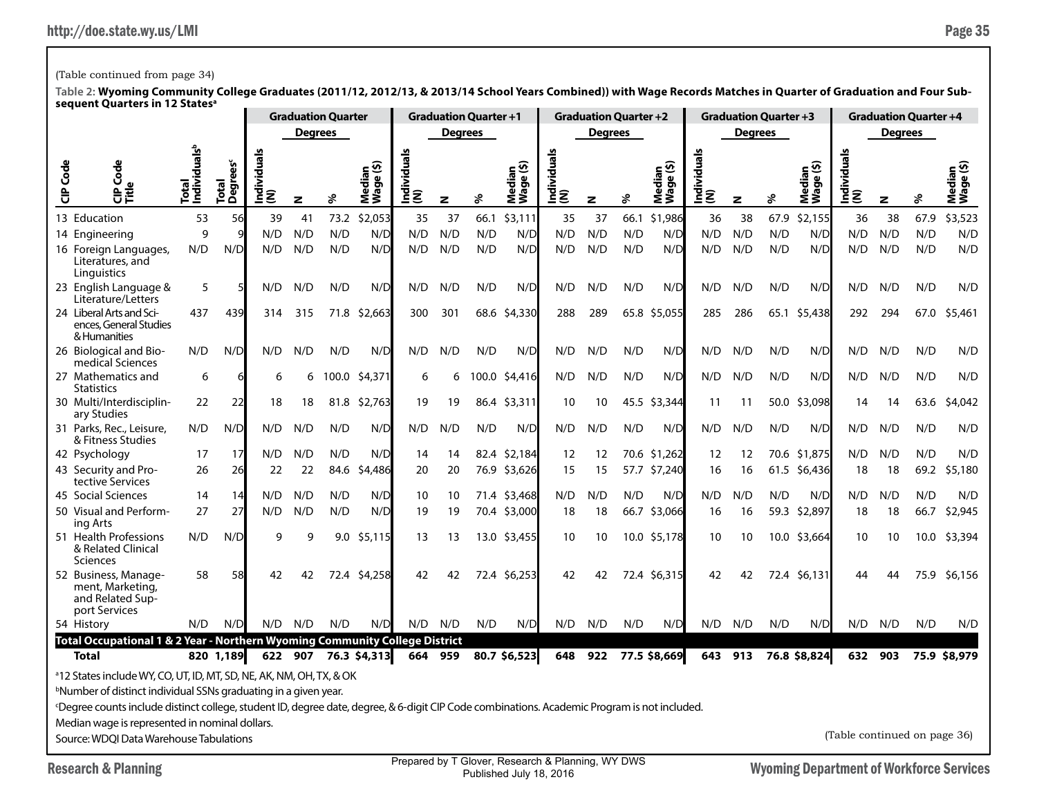## (Table continued from page 34)

|           |                                                                                                                                                                                                                                                                                                                                                                                                                         |                                   |                               |                |                | <b>Graduation Quarter</b> |                                                    |                 |                | <b>Graduation Quarter +1</b> |                     |                 | <b>Graduation Quarter +2</b> |      |                                                           |                  |                | <b>Graduation Quarter +3</b> |                     |                              | <b>Graduation Quarter +4</b> |      |                     |
|-----------|-------------------------------------------------------------------------------------------------------------------------------------------------------------------------------------------------------------------------------------------------------------------------------------------------------------------------------------------------------------------------------------------------------------------------|-----------------------------------|-------------------------------|----------------|----------------|---------------------------|----------------------------------------------------|-----------------|----------------|------------------------------|---------------------|-----------------|------------------------------|------|-----------------------------------------------------------|------------------|----------------|------------------------------|---------------------|------------------------------|------------------------------|------|---------------------|
|           |                                                                                                                                                                                                                                                                                                                                                                                                                         |                                   |                               |                | <b>Degrees</b> |                           |                                                    |                 | <b>Degrees</b> |                              |                     |                 | <b>Degrees</b>               |      |                                                           |                  | <b>Degrees</b> |                              |                     |                              | <b>Degrees</b>               |      |                     |
| Code<br>ិ | Φ<br>Š<br>)<br>이<br>디자                                                                                                                                                                                                                                                                                                                                                                                                  | Total<br>Individuals <sup>b</sup> | Total<br>Degrees <sup>c</sup> | ndividual<br>ξ | z              | శి                        | ledian<br><sup>(age (\$)</sup><br>Mediar<br>Wage ( | Individual<br>ξ | z              | ℅                            | Median<br>Wage (\$) | Individu<br>(N) | z                            | ४    | $\mathbf{\tilde{e}}$ $\mathbf{\tilde{e}}$<br>ჭ<br>ᄛ<br>ξŠ | Individuals<br>ξ | z              | ℅                            | Median<br>Wage (\$) | Individuals<br>(N)           | z                            | శి   | Median<br>Wage (\$) |
|           | 13 Education                                                                                                                                                                                                                                                                                                                                                                                                            | 53                                | 56                            | 39             | 41             | 73.2                      | \$2,053                                            | 35              | 37             | 66.1                         | \$3,111             | 35              | 37                           | 66.1 | \$1,986                                                   | 36               | 38             | 67.9                         | \$2,155             | 36                           | 38                           | 67.9 | \$3,523             |
|           | 14 Engineering                                                                                                                                                                                                                                                                                                                                                                                                          | 9                                 |                               | N/D            | N/D            | N/D                       | N/D                                                | N/D             | N/D            | N/D                          | N/D                 | N/D             | N/D                          | N/D  | N/D                                                       | N/D              | N/D            | N/D                          | N/D                 | N/D                          | N/D                          | N/D  | N/D                 |
|           | 16 Foreign Languages,<br>Literatures, and<br>Linguistics                                                                                                                                                                                                                                                                                                                                                                | N/D                               | N/D                           | N/D            | N/D            | N/D                       | N/D                                                | N/D             | N/D            | N/D                          | N/D                 | N/D             | N/D                          | N/D  | N/D                                                       | N/D              | N/D            | N/D                          | N/D                 | N/D                          | N/D                          | N/D  | N/D                 |
|           | 23 English Language &<br>Literature/Letters                                                                                                                                                                                                                                                                                                                                                                             | 5                                 |                               | N/D            | N/D            | N/D                       | N/D                                                | N/D             | N/D            | N/D                          | N/D                 | N/D             | N/D                          | N/D  | N/D                                                       | N/D              | N/D            | N/D                          | N/D                 | N/D                          | N/D                          | N/D  | N/D                 |
|           | 24 Liberal Arts and Sci-<br>ences, General Studies<br>& Humanities                                                                                                                                                                                                                                                                                                                                                      | 437                               | 439                           | 314            | 315            | 71.8                      | \$2,663                                            | 300             | 301            | 68.6                         | \$4,330             | 288             | 289                          | 65.8 | \$5,055                                                   | 285              | 286            | 65.1                         | \$5,438             | 292                          | 294                          | 67.0 | \$5,461             |
|           | 26 Biological and Bio-<br>medical Sciences                                                                                                                                                                                                                                                                                                                                                                              | N/D                               | N/D                           | N/D            | N/D            | N/D                       | N/D                                                | N/D             | N/D            | N/D                          | $N/\Gamma$          | N/D             | N/D                          | N/D  | N/D                                                       | N/D              | N/D            | N/D                          | N/D                 | N/D                          | N/D                          | N/D  | N/D                 |
|           | 27 Mathematics and<br><b>Statistics</b>                                                                                                                                                                                                                                                                                                                                                                                 | 6                                 |                               | 6              | 6              | 100.0                     | \$4,371                                            | 6               | 6              |                              | 100.0 \$4,416       | N/D             | N/D                          | N/D  | N/D                                                       | N/D              | N/D            | N/D                          | N/D                 | N/D                          | N/D                          | N/D  | N/D                 |
|           | 30 Multi/Interdisciplin-<br>ary Studies                                                                                                                                                                                                                                                                                                                                                                                 | 22                                | 22                            | 18             | 18             | 81.8                      | \$2,763                                            | 19              | 19             |                              | 86.4 \$3,311        | 10              | 10                           | 45.5 | \$3,344                                                   | 11               | 11             | 50.0                         | \$3,098             | 14                           | 14                           | 63.6 | \$4,042             |
|           | 31 Parks, Rec., Leisure,<br>& Fitness Studies                                                                                                                                                                                                                                                                                                                                                                           | N/D                               | N/D                           | N/D            | N/D            | N/D                       | N/D                                                | N/D             | N/D            | N/D                          | $N/\Gamma$          | N/D             | N/D                          | N/D  | N/D                                                       | N/D              | N/D            | N/D                          | N/D                 | N/D                          | N/D                          | N/D  | N/D                 |
|           | 42 Psychology                                                                                                                                                                                                                                                                                                                                                                                                           | 17                                | 17                            | N/D            | N/D            | N/D                       | N/D                                                | 14              | 14             |                              | 82.4 \$2,184        | 12              | 12                           |      | 70.6 \$1,262                                              | 12               | 12             |                              | 70.6 \$1,875        | N/D                          | N/D                          | N/D  | N/D                 |
|           | 43 Security and Pro-<br>tective Services                                                                                                                                                                                                                                                                                                                                                                                | 26                                | 26                            | 22             | 22             | 84.6                      | \$4,486                                            | 20              | 20             |                              | 76.9 \$3,626        | 15              | 15                           |      | 57.7 \$7,240                                              | 16               | 16             | 61.5                         | \$6,436             | 18                           | 18                           | 69.2 | \$5,180             |
|           | 45 Social Sciences                                                                                                                                                                                                                                                                                                                                                                                                      | 14                                | 14                            | N/D            | N/D            | N/D                       | N/D                                                | 10              | 10             |                              | 71.4 \$3,468        | N/D             | N/D                          | N/D  | N/D                                                       | N/D              | N/D            | N/D                          | N/D                 | N/D                          | N/D                          | N/D  | N/D                 |
|           | 50 Visual and Perform-<br>ing Arts                                                                                                                                                                                                                                                                                                                                                                                      | 27                                | 27                            | N/D            | N/D            | N/D                       | N/D                                                | 19              | 19             |                              | 70.4 \$3,000        | 18              | 18                           |      | 66.7 \$3,066                                              | 16               | 16             | 59.3                         | \$2,897             | 18                           | 18                           | 66.7 | \$2,945             |
|           | 51 Health Professions<br>& Related Clinical<br>Sciences                                                                                                                                                                                                                                                                                                                                                                 | N/D                               | N/D                           | q              | 9              | 9.0                       | \$5,115                                            | 13              | 13             |                              | 13.0 \$3,455        | 10              | 10                           |      | 10.0 \$5,178                                              | 10               | 10             | 10.0                         | \$3,664             | 10                           | 10                           | 10.0 | \$3,394             |
|           | 52 Business, Manage-<br>ment. Marketing.<br>and Related Sup-<br>port Services                                                                                                                                                                                                                                                                                                                                           | 58                                | 58                            | 42             | 42             | 72.4                      | \$4,258                                            | 42              | 42             |                              | 72.4 \$6,253        | 42              | 42                           |      | 72.4 \$6,315                                              | 42               | 42             |                              | 72.4 \$6,131        | 44                           | 44                           | 75.9 | \$6,156             |
|           | 54 History                                                                                                                                                                                                                                                                                                                                                                                                              | N/D                               | N/D                           | N/D            | N/D            | N/D                       | N/D                                                | N/D             | N/D            | N/D                          | N/D                 | N/D             | N/D                          | N/D  | N/D                                                       | N/D              | N/D            | N/D                          | N/D                 | N/D                          | N/D                          | N/D  | N/D                 |
|           | Total Occupational 1 & 2 Year - Northern Wyoming Community College District<br><b>Total</b>                                                                                                                                                                                                                                                                                                                             |                                   | 820 1,189                     |                | 622 907        |                           | 76.3 \$4,313                                       | 664             | 959            |                              | 80.7 \$6,523        | 648             | 922                          |      | 77.5 \$8,669                                              | 643              | 913            |                              | 76.8 \$8,824        | 632                          | 903                          | 75.9 | \$8,979             |
|           | <sup>a</sup> 12 States include WY, CO, UT, ID, MT, SD, NE, AK, NM, OH, TX, & OK<br><sup>b</sup> Number of distinct individual SSNs graduating in a given year.<br><sup>c</sup> Degree counts include distinct college, student ID, degree date, degree, & 6-digit CIP Code combinations. Academic Program is not included.<br>Median wage is represented in nominal dollars.<br>Source: WDOI Data Warehouse Tabulations |                                   |                               |                |                |                           |                                                    |                 |                |                              |                     |                 |                              |      |                                                           |                  |                |                              |                     | (Table continued on page 36) |                              |      |                     |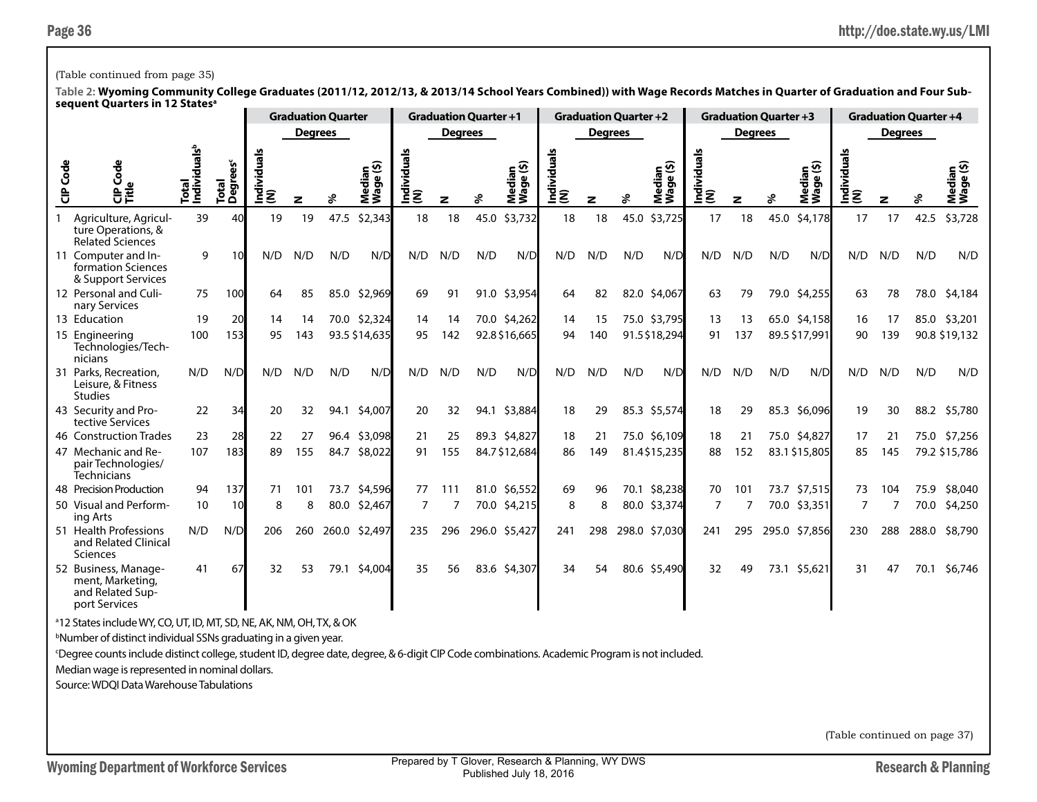## (Table continued from page 35)

**Table 2: Wyoming Community College Graduates (2011/12, 2012/13, & 2013/14 School Years Combined)) with Wage Records Matches in Quarter of Graduation and Four Subsequent Quarters in 12 Statesa**

|                 |                                                                               |                                   |                      |                    |                | <b>Graduation Quarter</b> |                     |                    |                | <b>Graduation Quarter +1</b> |                     |                    |                | <b>Graduation Quarter +2</b> |                     |                    | <b>Graduation Quarter +3</b> |      |                                |                    |                | <b>Graduation Quarter +4</b> |                     |
|-----------------|-------------------------------------------------------------------------------|-----------------------------------|----------------------|--------------------|----------------|---------------------------|---------------------|--------------------|----------------|------------------------------|---------------------|--------------------|----------------|------------------------------|---------------------|--------------------|------------------------------|------|--------------------------------|--------------------|----------------|------------------------------|---------------------|
|                 |                                                                               |                                   |                      |                    | <b>Degrees</b> |                           |                     |                    | <b>Degrees</b> |                              |                     |                    | <b>Degrees</b> |                              |                     |                    | <b>Degrees</b>               |      |                                |                    | <b>Degrees</b> |                              |                     |
| <b>CIP Code</b> | Code<br>o<br>문<br>다                                                           | Individuals <sup>b</sup><br>Total | Šēā<br>Total<br>Degr | Individuals<br>(N) | z              | ℅                         | Median<br>Wage (\$) | Individuals<br>(N) | z              | వి                           | Median<br>Wage (\$) | Individuals<br>(N) | z              | ℅                            | Median<br>Wage (\$) | Individuals<br>(N) | z                            |      | <u>ତ</u> ୁ<br>Median<br>Wage ( | Individuals<br>(N) | z              | వి                           | Median<br>Wage (\$) |
|                 | Agriculture, Agricul-<br>ture Operations, &<br><b>Related Sciences</b>        | 39                                | 40                   | 19                 | 19             | 47.5                      | \$2,343             | 18                 | 18             | 45.0                         | \$3,732             | 18                 | 18             | 45.0                         | \$3,725             | 17                 | 18                           | 45.0 | \$4,178                        | 17                 | 17             | 42.5                         | \$3,728             |
|                 | 11 Computer and In-<br>formation Sciences<br>& Support Services               | 9                                 | 10                   | N/D                | N/D            | N/D                       | N/D                 | N/D                | N/D            | N/D                          | N/D                 | N/D                | N/D            | N/D                          | N/D                 | N/D                | N/D                          | N/D  | N/D                            | N/D                | N/D            | N/D                          | N/D                 |
|                 | 12 Personal and Culi-<br>nary Services                                        | 75                                | 100                  | 64                 | 85             | 85.0                      | \$2,969             | 69                 | 91             |                              | 91.0 \$3,954        | 64                 | 82             |                              | 82.0 \$4,067        | 63                 | 79                           |      | 79.0 \$4,255                   | 63                 | 78             | 78.0                         | \$4,184             |
|                 | 13 Education                                                                  | 19                                | 20                   | 14                 | 14             |                           | 70.0 \$2,324        | 14                 | 14             |                              | 70.0 \$4,262        | 14                 | 15             |                              | 75.0 \$3,795        | 13                 | 13                           |      | 65.0 \$4,158                   | 16                 | 17             |                              | 85.0 \$3,201        |
|                 | 15 Engineering<br>Technologies/Tech-<br>nicians                               | 100                               | 153                  | 95                 | 143            |                           | 93.5 \$14,635       | 95                 | 142            |                              | 92.8 \$16,665       | 94                 | 140            |                              | 91.5\$18,294        | 91                 | 137                          |      | 89.5 \$17,991                  | 90                 | 139            |                              | 90.8 \$19,132       |
|                 | 31 Parks, Recreation,<br>Leisure, & Fitness<br><b>Studies</b>                 | N/D                               | N/D                  | N/D                | N/D            | N/D                       | N/D                 | N/D                | N/D            | N/D                          | N/D                 | N/D                | N/D            | N/D                          | N/D                 | N/D                | N/D                          | N/D  | N/D                            | N/D                | N/D            | N/D                          | N/D                 |
|                 | 43 Security and Pro-<br>tective Services                                      | 22                                | 34                   | 20                 | 32             | 94.1                      | \$4,007             | 20                 | 32             |                              | 94.1 \$3,884        | 18                 | 29             |                              | 85.3 \$5,574        | 18                 | 29                           |      | 85.3 \$6,096                   | 19                 | 30             | 88.2                         | \$5,780             |
|                 | 46 Construction Trades                                                        | 23                                | 28                   | 22                 | 27             | 96.4                      | \$3,098             | 21                 | 25             |                              | 89.3 \$4,827        | 18                 | 21             |                              | 75.0 \$6,109        | 18                 | 21                           |      | 75.0 \$4,827                   | 17                 | 21             |                              | 75.0 \$7,256        |
|                 | 47 Mechanic and Re-<br>pair Technologies/<br><b>Technicians</b>               | 107                               | 183                  | 89                 | 155            | 84.7                      | \$8,022             | 91                 | 155            |                              | 84.7\$12,684        | 86                 | 149            |                              | 81.4\$15,235        | 88                 | 152                          |      | 83.1 \$15,805                  | 85                 | 145            |                              | 79.2 \$15,786       |
|                 | 48 Precision Production                                                       | 94                                | 137                  | 71                 | 101            | 73.7                      | \$4,596             | 77                 | 111            |                              | 81.0 \$6,552        | 69                 | 96             |                              | 70.1 \$8,238        | 70                 | 101                          |      | 73.7 \$7,515                   | 73                 | 104            | 75.9                         | \$8,040             |
|                 | 50 Visual and Perform-<br>ing Arts                                            | 10                                | 10                   | 8                  | 8              | 80.0                      | \$2,467             | 7                  |                |                              | 70.0 \$4,215        | 8                  | 8              |                              | 80.0 \$3,374        | 7                  |                              |      | 70.0 \$3,351                   | 7                  |                |                              | 70.0 \$4,250        |
|                 | 51 Health Professions<br>and Related Clinical<br>Sciences                     | N/D                               | N/D                  | 206                | 260            | 260.0                     | \$2,497             | 235                | 296            |                              | 296.0 \$5,427       | 241                | 298            |                              | 298.0 \$7,030       | 241                | 295                          |      | 295.0 \$7,856                  | 230                | 288            | 288.0                        | \$8,790             |
|                 | 52 Business, Manage-<br>ment, Marketing,<br>and Related Sup-<br>port Services | 41                                | 67                   | 32                 | 53             | 79.1                      | \$4,004             | 35                 | 56             |                              | 83.6 \$4,307        | 34                 | 54             |                              | 80.6 \$5,490        | 32                 | 49                           |      | 73.1 \$5,621                   | 31                 | 47             | 70.1                         | \$6,746             |

a 12 States include WY, CO, UT, ID, MT, SD, NE, AK, NM, OH, TX, & OK

b Number of distinct individual SSNs graduating in a given year.

c Degree counts include distinct college, student ID, degree date, degree, & 6-digit CIP Code combinations. Academic Program is not included.

Median wage is represented in nominal dollars.

Source: WDQI Data Warehouse Tabulations

(Table continued on page 37)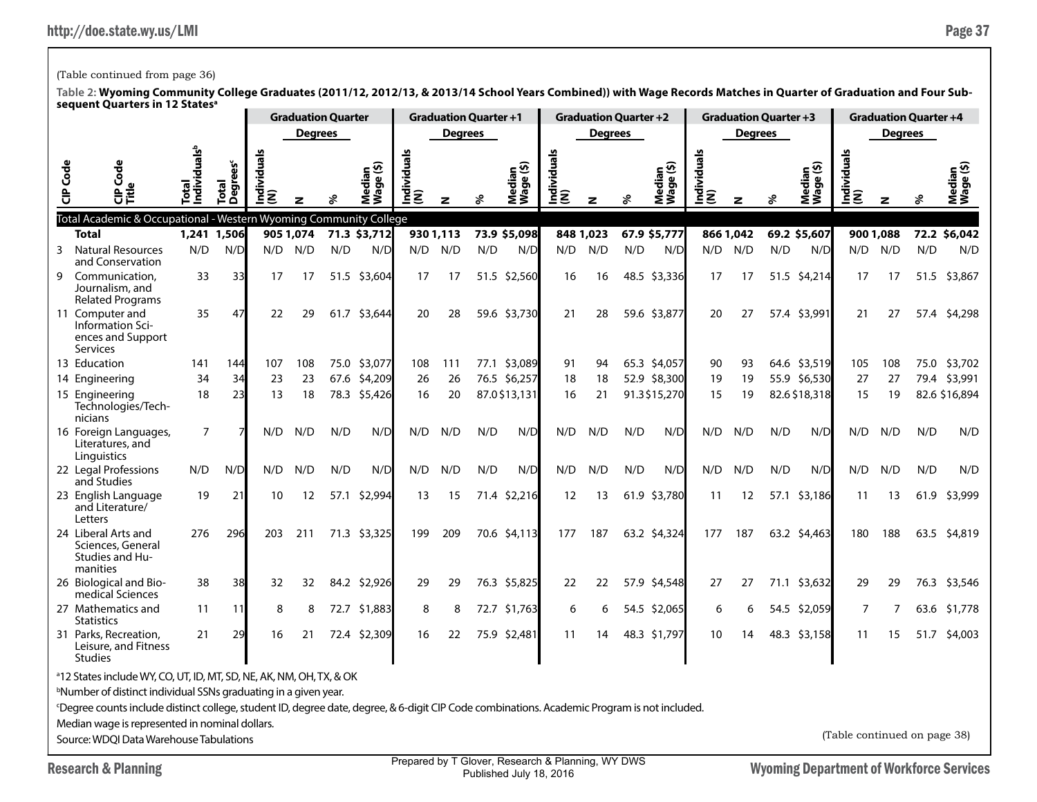Statistics

Studies

31 Parks, Recreation, Leisure, and Fitness

a 12 States include WY, CO, UT, ID, MT, SD, NE, AK, NM, OH, TX, & OK b Number of distinct individual SSNs graduating in a given year.

Median wage is represented in nominal dollars. Source: WDQI Data Warehouse Tabulations

Research & Planning Research & Planning Prepared by 1 Glover, Research & Planning, WY DWS Wyoming Department of Workforce Services Prepared by T Glover, Research & Planning, WY DWS Published July 18, 2016

c Degree counts include distinct college, student ID, degree date, degree, & 6-digit CIP Code combinations. Academic Program is not included.

21 29 16 21 72.4 \$2,309 16 22 75.9 \$2,481 11 14 48.3 \$1,797 10 14 48.3 \$3,158 11 15 51.7 \$4,003

| Table 2: Wyoming Community College Graduates (2011/12, 2012/13, & 2013/14 School Years Combined)) with Wage Records Matches in Quarter of Graduation and Four Sub-<br>sequent Quarters in 12 States <sup>a</sup> |                                                                             |                |               |                |           |                           |                               |                   |          |                              |                                           |                              |                |     |                                        |                |                |                              |               |                              |           |      |                          |  |  |
|------------------------------------------------------------------------------------------------------------------------------------------------------------------------------------------------------------------|-----------------------------------------------------------------------------|----------------|---------------|----------------|-----------|---------------------------|-------------------------------|-------------------|----------|------------------------------|-------------------------------------------|------------------------------|----------------|-----|----------------------------------------|----------------|----------------|------------------------------|---------------|------------------------------|-----------|------|--------------------------|--|--|
|                                                                                                                                                                                                                  |                                                                             |                |               |                |           | <b>Graduation Quarter</b> |                               |                   |          | <b>Graduation Quarter +1</b> |                                           | <b>Graduation Quarter +2</b> |                |     |                                        |                |                | <b>Graduation Quarter +3</b> |               | <b>Graduation Quarter +4</b> |           |      |                          |  |  |
|                                                                                                                                                                                                                  |                                                                             |                |               | <b>Degrees</b> |           |                           |                               | <b>Degrees</b>    |          |                              |                                           |                              | <b>Degrees</b> |     |                                        |                | <b>Degrees</b> |                              |               | <b>Degrees</b>               |           |      |                          |  |  |
|                                                                                                                                                                                                                  | Code<br><b>Code</b><br>양                                                    |                | Total<br>Degi |                |           |                           | ledian<br>'age (\$)<br>Š<br>٤ | viduals<br>ᄒ<br>Ē | z        |                              | ledian<br><sup>r</sup> age (\$)<br>ឨ៓៓៓៓៓ | ă<br>꽁<br>ις<br>Εε           |                | వి  | ledian<br><sup>laqe (\$)</sup><br>ร็≶็ | Individ<br>(N) |                | వి                           | ⊂ ທ<br>Σპ     | viduals<br>€<br>ξ<br>Ě       | z         |      | ⊆ ତି<br>Mediar<br>Wage ( |  |  |
|                                                                                                                                                                                                                  | Total Academic & Occupational - Western Wyoming Community College           |                |               |                |           |                           |                               |                   |          |                              |                                           |                              |                |     |                                        |                |                |                              |               |                              |           |      |                          |  |  |
|                                                                                                                                                                                                                  | <b>Total</b>                                                                |                | 1,241 1,506   |                | 905 1,074 |                           | 71.3 \$3,712                  |                   | 9301,113 |                              | 73.9 \$5,098                              |                              | 848 1,023      |     | 67.9 \$5,777                           |                | 866 1,042      |                              | 69.2 \$5,607  |                              | 900 1,088 |      | 72.2 \$6,042             |  |  |
|                                                                                                                                                                                                                  | <b>Natural Resources</b><br>3<br>and Conservation                           | N/D            | N/D           | N/D            | N/D       | N/D                       | N/D                           | N/D               | N/D      | N/D                          | N/D                                       | N/D                          | N/D            | N/D | N/D                                    | N/D            | N/D            | N/D                          | N/D           | N/D                          | N/D       | N/D  | N/D                      |  |  |
|                                                                                                                                                                                                                  | Communication,<br>9<br>Journalism, and<br><b>Related Programs</b>           | 33             | 33            | 17             | 17        |                           | 51.5 \$3,604                  | 17                | 17       |                              | 51.5 \$2,560                              | 16                           | 16             |     | 48.5 \$3,336                           | 17             | 17             |                              | 51.5 \$4,214  | 17                           | 17        |      | 51.5 \$3,867             |  |  |
|                                                                                                                                                                                                                  | 11 Computer and<br>Information Sci-<br>ences and Support<br><b>Services</b> | 35             | 47            | 22             | 29        | 61.7                      | \$3,644                       | 20                | 28       |                              | 59.6 \$3,730                              | 21                           | 28             |     | 59.6 \$3,877                           | 20             | 27             |                              | 57.4 \$3,991  | 21                           | 27        | 57.4 | \$4,298                  |  |  |
|                                                                                                                                                                                                                  | 13 Education                                                                | 141            | 144           | 107            | 108       | 75.0                      | \$3,077                       | 108               | 111      | 77.1                         | \$3,089                                   | 91                           | 94             |     | 65.3 \$4,057                           | 90             | 93             |                              | 64.6 \$3,519  | 105                          | 108       | 75.0 | \$3,702                  |  |  |
|                                                                                                                                                                                                                  | 14 Engineering                                                              | 34             | 34            | 23             | 23        | 67.6                      | \$4,209                       | 26                | 26       | 76.5                         | \$6,257                                   | 18                           | 18             |     | 52.9 \$8,300                           | 19             | 19             | 55.9                         | \$6,530       | 27                           | 27        | 79.4 | \$3,991                  |  |  |
|                                                                                                                                                                                                                  | 15 Engineering<br>Technologies/Tech-<br>nicians                             | 18             | 23            | 13             | 18        |                           | 78.3 \$5,426                  | 16                | 20       |                              | 87.0 \$13,131                             | 16                           | 21             |     | 91.3\$15,270                           | 15             | 19             |                              | 82.6 \$18,318 | 15                           | 19        |      | 82.6 \$16,894            |  |  |
|                                                                                                                                                                                                                  | 16 Foreign Languages,<br>Literatures, and<br>Linguistics                    | $\overline{7}$ |               | N/D            | N/D       | N/D                       | N/D                           | N/D               | N/D      | N/D                          | N/D                                       | N/D                          | N/D            | N/D | N/D                                    | N/D            | N/D            | N/D                          | N/D           | N/D                          | N/D       | N/D  | N/D                      |  |  |
|                                                                                                                                                                                                                  | 22 Legal Professions<br>and Studies                                         | N/D            | N/D           | N/D            | N/D       | N/D                       | N/D                           | N/D               | N/D      | N/D                          | N/D                                       | N/D                          | N/D            | N/D | N/D                                    | N/D            | N/D            | N/D                          | N/D           | N/D                          | N/D       | N/D  | N/D                      |  |  |
|                                                                                                                                                                                                                  | 23 English Language<br>and Literature/<br>Letters                           | 19             | 21            | 10             | 12        |                           | 57.1 \$2,994                  | 13                | 15       |                              | 71.4 \$2,216                              | 12                           | 13             |     | 61.9 \$3,780                           | 11             | 12             |                              | 57.1 \$3,186  | 11                           | 13        | 61.9 | \$3,999                  |  |  |
|                                                                                                                                                                                                                  | 24 Liberal Arts and<br>Sciences, General<br>Studies and Hu-<br>manities     | 276            | 296           | 203            | 211       |                           | 71.3 \$3,325                  | 199               | 209      |                              | 70.6 \$4,113                              |                              | 177 187        |     | 63.2 \$4,324                           | 177            | 187            |                              | 63.2 \$4,463  | 180                          | 188       |      | 63.5 \$4,819             |  |  |
|                                                                                                                                                                                                                  | 26 Biological and Bio-<br>medical Sciences                                  | 38             | 38            | 32             | 32        |                           | 84.2 \$2,926                  | 29                | 29       |                              | 76.3 \$5,825                              | 22                           | 22             |     | 57.9 \$4,548                           | 27             | 27             |                              | 71.1 \$3,632  | 29                           | 29        |      | 76.3 \$3,546             |  |  |
|                                                                                                                                                                                                                  | 27 Mathematics and                                                          | 11             | 11            | 8              | 8         |                           | 72.7 \$1,883                  | 8                 | 8        |                              | 72.7 \$1,763                              | 6                            |                |     | 54.5 \$2,065                           | 6              | 6              |                              | 54.5 \$2,059  |                              | 7         |      | 63.6 \$1,778             |  |  |

(Table continued from page 36)

(Table continued on page 38)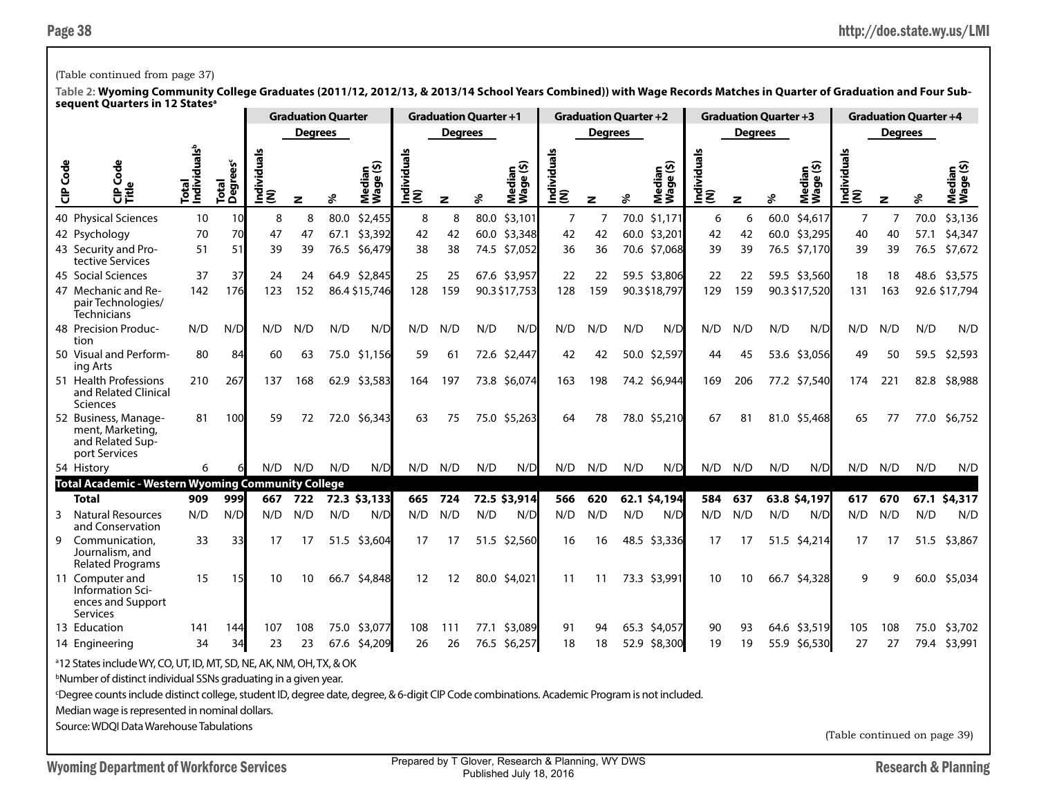### (Table continued from page 37)

**Table 2: Wyoming Community College Graduates (2011/12, 2012/13, & 2013/14 School Years Combined)) with Wage Records Matches in Quarter of Graduation and Four Subsequent Quarters in 12 Statesa**

|          |                                                                               |                                   |                                            |                    | <b>Graduation Quarter</b> |      | <b>Graduation Quarter +1</b> |                    |                |      | <b>Graduation Quarter +2</b> |                    |                |      |                     | <b>Graduation Quarter +3</b> |                |      | <b>Graduation Quarter +4</b> |                    |     |      |                     |  |
|----------|-------------------------------------------------------------------------------|-----------------------------------|--------------------------------------------|--------------------|---------------------------|------|------------------------------|--------------------|----------------|------|------------------------------|--------------------|----------------|------|---------------------|------------------------------|----------------|------|------------------------------|--------------------|-----|------|---------------------|--|
|          |                                                                               |                                   |                                            | <b>Degrees</b>     |                           |      |                              |                    | <b>Degrees</b> |      |                              |                    | <b>Degrees</b> |      |                     |                              | <b>Degrees</b> |      |                              | <b>Degrees</b>     |     |      |                     |  |
| CIP Code | Š<br>양                                                                        | Total<br>Individuals <sup>b</sup> | <b>Degrees<sup>c</sup></b><br><b>Total</b> | Individuals<br>(N) | z                         | వి   | Median<br>Wage (\$)          | Individuals<br>(N) | z              | ళ    | Median<br>Wage (\$)          | Individuals<br>(N) | z              | ℅    | Median<br>Wage (\$) | Individuals<br>(N)           | z              | వి   | Median<br>Wage (\$)          | Individuals<br>(N) | z   | శి   | edia<br>Nedi<br>Vag |  |
|          | 40 Physical Sciences                                                          | 10                                | 10                                         | 8                  | 8                         | 80.0 | \$2,455                      | 8                  | 8              | 80.0 | \$3,101                      | 7                  | 7              | 70.0 | \$1,171             | 6                            | 6              | 60.0 | \$4,617                      | 7                  | 7   | 70.0 | \$3,136             |  |
|          | 42 Psychology                                                                 | 70                                | 70                                         | 47                 | 47                        | 67.1 | \$3,392                      | 42                 | 42             |      | 60.0 \$3,348                 | 42                 | 42             |      | 60.0 \$3,201        | 42                           | 42             | 60.0 | \$3,295                      | 40                 | 40  | 57.1 | \$4,347             |  |
|          | 43 Security and Pro-<br>tective Services                                      | 51                                | 51                                         | 39                 | 39                        | 76.5 | \$6,479                      | 38                 | 38             |      | 74.5 \$7.052                 | 36                 | 36             |      | 70.6 \$7.068        | 39                           | 39             |      | 76.5 \$7,170                 | 39                 | 39  | 76.5 | \$7,672             |  |
|          | 45 Social Sciences                                                            | 37                                | 37                                         | 24                 | 24                        |      | 64.9 \$2,845                 | 25                 | 25             |      | 67.6 \$3,957                 | 22                 | 22             |      | 59.5 \$3,806        | 22                           | 22             |      | 59.5 \$3,560                 | 18                 | 18  |      | 48.6 \$3,575        |  |
|          | 47 Mechanic and Re-<br>pair Technologies/<br><b>Technicians</b>               | 142                               | 176                                        | 123                | 152                       |      | 86.4 \$15,746                | 128                | 159            |      | 90.3 \$17,753                | 128                | 159            |      | 90.3\$18,797        | 129                          | 159            |      | 90.3 \$17,520                | 131                | 163 |      | 92.6 \$17,794       |  |
|          | 48 Precision Produc-<br>tion                                                  | N/D                               | N/D                                        | N/D                | N/D                       | N/D  | N/D                          | N/D                | N/D            | N/D  | N/D                          | N/D                | N/D            | N/D  | N/D                 | N/D                          | N/D            | N/D  | N/D                          | N/D                | N/D | N/D  | N/D                 |  |
|          | 50 Visual and Perform-<br>ing Arts                                            | 80                                | 84                                         | 60                 | 63                        |      | 75.0 \$1,156                 | 59                 | 61             |      | 72.6 \$2,447                 | 42                 | 42             | 50.0 | \$2,597             | 44                           | 45             |      | 53.6 \$3,056                 | 49                 | 50  | 59.5 | \$2,593             |  |
|          | 51 Health Professions<br>and Related Clinical<br>Sciences                     | 210                               | 267                                        | 137                | 168                       |      | 62.9 \$3,583                 | 164                | 197            |      | 73.8 \$6,074                 | 163                | 198            |      | 74.2 \$6,944        | 169                          | 206            |      | 77.2 \$7,540                 | 174                | 221 | 82.8 | \$8,988             |  |
|          | 52 Business, Manage-<br>ment, Marketing,<br>and Related Sup-<br>port Services | 81                                | 100                                        | 59                 | 72                        | 72.0 | \$6,343                      | 63                 | 75             |      | 75.0 \$5,263                 | 64                 | 78             |      | 78.0 \$5,210        | 67                           | 81             |      | 81.0 \$5,468                 | 65                 | 77  | 77.0 | \$6,752             |  |
|          | 54 History                                                                    | 6                                 |                                            | N/D                | N/D                       | N/D  | N/D                          | N/D                | N/D            | N/D  | N/D                          | N/D                | N/D            | N/D  | N/D                 | N/D                          | N/D            | N/D  | N/D                          | N/D                | N/D | N/D  | N/D                 |  |
|          | <b>Total Academic - Western Wyoming Community College</b>                     |                                   |                                            |                    |                           |      |                              |                    |                |      |                              |                    |                |      |                     |                              |                |      |                              |                    |     |      |                     |  |
|          | <b>Total</b>                                                                  | 909                               | 999                                        | 667                | 722                       |      | 72.3 \$3,133                 | 665                | 724            |      | 72.5 \$3,914                 | 566                | 620            |      | 62.1 \$4,194        | 584                          | 637            |      | 63.8 \$4,197                 | 617                | 670 |      | 67.1 \$4,317        |  |
| 3        | <b>Natural Resources</b><br>and Conservation                                  | N/D                               | N/D                                        | N/D                | N/D                       | N/D  | N/D                          | N/D                | N/D            | N/D  | N/D                          | N/D                | N/D            | N/D  | N/D                 | N/D                          | N/D            | N/D  | N/D                          | N/D                | N/D | N/D  | N/D                 |  |
| 9        | Communication,<br>Journalism, and<br><b>Related Programs</b>                  | 33                                | 33                                         | 17                 | 17                        |      | 51.5 \$3,604                 | 17                 | 17             |      | 51.5 \$2,560                 | 16                 | 16             |      | 48.5 \$3,336        | 17                           | 17             |      | 51.5 \$4,214                 | 17                 | 17  |      | 51.5 \$3,867        |  |
|          | 11 Computer and<br>Information Sci-<br>ences and Support<br><b>Services</b>   | 15                                | 15                                         | 10                 | 10                        |      | 66.7 \$4,848                 | 12                 | 12             |      | 80.0 \$4,021                 | 11                 | 11             |      | 73.3 \$3,991        | 10                           | 10             |      | 66.7 \$4,328                 | 9                  | q   | 60.0 | \$5,034             |  |
|          | 13 Education                                                                  | 141                               | 144                                        | 107                | 108                       | 75.0 | \$3,077                      | 108                | 111            | 77.1 | \$3,089                      | 91                 | 94             |      | 65.3 \$4,057        | 90                           | 93             |      | 64.6 \$3,519                 | 105                | 108 | 75.0 | \$3,702             |  |
|          | 14 Engineering                                                                | 34                                | 34                                         | 23                 | 23                        |      | 67.6 \$4,209                 | 26                 | 26             | 76.5 | \$6,257                      | 18                 | 18             | 52.9 | \$8,300             | 19                           | 19             |      | 55.9 \$6,530                 | 27                 | 27  |      | 79.4 \$3,991        |  |

a 12 States include WY, CO, UT, ID, MT, SD, NE, AK, NM, OH, TX, & OK

b Number of distinct individual SSNs graduating in a given year.

c Degree counts include distinct college, student ID, degree date, degree, & 6-digit CIP Code combinations. Academic Program is not included.

Median wage is represented in nominal dollars.

Source: WDQI Data Warehouse Tabulations

(Table continued on page 39)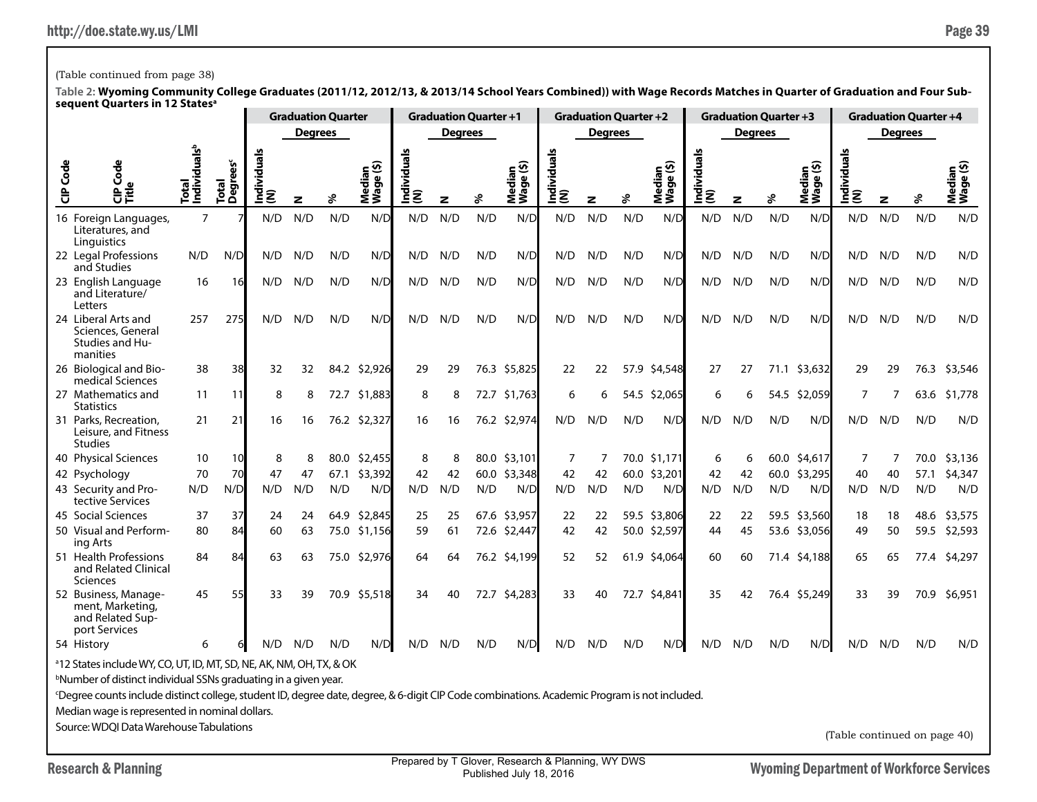## (Table continued from page 38)

**Table 2: Wyoming Community College Graduates (2011/12, 2012/13, & 2013/14 School Years Combined)) with Wage Records Matches in Quarter of Graduation and Four Subsequent Quarters in 12 Statesa**

|                                                                                 |                                                                                                                                                          |                                   | <b>Graduation Quarter</b>     |                 |                |      | <b>Graduation Quarter +1</b> |                    |                |     | <b>Graduation Quarter +2</b> |                    |                |      | <b>Graduation Quarter +3</b> |                    |                |      | <b>Graduation Quarter +4</b> |                    |     |      |                     |  |
|---------------------------------------------------------------------------------|----------------------------------------------------------------------------------------------------------------------------------------------------------|-----------------------------------|-------------------------------|-----------------|----------------|------|------------------------------|--------------------|----------------|-----|------------------------------|--------------------|----------------|------|------------------------------|--------------------|----------------|------|------------------------------|--------------------|-----|------|---------------------|--|
|                                                                                 |                                                                                                                                                          |                                   |                               |                 | <b>Degrees</b> |      |                              |                    | <b>Degrees</b> |     |                              |                    | <b>Degrees</b> |      |                              |                    | <b>Degrees</b> |      |                              | <b>Degrees</b>     |     |      |                     |  |
| CIP Code                                                                        | Φ<br>Š<br>ਜ਼                                                                                                                                             | Total<br>Individuals <sup>b</sup> | Total<br>Degrees <sup>c</sup> | Individual<br>ξ | z              | ళి   | Median<br>Wage (\$)          | Individuals<br>(N) | $\mathbf{z}$   | వి  | Median<br>Wage (\$)          | Individuals<br>(N) | z              | శి   | Median<br>Wage (\$)          | Individuals<br>(N) | $\mathbf{z}$   | శి   | Median<br>Wage (\$)          | Individuals<br>(N) | z   | వి   | Median<br>Wage (\$) |  |
|                                                                                 | 16 Foreign Languages,<br>Literatures, and<br>Linguistics                                                                                                 | $\overline{7}$                    |                               | N/D             | N/D            | N/D  | N/D                          | N/D                | N/D            | N/D | N/D                          | N/D                | N/D            | N/D  | N/D                          | N/D                | N/D            | N/D  | N/D                          | N/D                | N/D | N/D  | N/D                 |  |
|                                                                                 | 22 Legal Professions<br>and Studies                                                                                                                      | N/D                               | N/D                           | N/D             | N/D            | N/D  | N/D                          | N/D                | N/D            | N/D | N/D                          | N/D                | N/D            | N/D  | N/D                          | N/D                | N/D            | N/D  | N/D                          | N/D                | N/D | N/D  | N/D                 |  |
|                                                                                 | 23 English Language<br>and Literature/<br>Letters                                                                                                        | 16                                | 16                            | N/D             | N/D            | N/D  | N/D                          | N/D                | N/D            | N/D | N/D                          | N/D                | N/D            | N/D  | N/D                          | N/D                | N/D            | N/D  | N/D                          | N/D                | N/D | N/D  | N/D                 |  |
|                                                                                 | 24 Liberal Arts and<br>Sciences, General<br>Studies and Hu-<br>manities                                                                                  | 257                               | 275                           | N/D             | N/D            | N/D  | N/D                          | N/D                | N/D            | N/D | N/D                          | N/D                | N/D            | N/D  | N/D                          | N/D                | N/D            | N/D  | N/D                          | N/D                | N/D | N/D  | N/D                 |  |
|                                                                                 | 26 Biological and Bio-<br>medical Sciences                                                                                                               | 38                                | 38                            | 32              | 32             |      | 84.2 \$2,926                 | 29                 | 29             |     | 76.3 \$5,825                 | 22                 | 22             |      | 57.9 \$4,548                 | 27                 | 27             |      | 71.1 \$3,632                 | 29                 | 29  |      | 76.3 \$3,546        |  |
|                                                                                 | 27 Mathematics and<br><b>Statistics</b>                                                                                                                  | 11                                | 11                            | 8               | 8              |      | 72.7 \$1,883                 | 8                  | 8              |     | 72.7 \$1,763                 | 6                  | 6              | 54.5 | \$2,065                      | 6                  | 6              | 54.5 | \$2,059                      | 7                  | 7   | 63.6 | \$1,778             |  |
|                                                                                 | 31 Parks, Recreation,<br>Leisure, and Fitness<br><b>Studies</b>                                                                                          | 21                                | 21                            | 16              | 16             |      | 76.2 \$2,327                 | 16                 | 16             |     | 76.2 \$2,974                 | N/D                | N/D            | N/D  | N/D                          | N/D                | N/D            | N/D  | N/D                          | N/D                | N/D | N/D  | N/D                 |  |
|                                                                                 | 40 Physical Sciences                                                                                                                                     | 10                                | 10                            | 8               | 8              | 80.0 | \$2,455                      | 8                  | 8              |     | 80.0 \$3,101                 | 7                  | 7              |      | 70.0 \$1,171                 | 6                  | 6              |      | 60.0 \$4,617                 | 7                  |     | 70.0 | \$3,136             |  |
|                                                                                 | 42 Psychology                                                                                                                                            | 70                                | 70                            | 47              | 47             | 67.1 | \$3,392                      | 42                 | 42             |     | 60.0 \$3,348                 | 42                 | 42             |      | 60.0 \$3,201                 | 42                 | 42             |      | 60.0 \$3,295                 | 40                 | 40  | 57.1 | \$4,347             |  |
|                                                                                 | 43 Security and Pro-<br>tective Services                                                                                                                 | N/D                               | N/D                           | N/D             | N/D            | N/D  | N/D                          | N/D                | N/D            | N/D | N/D                          | N/D                | N/D            | N/D  | N/D                          | N/D                | N/D            | N/D  | N/D                          | N/D                | N/D | N/D  | N/D                 |  |
|                                                                                 | 45 Social Sciences                                                                                                                                       | 37                                | 37                            | 24              | 24             | 64.9 | \$2,845                      | 25                 | 25             |     | 67.6 \$3,957                 | 22                 | 22             |      | 59.5 \$3,806                 | 22                 | 22             |      | 59.5 \$3,560                 | 18                 | 18  | 48.6 | \$3,575             |  |
|                                                                                 | 50 Visual and Perform-<br>ing Arts                                                                                                                       | 80                                | 84                            | 60              | 63             |      | 75.0 \$1,156                 | 59                 | 61             |     | 72.6 \$2,447                 | 42                 | 42             |      | 50.0 \$2,597                 | 44                 | 45             |      | 53.6 \$3,056                 | 49                 | 50  |      | 59.5 \$2,593        |  |
|                                                                                 | 51 Health Professions<br>and Related Clinical<br><b>Sciences</b>                                                                                         | 84                                | 84                            | 63              | 63             | 75.0 | \$2,976                      | 64                 | 64             |     | 76.2 \$4,199                 | 52                 | 52             |      | 61.9 \$4,064                 | 60                 | 60             |      | 71.4 \$4,188                 | 65                 | 65  |      | 77.4 \$4,297        |  |
|                                                                                 | 52 Business, Manage-<br>ment, Marketing,<br>and Related Sup-<br>port Services                                                                            | 45                                | 55                            | 33              | 39             |      | 70.9 \$5,518                 | 34                 | 40             |     | 72.7 \$4,283                 | 33                 | 40             |      | 72.7 \$4,841                 | 35                 | 42             |      | 76.4 \$5,249                 | 33                 | 39  |      | 70.9 \$6,951        |  |
|                                                                                 | 54 History                                                                                                                                               | 6                                 |                               | N/D             | N/D            | N/D  | N/D                          | N/D                | N/D            | N/D | N/D                          | N/D                | N/D            | N/D  | N/D                          | N/D                | N/D            | N/D  | N/D                          | N/D                | N/D | N/D  | N/D                 |  |
| <sup>a</sup> 12 States include WY, CO, UT, ID, MT, SD, NE, AK, NM, OH, TX, & OK |                                                                                                                                                          |                                   |                               |                 |                |      |                              |                    |                |     |                              |                    |                |      |                              |                    |                |      |                              |                    |     |      |                     |  |
|                                                                                 | bNumber of distinct individual SSNs graduating in a given year.                                                                                          |                                   |                               |                 |                |      |                              |                    |                |     |                              |                    |                |      |                              |                    |                |      |                              |                    |     |      |                     |  |
|                                                                                 | <sup>c</sup> Degree counts include distinct college, student ID, degree date, degree, & 6-digit CIP Code combinations. Academic Program is not included. |                                   |                               |                 |                |      |                              |                    |                |     |                              |                    |                |      |                              |                    |                |      |                              |                    |     |      |                     |  |
| Median wage is represented in nominal dollars.                                  |                                                                                                                                                          |                                   |                               |                 |                |      |                              |                    |                |     |                              |                    |                |      |                              |                    |                |      |                              |                    |     |      |                     |  |
|                                                                                 | Source: WDOI Data Warehouse Tabulations                                                                                                                  |                                   |                               |                 |                |      |                              |                    |                |     |                              |                    |                |      |                              |                    |                |      |                              |                    |     |      |                     |  |

(Table continued on page 40)